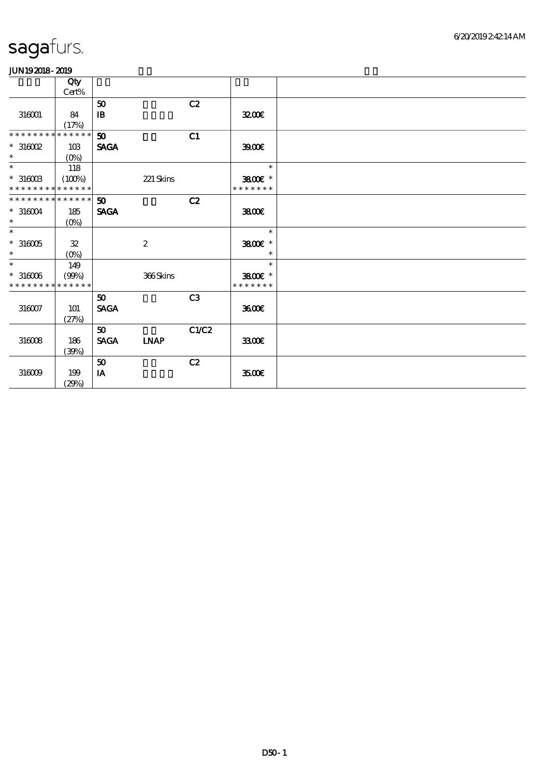|                             | Qty            |                 |                  |       |               |  |
|-----------------------------|----------------|-----------------|------------------|-------|---------------|--|
|                             | Cert%          |                 |                  |       |               |  |
|                             |                | 50              |                  | C2    |               |  |
| 316001                      | 84             | $\mathbf{B}$    |                  |       | 3200E         |  |
|                             | (17%)          |                 |                  |       |               |  |
| * * * * * * * *             | * * * * * *    | 50              |                  | C1    |               |  |
| $*316002$                   | 10B            | <b>SAGA</b>     |                  |       | 3900          |  |
| $\ast$                      | $(O\%)$        |                 |                  |       |               |  |
| $\ast$                      | 118            |                 |                  |       | $\ast$        |  |
| $*31600B$                   | (100%)         |                 | 221 Skins        |       | 3800€ *       |  |
| * * * * * * * * * * * * * * |                |                 |                  |       | * * * * * * * |  |
| * * * * * * * * * * * * * * |                | 50 <sub>o</sub> |                  | C2    |               |  |
| $*316004$                   | 185            | <b>SAGA</b>     |                  |       | 3800E         |  |
| $\ast$                      | $(0\%)$        |                 |                  |       |               |  |
| $\ast$                      |                |                 |                  |       | $\ast$        |  |
| $^\ast$ 316005              | $\mathfrak{B}$ |                 | $\boldsymbol{2}$ |       | 3800€ *       |  |
| $\ast$                      | $(O\%)$        |                 |                  |       | $\ast$        |  |
| $\ast$                      | 149            |                 |                  |       | $\ast$        |  |
| $*316006$                   | (90%)          |                 | 366Skins         |       | 3800€ *       |  |
| * * * * * * * *             | * * * * * *    |                 |                  |       | * * * * * * * |  |
|                             |                | 50 <sub>o</sub> |                  | C3    |               |  |
| $316007$                    | 101            | <b>SAGA</b>     |                  |       | 3600E         |  |
|                             | (27%)          |                 |                  |       |               |  |
|                             |                | 50 <sub>o</sub> |                  | C1/C2 |               |  |
| $316008$                    | 186            | <b>SAGA</b>     | <b>INAP</b>      |       | 3300€         |  |
|                             | (30%)          |                 |                  |       |               |  |
|                             |                | 50              |                  | C2    |               |  |
| 316009                      | 199            | IA              |                  |       | 3500E         |  |
|                             | (29%)          |                 |                  |       |               |  |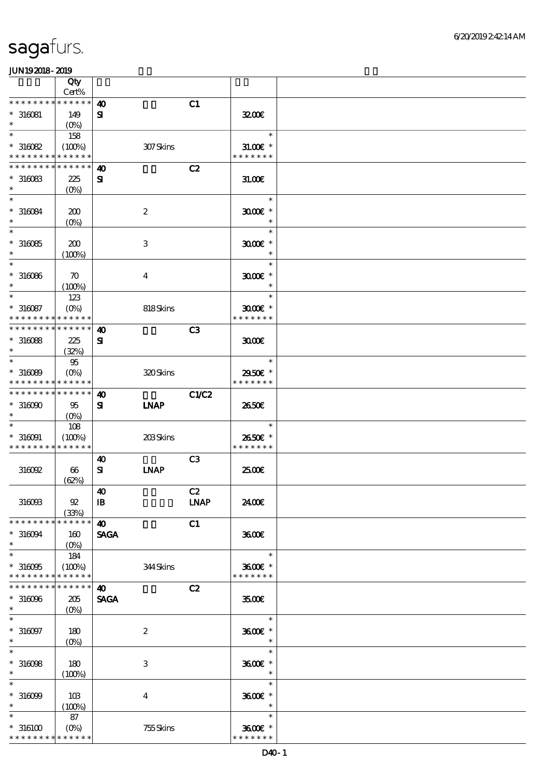|                              | Qty                           |                                    |                           |                |                          |  |
|------------------------------|-------------------------------|------------------------------------|---------------------------|----------------|--------------------------|--|
| * * * * * * * * * * * * * *  | Cert%                         |                                    |                           |                |                          |  |
| $*316081$                    | 149                           | $\boldsymbol{\omega}$<br>${\bf s}$ |                           | C1             | 3200                     |  |
| $\ast$                       | $(O\%)$                       |                                    |                           |                |                          |  |
| $\ast$                       | 158                           |                                    |                           |                | $\ast$                   |  |
| $*316082$                    | (100%)                        |                                    | 307Skins                  |                | $31.00E$ *               |  |
| * * * * * * * *              | * * * * * *                   |                                    |                           |                | * * * * * * *            |  |
| * * * * * * * *              | * * * * * *                   | 40                                 |                           | C2             |                          |  |
| $*316083$<br>$\ast$          | 225<br>(O <sub>0</sub> )      | ${\bf s}$                          |                           |                | 31.006                   |  |
| $\ast$                       |                               |                                    |                           |                | $\ast$                   |  |
| $*316084$                    | 200                           |                                    | $\boldsymbol{2}$          |                | $3000$ $*$               |  |
| $\ast$                       | $(0\%)$                       |                                    |                           |                | $\ast$                   |  |
| $\ast$                       |                               |                                    |                           |                | $\ast$                   |  |
| $*316085$                    | 200                           |                                    | $\ensuremath{\mathbf{3}}$ |                | $3000$ $*$               |  |
| $\ast$                       | (100%)                        |                                    |                           |                | $\ast$                   |  |
| $\ast$                       |                               |                                    |                           |                | $\ast$                   |  |
| $*316066$<br>$\ast$          | $\boldsymbol{\pi}$<br>(100%)  |                                    | $\boldsymbol{4}$          |                | $3000$ $*$<br>$\ast$     |  |
| $\ast$                       | 123                           |                                    |                           |                | $\ast$                   |  |
| $* 316087$                   | $(O\%)$                       |                                    | 818Skins                  |                | $3000$ $*$               |  |
| * * * * * * * *              | * * * * * *                   |                                    |                           |                | * * * * * * *            |  |
| * * * * * * * *              | * * * * * *                   | $\boldsymbol{\omega}$              |                           | C <sub>3</sub> |                          |  |
| $*316088$                    | 225                           | $\mathbf{S}$                       |                           |                | 3000                     |  |
| $\ast$                       | (32%)                         |                                    |                           |                |                          |  |
| $\ast$                       | $95\,$                        |                                    |                           |                | $\ast$                   |  |
| $*316089$<br>* * * * * * * * | $(O\%)$<br>* * * * * *        |                                    | 320Skins                  |                | 2950€ *<br>* * * * * * * |  |
| * * * * * * * * * * * * * *  |                               | $\boldsymbol{\omega}$              |                           | <b>C1/C2</b>   |                          |  |
| $*316000$                    | 95                            | ${\bf s}$                          | <b>INAP</b>               |                | 2650E                    |  |
| $\ast$                       | $(O\% )$                      |                                    |                           |                |                          |  |
| $\ast$                       | 108                           |                                    |                           |                | $\ast$                   |  |
| $* 316091$                   | (100%)                        |                                    | 203Skins                  |                | 2650€ *                  |  |
| * * * * * * * *              | * * * * * *                   |                                    |                           |                | * * * * * * *            |  |
|                              |                               | $\boldsymbol{\omega}$              |                           | C <sub>3</sub> |                          |  |
| 316092                       | 66                            | ${\bf s}$                          | <b>LNAP</b>               |                | 2500€                    |  |
|                              | (62%)                         | $\boldsymbol{40}$                  |                           | C2             |                          |  |
| 316093                       | $92\,$                        | $\mathbf{B}$                       |                           | <b>LNAP</b>    | 2400€                    |  |
|                              | (33%)                         |                                    |                           |                |                          |  |
| * * * * * * * *              | * * * * * *                   | $\boldsymbol{\omega}$              |                           | C1             |                          |  |
| $*316094$                    | 160                           | <b>SAGA</b>                        |                           |                | 3600E                    |  |
| $\ast$                       | $(O\%)$                       |                                    |                           |                |                          |  |
| $\ast$                       | 184                           |                                    |                           |                | $\ast$                   |  |
| $*316095$<br>* * * * * * * * | (100%)<br>* * * * * *         |                                    | 344Skins                  |                | 3600€ *<br>* * * * * * * |  |
| * * * * * * * *              | * * * * * *                   | $\boldsymbol{\omega}$              |                           | C2             |                          |  |
| $*316096$                    | 205                           | <b>SAGA</b>                        |                           |                | 3500€                    |  |
| $\ast$                       | $(O\!\!\!\!\!\!\backslash o)$ |                                    |                           |                |                          |  |
| $\ast$                       |                               |                                    |                           |                | $\ast$                   |  |
| $*316097$                    | 180                           |                                    | $\boldsymbol{2}$          |                | 3600€ *                  |  |
| $\ast$<br>$\ast$             | $(O\!/\!\!\delta)$            |                                    |                           |                | $\ast$<br>$\ast$         |  |
|                              |                               |                                    |                           |                |                          |  |
| $*316098$<br>$\ast$          | 180<br>(100%)                 |                                    | 3                         |                | 3600€ *<br>$\ast$        |  |
| $\ast$                       |                               |                                    |                           |                | $\ast$                   |  |
| $*316099$                    | 10B                           |                                    | $\overline{\mathbf{4}}$   |                | 3600€ *                  |  |
| $\ast$                       | (100%)                        |                                    |                           |                | $\ast$                   |  |
| $\ast$                       | 87                            |                                    |                           |                | $\ast$                   |  |
| $^\ast$ 316100               | $(O\%)$                       |                                    | 755Skins                  |                | 3600€ *                  |  |
| * * * * * * * * * * * * * *  |                               |                                    |                           |                | * * * * * * *            |  |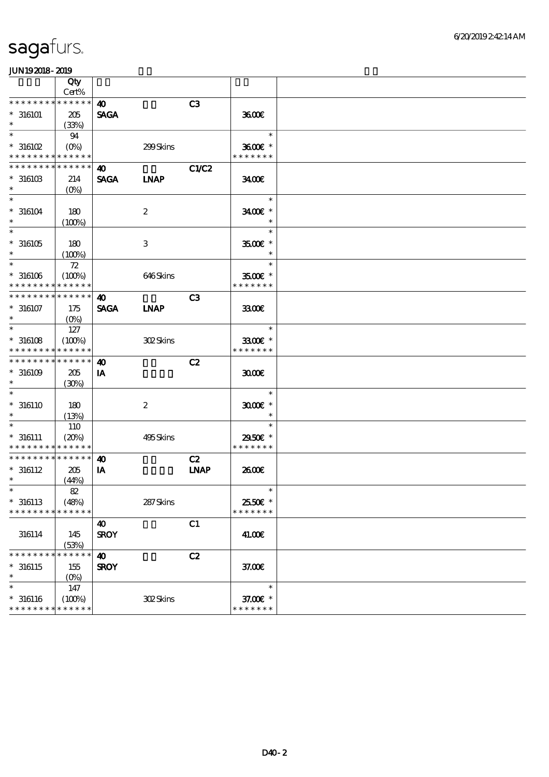|                                            | Qty<br>Cert% |                       |                           |                              |                     |  |
|--------------------------------------------|--------------|-----------------------|---------------------------|------------------------------|---------------------|--|
|                                            |              |                       |                           |                              |                     |  |
|                                            |              | $\boldsymbol{\omega}$ |                           | C3                           |                     |  |
| $^*$ 316101 $\,$                           | $205\,$      | <b>SAGA</b>           |                           |                              | 3600E               |  |
| $\ast$                                     | (33%)        |                       |                           |                              |                     |  |
| $\ast$                                     | 94           |                       |                           |                              | $\ast$              |  |
| $*316102$                                  |              |                       | 299Skins                  |                              | 3600€ *             |  |
| * * * * * * * * <mark>* * * * * *</mark> * |              |                       |                           |                              | * * * * * * *       |  |
| * * * * * * * *                            | * * * * * *  | $\boldsymbol{\omega}$ |                           | C1/C2                        |                     |  |
|                                            |              |                       |                           |                              |                     |  |
| $^*$ 316103 $\,$                           | 214          | <b>SAGA</b>           | <b>INAP</b>               |                              | 3400                |  |
| $\ast$                                     | $(O\%)$      |                       |                           |                              |                     |  |
| $\ast$                                     |              |                       |                           |                              | $\ast$              |  |
| $*316104$                                  | 180          |                       | $\boldsymbol{2}$          |                              | 3400E *             |  |
| $\ast$                                     | (100%)       |                       |                           |                              |                     |  |
| $\ast$                                     |              |                       |                           |                              | $\ast$              |  |
| $*316105$                                  | 180          |                       | $\ensuremath{\mathbf{3}}$ |                              | $3500$ $\epsilon$ * |  |
| $\ast$                                     |              |                       |                           |                              | $\ast$              |  |
|                                            | (100%)       |                       |                           |                              |                     |  |
| $\ast$                                     | $72\,$       |                       |                           |                              | $\ast$              |  |
| $^*$ 316106 $\,$                           | (100%)       |                       | 646Skins                  |                              | $3500$ $*$          |  |
| * * * * * * * *                            | * * * * * *  |                       |                           |                              | * * * * * * *       |  |
| * * * * * * * * * * * * * *                |              | $\boldsymbol{\omega}$ |                           | C <sub>3</sub>               |                     |  |
| $* 316107$                                 | 175          | <b>SAGA</b>           | <b>INAP</b>               |                              | 3300                |  |
| $\ast$                                     | $(O\%)$      |                       |                           |                              |                     |  |
| $\ast$                                     | 127          |                       |                           |                              | $\ast$              |  |
|                                            |              |                       |                           |                              |                     |  |
| $*316108$                                  | (100%)       |                       | 302Skins                  |                              | 3300€ *             |  |
| * * * * * * * *                            | * * * * * *  |                       |                           |                              | * * * * * * *       |  |
| * * * * * * *                              | * * * * * *  | $\boldsymbol{\omega}$ |                           | C2                           |                     |  |
| $^*$ 316109 $\,$                           | 205          | IA                    |                           |                              | 3000                |  |
| $\ast$                                     | (30%)        |                       |                           |                              |                     |  |
| $\ast$                                     |              |                       |                           |                              | $\ast$              |  |
| $* 316110$                                 | 180          |                       | $\boldsymbol{2}$          |                              | $3000$ $*$          |  |
| $\ast$                                     |              |                       |                           |                              | $\ast$              |  |
|                                            | (13%)        |                       |                           |                              |                     |  |
| $\ast$                                     | 110          |                       |                           |                              | $\ast$              |  |
| $* 316111$                                 | (20%)        |                       | 495Skins                  |                              | 2950€ *             |  |
| * * * * * * * *                            | * * * * * *  |                       |                           |                              | * * * * * * *       |  |
| * * * * * * * * * * * * * *                |              | $\boldsymbol{\omega}$ |                           | C2                           |                     |  |
| $* 316112$                                 | 205          | IA                    |                           | $\ensuremath{\mathbf{INAP}}$ | 2600E               |  |
| $\ast$                                     | (44%)        |                       |                           |                              |                     |  |
|                                            | 82           |                       |                           |                              | $\ast$              |  |
|                                            |              |                       |                           |                              |                     |  |
| $* 316113$                                 | (48%)        |                       | 287Skins                  |                              | 25.50€ *            |  |
| * * * * * * * *                            | * * * * * *  |                       |                           |                              | * * * * * * *       |  |
|                                            |              | $\boldsymbol{\omega}$ |                           | C1                           |                     |  |
| 316114                                     | 145          | <b>SROY</b>           |                           |                              | 41.00E              |  |
|                                            | (53%)        |                       |                           |                              |                     |  |
| * * * * * * * *                            | * * * * * *  | $\boldsymbol{\omega}$ |                           | C2                           |                     |  |
| $*316115$                                  | 155          | <b>SROY</b>           |                           |                              | 37.00E              |  |
| $\ast$                                     |              |                       |                           |                              |                     |  |
|                                            | $(O\%)$      |                       |                           |                              |                     |  |
| $\ast$                                     | 147          |                       |                           |                              | $\ast$              |  |
| $^*$ 316116 $\,$                           | (100%)       |                       | 302Skins                  |                              | 37.00 £*            |  |
| * * * * * * * *                            | * * * * * *  |                       |                           |                              | * * * * * * *       |  |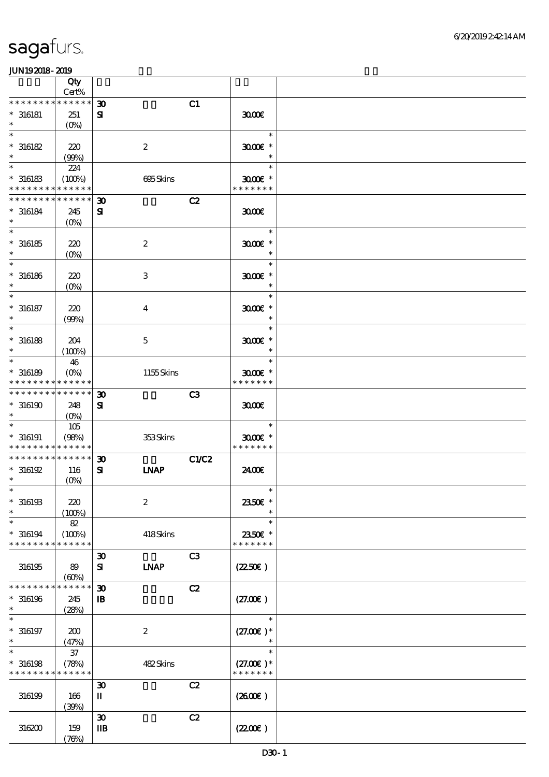|                             | Qty<br>Cert%       |                             |                |                      |  |
|-----------------------------|--------------------|-----------------------------|----------------|----------------------|--|
| * * * * * * *               | * * * * * *        |                             |                |                      |  |
|                             |                    | $\boldsymbol{\mathfrak{D}}$ | C1             |                      |  |
| $^*$ 316181                 | 251                | ${\bf s}$                   |                | 3000                 |  |
| $\ast$                      | $(O\!/\!\!\delta)$ |                             |                |                      |  |
| $\ast$                      |                    |                             |                | $\ast$               |  |
| $*316182$                   | 220                | $\boldsymbol{2}$            |                | $3000$ $*$           |  |
| $\ast$                      | (90%)              |                             |                | $\ast$               |  |
| $\ast$                      | 224                |                             |                | $\ast$               |  |
| $*316183$                   | (100%)             |                             | 695Skins       | $3000$ $*$           |  |
| * * * * * * * *             | * * * * * *        |                             |                | * * * * * * *        |  |
| * * * * * * * *             | * * * * * *        | $\boldsymbol{\mathfrak{D}}$ | C2             |                      |  |
| $* 316184$                  | 245                | $\mathbf{S}$                |                | 3000                 |  |
| $\ast$                      |                    |                             |                |                      |  |
| $\ast$                      | $(O\!/\!\!\delta)$ |                             |                |                      |  |
|                             |                    |                             |                | $\ast$               |  |
| $^\ast$ 316185              | 220                | $\boldsymbol{2}$            |                | $3000$ $*$           |  |
| $\ast$                      | $(O\%)$            |                             |                | $\ast$               |  |
| $\ast$                      |                    |                             |                | $\ast$               |  |
| $*316186$                   | 220                | 3                           |                | $3000$ $*$           |  |
| $\ast$                      | $(O\!/\!o)$        |                             |                | $\ast$               |  |
| $\ast$                      |                    |                             |                | $\ast$               |  |
| $* 316187$                  | 220                | $\overline{\mathbf{4}}$     |                | $3000$ $*$           |  |
| $\ast$                      | (90%)              |                             |                | $\ast$               |  |
| $\ast$                      |                    |                             |                | $\ast$               |  |
|                             |                    |                             |                |                      |  |
| $* 316188$<br>$\ast$        | 204                | $\mathbf 5$                 |                | $3000$ $*$<br>$\ast$ |  |
| $\ast$                      | (100%)             |                             |                |                      |  |
|                             | 46                 |                             |                | $\ast$               |  |
| $*316189$                   | $(O\%)$            |                             | 1155Skins      | $3000$ $*$           |  |
| * * * * * * * * * * * * * * |                    |                             |                | * * * * * * *        |  |
| * * * * * * * * * * * * * * |                    | $\boldsymbol{\mathfrak{D}}$ | C <sub>3</sub> |                      |  |
| $*316190$                   | 248                | ${\bf s}$                   |                | 3000                 |  |
|                             | $(O\%)$            |                             |                |                      |  |
|                             | 105                |                             |                | $\ast$               |  |
| $* 316191$                  | (98%)              |                             | 353Skins       | $3000$ $*$           |  |
| * * * * * * * * * * * * * * |                    |                             |                | * * * * * * *        |  |
| * * * * * * * * * * * * * * |                    | $\boldsymbol{\mathfrak{D}}$ | <b>C1/C2</b>   |                      |  |
| $*316192$                   | 116                | ${\bf s}$                   | <b>LNAP</b>    | 2400E                |  |
| $\ast$                      | $(0\%)$            |                             |                |                      |  |
| $\ast$                      |                    |                             |                | $\ast$               |  |
|                             |                    |                             |                |                      |  |
| $*316193$                   | 220                | $\boldsymbol{2}$            |                | 2350€ *              |  |
| $\ast$                      | (100%)             |                             |                |                      |  |
| $\ast$                      | $82\,$             |                             |                | $\ast$               |  |
| $*316194$                   | (100%)             |                             | 418Skins       | 2350E *              |  |
| * * * * * * * *             | * * * * * *        |                             |                | * * * * * * *        |  |
|                             |                    | $\boldsymbol{\mathfrak{D}}$ | C <sub>3</sub> |                      |  |
| 316195                      | 89                 | ${\bf s}$                   | <b>INAP</b>    | $(2250\epsilon)$     |  |
|                             | (60%)              |                             |                |                      |  |
| * * * * * * * *             | * * * * * *        | $\boldsymbol{\mathfrak{D}}$ | C2             |                      |  |
| $*316196$                   | 245                | $\, {\bf B}$                |                | (27.00)              |  |
| $\ast$                      | (28%)              |                             |                |                      |  |
|                             |                    |                             |                | $\ast$               |  |
| $* 316197$                  | 200                | $\boldsymbol{2}$            |                | $(27.00)$ *          |  |
| $\ast$                      | (47%)              |                             |                | $\ast$               |  |
| $\ast$                      | $37\,$             |                             |                | $\ast$               |  |
| $*316198$                   | (78%)              |                             | 482Skins       | $(27.00)$ *          |  |
| * * * * * * * * * * * * * * |                    |                             |                | * * * * * * *        |  |
|                             |                    | $\boldsymbol{\mathfrak{D}}$ | C2             |                      |  |
|                             |                    |                             |                |                      |  |
| 316199                      | 166                | $\mathbf I$                 |                | (260E)               |  |
|                             | (30%)              |                             |                |                      |  |
|                             |                    | $\boldsymbol{\mathfrak{D}}$ | C2             |                      |  |
| 316200                      | 159                | $\mathbf{I}$                |                | (220E)               |  |
|                             | (78%)              |                             |                |                      |  |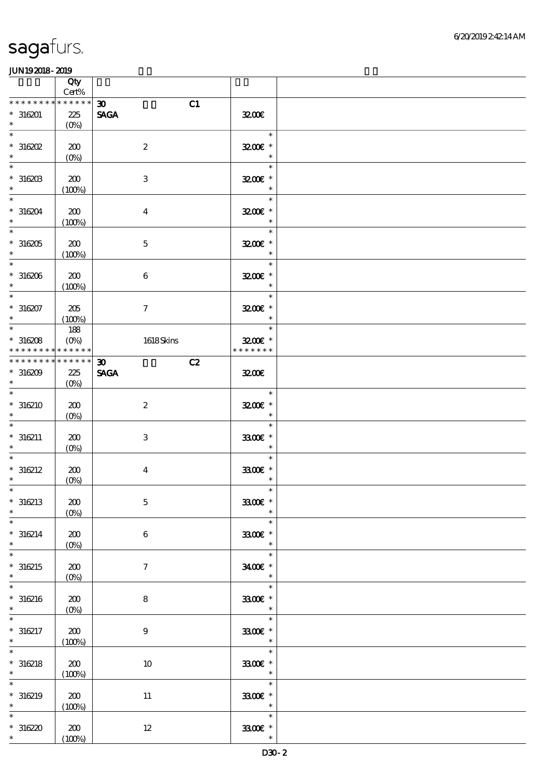|                                                          | Qty<br>Cert%                           |                                                  |                                                |  |
|----------------------------------------------------------|----------------------------------------|--------------------------------------------------|------------------------------------------------|--|
| * * * * * * *<br>$*316201$<br>$\ast$                     | * * * * * *<br>225<br>$(O\%)$          | C1<br>$\boldsymbol{\mathfrak{D}}$<br><b>SAGA</b> | 3200E                                          |  |
| $\ast$<br>$*316202$<br>$\ast$                            | 200<br>$(O\!\!\!\!\!\!\backslash\rho)$ | $\boldsymbol{2}$                                 | $\ast$<br>3200E *<br>$\ast$                    |  |
| $\ast$<br>$*316203$<br>$\ast$                            | 200<br>(100%)                          | 3                                                | $\ast$<br>3200E *<br>$\ast$                    |  |
| $\ast$<br>$*316204$<br>$\ast$                            | 200<br>(100%)                          | $\overline{\mathbf{4}}$                          | $\ast$<br>3200E *<br>$\ast$                    |  |
| $\overline{\phantom{0}}$<br>$*316205$<br>$\ast$          | 200<br>(100%)                          | $\mathbf 5$                                      | $\ast$<br>3200E *<br>$\ast$                    |  |
| $\ast$<br>$*316206$<br>$\ast$                            | 200<br>(100%)                          | 6                                                | $\ast$<br>3200E *<br>$\ast$                    |  |
| $\ast$<br>$*316207$<br>$\ast$                            | 205<br>(100%)                          | $\mathcal I$                                     | $\ast$<br>3200E *<br>$\ast$                    |  |
| $\overline{\phantom{0}}$<br>$*316208$<br>* * * * * * * * | 188<br>$(0\%)$<br>* * * * * *          | 1618Skins                                        | $\ast$<br>$3200$ $\epsilon$ *<br>* * * * * * * |  |
| * * * * * * * *<br>$*316209$<br>$\ast$                   | $******$<br>225<br>$(0\%)$             | C2<br>$\boldsymbol{\mathfrak{D}}$<br><b>SAGA</b> | 3200                                           |  |
| $\ast$<br>$*316210$                                      | 200<br>$(O\%)$                         | $\boldsymbol{z}$                                 | $\ast$<br>3200E *<br>$\ast$                    |  |
| $*316211$<br>$\ast$                                      | 200<br>$(O\%)$                         | 3                                                | $\ast$<br>3300€ *<br>$\ast$                    |  |
| $\ast$<br>$* 316212$<br>$\ast$                           | 200<br>$(0\%)$                         | $\overline{\mathbf{4}}$                          | $\ast$<br>3300€ *<br>$\ast$                    |  |
| $*$<br>$*316213$<br>$\ast$                               | 200<br>$(0\%)$                         | $\mathbf 5$                                      | $\ast$<br>3300€ *<br>$\ast$                    |  |
| $\ast$<br>$*316214$<br>$\ast$                            | 200<br>$(0\%)$                         | 6                                                | $\ast$<br>3300€ *<br>$\ast$                    |  |
| $\ast$<br>$*316215$<br>$\ast$                            | 200<br>$(O\%)$                         | $\tau$                                           | $\ast$<br>3400€ *<br>$\ast$                    |  |
| $\ast$<br>$*316216$<br>$\ast$                            | 200<br>$(0\%)$                         | 8                                                | $\ast$<br>$3300$ $^{\circ}$<br>$\ast$          |  |
| $* 316217$<br>$\ast$                                     | 200<br>(100%)                          | $\boldsymbol{9}$                                 | $\ast$<br>3300€ *<br>$\ast$                    |  |
| $\ast$<br>$* 316218$<br>$\ast$                           | 200<br>(100%)                          | 10                                               | $\ast$<br>3300€ *<br>$\ast$                    |  |
| $\ast$<br>$* 316219$<br>$\ast$                           | 200<br>(100%)                          | $11\,$                                           | $\ast$<br>3300€ *<br>$\ast$                    |  |
| $*316220$<br>$\ast$                                      | 200<br>(100%)                          | $12\,$                                           | $\ast$<br>3300€ *<br>$\ast$                    |  |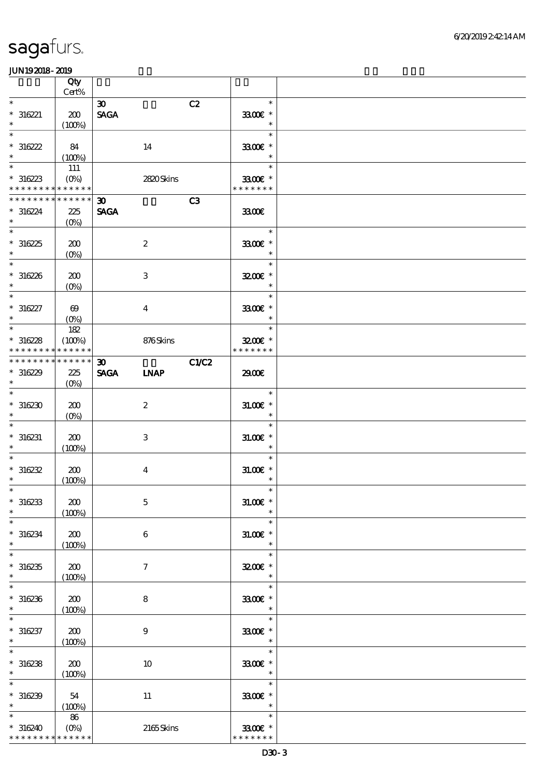|                                                               | Qty<br>Cert%                     |                                                           |                                       |  |
|---------------------------------------------------------------|----------------------------------|-----------------------------------------------------------|---------------------------------------|--|
| $\ast$<br>$*316221$<br>$\ast$                                 | 200<br>(100%)                    | $\boldsymbol{\mathfrak{D}}$<br><b>SAGA</b>                | C2<br>$\ast$<br>3300€ *<br>$\ast$     |  |
| $\ast$<br>$*316222$<br>$\ast$                                 | - 84<br>(100%)                   | 14                                                        | $\ast$<br>3300€ *<br>$\ast$           |  |
| $\overline{\ast}$<br>$*316223$<br>* * * * * * * * * * * * * * | 111<br>$(O\%)$                   | 2820Skins                                                 | $\ast$<br>3300€ *<br>* * * * * * *    |  |
| * * * * * * * * * * * * * * *<br>$*316224$<br>$\ast$          | 225<br>$(O\%)$                   | 30 <sub>o</sub><br><b>SAGA</b>                            | C3<br>3300                            |  |
| $\overline{\phantom{0}}$<br>$*316225$<br>$\ast$               | 200<br>$(O\%)$                   | $\boldsymbol{2}$                                          | $\ast$<br>3300€ *<br>$\ast$           |  |
| $*$<br>$*316226$<br>$\ast$                                    | 200<br>$(O\%)$                   | 3                                                         | $\ast$<br>3200E *<br>$\ast$           |  |
| $\ast$<br>$*316227$<br>$\ast$                                 | $\boldsymbol{\omega}$<br>$(O\%)$ | $\bf{4}$                                                  | $\ast$<br>3300€ *<br>$\ast$           |  |
| $\overline{\phantom{0}}$<br>$*316228$<br>* * * * * * * *      | 182<br>(100%)<br>* * * * * *     | 876Skins                                                  | $\ast$<br>$3200$ $*$<br>* * * * * * * |  |
| * * * * * * * * * * * * * *<br>$*316229$<br>$\ast$            | 225<br>$(O\%)$                   | $\boldsymbol{\mathfrak{D}}$<br><b>SAGA</b><br><b>LNAP</b> | C1/C2<br>2900€                        |  |
| $\ast$<br>$*316230$                                           | 200<br>$(O\%)$                   | $\boldsymbol{2}$                                          | $\ast$<br>$31.005$ *<br>$\ast$        |  |
| $*316231$<br>$\ast$                                           | 200<br>(100%)                    | 3                                                         | $\ast$<br>$31.005$ *<br>$\ast$        |  |
| $\ast$<br>$*316232$<br>$\ast$                                 | 200<br>(100%)                    | $\overline{\mathbf{4}}$                                   | $\ast$<br>$31.005$ *<br>$\ast$        |  |
| $*$<br>$*316233$<br>$\ast$                                    | 200<br>(100%)                    | $\mathbf 5$                                               | $\ast$<br>$31.00E$ *<br>$\ast$        |  |
| $\ast$<br>$*316234$<br>$\ast$<br>$\ast$                       | 200<br>(100%)                    | 6                                                         | $\ast$<br>$31.005$ *<br>$\ast$        |  |
| $*316235$<br>$\ast$<br>$\ast$                                 | 200<br>(100%)                    | $\tau$                                                    | $\ast$<br>3200E *<br>$\ast$           |  |
| $*316236$<br>$\ast$                                           | 200<br>(100%)                    | 8                                                         | $\ast$<br>3300€ *<br>$\ast$<br>$\ast$ |  |
| $* 316237$<br>$\ast$<br>$\ast$                                | 200<br>(100%)                    | $\boldsymbol{9}$                                          | 3300€ *<br>$\ast$<br>$\ast$           |  |
| $*316238$<br>$\ast$<br>$\ast$                                 | 200<br>(100%)                    | 10                                                        | 3300€ *<br>$\ast$<br>$\ast$           |  |
| $*316239$<br>$\ast$<br>$\ast$                                 | 54<br>(100%)                     | $11\,$                                                    | 3300€ *<br>$\ast$<br>$\ast$           |  |
| $*316240$<br>* * * * * * * * <mark>* * * * * *</mark>         | 86                               | 2165Skins                                                 | 3300€ *<br>* * * * * * *              |  |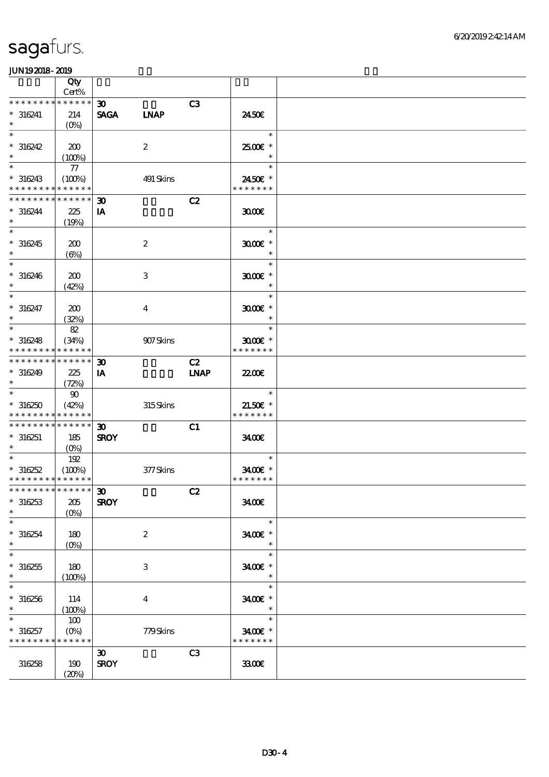|                                            | Qty                             |                             |                  |                |               |  |
|--------------------------------------------|---------------------------------|-----------------------------|------------------|----------------|---------------|--|
|                                            | Cert%                           |                             |                  |                |               |  |
| * * * * * * * *                            | $******$                        | $\boldsymbol{\mathfrak{D}}$ |                  | C <sub>3</sub> |               |  |
| $* 316241$                                 | 214                             | <b>SAGA</b>                 | <b>LNAP</b>      |                | 2450E         |  |
| $\ast$                                     | $(O\%)$                         |                             |                  |                |               |  |
| $\ast$                                     |                                 |                             |                  |                | $\ast$        |  |
| $*316242$                                  | 200                             |                             | $\boldsymbol{2}$ |                | 2500€*        |  |
| $\ast$                                     | (100%)                          |                             |                  |                | $\ast$        |  |
| $\ast$                                     | 77                              |                             |                  |                | $\ast$        |  |
| $*316243$                                  | (100%)                          |                             | 491 Skins        |                | 2450€ *       |  |
| * * * * * * * *                            | * * * * * *                     |                             |                  |                | * * * * * * * |  |
| * * * * * * * * * * * * * *                |                                 | $\boldsymbol{\mathfrak{D}}$ |                  | C2             |               |  |
| $*316244$                                  | 225                             | IA                          |                  |                | 3000          |  |
| $\ast$                                     |                                 |                             |                  |                |               |  |
| $\ast$                                     | (19%)                           |                             |                  |                | $\ast$        |  |
|                                            |                                 |                             |                  |                |               |  |
| $*316245$                                  | 200                             |                             | $\boldsymbol{2}$ |                | $3000$ $*$    |  |
| $\ast$                                     | $(\Theta_0)$                    |                             |                  |                | $\ast$        |  |
| $\ast$                                     |                                 |                             |                  |                | $\ast$        |  |
| $* 316246$                                 | 200                             |                             | 3                |                | $3000$ $*$    |  |
| $\ast$                                     | (42%)                           |                             |                  |                | $\ast$        |  |
| $\ast$                                     |                                 |                             |                  |                | $\ast$        |  |
| $* 316247$                                 | 200                             |                             | $\overline{4}$   |                | $3000$ $*$    |  |
| $\ast$                                     | (32%)                           |                             |                  |                | $\ast$        |  |
| $\ast$                                     | 82                              |                             |                  |                | $\ast$        |  |
| $*316248$                                  | (34%)                           |                             | 907Skins         |                | $3000$ $*$    |  |
| * * * * * * * * * * * * * *                |                                 |                             |                  |                | * * * * * * * |  |
| * * * * * * * * * * * * * *                |                                 | $\boldsymbol{\mathfrak{D}}$ |                  | C2             |               |  |
|                                            |                                 |                             |                  |                |               |  |
| $*316249$<br>$\ast$                        | 225                             | IA                          |                  | <b>INAP</b>    | 2200          |  |
| $\ast$                                     | (72%)                           |                             |                  |                |               |  |
|                                            | $\boldsymbol{\omega}$           |                             |                  |                | $\ast$        |  |
| $*316250$                                  | (42%)                           |                             | 315Skins         |                | $21.50E$ *    |  |
| * * * * * * * * <mark>* * * * * *</mark> * |                                 |                             |                  |                | * * * * * * * |  |
| * * * * * * * * * * * * * * *              |                                 | $\boldsymbol{\mathfrak{D}}$ |                  | C1             |               |  |
| $* 316251$                                 | 185                             | <b>SROY</b>                 |                  |                | 3400          |  |
| $*$ and $*$                                | $(0\%)$                         |                             |                  |                |               |  |
| $\ast$                                     | 192                             |                             |                  |                | $\ast$        |  |
| $*316252$                                  | (100%)                          |                             | 377Skins         |                | 3400€ *       |  |
| * * * * * * * * * * * * * *                |                                 |                             |                  |                | * * * * * * * |  |
| *************** 30                         |                                 |                             |                  | C2             |               |  |
| $*316253$                                  | $205\,$                         | <b>SROY</b>                 |                  |                | 3400          |  |
| $\ast$                                     | $(O\%)$                         |                             |                  |                |               |  |
| $\ast$                                     |                                 |                             |                  |                | $\ast$        |  |
|                                            |                                 |                             |                  |                |               |  |
| $*316254$                                  | 180                             |                             | $\boldsymbol{2}$ |                | 3400E *       |  |
| $\ast$                                     | $(O\!\!\!\!\!\!\backslash\rho)$ |                             |                  |                | $\ast$        |  |
| $\ast$                                     |                                 |                             |                  |                | $\ast$        |  |
| $*316255$                                  | 180                             |                             | 3                |                | 3400€ *       |  |
| $\ast$                                     | (100%)                          |                             |                  |                |               |  |
| $\ast$                                     |                                 |                             |                  |                | $\ast$        |  |
| $*316256$                                  | 114                             |                             | $\overline{4}$   |                | 3400€ *       |  |
| $\ast$                                     | (100%)                          |                             |                  |                | $\ast$        |  |
|                                            | 100                             |                             |                  |                | $\ast$        |  |
| $*316257$                                  | $(O\%)$                         |                             | 779Skins         |                | 3400€ *       |  |
| * * * * * * * * * * * * * *                |                                 |                             |                  |                | * * * * * * * |  |
|                                            |                                 |                             |                  |                |               |  |
|                                            |                                 | $\boldsymbol{\mathfrak{D}}$ |                  | C <sub>3</sub> |               |  |
| 316258                                     | 190                             | <b>SROY</b>                 |                  |                | 3300          |  |
|                                            | (20%)                           |                             |                  |                |               |  |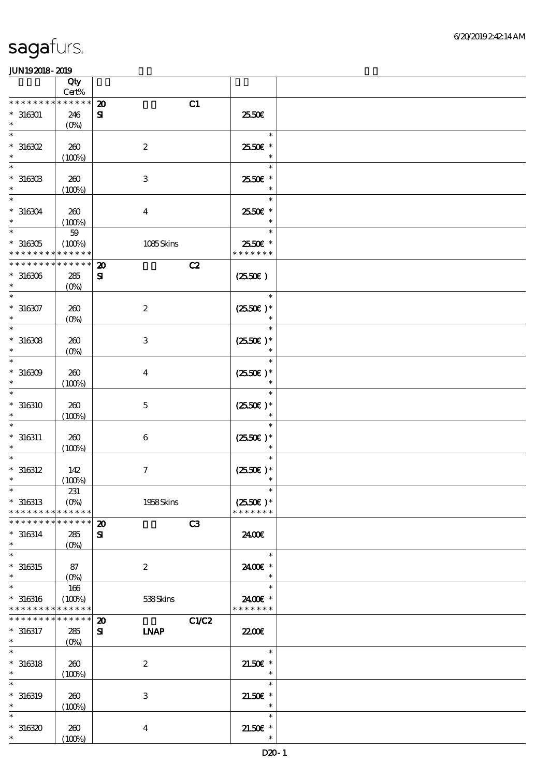|                                                                                      | Qty                             |                                        |           |                      |  |
|--------------------------------------------------------------------------------------|---------------------------------|----------------------------------------|-----------|----------------------|--|
| * * * * * * * *                                                                      | $Cert\%$<br>* * * * * *         | $\boldsymbol{\mathbf{z}}$              |           |                      |  |
| $*316301$                                                                            | 246                             | $\mathbf{S}$                           | C1        | 2550€                |  |
| $\ast$                                                                               | $(0\%)$                         |                                        |           |                      |  |
| $\ast$                                                                               |                                 |                                        |           | $\ast$               |  |
| $*316302$                                                                            | 260                             | $\boldsymbol{2}$                       |           | 25.50€ *             |  |
| $\ast$                                                                               | (100%)                          |                                        |           | $\ast$               |  |
| $\ast$                                                                               |                                 |                                        |           | $\ast$               |  |
| $^*$ 316303 $\,$                                                                     | 260                             | $\,3$                                  |           | 2550€ *              |  |
| $\ast$                                                                               | (100%)                          |                                        |           | $\ast$               |  |
| $\ast$                                                                               |                                 |                                        |           | $\ast$               |  |
| $* 316304$                                                                           | 200<br>(100%)                   | $\boldsymbol{4}$                       |           | 25.50€ *             |  |
| $\ast$                                                                               | $59\,$                          |                                        |           | $\ast$               |  |
| $*316305$                                                                            | (100%)                          |                                        | 1085Skins | 2550€ *              |  |
| * * * * * * * *                                                                      | * * * * * *                     |                                        |           | * * * * * * *        |  |
| * * * * * * * * * * * * * *                                                          |                                 | $\boldsymbol{\mathbf{z}}$              | C2        |                      |  |
| $*316306$                                                                            | 285                             | $\mathbf{S}$                           |           | $(2550\varepsilon)$  |  |
| $\ast$                                                                               | $(0\%)$                         |                                        |           |                      |  |
| $\ast$                                                                               |                                 |                                        |           | $\ast$               |  |
| $* 316307$<br>$\ast$                                                                 | 260                             | $\boldsymbol{2}$                       |           | $(2550)$ *<br>$\ast$ |  |
| $\ast$                                                                               | $(0\%)$                         |                                        |           | $\ast$               |  |
| $*316308$                                                                            | 260                             | $\,3$                                  |           | $(2550\epsilon)*$    |  |
| $\ast$                                                                               | $(0\%)$                         |                                        |           | $\ast$               |  |
| $\ast$                                                                               |                                 |                                        |           | $\ast$               |  |
| $*316309$                                                                            | 260                             | $\boldsymbol{4}$                       |           | $(2550E)*$           |  |
| $\ast$                                                                               | (100%)                          |                                        |           | $\ast$               |  |
| $\ast$                                                                               |                                 |                                        |           | $\ast$               |  |
| $* 316310$                                                                           | 260                             | $\mathbf 5$                            |           | $(2550E)^*$          |  |
| $\ast$                                                                               | (100%)                          |                                        |           | $\ast$               |  |
| $* 316311$                                                                           | 260                             | $\,6\,$                                |           | $(2550E)*$           |  |
| $\ast$                                                                               | (100%)                          |                                        |           | $\ast$               |  |
| $\ast$                                                                               |                                 |                                        |           | $\ast$               |  |
| $* 316312$                                                                           | 142                             | $\boldsymbol{7}$                       |           | $(2550)$ *           |  |
| $\ast$                                                                               | (100%)                          |                                        |           | $\ast$               |  |
| $\ast$                                                                               | 231                             |                                        |           | $\ast$               |  |
| $*316313$                                                                            | $(0\%)$                         |                                        | 1958Skins | $(2550\epsilon)^*$   |  |
| * * * * * * * *<br>* * * * * * * *                                                   | * * * * * *<br>* * * * * *      |                                        |           | * * * * * * *        |  |
| $* 316314$                                                                           | 285                             | $\boldsymbol{\mathbf{z}}$<br>${\bf s}$ | C3        | 2400€                |  |
| $\ast$                                                                               | $(O\%)$                         |                                        |           |                      |  |
| $\ast$                                                                               |                                 |                                        |           | $\ast$               |  |
| $*316315$                                                                            | 87                              | $\boldsymbol{2}$                       |           | 2400E *              |  |
| $\ast$                                                                               | $(O\!\!\!\!\!\!\backslash\rho)$ |                                        |           | $\ast$               |  |
| $\ast$                                                                               | 166                             |                                        |           | $\ast$               |  |
| $*316316$                                                                            | (100%)                          |                                        | 538Skins  | 2400€ *              |  |
| * * * * * * * * <mark>* * * * * *</mark><br>* * * * * * * * <mark>* * * * * *</mark> |                                 |                                        |           | * * * * * * *        |  |
|                                                                                      |                                 | $\boldsymbol{\mathbf{z}}$              | C1/C2     |                      |  |
| $* 316317$<br>$\ast$                                                                 | 285<br>$(O\!/\!\delta)$         | ${\bf s}$<br><b>INAP</b>               |           | 2200                 |  |
| $\overline{\ast}$                                                                    |                                 |                                        |           | $\ast$               |  |
| $* 316318$                                                                           | 260                             | $\boldsymbol{2}$                       |           | $21.50E$ *           |  |
| $\ast$                                                                               | (100%)                          |                                        |           | $\ast$               |  |
| $\ast$                                                                               |                                 |                                        |           | $\ast$               |  |
| $* 316319$                                                                           | 260                             | $\,3$                                  |           | $21.50E$ *           |  |
| $\ast$                                                                               | (100%)                          |                                        |           | $\ast$               |  |
| $\ast$                                                                               |                                 |                                        |           | $\ast$               |  |
| $*316320$<br>$\ast$                                                                  | 260                             | $\boldsymbol{4}$                       |           | $21.50E$ *<br>$\ast$ |  |
|                                                                                      | (100%)                          |                                        |           |                      |  |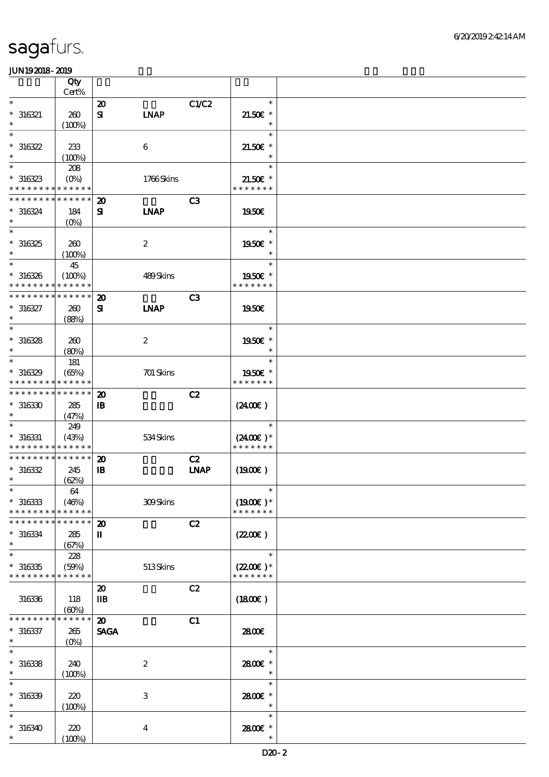|                                            | Qty                  |                             |                   |                |                             |  |
|--------------------------------------------|----------------------|-----------------------------|-------------------|----------------|-----------------------------|--|
| $\ast$                                     | Cert%                |                             |                   |                | $\ast$                      |  |
|                                            |                      | $\boldsymbol{\mathbf{z}}$   |                   | C1/C2          |                             |  |
| $* 316321$<br>$\ast$                       | 260<br>(100%)        | ${\bf s}$                   | <b>LNAP</b>       |                | $21.50E$ *<br>$\ast$        |  |
| $\ast$                                     |                      |                             |                   |                | $\ast$                      |  |
| $*316322$                                  | 233                  |                             | $\boldsymbol{6}$  |                | $21.50E$ *                  |  |
| $\ast$                                     | (100%)               |                             |                   |                | $\ast$                      |  |
| $\ast$                                     | 208                  |                             |                   |                | $\ast$                      |  |
| $*316323$                                  | $(O\%)$              |                             | 1766Skins         |                | $21.50E$ *                  |  |
| * * * * * * * *                            | * * * * * *          |                             |                   |                | * * * * * * *               |  |
| * * * * * * * *                            | * * * * * *          | $\boldsymbol{\mathbf{z}}$   |                   | C <sub>3</sub> |                             |  |
| $* 316324$                                 | 184                  | ${\bf s}$                   | <b>INAP</b>       |                | <b>1950€</b>                |  |
| $\ast$                                     | (O <sub>0</sub> )    |                             |                   |                |                             |  |
| $\ast$                                     |                      |                             |                   |                | $\ast$                      |  |
| $*316325$                                  | 260                  |                             | $\boldsymbol{2}$  |                | 1950€ *                     |  |
| $\ast$                                     | (100%)               |                             |                   |                | $\ast$                      |  |
| $\ast$                                     | 45                   |                             |                   |                | $\ast$                      |  |
| $* 316326$                                 | (100%)               |                             | $489\mbox{Skins}$ |                | 1950E *                     |  |
| * * * * *                                  | * * * * * *          |                             |                   |                | * * * * * * *               |  |
| * * * * * * * *                            | * * * * * *          | $\boldsymbol{\mathfrak{D}}$ |                   | C <sub>3</sub> |                             |  |
| $* 316327$                                 | 260                  | $\mathbf{S}$                | <b>INAP</b>       |                | <b>1950€</b>                |  |
| $\ast$                                     | (88%)                |                             |                   |                |                             |  |
| $\ast$                                     |                      |                             |                   |                | $\ast$                      |  |
| $*316328$                                  | 260                  |                             | $\boldsymbol{2}$  |                | 1950€ *                     |  |
| $\ast$                                     | (80%)                |                             |                   |                | $\ast$                      |  |
| $\ast$                                     | 181                  |                             |                   |                | $\ast$                      |  |
| $*316329$                                  | (65%)                |                             | 701 Skins         |                | 1950E *                     |  |
| * * * * * * * *                            | * * * * * *          |                             |                   |                | * * * * * * *               |  |
| * * * * * * * *                            | * * * * * *          | $\boldsymbol{\mathbf{z}}$   |                   | C2             |                             |  |
| $*316330$                                  | 285                  | $\, {\bf I} \! {\bf B} \,$  |                   |                | (2400)                      |  |
| $\ast$                                     | (47%)                |                             |                   |                |                             |  |
| $\ast$                                     | 249                  |                             |                   |                | $\ast$                      |  |
| $* 316331$                                 | (43%)                |                             | 534Skins          |                | $(2400)$ *                  |  |
| * * * * * * * * <mark>* * * * * *</mark>   |                      |                             |                   |                | * * * * * * *               |  |
| * * * * * * * * * * * * * *                |                      | $\boldsymbol{\mathbf{z}}$   |                   | C2             |                             |  |
| $*316332$<br>$\ast$                        | 245                  | ${\bf I\!B}$                |                   | <b>INAP</b>    | (1900)                      |  |
| $\ast$                                     | (62%)                |                             |                   |                | $\ast$                      |  |
|                                            | 64                   |                             |                   |                |                             |  |
| $*316333$<br>* * * * * * * *               | (46%)<br>* * * * * * |                             | 309Skins          |                | $(1900E)*$<br>* * * * * * * |  |
| * * * * * * * *                            | * * * * * *          | $\boldsymbol{\mathbf{z}}$   |                   | C2             |                             |  |
| $* 316334$                                 |                      | П                           |                   |                | (220E)                      |  |
| $\ast$                                     | 285<br>(67%)         |                             |                   |                |                             |  |
| $\ast$                                     | 228                  |                             |                   |                | $\ast$                      |  |
| $*316335$                                  | (50%)                |                             | 513Skins          |                | $(2200)$ *                  |  |
| * * * * * * * * <mark>* * * * * * *</mark> |                      |                             |                   |                | * * * * * * *               |  |
|                                            |                      | $\boldsymbol{\mathfrak{D}}$ |                   | C2             |                             |  |
| 316336                                     | 118                  | $\mathbf{I}$                |                   |                | (1800)                      |  |
|                                            | (60%)                |                             |                   |                |                             |  |
| * * * * * * * *                            | * * * * * *          | $\boldsymbol{\mathbf{z}}$   |                   | C1             |                             |  |
| $* 316337$                                 | 265                  | <b>SAGA</b>                 |                   |                | 2800€                       |  |
| $\ast$                                     | $(O\%)$              |                             |                   |                |                             |  |
| $\ast$                                     |                      |                             |                   |                | $\ast$                      |  |
| $*316338$                                  | 240                  |                             | $\boldsymbol{2}$  |                | 2800E *                     |  |
| $\ast$                                     | (100%)               |                             |                   |                | $\ast$                      |  |
| $\ast$                                     |                      |                             |                   |                | $\ast$                      |  |
| $*316339$                                  | 220                  |                             | $\,3$             |                | 2800 £*                     |  |
| $\ast$                                     | (100%)               |                             |                   |                | $\ast$                      |  |
| $\ast$                                     |                      |                             |                   |                | $\ast$                      |  |
| $*316340$                                  | 220                  |                             | $\boldsymbol{4}$  |                | 2800 £*                     |  |
| $\ast$                                     | (100%)               |                             |                   |                | $\ast$                      |  |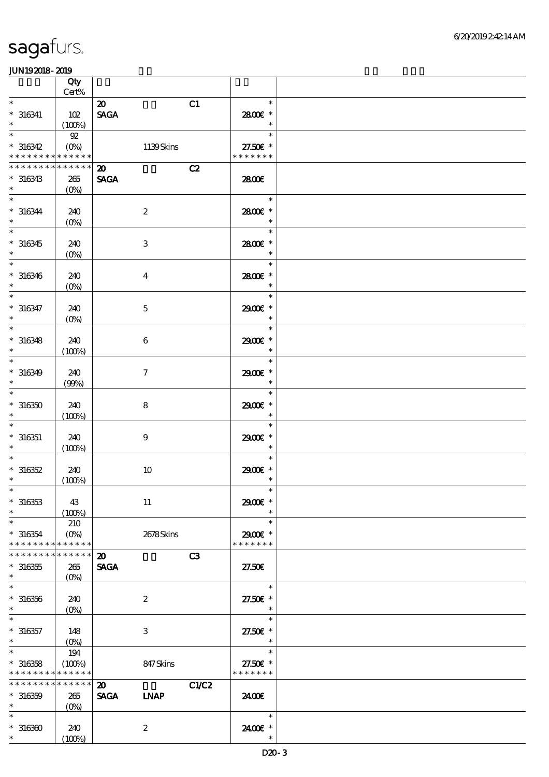|                                                    | Qty<br>$Cert\%$                                       |                                                                     |                                     |  |
|----------------------------------------------------|-------------------------------------------------------|---------------------------------------------------------------------|-------------------------------------|--|
| $\ast$                                             |                                                       |                                                                     | $\ast$                              |  |
| $* 316341$<br>$\ast$                               | 102<br>(100%)                                         | $\boldsymbol{\mathfrak{D}}$<br>C1<br>$\operatorname{\mathsf{SAGA}}$ | 2800€ *<br>$\ast$                   |  |
| $\ast$<br>$*316342$                                | ${\mathfrak{A}}$<br>$(0\%)$                           | 1139Skins                                                           | $\ast$<br>27.50€ *                  |  |
| * * * * * * * * <mark>* * * * * *</mark>           |                                                       |                                                                     | * * * * * * *                       |  |
| * * * * * * * *<br>$*316343$<br>$\ast$             | * * * * * *<br>265<br>$(0\%)$                         | C2<br>$\boldsymbol{\mathfrak{D}}$<br><b>SAGA</b>                    | 2800€                               |  |
| $\ast$<br>$* 316344$<br>$\ast$                     | 240<br>$(O\!/\!\delta)$                               | $\boldsymbol{2}$                                                    | $\ast$<br>2800€ *<br>$\ast$         |  |
| $\ast$<br>$*316345$<br>$\ast$                      | 240<br>$(0\%)$                                        | $\,3$                                                               | $\ast$<br>2800€ *<br>$\ast$         |  |
| $\ast$<br>$* 316346$<br>$\ast$                     | 240<br>$(O\!/\!o)$                                    | $\boldsymbol{4}$                                                    | $\ast$<br>2800€ *<br>$\ast$         |  |
| $\overline{\ast}$<br>$* 316347$<br>$\ast$          | 240<br>$(0\%)$                                        | $\mathbf 5$                                                         | $\ast$<br>2900€ *<br>$\ast$         |  |
| $\ast$<br>$* 316348$<br>$\ast$                     | 240<br>(100%)                                         | $\,6\,$                                                             | $\ast$<br>2900€ *<br>$\ast$         |  |
| $\ast$<br>$* 316349$<br>$\ast$                     | 240<br>(90%)                                          | $\boldsymbol{\tau}$                                                 | $\ast$<br>2900€ *<br>$\ast$         |  |
| $\ast$<br>$*316350$<br>$\ast$                      | 240<br>(100%)                                         | 8                                                                   | $\ast$<br>2900€ *<br>$\ast$         |  |
| $\ast$<br>$* 316351$<br>$\ast$                     | 240<br>(100%)                                         | $\boldsymbol{9}$                                                    | $\ast$<br>2900€ *<br>$\ast$         |  |
| $\ast$<br>$*316352$<br>$\ast$                      | 240<br>(100%)                                         | $10$                                                                | $\ast$<br>2900€ *<br>$\ast$         |  |
| $* 316353$<br>$\ast$                               | 43<br>(100%)                                          | $11\,$                                                              | 2900€ *<br>$\ast$                   |  |
| $\ast$<br>$*316354$<br>* * * * * * * *             | 210<br>$(O\!\!\!\!\!\!\backslash\rho)$<br>* * * * * * | 2678Skins                                                           | $\ast$<br>2900€ *<br>* * * * * * *  |  |
| * * * * * * * *<br>$^\ast$ 316355<br>$\ast$        | * * * * * *<br>265<br>$(O\!/\!\delta)$                | C3<br>$\boldsymbol{\mathfrak{D}}$<br><b>SAGA</b>                    | 27.50E                              |  |
| $\ast$<br>$^\ast$ 316356<br>$\ast$                 | 240<br>$(O\!\!\!\!\!\!\backslash\rho)$                | $\boldsymbol{2}$                                                    | $\ast$<br>27.50€ *<br>$\ast$        |  |
| $\ast$<br>$* 316357$<br>$\ast$                     | 148<br>$(0\%)$                                        | 3                                                                   | $\ast$<br>27.50€ *<br>$\ast$        |  |
| $\ast$<br>$*316358$<br>* * * * * * * * * * * * * * | 194<br>(100%)                                         | 847Skins                                                            | $\ast$<br>27.50€ *<br>* * * * * * * |  |
| * * * * * * * * * * * * * *<br>$* 316359$<br>$*$   | 265<br>$(0\%)$                                        | C1/C2<br>$\boldsymbol{\mathfrak{D}}$<br><b>SAGA</b><br><b>INAP</b>  | 2400E                               |  |
| $\ast$<br>$*316360$<br>$\ast$                      | 240<br>(100%)                                         | $\boldsymbol{2}$                                                    | $\ast$<br>2400 £*<br>$\ast$         |  |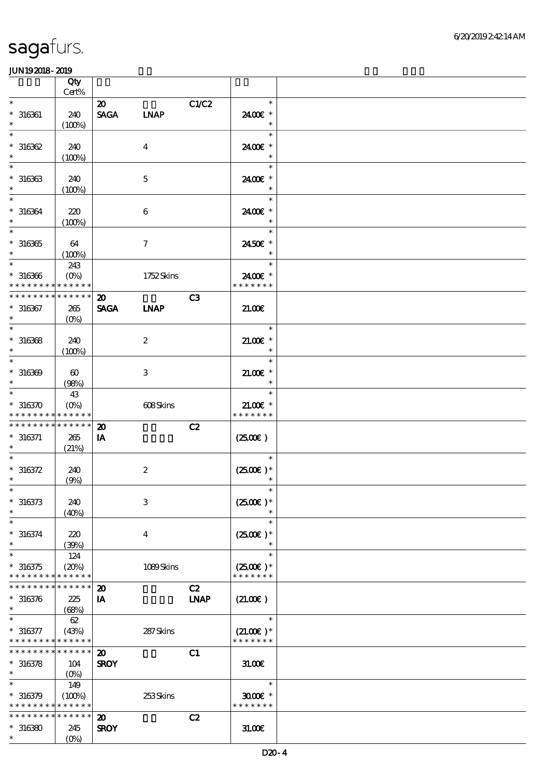|                                                                  | Qty                            |                                            |                  |             |                                       |  |
|------------------------------------------------------------------|--------------------------------|--------------------------------------------|------------------|-------------|---------------------------------------|--|
| $\ast$                                                           | Cert%                          |                                            |                  |             | $\ast$                                |  |
| $* 316361$<br>$\ast$                                             | 240<br>(100%)                  | $\boldsymbol{\mathfrak{D}}$<br><b>SAGA</b> | <b>LNAP</b>      | C1/C2       | 2400€ *<br>$\ast$                     |  |
| $\ast$                                                           |                                |                                            |                  |             | $\ast$                                |  |
| $*316362$<br>$\ast$                                              | 240<br>(100%)                  |                                            | $\overline{4}$   |             | 2400€ *<br>$\ast$                     |  |
| $\ast$<br>$*316363$<br>$\ast$                                    | 240<br>(100%)                  |                                            | $\mathbf{5}$     |             | $\ast$<br>2400€ *<br>$\ast$           |  |
| $\ast$<br>$* 316364$<br>$\ast$                                   | 220<br>(100%)                  |                                            | 6                |             | $\ast$<br>2400€ *<br>$\ast$           |  |
| $\overline{\ast}$<br>$^\ast$ 316365<br>$\ast$                    | 64<br>(100%)                   |                                            | $\tau$           |             | $\ast$<br>2450€ *<br>$\ast$           |  |
| $\ast$<br>$* 316366$<br>* * * * * * * * <mark>* * * * * *</mark> | 243<br>$(O\%)$                 |                                            | 1752Skins        |             | $\ast$<br>2400€ *<br>* * * * * * *    |  |
| * * * * * * * *                                                  | * * * * * *                    | $\boldsymbol{\mathfrak{D}}$                |                  | C3          |                                       |  |
| $* 316367$<br>$\ast$                                             | 265<br>$(O\%)$                 | <b>SAGA</b>                                | <b>INAP</b>      |             | 21.00                                 |  |
| $\ast$                                                           |                                |                                            |                  |             | $\ast$                                |  |
| $*316368$<br>$\ast$                                              | 240<br>(100%)                  |                                            | $\boldsymbol{z}$ |             | $21.00$ $*$<br>$\ast$                 |  |
| $\ast$<br>$* 316369$<br>$\ast$                                   | $\boldsymbol{\omega}$<br>(98%) |                                            | 3                |             | $\ast$<br>$21.005*$<br>$\ast$         |  |
| $\ast$                                                           | 43                             |                                            |                  |             | $\ast$                                |  |
| $*316370$<br>* * * * * * * * * * * * * *                         | $(O\!/\!\delta)$               |                                            | 608Skins         |             | $21.00E*$<br>* * * * * * *            |  |
| * * * * * * * *                                                  | * * * * * *                    | $\boldsymbol{\mathbf{z}}$                  |                  | C2          |                                       |  |
| $* 316371$<br>$\ast$                                             | 265<br>(21%)                   | IA                                         |                  |             | $(2500\varepsilon)$                   |  |
| $\ast$                                                           |                                |                                            |                  |             | $\ast$                                |  |
| $* 316372$                                                       | 240                            |                                            | $\boldsymbol{2}$ |             | $(2500)$ *                            |  |
| $\ast$                                                           | (9%)                           |                                            |                  |             | $\ast$                                |  |
| $*$<br>$* 316373$<br>$\ast$                                      | 240<br>(40%)                   |                                            | $\mathbf{3}$     |             | $\ast$<br>$(2500\varepsilon)*$        |  |
| $\ast$                                                           |                                |                                            |                  |             | $\ast$                                |  |
| $* 316374$<br>$\ast$                                             | 220<br>(39%)                   |                                            | $\bf{4}$         |             | $(2500\varepsilon)*$<br>$\ast$        |  |
| $\ast$<br>$*316375$<br>* * * * * * * *                           | 124<br>(20%)<br>******         |                                            | 1089Skins        |             | $\ast$<br>$(2500)$ *<br>* * * * * * * |  |
| * * * * * * * *                                                  | * * * * * *                    | $\boldsymbol{\mathbf{z}}$                  |                  | C2          |                                       |  |
| $* 316376$<br>$\ast$                                             | 225<br>(68%)                   | IA                                         |                  | <b>LNAP</b> | (21.00)                               |  |
|                                                                  | 62                             |                                            |                  |             | $\ast$                                |  |
| $* 316377$<br>* * * * * * * * * * * * * *                        | (43%)                          |                                            | 287Skins         |             | $(21.00)$ *<br>* * * * * * *          |  |
| * * * * * * * * <mark>* * * * * * *</mark>                       |                                | $\boldsymbol{\mathfrak{D}}$                |                  | C1          |                                       |  |
| $* 316378$<br>$\ast$                                             | 104<br>$(O\%)$                 | <b>SROY</b>                                |                  |             | 31.00E                                |  |
| $\ast$                                                           | 149                            |                                            |                  |             | $\ast$                                |  |
| $* 316379$<br>* * * * * * * * * * * * * *                        | (100%)                         |                                            | 253Skins         |             | $3000$ $*$<br>* * * * * * *           |  |
| * * * * * * * *                                                  | * * * * * *                    | $\boldsymbol{\mathbf{z}}$                  |                  | C2          |                                       |  |
| $*316380$<br>$\ast$                                              | 245<br>$(O\%)$                 | <b>SROY</b>                                |                  |             | 31.006                                |  |
|                                                                  |                                |                                            |                  |             |                                       |  |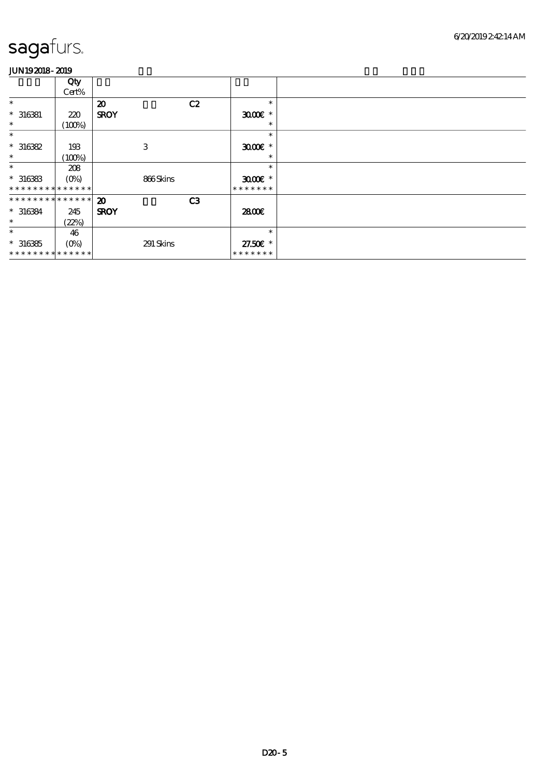|                               | Qty<br>Cert%     |                             |    |                     |  |
|-------------------------------|------------------|-----------------------------|----|---------------------|--|
| $\ast$                        |                  | $\boldsymbol{\mathfrak{D}}$ | C2 | $\ast$              |  |
| $* 316381$                    | 220              | <b>SROY</b>                 |    | $3000$ $*$          |  |
| $\ast$                        | (100%)           |                             |    | $\ast$              |  |
| $\ast$                        |                  |                             |    | $\ast$              |  |
| $*316382$                     | 193              | 3                           |    | $3000$ $*$          |  |
| $\ast$                        | (100%)           |                             |    | $\ast$              |  |
| $\ast$                        | 208              |                             |    | $\ast$              |  |
| $*316383$                     | $(O\%)$          | 866Skins                    |    | $3000$ $\epsilon$ * |  |
| * * * * * * * * * * * * * *   |                  |                             |    | * * * * * * *       |  |
| * * * * * * * * * * * * * * * |                  | $\boldsymbol{\mathfrak{D}}$ | C3 |                     |  |
| $* 316384$                    | 245              | <b>SROY</b>                 |    | 2800€               |  |
| $\ast$                        | (22%)            |                             |    |                     |  |
| $\ast$                        | 46               |                             |    | $\ast$              |  |
| $* 316385$                    | $(O\!/\!\delta)$ | 291 Skins                   |    | 27.50€ *            |  |
| * * * * * * * * * * * * * *   |                  |                             |    | * * * * * * *       |  |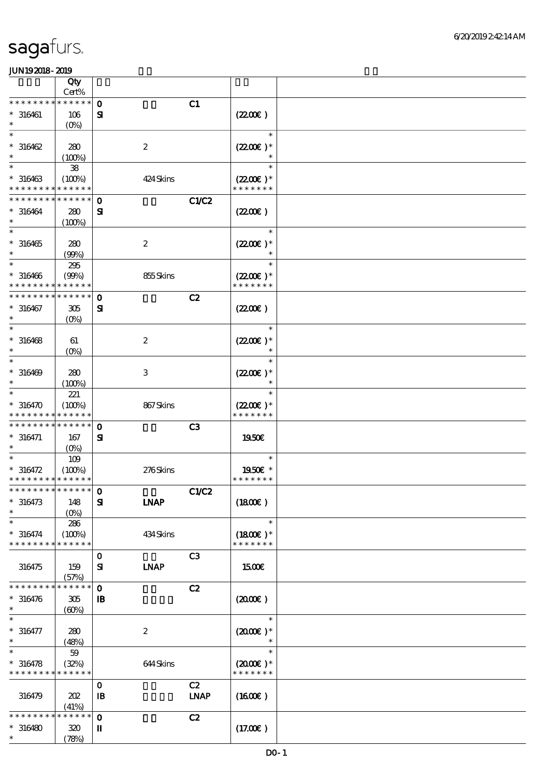|                               | Qty                        |                          |              |                             |  |
|-------------------------------|----------------------------|--------------------------|--------------|-----------------------------|--|
|                               | Cert%<br>* * * * * *       |                          |              |                             |  |
| * * * * * * * *               |                            | $\mathbf{o}$             | C1           |                             |  |
| $* 316461$                    | 106                        | $\mathbf{S}$             |              | (220E)                      |  |
| $\ast$                        | $(O\!/\!\delta)$           |                          |              | $\ast$                      |  |
| $*316462$                     | 280                        | $\boldsymbol{2}$         |              | $(2200)$ *                  |  |
| $\ast$                        | (100%)                     |                          |              | $\ast$                      |  |
| $\ast$                        | ${\bf 38}$                 |                          |              | $\ast$                      |  |
| $* 316463$                    | (100%)                     | 424 Skins                |              | $(2200)$ *                  |  |
| * * * * * * * *               | * * * * * *                |                          |              | * * * * * * *               |  |
| * * * * * * * *               | * * * * * *                | $\mathbf 0$              | <b>C1/C2</b> |                             |  |
| $* 316464$                    | 280                        | ${\bf s}$                |              | (220E)                      |  |
|                               | (100%)                     |                          |              |                             |  |
|                               |                            |                          |              | $\ast$                      |  |
| $* 316465$                    | 280                        | $\boldsymbol{2}$         |              | $(2200)$ *                  |  |
| $\ast$                        | (90%)                      |                          |              | $\ast$                      |  |
| $\ast$                        | $295\,$                    |                          |              | $\ast$                      |  |
| $* 316466$                    | (90%)                      | 855Skins                 |              | $(2200\varepsilon)*$        |  |
|                               | * * * * * *                |                          |              | * * * * * * *               |  |
| * * * * * * * *               | * * * * * *                | $\mathbf 0$              | C2           |                             |  |
| $* 316467$                    | 305                        | ${\bf s}$                |              | (220E)                      |  |
|                               | $(O\!/\!\!\delta)$         |                          |              |                             |  |
|                               |                            |                          |              | $\ast$                      |  |
| $* 316468$                    | 61                         | $\boldsymbol{2}$         |              | $(2200\varepsilon)*$        |  |
| $\ast$                        | $(0\%)$                    |                          |              | $\ast$                      |  |
| $\ast$                        |                            |                          |              | $\ast$                      |  |
| $* 316469$                    | 280                        | $\,3$                    |              | $(2200\varepsilon)*$        |  |
| $\ast$                        | (100%)                     |                          |              |                             |  |
| $\ast$                        | 221                        |                          |              | $\ast$                      |  |
| $*316470$<br>* * * * * * * *  | (100%)<br>* * * * * *      | 867Skins                 |              | $(2200)$ *<br>* * * * * * * |  |
| * * * * * * * *               | $\ast\ast\ast\ast\ast\ast$ |                          |              |                             |  |
| $* 316471$                    | 167                        | $\mathbf 0$              | C3           | 1950E                       |  |
| $\ast$                        | $(0\%)$                    | ${\bf s}$                |              |                             |  |
| $\ast$                        | 109                        |                          |              | $\ast$                      |  |
| $* 316472$                    | (100%)                     | 276Skins                 |              | 1950E *                     |  |
| * * * * * * * * * * * * * *   |                            |                          |              | * * * * * * *               |  |
| *************** 0             |                            |                          | C1/C2        |                             |  |
| $* 316473$                    | 148                        | <b>LNAP</b><br>${\bf s}$ |              | (1800)                      |  |
| $\ast$                        | $(O\%)$                    |                          |              |                             |  |
| $\ast$                        | 286                        |                          |              | $\ast$                      |  |
| $* 316474$                    | (100%)                     | 434Skins                 |              | $(1800E)*$                  |  |
| * * * * * * * *               | * * * * * *                |                          |              | * * * * * * *               |  |
|                               |                            | $\mathbf 0$              | C3           |                             |  |
| 316475                        | 159                        | <b>INAP</b><br>${\bf s}$ |              | 1500                        |  |
|                               | (57%)                      |                          |              |                             |  |
| * * * * * * *                 | * * * * * *                | $\mathbf 0$              | C2           |                             |  |
| $* 316476$                    | 305                        | $\mathbf{B}$             |              | (2000)                      |  |
| $\ast$                        | (60%)                      |                          |              |                             |  |
| $\ast$                        |                            |                          |              | $\ast$                      |  |
| $* 316477$                    | 280                        | $\boldsymbol{2}$         |              | $(2000\varepsilon)*$        |  |
| $\ast$<br>$\ast$              | (48%)                      |                          |              | $\ast$<br>$\ast$            |  |
|                               | 59                         |                          |              |                             |  |
| $* 316478$<br>* * * * * * * * | (32%)<br>* * * * * *       | 644Skins                 |              | $(2000)$ *<br>* * * * * * * |  |
|                               |                            | $\mathbf 0$              | C2           |                             |  |
| 316479                        | 202                        | $\mathbf{B}$             | <b>LNAP</b>  | $(1600\varepsilon)$         |  |
|                               | (41%)                      |                          |              |                             |  |
| * * * * * * *                 | * * * * * *                | $\mathbf{o}$             | C2           |                             |  |
| $* 316480$                    | 320                        | П                        |              | (17.00)                     |  |
| $\ast$                        | (78%)                      |                          |              |                             |  |
|                               |                            |                          |              |                             |  |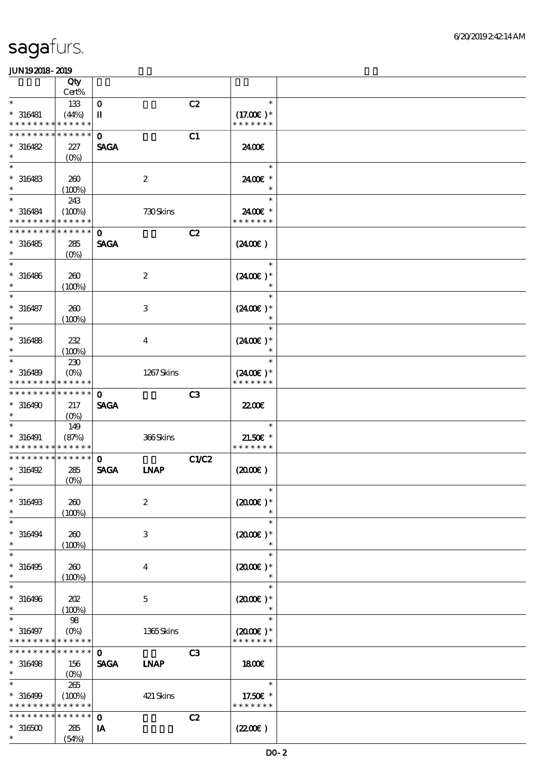|                                                             | Qty               |                            |                  |                |                      |  |
|-------------------------------------------------------------|-------------------|----------------------------|------------------|----------------|----------------------|--|
| $\ast$                                                      | Cert%             |                            |                  |                | $\ast$               |  |
| $* 316481$                                                  | 133<br>(44%)      | $\mathbf 0$<br>$\mathbf u$ |                  | C2             | $(17.00)$ *          |  |
| * * * * * * * *                                             | * * * * * *       |                            |                  |                | * * * * * * *        |  |
| * * * * * * *                                               | * * * * * *       | $\mathbf 0$                |                  | C1             |                      |  |
| $*316482$                                                   | 227               | <b>SAGA</b>                |                  |                | 2400€                |  |
| $\ast$                                                      | (O <sub>0</sub> ) |                            |                  |                |                      |  |
| $\ast$                                                      |                   |                            |                  |                | $\ast$               |  |
| $* 316483$<br>$\ast$                                        | 260<br>(100%)     |                            | $\boldsymbol{2}$ |                | 2400€ *<br>$\ast$    |  |
| $\ast$                                                      | 243               |                            |                  |                | $\ast$               |  |
| $* 316484$                                                  | (100%)            |                            | 730Skins         |                | 2400€ *              |  |
| * * * * * * * *                                             | * * * * * *       |                            |                  |                | * * * * * * *        |  |
| * * * * * * * *                                             | * * * * * *       | $\mathbf 0$                |                  | C2             |                      |  |
| $*316485$                                                   | 285               | <b>SAGA</b>                |                  |                | $(2400\varepsilon)$  |  |
| $\ast$<br>$\ast$                                            | (O <sub>0</sub> ) |                            |                  |                | $\ast$               |  |
| $* 316486$                                                  | 260               |                            | $\boldsymbol{z}$ |                | $(2400)$ *           |  |
| $\ast$                                                      | (100%)            |                            |                  |                | $\ast$               |  |
| $\ast$                                                      |                   |                            |                  |                | $\ast$               |  |
| $* 316487$                                                  | 260               |                            | $\,3$            |                | $(2400)$ *           |  |
| $\ast$                                                      | (100%)            |                            |                  |                | $\ast$               |  |
| $\ast$                                                      |                   |                            |                  |                | $\ast$               |  |
| $* 316488$<br>$\ast$                                        | 232<br>(100%)     |                            | $\boldsymbol{4}$ |                | $(2400)$ *<br>$\ast$ |  |
| $\ast$                                                      | 230               |                            |                  |                | $\ast$               |  |
| $* 316489$                                                  | $(0\%)$           |                            | 1267Skins        |                | $(2400)$ *           |  |
| * * * * * * *                                               | * * * * * *       |                            |                  |                | * * * * * * *        |  |
| * * * * * * * *                                             | * * * * * *       | $\mathbf 0$                |                  | C <sub>3</sub> |                      |  |
| $*316490$<br>$\ast$                                         | 217               | <b>SAGA</b>                |                  |                | <b>2200</b> €        |  |
| $\ast$                                                      | $(O\%)$<br>149    |                            |                  |                | $\ast$               |  |
| $* 316491$                                                  | (87%)             |                            | 366Skins         |                | $21.50E$ *           |  |
| * * * * * * * * <mark>* * * * * *</mark> *                  |                   |                            |                  |                | * * * * * * *        |  |
| * * * * * * * *                                             | * * * * * *       | $\mathbf{o}$               |                  | C1/C2          |                      |  |
| $*316492$                                                   | 285               | <b>SAGA</b>                | <b>INAP</b>      |                | $(2000\varepsilon)$  |  |
| $\ast$<br>$*$                                               | $(0\%)$           |                            |                  |                | $\ast$               |  |
| $*316493$                                                   | 260               |                            | $\boldsymbol{2}$ |                | $(2000\varepsilon)*$ |  |
| $\ast$                                                      | (100%)            |                            |                  |                |                      |  |
| $\ast$                                                      |                   |                            |                  |                | $\ast$               |  |
| $*316494$                                                   | 260               |                            | $\,3$            |                | $(2000\varepsilon)*$ |  |
| $\ast$                                                      | (100%)            |                            |                  |                | $\ast$               |  |
| $\ast$                                                      |                   |                            |                  |                | $\ast$               |  |
| $*316495$<br>$\ast$                                         | 260               |                            | $\boldsymbol{4}$ |                | $(2000)$ *<br>$\ast$ |  |
| $\ast$                                                      | (100%)            |                            |                  |                | $\ast$               |  |
| $*316496$                                                   | 202               |                            | $\mathbf 5$      |                | $(2000)$ *           |  |
| $\ast$                                                      | (100%)            |                            |                  |                |                      |  |
| $\ast$                                                      | 98                |                            |                  |                | $\ast$               |  |
| $* 316497$                                                  | $(0\%)$           |                            | 1365Skins        |                | $(2000)$ *           |  |
| * * * * * * * * <mark>* * * * * *</mark><br>* * * * * * * * | * * * * * *       |                            |                  |                | * * * * * * *        |  |
| $* 316498$                                                  | 156               | $\mathbf 0$<br><b>SAGA</b> | <b>LNAP</b>      | C <sub>3</sub> | 1800                 |  |
| $\ast$                                                      | $(O\%)$           |                            |                  |                |                      |  |
| $\overline{\ast}$                                           | 265               |                            |                  |                | $\ast$               |  |
| $* 316499$                                                  | (100%)            |                            | 421 Skins        |                | 17.50€ *             |  |
| * * * * * * * * <mark>* * * * * *</mark>                    |                   |                            |                  |                | * * * * * * *        |  |
| * * * * * * * *                                             | * * * * * *       | $\mathbf{o}$               |                  | C2             |                      |  |
| $*316500$<br>$\ast$                                         | 285               | IA                         |                  |                | (220E)               |  |
|                                                             | (54%)             |                            |                  |                |                      |  |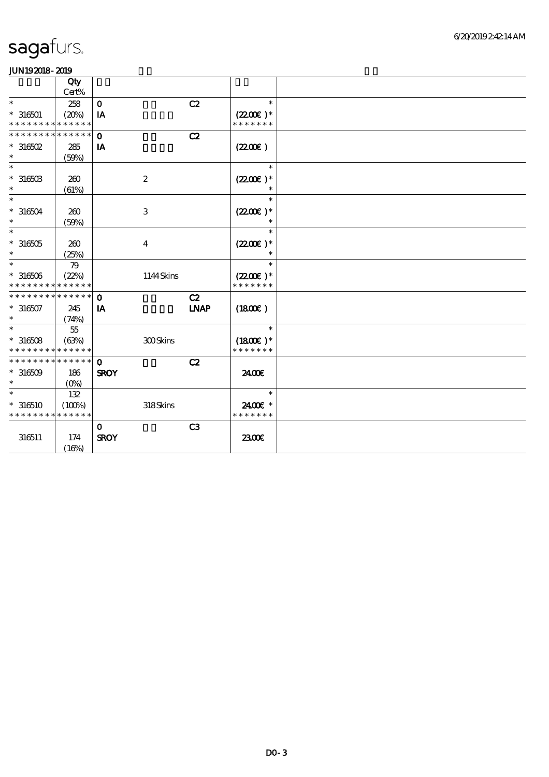|                                          | Qty<br>Cert% |              |                  |                |                             |  |
|------------------------------------------|--------------|--------------|------------------|----------------|-----------------------------|--|
| $\ast$                                   | 258          | $\mathbf O$  |                  | C2             | $\ast$                      |  |
| $* 316501$                               | (20%)        | IA           |                  |                | $(2200)$ *                  |  |
| * * * * * * * * * * * * * *              |              |              |                  |                | * * * * * * *               |  |
| * * * * * * * * * * * * * *              |              | $\mathbf 0$  |                  | C2             |                             |  |
| $*$ 316502                               | 285          | IA           |                  |                | (220E)                      |  |
| $\ast$                                   | (50%)        |              |                  |                |                             |  |
| $\ast$                                   |              |              |                  |                | $\ast$                      |  |
| $^*$ 316503 $\,$                         | 260          |              | $\boldsymbol{2}$ |                | $(2200)$ *                  |  |
| $\ast$                                   | (61%)        |              |                  |                | $\ast$                      |  |
| $\ast$                                   |              |              |                  |                | $\ast$                      |  |
| $* 316504$                               | 260          |              | 3                |                | $(2200)$ *                  |  |
| $\ast$                                   | (50%)        |              |                  |                |                             |  |
| $\ast$                                   |              |              |                  |                | $\ast$                      |  |
| $^\ast$ 316505                           | 260          |              | $\bf{4}$         |                | $(2200)$ *                  |  |
| $\ast$                                   | (25%)        |              |                  |                | $\ast$                      |  |
| $\ast$                                   | 79           |              |                  |                | $\ast$                      |  |
| $* 316506$                               | (22%)        |              | 1144Skins        |                | $(2200)$ *                  |  |
| * * * * * * * * <mark>* * * * * *</mark> |              |              |                  |                | * * * * * * *               |  |
| * * * * * * * * * * * * * *              |              | $\mathbf{o}$ |                  | C2             |                             |  |
| $*316507$<br>$\ast$                      | 245          | IA           |                  | <b>LNAP</b>    | (1800)                      |  |
| $\ast$                                   | (74%)        |              |                  |                | $\ast$                      |  |
|                                          | 55           |              |                  |                |                             |  |
| $*316508$<br>* * * * * * * * * * * * * * | (63%)        |              | 300Skins         |                | $(1800)$ *<br>* * * * * * * |  |
| * * * * * * * * * * * * * * *            |              | $\mathbf{o}$ |                  | C2             |                             |  |
| $*316509$                                | 186          | <b>SROY</b>  |                  |                | 2400€                       |  |
| $\ast$                                   | $(O\%)$      |              |                  |                |                             |  |
| $\ast$                                   | 132          |              |                  |                | $\ast$                      |  |
| $*316510$                                | (100%)       |              | 318Skins         |                | 2400€ *                     |  |
| * * * * * * * *                          | * * * * * *  |              |                  |                | * * * * * * *               |  |
|                                          |              | $\mathbf{O}$ |                  | C <sub>3</sub> |                             |  |
| 316511                                   | 174          | <b>SROY</b>  |                  |                | 2300€                       |  |
|                                          | (16%)        |              |                  |                |                             |  |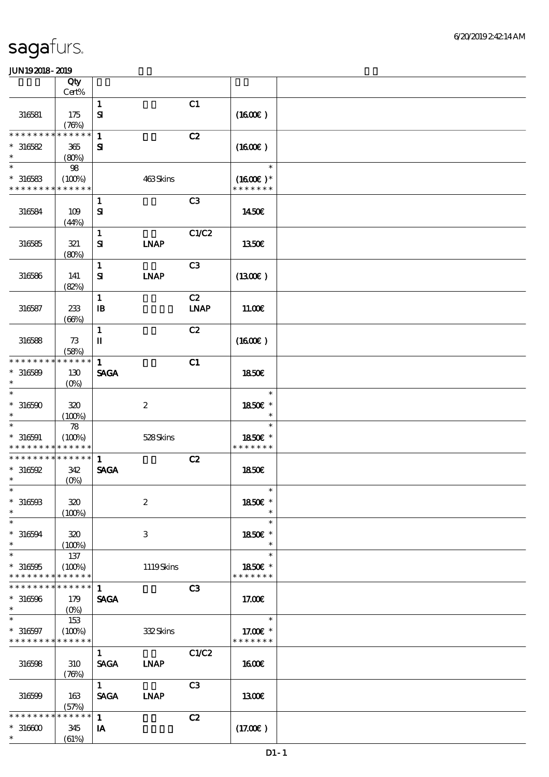|                               | Qty                     |                              |                  |                |                             |  |
|-------------------------------|-------------------------|------------------------------|------------------|----------------|-----------------------------|--|
|                               | Cert%                   |                              |                  |                |                             |  |
| 316581                        | 175<br>(78%)            | $\mathbf{1}$<br>$\mathbf{S}$ |                  | C1             | (1600)                      |  |
| * * * * * * * *               | * * * * * *             | $\mathbf{1}$                 |                  | C2             |                             |  |
| $*316582$                     | 365                     | ${\bf s}$                    |                  |                | (1600)                      |  |
| $\ast$                        | (80%)                   |                              |                  |                |                             |  |
| $\ast$                        | 98                      |                              |                  |                | $\ast$                      |  |
| $*316583$<br>* * * * * * * *  | (100%)<br>* * * * * *   |                              | 463Skins         |                | $(1600E)*$<br>* * * * * * * |  |
|                               |                         | $\mathbf{1}$                 |                  | C3             |                             |  |
| 316584                        | 109<br>(44%)            | $\mathbf{S}$                 |                  |                | 1450€                       |  |
|                               |                         | $\mathbf{1}$                 |                  | C1/C2          |                             |  |
| 316585                        | 321<br>(80%)            | ${\bf s}$                    | <b>LNAP</b>      |                | 1350€                       |  |
|                               |                         | $\mathbf{1}$                 |                  | C <sub>3</sub> |                             |  |
| 316586                        | 141<br>(82%)            | $\mathbf{S}$                 | <b>INAP</b>      |                | (1300E)                     |  |
|                               |                         | $\mathbf{1}$                 |                  | C2             |                             |  |
| 316587                        | $233\,$<br>(66%)        | $\, {\bf B}$                 |                  | <b>LNAP</b>    | 11.00E                      |  |
|                               |                         | $\mathbf{1}$                 |                  | C2             |                             |  |
| 316588                        | 73<br>(58%)             | $\rm I\hspace{-.1em}I$       |                  |                | (1600E)                     |  |
| * * * * * * * *               | * * * * * *             | $\mathbf{1}$                 |                  | C1             |                             |  |
| $* 316589$<br>$\ast$          | 130<br>$(O\%)$          | <b>SAGA</b>                  |                  |                | 1850E                       |  |
| $\ast$                        |                         |                              |                  |                | $\ast$                      |  |
| $*316590$<br>$\ast$           | 320<br>(100%)           |                              | $\boldsymbol{2}$ |                | 1850€ *<br>$\ast$           |  |
| $\ast$                        | $78$                    |                              |                  |                | $\ast$                      |  |
| $* 316591$<br>* * * * * * * * | (100%)<br>* * * * * *   |                              | 528Skins         |                | 1850€ *<br>* * * * * * *    |  |
| * * * * * * * *               | * * * * * *             | $\mathbf{1}$                 |                  | C2             |                             |  |
| $*316592$                     | 342                     | <b>SAGA</b>                  |                  |                | <b>1850€</b>                |  |
| $\ast$<br>$\ast$              | $(0\%)$                 |                              |                  |                | $\ast$                      |  |
| $* 316593$<br>$\ast$          | 320                     |                              | $\boldsymbol{2}$ |                | 1850€ *<br>$\ast$           |  |
| $\ast$                        | (100%)                  |                              |                  |                | $\ast$                      |  |
| $* 316594$<br>$\ast$          | 320<br>(100%)           |                              | 3                |                | 1850E *<br>$\ast$           |  |
| $\ast$                        | 137                     |                              |                  |                | $\ast$                      |  |
| $*316595$                     | (100%)                  |                              | 1119Skins        |                | 1850E *                     |  |
| * * * * * * * *               | * * * * * *<br>****** 1 |                              |                  |                | * * * * * * *               |  |
| * * * * * * * *               |                         |                              |                  | C3             |                             |  |
| $* 316596$<br>$\ast$          | 179<br>$(O\%)$          | <b>SAGA</b>                  |                  |                | 17.00E                      |  |
| $\ast$                        | 153                     |                              |                  |                | $\ast$                      |  |
| $* 316597$<br>* * * * * * * * | (100%)<br>* * * * * *   |                              | 332Skins         |                | 17.00 £*<br>* * * * * * *   |  |
|                               |                         | $\mathbf{1}$                 |                  | C1/C2          |                             |  |
| 316598                        | 310<br>(78%)            | <b>SACA</b>                  | <b>LNAP</b>      |                | <b>1600€</b>                |  |
|                               |                         | 1                            |                  | C3             |                             |  |
| 316599                        | 163<br>(57%)            | <b>SAGA</b>                  | <b>INAP</b>      |                | 1300E                       |  |
| * * * * * * * *               | * * * * * *             | $\mathbf{1}$                 |                  | C2             |                             |  |
| $*316600$<br>$\ast$           | 345                     | IA                           |                  |                | (17.00)                     |  |
|                               | (61%)                   |                              |                  |                |                             |  |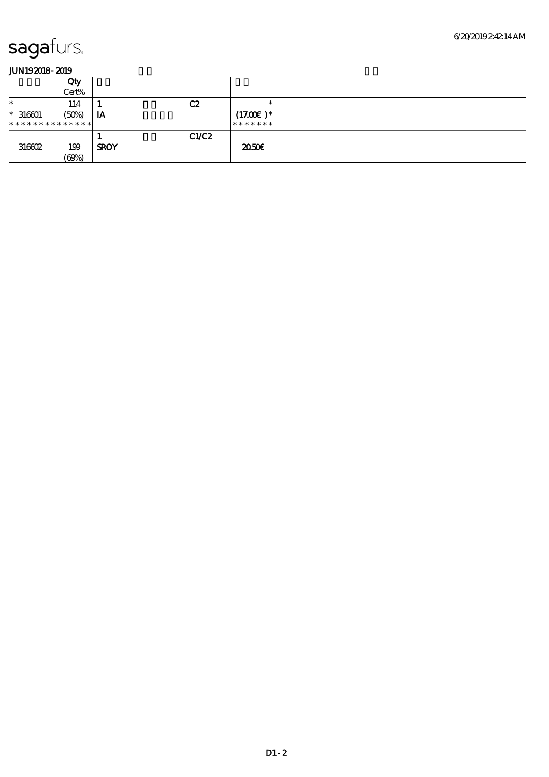|                               | Qty   |             |      |             |  |
|-------------------------------|-------|-------------|------|-------------|--|
|                               | Cert% |             |      |             |  |
| $\ast$                        | 114   |             | C2   | $\ast$      |  |
| $* 316601$                    | (50%) | IA          |      | $(17.00)$ * |  |
| * * * * * * * * * * * * * * * |       |             |      | *******     |  |
|                               |       |             | CLC2 |             |  |
| 316602                        | 199   | <b>SROY</b> |      | 2050€       |  |
|                               | (69%) |             |      |             |  |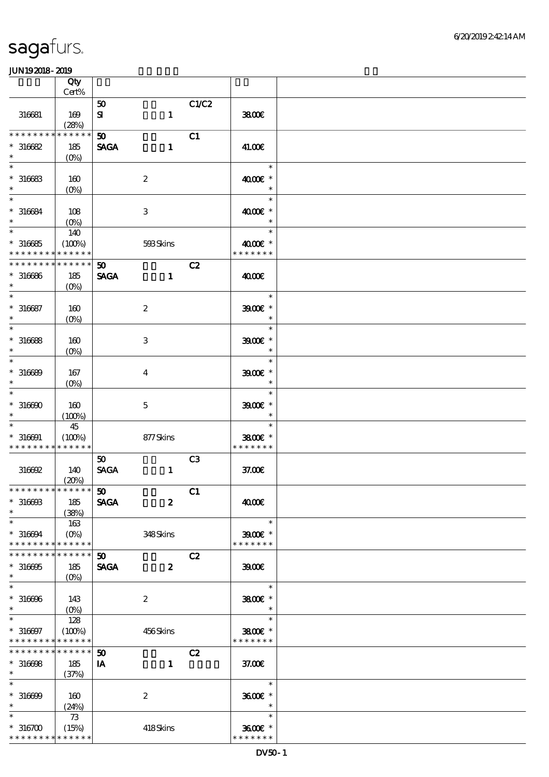|                                                     | Qty                            |                                      |                           |                |                                       |  |
|-----------------------------------------------------|--------------------------------|--------------------------------------|---------------------------|----------------|---------------------------------------|--|
|                                                     | $Cert\%$                       |                                      |                           |                |                                       |  |
| 316681                                              | 169<br>(28%)                   | 50<br>${\bf s}$                      | $\mathbf{1}$              | C1/C2          | 3800E                                 |  |
| * * * * * * *<br>$*316682$                          | * * * * * *<br>185             | 50<br><b>SAGA</b>                    | $\mathbf{1}$              | C1             | 41.00€                                |  |
| $\ast$<br>$\ast$<br>$*316683$                       | $(0\%)$<br>160                 |                                      | $\boldsymbol{2}$          |                | $\ast$<br>4000€ *                     |  |
| $\ast$<br>$\ast$                                    | $(O\%)$                        |                                      |                           |                | $\ast$<br>$\ast$                      |  |
| $*316684$<br>$\ast$<br>$\ast$                       | 108<br>$(O\%)$<br>140          |                                      | 3                         |                | 4000€ *<br>$\ast$<br>$\ast$           |  |
| $*316685$<br>* * * * * * * *<br>* * * * * * * *     | (100%)<br>* * * * * *          |                                      | 593Skins                  |                | 4000€ *<br>* * * * * * *              |  |
| $*316686$<br>$\ast$<br>$\overline{\ast}$            | * * * * * *<br>185<br>$(O\%)$  | 50<br><b>SAGA</b>                    | $\mathbf{1}$              | C2             | 4000€<br>$\ast$                       |  |
| $* 316687$<br>$\ast$                                | 160<br>$(O\!/\!o)$             |                                      | $\boldsymbol{2}$          |                | $3900$ $*$<br>$\ast$                  |  |
| $\ast$<br>$* 316688$<br>$\ast$                      | 160<br>$(0\%)$                 |                                      | $\ensuremath{\mathbf{3}}$ |                | $\ast$<br>$3900$ $*$<br>$\ast$        |  |
| $\ast$<br>$* 316689$<br>$\ast$                      | 167<br>$(O\%)$                 |                                      | $\overline{\mathbf{4}}$   |                | $\ast$<br>$3900$ $*$<br>$\ast$        |  |
| $\ast$<br>$*316690$<br>$\ast$                       | 160<br>(100%)                  |                                      | $\mathbf 5$               |                | $\ast$<br>$3900$ $*$<br>$\ast$        |  |
| $\ast$<br>$* 316691$<br>* * * * * * * * * * * * * * | 45<br>(100%)                   |                                      | 877Skins                  |                | $\ast$<br>3800€ *<br>* * * * * * *    |  |
| 316692                                              | 140<br>(20%)                   | 50<br>$\operatorname{\mathsf{SAGA}}$ | $\mathbf{1}$              | C <sub>3</sub> | 37.00E                                |  |
| *************** 50<br>$*316693$<br>$\ast$           | 185<br>(38%)                   | <b>SAGA</b>                          | $\boldsymbol{z}$          | C1             | 4000€                                 |  |
| $\ast$<br>$*316694$<br>* * * * * * * *              | 163<br>$(0\%)$<br>* * * * * *  |                                      | 348Skins                  |                | $\ast$<br>$3900$ $*$<br>* * * * * * * |  |
| * * * * * * * *<br>$*316695$<br>$\ast$              | * * * * * *<br>185<br>$(O\% )$ | 50<br><b>SAGA</b>                    | $\boldsymbol{z}$          | C2             | 3900                                  |  |
| $\ast$<br>$*316696$<br>$\ast$                       | 143                            |                                      | $\boldsymbol{2}$          |                | $\ast$<br>3800€ *<br>$\ast$           |  |
| $\ast$<br>$* 316697$<br>* * * * * * * *             | 128<br>(100%)<br>* * * * * *   |                                      | 456Skins                  |                | $\ast$<br>3800€ *<br>* * * * * * *    |  |
| * * * * * * * *<br>$*316698$<br>$\ast$              | * * * * * *<br>185<br>(37%)    | 50<br>IA                             | $\mathbf{1}$              | C2             | 37.00E                                |  |
| $\overline{\ast}$<br>$* 316699$<br>$\ast$           | 160<br>(24%)                   |                                      | $\boldsymbol{2}$          |                | $\ast$<br>3600€ *<br>$\ast$           |  |
| $\ast$<br>$*316700$<br>* * * * * * * * * * * * * *  | 73<br>(15%)                    |                                      | 418Skins                  |                | $\ast$<br>3600€ *<br>* * * * * * *    |  |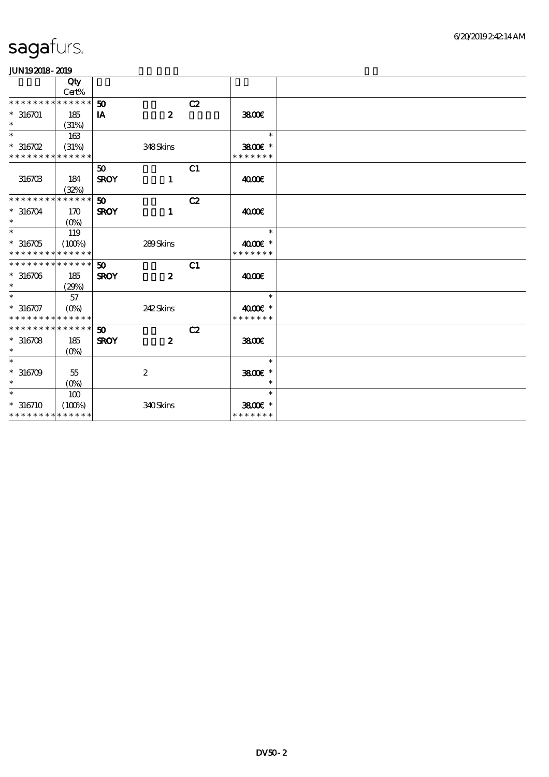|                             | Qty<br>Cert% |                 |                  |    |               |  |
|-----------------------------|--------------|-----------------|------------------|----|---------------|--|
| * * * * * * * * * * * * * * |              | 50              |                  | C2 |               |  |
| $* 316701$                  | 185          | IA              | $\boldsymbol{z}$ |    | 3800          |  |
| $\ast$                      | (31%)        |                 |                  |    |               |  |
| $\ast$                      | 163          |                 |                  |    | $\ast$        |  |
| $*316702$                   | (31%)        |                 | 348Skins         |    | 3800€ *       |  |
| * * * * * * * *             | * * * * * *  |                 |                  |    | * * * * * * * |  |
|                             |              | 50              |                  | C1 |               |  |
| 316703                      | 184          | <b>SROY</b>     | $\mathbf{1}$     |    | 4000€         |  |
|                             | (32%)        |                 |                  |    |               |  |
| * * * * * * * *             | * * * * * *  | 50 <sub>o</sub> |                  | C2 |               |  |
| $* 316704$                  | 170          | <b>SROY</b>     | $\mathbf{1}$     |    | 4000E         |  |
| $\ast$                      | $(O\%)$      |                 |                  |    |               |  |
| $\ast$                      | 119          |                 |                  |    | $\ast$        |  |
| $*316705$                   | (100%)       |                 | 289Skins         |    | 4000 £*       |  |
| * * * * * * * * * * * * * * |              |                 |                  |    | * * * * * * * |  |
| * * * * * * * * * * * * * * |              | 50              |                  | C1 |               |  |
| $*316706$                   | 185          | <b>SROY</b>     | $\boldsymbol{z}$ |    | 4000€         |  |
| $\ast$                      | (29%)        |                 |                  |    |               |  |
| $\overline{\ast}$           | 57           |                 |                  |    | $\ast$        |  |
| $*316707$                   |              |                 | 242Skins         |    | 4000 £*       |  |
| * * * * * * * * * * * * * * |              |                 |                  |    | * * * * * * * |  |
| * * * * * * * * * * * * * * |              | 50              |                  | C2 |               |  |
| $*316708$                   | 185          | <b>SROY</b>     | $\boldsymbol{z}$ |    | 3800E         |  |
| $\ast$                      | $(O\%)$      |                 |                  |    |               |  |
| $\ast$                      |              |                 |                  |    | $\ast$        |  |
| $* 316709$                  | 55           |                 | $\boldsymbol{z}$ |    | 3800€ *       |  |
| $\ast$                      | $(O\%)$      |                 |                  |    | $\ast$        |  |
| $\ast$                      | 100          |                 |                  |    | $\ast$        |  |
| $*316710$                   | (100%)       |                 | 340Skins         |    | 3800€ *       |  |
| * * * * * * * * * * * * * * |              |                 |                  |    | * * * * * * * |  |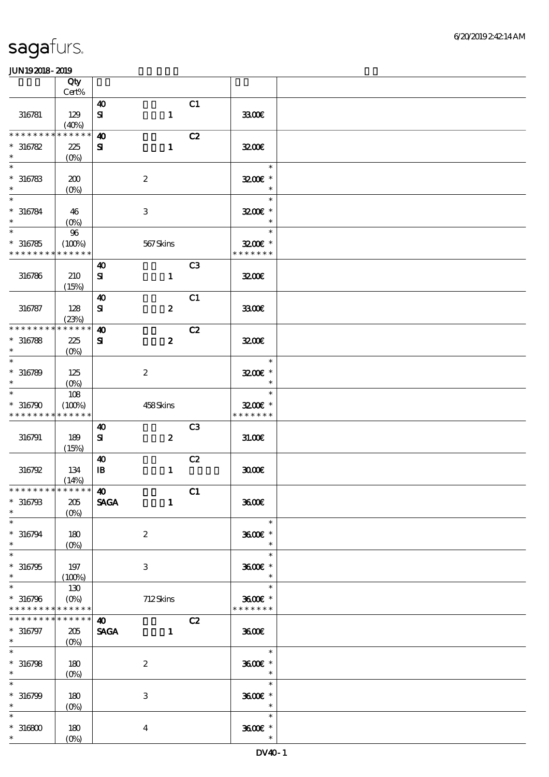|                                                   | Qty<br>Cert%                    |                       |                  |                |                                               |  |
|---------------------------------------------------|---------------------------------|-----------------------|------------------|----------------|-----------------------------------------------|--|
|                                                   |                                 |                       |                  |                |                                               |  |
| 316781                                            | 129<br>(40%)                    | 40<br>$\mathbf{S}$    | $\mathbf{1}$     | C1             | 3300E                                         |  |
| ********                                          | * * * * * *                     | $\boldsymbol{\omega}$ |                  | C2             |                                               |  |
| $*316782$                                         | 225                             | ${\bf s}$             | $\mathbf{1}$     |                | 3200E                                         |  |
| $\ast$                                            | $(0\%)$                         |                       |                  |                |                                               |  |
| $\ast$<br>$* 316783$<br>$\ast$                    | 200<br>$(0\%)$                  |                       | $\boldsymbol{2}$ |                | $\ast$<br>3200E *<br>$\ast$                   |  |
| $\ast$<br>$* 316784$<br>$\ast$                    | 46<br>$(O\!/\!\!\delta)$        |                       | $\,3$            |                | $\ast$<br>3200E *<br>$\ast$                   |  |
| $\overline{\ast}$<br>$*316785$<br>* * * * * * * * | $9\!6$<br>(100%)<br>* * * * * * |                       | 567Skins         |                | $\ast$<br>3200E *<br>* * * * * * *            |  |
|                                                   |                                 | $\boldsymbol{\omega}$ |                  | C <sub>3</sub> |                                               |  |
| 316786                                            | 210<br>(15%)                    | $\mathbf{S}$          | $\mathbf{1}$     |                | 3200                                          |  |
|                                                   |                                 | $\boldsymbol{\omega}$ |                  | C1             |                                               |  |
| 316787                                            | 128<br>(23%)                    | $\mathbf{S}$          | $\boldsymbol{z}$ |                | 3300E                                         |  |
| * * * * * * * *                                   | * * * * * *                     | $\boldsymbol{\omega}$ |                  | C2             |                                               |  |
| $* 316788$<br>$\ast$                              | 225<br>(O <sub>0</sub> )        | ${\bf s}$             | $\boldsymbol{z}$ |                | 3200E                                         |  |
| $\ast$<br>$* 316789$<br>$\ast$                    | 125<br>$(O\%)$                  |                       | $\boldsymbol{2}$ |                | $\ast$<br>3200E *<br>$\ast$                   |  |
| $\ast$                                            | 108                             |                       |                  |                | $\ast$                                        |  |
| $*316790$<br>* * * * * * * *                      | (100%)<br>* * * * * *           |                       | 458Skins         |                | 3200E *<br>* * * * * * *                      |  |
|                                                   |                                 | 40                    |                  | C <sub>3</sub> |                                               |  |
| 316791                                            | 189<br>(15%)                    | ${\bf s}$             | $\boldsymbol{z}$ |                | 31.006                                        |  |
|                                                   |                                 | $\boldsymbol{\omega}$ |                  | C2             |                                               |  |
| 316792                                            | 134<br>(14%)                    | ${\bf I\!B}$          | $\mathbf{1}$     |                | 3000                                          |  |
| * * * * * * * * * * * * * * *                     |                                 | $\boldsymbol{\omega}$ |                  | C1             |                                               |  |
| $* 316793$<br>$\ast$                              | 205<br>$(O\%)$                  | <b>SAGA</b>           | $\mathbf{1}$     |                | 3600€                                         |  |
| $\ast$<br>$* 316794$                              | 180                             |                       | $\boldsymbol{2}$ |                | $\ast$<br>3600€ *                             |  |
| $\ast$                                            | $(O\!\!\!\!\!\!\backslash\rho)$ |                       |                  |                | $\ast$                                        |  |
| $\overline{\ast}$<br>$*316795$<br>$\ast$          | 197<br>(100%)                   |                       | 3                |                | $\ast$<br>3600€ *<br>$\ast$                   |  |
| $\ast$                                            | 130                             |                       |                  |                | $\ast$                                        |  |
| $* 316796$<br>* * * * * * * * * * * * * *         | $(O\!\!\!\!\!\!/\,\!o)$         |                       | 712Skins         |                | $3600$ $*$<br>* * * * * * *                   |  |
| * * * * * * *                                     | * * * * * *                     | $\boldsymbol{\omega}$ |                  | C2             |                                               |  |
| $* 316797$<br>$*$                                 | 205<br>$(O_0)$                  | <b>SAGA</b>           | $\mathbf{1}$     |                | 3600E                                         |  |
| $\ast$<br>$* 316798$<br>$\ast$                    | 180<br>$(0\%)$                  |                       | $\boldsymbol{2}$ |                | $\ast$<br>3600€ *<br>$\overline{\phantom{a}}$ |  |
| $\ast$<br>$* 316799$<br>$\ast$                    | 180<br>$(0\%)$                  |                       | $\,3\,$          |                | $\ast$<br>3600E *<br>$\ast$                   |  |
| $\ast$<br>$*316800$<br>$*$ $*$                    | 180<br>$(O\!/\!\delta)$         |                       | $\bf{4}$         |                | $\ast$<br>3600€ *<br>$\ast$                   |  |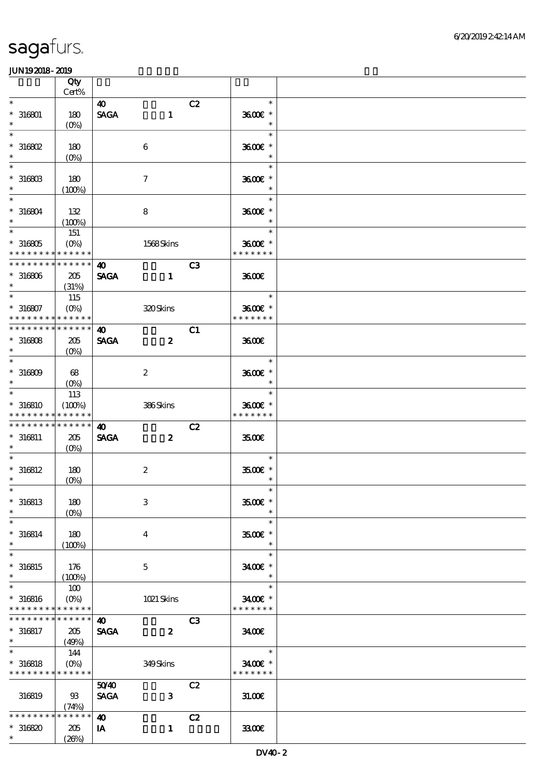|                             | Qty<br>Cert%                    |                       |                           |                |                     |  |
|-----------------------------|---------------------------------|-----------------------|---------------------------|----------------|---------------------|--|
| $\ast$                      |                                 |                       |                           |                | $\ast$              |  |
|                             |                                 | 40                    |                           | C2             |                     |  |
| $* 316801$                  | 180                             | <b>SAGA</b>           | $\mathbf{1}$              |                | 3600€ *             |  |
| $\ast$                      | $(O\!/\!\delta)$                |                       |                           |                | $\ast$              |  |
| $\ast$                      |                                 |                       |                           |                | $\ast$              |  |
| $*$ 316802                  | 180                             |                       | 6                         |                | 3600€ *             |  |
| $\ast$                      | $(O\%)$                         |                       |                           |                | $\ast$              |  |
| $\ast$                      |                                 |                       |                           |                | $\ast$              |  |
| $*31680B$                   |                                 |                       |                           |                | 3600E *             |  |
| $\ast$                      | 180                             |                       | $\boldsymbol{\tau}$       |                | $\ast$              |  |
|                             | (100%)                          |                       |                           |                |                     |  |
| $\ast$                      |                                 |                       |                           |                | $\ast$              |  |
| $*316804$                   | 132                             |                       | 8                         |                | 3600€ *             |  |
| $\ast$                      | (100%)                          |                       |                           |                | $\ast$              |  |
| $\overline{\phantom{0}}$    | 151                             |                       |                           |                | $\ast$              |  |
| $*316805$                   | $(O\%)$                         |                       | 1568Skins                 |                | 3600€ *             |  |
| * * * * * * * * * * * * * * |                                 |                       |                           |                | * * * * * * *       |  |
| * * * * * * * * * * * * * * |                                 | $\boldsymbol{\omega}$ |                           | C <sub>3</sub> |                     |  |
| $*316806$                   | 205                             | <b>SAGA</b>           | $\mathbf{1}$              |                | 3600                |  |
| $\ast$                      |                                 |                       |                           |                |                     |  |
| $\ast$                      | (31%)                           |                       |                           |                |                     |  |
|                             | 115                             |                       |                           |                | $\ast$              |  |
| $* 316807$                  | $(O\!\!\!\!\!\!\backslash\rho)$ |                       | 320Skins                  |                | 3600E*              |  |
| * * * * * * * * * * * * * * |                                 |                       |                           |                | * * * * * * *       |  |
| * * * * * * * * * * * * * * |                                 | $\boldsymbol{\omega}$ |                           | C1             |                     |  |
| $*316808$                   | 205                             | <b>SAGA</b>           | $\boldsymbol{z}$          |                | 3600E               |  |
| $\ast$                      | $(O\%)$                         |                       |                           |                |                     |  |
| $\ast$                      |                                 |                       |                           |                | $\ast$              |  |
| $*316809$                   | 68                              |                       | $\boldsymbol{2}$          |                | 3600€ *             |  |
| $\ast$                      |                                 |                       |                           |                | $\ast$              |  |
| $\ast$                      |                                 |                       |                           |                | $\ast$              |  |
|                             | 113                             |                       |                           |                |                     |  |
| $*316810$                   | (100%)                          |                       | 386Skins                  |                | 3600€ *             |  |
| * * * * * * * *             | ******                          |                       |                           |                | * * * * * * *       |  |
| * * * * * * * *             | * * * * * *                     | $\boldsymbol{\omega}$ |                           | C2             |                     |  |
| $* 316811$                  | 205                             | <b>SAGA</b>           | $\boldsymbol{z}$          |                | 3500                |  |
| $*$ $*$                     | $(O\%)$                         |                       |                           |                |                     |  |
| $\ast$                      |                                 |                       |                           |                | $\ast$              |  |
| $* 316812$                  | 180                             |                       | $\boldsymbol{2}$          |                | $3500$ $\epsilon$ * |  |
| $\ast$                      | $(O\%)$                         |                       |                           |                | $\ast$              |  |
| $*$                         |                                 |                       |                           |                | $\ast$              |  |
| $*316813$                   | 180                             |                       | $\ensuremath{\mathbf{3}}$ |                | 3500€ *             |  |
| $\ast$                      | $(O\%)$                         |                       |                           |                | $\ast$              |  |
| $\ast$                      |                                 |                       |                           |                | $\ast$              |  |
|                             |                                 |                       |                           |                |                     |  |
| $* 316814$                  | 180                             |                       | 4                         |                | $3500$ $\epsilon$ * |  |
| $\ast$                      | (100%)                          |                       |                           |                | $\ast$              |  |
| $\ast$                      |                                 |                       |                           |                | $\ast$              |  |
| $*316815$                   | 176                             |                       | $\mathbf 5$               |                | 3400€ *             |  |
| $\ast$                      | $(100\%)$                       |                       |                           |                | $\ast$              |  |
| $\ast$                      | 100                             |                       |                           |                | $\ast$              |  |
| $* 316816$                  | $(O\%)$                         |                       | $1021$ Skins              |                | 3400€ *             |  |
| * * * * * * * * * * * * * * |                                 |                       |                           |                | * * * * * * *       |  |
| * * * * * * *               | * * * * * *                     | $\boldsymbol{\omega}$ |                           | C <sub>3</sub> |                     |  |
|                             |                                 |                       |                           |                |                     |  |
| $* 316817$<br>$*$           | 205                             | <b>SAGA</b>           | $\boldsymbol{z}$          |                | 3400                |  |
| $\ast$                      | (49%)                           |                       |                           |                |                     |  |
|                             | 144                             |                       |                           |                | $\ast$              |  |
| $*316818$                   | $(0\%)$                         |                       | 349Skins                  |                | 3400€ *             |  |
| * * * * * * * * * * * * * * |                                 |                       |                           |                | * * * * * * *       |  |
|                             |                                 | 5040                  |                           | C2             |                     |  |
| 316819                      | 93                              | <b>SAGA</b>           | $\mathbf{3}$              |                | 31.00E              |  |
|                             | (74%)                           |                       |                           |                |                     |  |
| * * * * * * * *             | * * * * * *                     | $\boldsymbol{\omega}$ |                           | C2             |                     |  |
| $*316820$                   | 205                             | IA                    | $\mathbf{1}$              |                | 3300E               |  |
|                             |                                 |                       |                           |                |                     |  |
| $\ast$                      | (20%)                           |                       |                           |                |                     |  |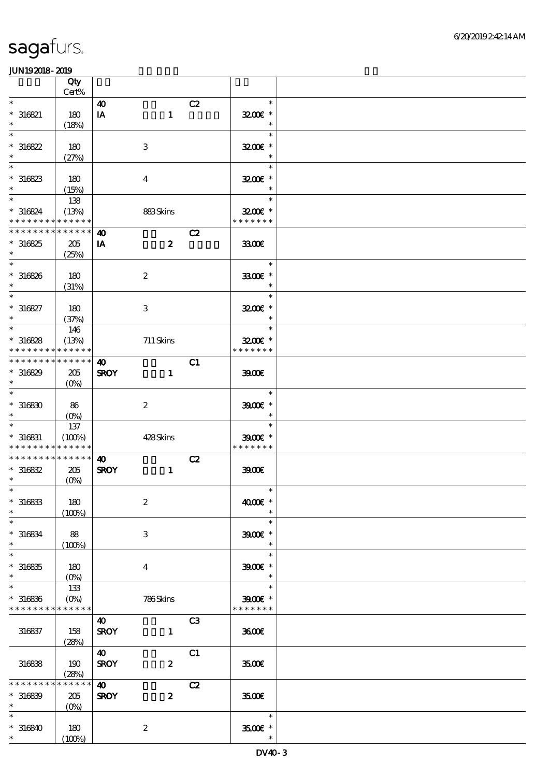|                                                     | Qty                           |                                      |                  |                |                                                |  |
|-----------------------------------------------------|-------------------------------|--------------------------------------|------------------|----------------|------------------------------------------------|--|
| $\ast$                                              | Cert%                         | $\boldsymbol{\omega}$                |                  | C2             | $\ast$                                         |  |
| $*316821$<br>$\ast$                                 | 180<br>(18%)                  | IA                                   | $\mathbf{1}$     |                | 3200E *<br>$\ast$                              |  |
| $\ast$<br>$*316822$<br>$\ast$                       | 180<br>(27%)                  |                                      | $\,3$            |                | $\ast$<br>3200E *<br>$\ast$                    |  |
| $\ast$<br>$*316823$<br>$\ast$                       | 180                           |                                      | $\boldsymbol{4}$ |                | $\ast$<br>3200E *                              |  |
| $\ast$<br>$* 316824$<br>* * * * * * * * * * * * * * | (15%)<br>138<br>(13%)         |                                      | 883Skins         |                | $\ast$<br>$3200$ $*$<br>* * * * * * *          |  |
| * * * * * * * *                                     | * * * * * *                   | $\boldsymbol{\omega}$                |                  | C2             |                                                |  |
| $*316825$<br>$\ast$                                 | 205<br>(25%)                  | IA                                   | $\boldsymbol{z}$ |                | 3300€                                          |  |
| $\ast$<br>$* 316826$<br>$\ast$                      | 180<br>(31%)                  |                                      | $\boldsymbol{2}$ |                | $\ast$<br>3300€ *<br>$\ast$                    |  |
| $\ast$<br>$* 316827$<br>$\ast$                      | 180<br>(37%)                  |                                      | $\,3$            |                | $\ast$<br>3200E *<br>$\ast$                    |  |
| $\ast$<br>$*316828$<br>* * * * * * * *              | 146<br>(13%)<br>* * * * * *   |                                      | 711 Skins        |                | $\ast$<br>3200E *<br>* * * * * * *             |  |
| * * * * * * * * * * * * * *<br>$*316829$<br>$\ast$  | 205<br>$(O\%)$                | $\boldsymbol{\omega}$<br><b>SROY</b> | $\mathbf{1}$     | C1             | 3900                                           |  |
| $\ast$<br>$*316830$<br>$\ast$                       | 86<br>$(0\%)$                 |                                      | $\boldsymbol{2}$ |                | $\ast$<br>$3900$ $*$<br>$\ast$                 |  |
| $\ast$<br>$* 316831$<br>* * * * * * * * * * * * * * | 137<br>(100%)                 |                                      | 428Skins         |                | $\ast$<br>$3900$ $*$<br>* * * * * * *          |  |
| * * * * * * * * * * * * * *<br>$*316832$<br>$\ast$  | 205<br>$(0\%)$                | $\boldsymbol{\omega}$<br><b>SROY</b> | $\mathbf{1}$     | C2             | 39000                                          |  |
| $*$<br>$*316833$<br>$\ast$                          | 180<br>(100%)                 |                                      | $\boldsymbol{2}$ |                | $\ast$<br>4000€ *<br>$\ast$                    |  |
| $\ast$<br>$*316834$<br>$\ast$                       | 88<br>(100%)                  |                                      | 3                |                | $\ast$<br>$3900$ $\epsilon$ *<br>$\ast$        |  |
| $\ast$<br>$*316835$<br>$\ast$                       | 180<br>$(O\!/\!\!\delta)$     |                                      | $\overline{4}$   |                | $\ast$<br>$3900$ $*$                           |  |
| $\ast$<br>$*316836$<br>* * * * * * * * * * * * * *  | 133<br>$(O\%)$                |                                      | 786Skins         |                | $\ast$<br>$3900$ $\epsilon$ *<br>* * * * * * * |  |
| 316837                                              | 158<br>(28%)                  | 40<br><b>SROY</b>                    | $\mathbf{1}$     | C <sub>3</sub> | 3600E                                          |  |
| 316838                                              | 190<br>(28%)                  | $\boldsymbol{\omega}$<br><b>SROY</b> | $\boldsymbol{z}$ | C1             | 3500€                                          |  |
| * * * * * * * *<br>$*316839$<br>$\ast$              | * * * * * *<br>205<br>$(0\%)$ | $\boldsymbol{\omega}$<br><b>SROY</b> | $\boldsymbol{z}$ | C2             | 3500E                                          |  |
| $\ast$<br>$* 316840$<br>$*$                         | 180<br>(100%)                 |                                      | $\boldsymbol{2}$ |                | $\ast$<br>3500 £*<br>$\ast$                    |  |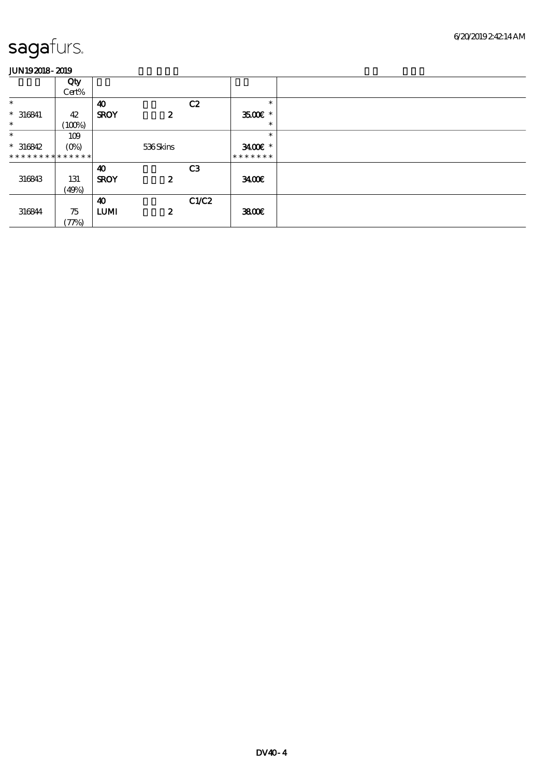|                | Qty     |                       |                  |                |                        |
|----------------|---------|-----------------------|------------------|----------------|------------------------|
|                |         |                       |                  |                |                        |
|                | Cert%   |                       |                  |                |                        |
| $\ast$         |         | $\boldsymbol{\omega}$ |                  | C2             | $\ast$                 |
|                |         |                       |                  |                |                        |
| $* 316841$     | 42      | <b>SROY</b>           | $\boldsymbol{z}$ |                | $3500$ $\epsilon$ *    |
| $\ast$         |         |                       |                  |                | $\ast$                 |
|                | (100%)  |                       |                  |                |                        |
| $\ast$         | 109     |                       |                  |                | $\ast$                 |
|                |         |                       |                  |                |                        |
| $*316842$      | $(O\%)$ |                       | 536Skins         |                | $3400$ $\varepsilon$ * |
| ************** |         |                       |                  |                | *******                |
|                |         |                       |                  |                |                        |
|                |         | $\boldsymbol{\omega}$ |                  | C <sub>3</sub> |                        |
| 316843         | 131     | <b>SROY</b>           | $\boldsymbol{z}$ |                | 3400                   |
|                |         |                       |                  |                |                        |
|                | (49%)   |                       |                  |                |                        |
|                |         | $\boldsymbol{\omega}$ |                  | C1/C2          |                        |
|                |         |                       |                  |                |                        |
| 316844         | 75      | <b>LUMI</b>           | $\boldsymbol{z}$ |                | 3800€                  |
|                |         |                       |                  |                |                        |
|                | (77%)   |                       |                  |                |                        |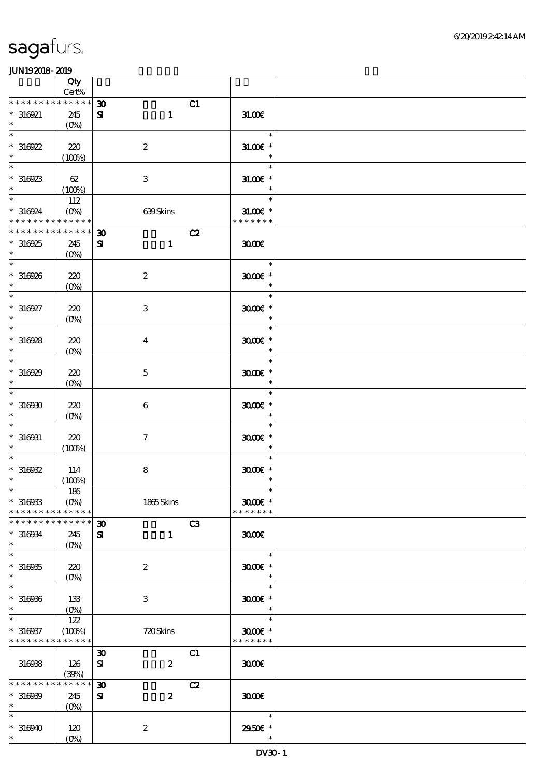|                                           | Qty<br>$Cert\%$                 |                                   |                             |  |
|-------------------------------------------|---------------------------------|-----------------------------------|-----------------------------|--|
| * * * * * * * *                           | * * * * * *                     | C1<br>$\boldsymbol{\mathfrak{D}}$ |                             |  |
| $*316921$                                 | 245                             | $\mathbf{1}$<br>${\bf s}$         | 31.006                      |  |
| $\ast$                                    | (0%)                            |                                   |                             |  |
| $\ast$<br>$*316922$                       | 220                             | $\boldsymbol{2}$                  | $\ast$<br>$31.00E$ *        |  |
| $\ast$                                    | (100%)                          |                                   | $\ast$                      |  |
| $\ast$                                    |                                 |                                   | $\ast$                      |  |
| $*316923$<br>$\ast$                       | 62                              | $\,3$                             | $31.005$ *<br>$\ast$        |  |
| $\overline{\ast}$                         | (100%)<br>112                   |                                   | $\ast$                      |  |
| $*316924$                                 | $(O\%)$                         | 639Skins                          | $31.005$ *                  |  |
| * * * * * * * * * * * * * *               |                                 |                                   | * * * * * * *               |  |
| * * * * * * * *                           | * * * * * *                     | C2<br>$\boldsymbol{\mathfrak{D}}$ |                             |  |
| $*316925$<br>$\ast$                       | 245<br>$(O\%)$                  | ${\bf s}$<br>$\mathbf{1}$         | 3000                        |  |
| $\ast$                                    |                                 |                                   | $\ast$                      |  |
| $*316926$                                 | 220                             | $\boldsymbol{2}$                  | $3000$ $*$                  |  |
| $\ast$<br>$\ast$                          | $(O\!/\!o)$                     |                                   | $\ast$<br>$\ast$            |  |
| $*316927$                                 | 220                             | $\,3\,$                           | $3000$ $*$                  |  |
| $\ast$                                    | $(0\%)$                         |                                   | $\ast$                      |  |
| $\ast$                                    |                                 |                                   | $\ast$                      |  |
| $*316928$<br>$\ast$                       | 220<br>$(0\%)$                  | $\bf{4}$                          | $3000$ $*$<br>$\ast$        |  |
| $\ast$                                    |                                 |                                   | $\ast$                      |  |
| $*316929$                                 | 220                             | $\mathbf 5$                       | $3000$ $*$                  |  |
| $\ast$<br>$\ast$                          | $(O\!/\!o)$                     |                                   | $\ast$<br>$\ast$            |  |
| $*316930$                                 | 220                             | 6                                 | $3000$ $*$                  |  |
| $\ast$                                    | $(0\%)$                         |                                   | $\ast$                      |  |
|                                           |                                 |                                   | $\ast$                      |  |
| $* 316031$<br>$\ast$                      | 220<br>(100%)                   | $\boldsymbol{7}$                  | $3000$ $*$<br>$\ast$        |  |
| $\ast$                                    |                                 |                                   | $\ast$                      |  |
| $*316932$                                 | 114                             | $\bf8$                            | $3000$ $*$                  |  |
| $\ast$<br>$*$                             | (100%)<br>186                   |                                   | $\ast$<br>$\ast$            |  |
| $*316933$                                 | $(O\%)$                         | 1865Skins                         | $3000$ $*$                  |  |
| * * * * * * * *                           | * * * * * *                     |                                   | * * * * * * *               |  |
| * * * * * * * *                           | * * * * * *                     | C3<br>$\boldsymbol{\mathfrak{D}}$ | 3000                        |  |
| $*316034$<br>$\ast$                       | 245<br>$(O\%)$                  | ${\bf z}$<br>$\mathbf{1}$         |                             |  |
| $\ast$                                    |                                 |                                   | $\ast$                      |  |
| $*316935$                                 | 220                             | $\boldsymbol{2}$                  | $3000$ $*$                  |  |
| $\ast$<br>$\ast$                          | $(O\!\!\!\!\!\!\backslash\rho)$ |                                   | $\ast$                      |  |
| $*316936$                                 | 133                             | 3                                 | $3000$ $*$                  |  |
| $\ast$                                    | $(O\%)$                         |                                   | $\ast$                      |  |
|                                           | 122                             |                                   | $\ast$                      |  |
| $* 316937$<br>* * * * * * * * * * * * * * | (100%)                          | 720Skins                          | $3000$ $*$<br>* * * * * * * |  |
|                                           |                                 | C1<br>$\boldsymbol{\mathfrak{D}}$ |                             |  |
| 316938                                    | 126                             | $\boldsymbol{z}$<br>${\bf s}$     | 3000                        |  |
| ********                                  | (30%)<br>* * * * * *            | C2<br>$\boldsymbol{\mathfrak{D}}$ |                             |  |
| $*316939$                                 | 245                             | $\boldsymbol{2}$<br>${\bf s}$     | 3000                        |  |
| $\ast$                                    | $(0\%)$                         |                                   |                             |  |
| $\ast$                                    |                                 |                                   | $\ast$                      |  |
| $*316940$<br>$\ast$                       | 120<br>$(O\%)$                  | $\boldsymbol{2}$                  | 29506 *<br>$\ast$           |  |
|                                           |                                 |                                   |                             |  |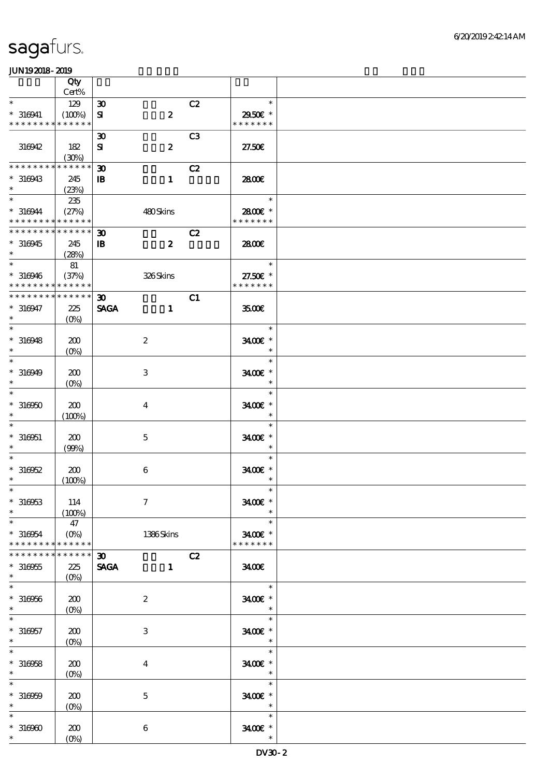|                                                                         | Qty                           |                                             |                  |                |                          |  |
|-------------------------------------------------------------------------|-------------------------------|---------------------------------------------|------------------|----------------|--------------------------|--|
| $\ast$                                                                  | Cert%                         |                                             |                  |                |                          |  |
|                                                                         | 129                           | $\boldsymbol{\mathfrak{D}}$                 |                  | C2             | $\ast$                   |  |
| $* 316941$<br>* * * * * * * * * * * * * *                               | (100%)                        | ${\bf s}$                                   | $\boldsymbol{z}$ |                | 2950€ *<br>* * * * * * * |  |
|                                                                         |                               | $\boldsymbol{\mathfrak{D}}$                 |                  | C <sub>3</sub> |                          |  |
| 316942                                                                  | 182                           | ${\bf s}$                                   | $\boldsymbol{z}$ |                | 27.50E                   |  |
|                                                                         | (30%)                         |                                             |                  |                |                          |  |
| * * * * * * * *                                                         | * * * * * *                   | $\boldsymbol{\mathfrak{D}}$                 |                  | C2             |                          |  |
| $*316943$                                                               | 245                           | $\mathbf{B}$                                | $\mathbf{1}$     |                | 2800€                    |  |
| $\ast$                                                                  | (23%)                         |                                             |                  |                |                          |  |
| $\ast$                                                                  | 235                           |                                             |                  |                | $\ast$                   |  |
| $*316944$                                                               | (27%)                         |                                             | 480Skins         |                | 2800 £*<br>* * * * * * * |  |
| * * * * * * * * <mark>* * * * * *</mark><br>* * * * * * * * * * * * * * |                               |                                             |                  |                |                          |  |
| $*316945$                                                               | 245                           | $\boldsymbol{\mathfrak{D}}$<br>$\mathbf{B}$ | $\boldsymbol{z}$ | C2             | 2800€                    |  |
| $\ast$                                                                  | (28%)                         |                                             |                  |                |                          |  |
| $\ast$                                                                  | 81                            |                                             |                  |                | $\ast$                   |  |
| $*316946$                                                               | (37%)                         |                                             | 326Skins         |                | 27.50€ *                 |  |
| * * * * * * * * * * * * * *                                             |                               |                                             |                  |                | * * * * * * *            |  |
| * * * * * * * * * * * * * *                                             |                               | $\boldsymbol{\mathfrak{D}}$                 |                  | C1             |                          |  |
| $*316947$                                                               | 225                           | <b>SAGA</b>                                 | $\mathbf{1}$     |                | 3500                     |  |
| $\ast$                                                                  | $(O\%)$                       |                                             |                  |                |                          |  |
| $\ast$                                                                  |                               |                                             |                  |                | $\ast$                   |  |
| $*316948$                                                               | 200                           |                                             | $\boldsymbol{2}$ |                | 3400€ *                  |  |
| $\ast$<br>$\ast$                                                        | $(O\%)$                       |                                             |                  |                | $\ast$<br>$\ast$         |  |
| $* 316949$                                                              | 200                           |                                             | $\,3$            |                | 3400€ *                  |  |
| $\ast$                                                                  | $(O\!/\!\delta)$              |                                             |                  |                | $\ast$                   |  |
| $\ast$                                                                  |                               |                                             |                  |                | $\ast$                   |  |
| $*316950$                                                               | 200                           |                                             | $\boldsymbol{4}$ |                | 3400€ *                  |  |
| $\ast$                                                                  | (100%)                        |                                             |                  |                | $\ast$                   |  |
| $\ast$                                                                  |                               |                                             |                  |                | $\ast$                   |  |
| $* 316051$                                                              | 200                           |                                             | $\mathbf 5$      |                | 3400€ *                  |  |
| $\ast$                                                                  | (99%)                         |                                             |                  |                | $\ast$                   |  |
| $\ast$                                                                  |                               |                                             |                  |                | $\ast$                   |  |
| $*316052$<br>$\ast$                                                     | 200                           |                                             | 6                |                | 3400€ *<br>$\ast$        |  |
|                                                                         | (100%)                        |                                             |                  |                |                          |  |
| $*316953$                                                               | 114                           |                                             | $\boldsymbol{7}$ |                | $3400$ $^{\circ}$        |  |
| $\ast$                                                                  | (100%)                        |                                             |                  |                | $\ast$                   |  |
| $\ast$                                                                  | 47                            |                                             |                  |                | $\ast$                   |  |
| $* 316954$                                                              | $(O\%)$                       |                                             | 1386Skins        |                | 3400€ *                  |  |
| * * * * * * * *                                                         | * * * * * *                   |                                             |                  |                | * * * * * * *            |  |
| * * * * * * * *                                                         | * * * * * *                   | $\boldsymbol{\mathfrak{D}}$                 |                  | C2             |                          |  |
| $*316955$                                                               | 225                           | <b>SAGA</b>                                 | $\mathbf{1}$     |                | 3400                     |  |
| $\ast$<br>$\ast$                                                        | $(O\%)$                       |                                             |                  |                |                          |  |
|                                                                         |                               |                                             |                  |                | $\ast$                   |  |
| $* 316956$<br>$\ast$                                                    | 200                           |                                             | $\boldsymbol{2}$ |                | 3400€ *<br>$\ast$        |  |
| $\ast$                                                                  | $(O\!\!\!\!\!\backslash\rho)$ |                                             |                  |                | $\ast$                   |  |
| $* 316057$                                                              | 200                           |                                             | 3                |                | $3400$ $\epsilon$ *      |  |
| $\ast$                                                                  | $(O\%)$                       |                                             |                  |                | $\ast$                   |  |
| $\ast$                                                                  |                               |                                             |                  |                | $\ast$                   |  |
| $*316958$                                                               | 200                           |                                             | $\boldsymbol{4}$ |                | 3400€ *                  |  |
| $\ast$                                                                  | $(0\%)$                       |                                             |                  |                | $\ast$                   |  |
| $\ast$                                                                  |                               |                                             |                  |                | $\ast$                   |  |
| $* 316959$                                                              | 200                           |                                             | $\mathbf 5$      |                | 3400E *                  |  |
| $\ast$<br>$\ast$                                                        | $(0\%)$                       |                                             |                  |                | $\ast$<br>$\ast$         |  |
| $*316960$                                                               | 200                           |                                             | $\,6\,$          |                | 3400E *                  |  |
| $*$                                                                     | $(0\%)$                       |                                             |                  |                | $\ast$                   |  |
|                                                                         |                               |                                             |                  |                |                          |  |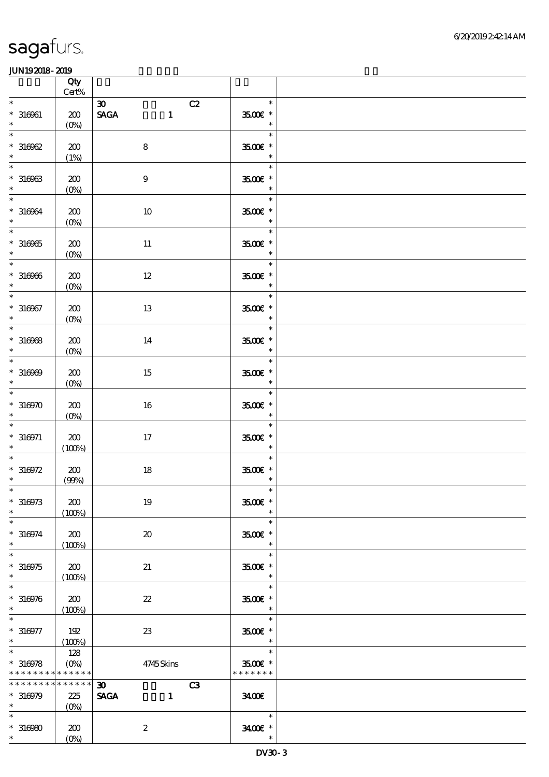|                                                                      | Qty<br>$\mbox{Cert}\%$           |                                                                                   |                                          |  |
|----------------------------------------------------------------------|----------------------------------|-----------------------------------------------------------------------------------|------------------------------------------|--|
| $\ast$<br>$* 316961$                                                 | 200                              | $\boldsymbol{\mathfrak{D}}$<br>C2<br>$\ensuremath{\mathsf{SAGA}}$<br>$\mathbf{1}$ | $\ast$<br>3500 £*                        |  |
| $\ast$<br>$\ast$                                                     | $(0\%)$                          |                                                                                   | $\ast$<br>$\ast$                         |  |
| $*316962$<br>$\ast$                                                  | 200<br>(1%)                      | $\bf 8$                                                                           | 3500€ *<br>$\ast$                        |  |
| $\ast$<br>$^\ast$ 316963<br>$\ast$                                   | 200<br>$(0\%)$                   | $9$                                                                               | $\ast$<br>$3500$ $\epsilon$ *<br>$\ast$  |  |
| $\ast$<br>$* 316964$<br>$\ast$                                       | 200<br>$(0\%)$                   | $10\,$                                                                            | Tarihin S<br>$\ast$<br>3500€ *<br>$\ast$ |  |
| $\ast$<br>$*316965$<br>$\ast$                                        | 200<br>$(0\%)$                   | $11\,$                                                                            | $\ast$<br>$3500\mathrm{E}$ *<br>$\ast$   |  |
| $\overline{\phantom{0}}$<br>$*316966$<br>$\ast$                      | 200<br>$(0\%)$                   | $12\,$                                                                            | $\ast$<br>$3500$ $^{\circ}$<br>$\ast$    |  |
| $\overline{\ast}$<br>$* 316967$<br>$\ast$                            | 200<br>$(0\%)$                   | 13                                                                                | $\ast$<br>$3500$ $*$<br>$\ast$           |  |
| $\ast$<br>$*316968$<br>$\ast$                                        | 200<br>$(0\%)$                   | 14                                                                                | $\ast$<br>$3500$ $^{\circ}$<br>$\ast$    |  |
| $\overline{\phantom{0}}$<br>$*316969$<br>$\ast$<br>$\overline{\ast}$ | 200<br>$(0\%)$                   | 15                                                                                | $\ast$<br>3500 £*<br>$\ast$              |  |
| $*316970$<br>$\ast$                                                  | 200<br>$(0\%)$                   | 16                                                                                | $\ast$<br>$3500$ $^{\circ}$<br>$\ast$    |  |
| $\ast$<br>$* 316971$<br>$\ast$                                       | 200<br>(100%)                    | $17\,$                                                                            | $\ast$<br>$3500$ $^{\circ}$<br>$\ast$    |  |
| $*316972$<br>$\ast$                                                  | 200<br>(90%)                     | $18\,$                                                                            | $\ast$<br>$3500$ $^{\circ}$<br>$\ast$    |  |
| $*$<br>$*316973$<br>$\ast$                                           | 200<br>(100%)                    | 19                                                                                | $\ast$<br>3500€ *<br>$\ast$              |  |
| $\ast$<br>$* 316974$<br>$\ast$                                       | 200<br>(100%)                    | $\boldsymbol{\mathfrak{D}}$                                                       | $\ast$<br>3500€ *<br>$\ast$              |  |
| $\ast$<br>$*316975$<br>$\ast$                                        | 200<br>(100%)                    | 21                                                                                | $\ast$<br>3500 £*<br>$\ast$              |  |
| $\ast$<br>$*316976$<br>$\ast$                                        | 200<br>(100%)                    | $\boldsymbol{\mathcal{Z}}$                                                        | $\ast$<br>$3500$ $*$<br>$\ast$           |  |
| $\ast$<br>$*316977$<br>$\ast$                                        | 192<br>(100%)                    | $23\,$                                                                            | $\ast$<br>$3500$ $\epsilon$ *<br>$\ast$  |  |
| $\ast$<br>$*316978$<br>* * * * * * * * <mark>* * * * * *</mark> *    | 128<br>$(O\!\!\!\!\!\!\!/\,\!o)$ | 4745Skins                                                                         | $\ast$<br>3500€ *<br>* * * * * * *       |  |
| * * * * * * * *<br>$*316979$<br>$\ast$                               | $******$<br>225<br>$(O\%)$       | $\boldsymbol{\mathfrak{D}}$<br>C <sub>3</sub><br><b>SAGA</b><br>$\mathbf{1}$      | 3400                                     |  |
| $\ast$<br>$*316980$<br>$*$ $*$                                       | 200<br>$(O\%)$                   | $\boldsymbol{2}$                                                                  | $\ast$<br>3400€ *<br>$\ast$              |  |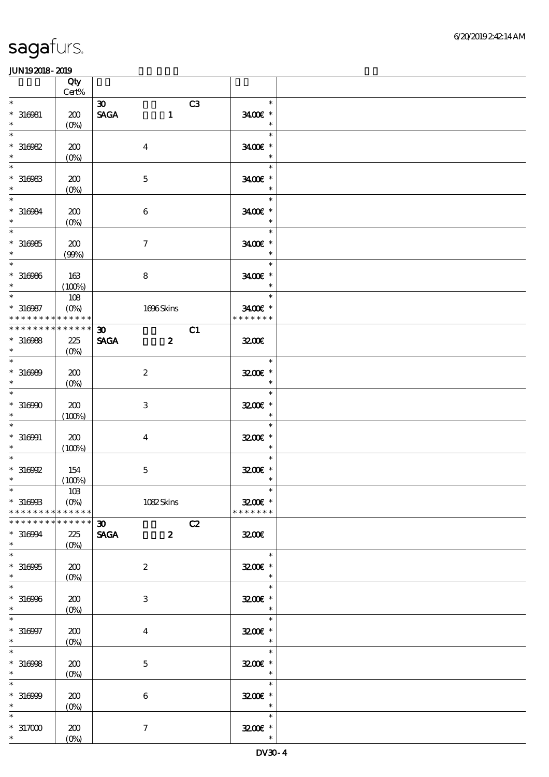|                                                             | Qty<br>$\mbox{Cert}\%$        |                                               |                                                |  |
|-------------------------------------------------------------|-------------------------------|-----------------------------------------------|------------------------------------------------|--|
| $\ast$                                                      |                               | $\boldsymbol{\mathfrak{D}}$<br>C <sub>3</sub> | $\ast$                                         |  |
| $* 316081$<br>$\ast$                                        | 200<br>$(O\!/\!o)$            | <b>SAGA</b><br>$\mathbf{1}$                   | 3400€ *<br>$\ast$                              |  |
| $\ast$<br>$*316982$<br>$\ast$                               | 200<br>$(0\%)$                | $\overline{\mathbf{4}}$                       | $\ast$<br>3400€ *<br>$\ast$                    |  |
| $\ast$<br>$*316983$<br>$\ast$                               | 200                           | $\mathbf 5$                                   | $\ast$<br>3400€ *<br>$\ast$                    |  |
| $\ast$<br>$* 316984$<br>$\ast$                              | $(0\%)$<br>200                | $\bf 6$                                       | $\ast$<br>3400€ *<br>$\ast$                    |  |
| $\ast$<br>$*316985$<br>$\ast$                               | $(O\!/\!o)$<br>200            | $\boldsymbol{7}$                              | $\ast$<br>3400€ *<br>$\ast$                    |  |
| $\overline{\phantom{0}}$<br>$* 316966$<br>$\ast$            | (90%)<br>163                  | $\bf 8$                                       | $\ast$<br>$3400$ $^{\circ}$<br>$\ast$          |  |
| $\overline{\phantom{0}}$<br>$* 316987$                      | (100%)<br>108<br>$(O\%)$      | 1696Skins                                     | $\ast$<br>3400€ *                              |  |
| * * * * * * * * <mark>* * * * * *</mark><br>* * * * * * * * | * * * * * *                   | $\boldsymbol{\mathfrak{D}}$<br>C1             | * * * * * * *                                  |  |
| $*316988$<br>$\ast$                                         | 225<br>$(O\%)$                | <b>SAGA</b><br>$\boldsymbol{z}$               | 3200                                           |  |
| $\ast$<br>$* 316989$<br>$\ast$                              | 200<br>$(O\%)$                | $\boldsymbol{z}$                              | $\ast$<br>3200E *<br>$\ast$                    |  |
| $\ast$<br>$*316900$<br>$\ast$                               | 200<br>(100%)                 | $\,3$                                         | $\ast$<br>3200E *<br>$\ast$                    |  |
| $\ast$<br>$* 316001$<br>$\ast$                              | 200<br>(100%)                 | $\bf{4}$                                      | $\ast$<br>3200E *<br>$\ast$                    |  |
| $*316992$<br>$\ast$                                         | 154<br>(100%)                 | $\mathbf 5$                                   | $\ast$<br>$3200$ $\epsilon$ *<br>$\ast$        |  |
| $*$<br>$*316993$<br>* * * * * * * *                         | 10B<br>$(0\%)$<br>* * * * * * | 1082Skins                                     | $\ast$<br>$3200$ $\epsilon$ *<br>* * * * * * * |  |
| * * * * * * * * * * * * * *<br>$* 316994$                   | 225                           | $\infty$<br>C2<br><b>SAGA</b><br>$\mathbf{2}$ | 3200                                           |  |
| $\ast$<br>$\ast$<br>$*316995$<br>$\ast$                     | $(O\%)$<br>200<br>$(O\%)$     | $\boldsymbol{2}$                              | $\ast$<br>3200E *<br>$\ast$                    |  |
| $\ast$<br>$*316996$<br>$\ast$                               | 200<br>$(0\%)$                | 3                                             | $\ast$<br>3200E *<br>$\ast$                    |  |
| $\ast$<br>$* 316997$<br>$\ast$                              | 200<br>$(O\!/\!o)$            | $\overline{4}$                                | $\ast$<br>3200E *<br>$\ast$                    |  |
| $\ast$<br>$*316998$<br>$\ast$                               | 200<br>$(O_0)$                | $\mathbf{5}$                                  | $\ast$<br>$3200$ $*$<br>$\ast$                 |  |
| $\ast$<br>$*316999$<br>$\ast$                               | 200<br>$(0\%)$                | $\boldsymbol{6}$                              | $\ast$<br>$3200$ $*$<br>$\ast$                 |  |
| $\ast$<br>$*317000$<br>$*$ $-$                              | 200<br>$(0\%)$                | $\boldsymbol{7}$                              | $\ast$<br>$3200$ $\epsilon$ *<br>$\ast$        |  |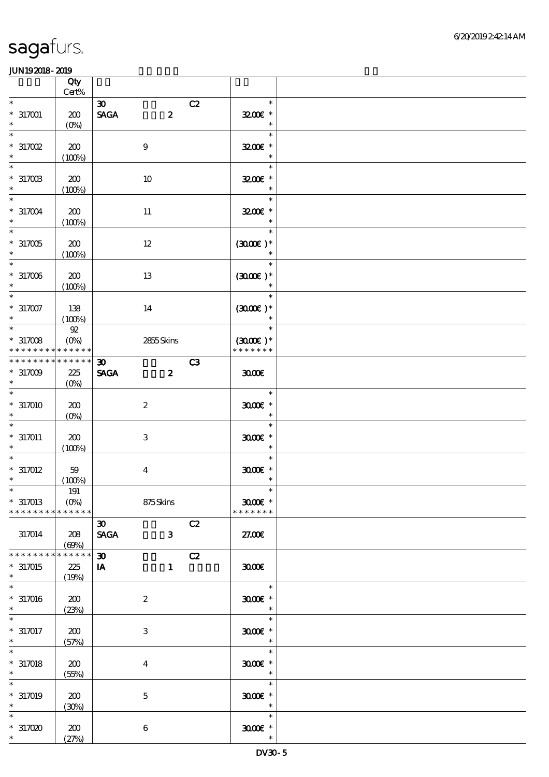|                                                   | Qty<br>$Cert\%$                         |                                                                |    |                                         |  |
|---------------------------------------------------|-----------------------------------------|----------------------------------------------------------------|----|-----------------------------------------|--|
| $\ast$                                            |                                         | $\boldsymbol{\mathfrak{D}}$                                    | C2 | $\ast$                                  |  |
| $*317001$<br>$\ast$                               | 200<br>$(O\%)$                          | $\ensuremath{\mathsf{SAGA}}$<br>$\boldsymbol{z}$               |    | 3200E *<br>$\ast$                       |  |
| $\ast$<br>$*317002$<br>$\ast$                     | 200<br>(100%)                           | $9$                                                            |    | $\ast$<br>$3200$ $\epsilon$ *<br>$\ast$ |  |
| $\ast$<br>$^\ast$ 317003<br>$\ast$                | 200<br>(100%)                           | 10                                                             |    | $\ast$<br>3200E *<br>$\ast$             |  |
| $\ast$<br>$*317004$<br>$\ast$                     | 200<br>(100%)                           | $11\,$                                                         |    | $\ast$<br>$3200$ £ *                    |  |
| $\ast$<br>$^*$ 317005 $\,$<br>$\ast$              | 200<br>(100%)                           | $12\,$                                                         |    | $\ast$<br>$(300E)*$                     |  |
| $*317006$<br>$\ast$                               | 200<br>(100%)                           | 13                                                             |    | $\ast$<br>$(300E)*$<br>$\ast$           |  |
| $\ast$<br>$*317007$<br>$\ast$                     | 138<br>(100%)                           | 14                                                             |    | $\ast$<br>$(300E)*$<br>$\ast$           |  |
| $\overline{\ast}$<br>$*317008$<br>* * * * * * * * | ${\mathfrak{A}}$<br>$(O\%)$<br>******   | 2855Skins                                                      |    | $\ast$<br>$(300E)*$<br>* * * * * * *    |  |
| * * * * * * * *<br>$*317009$<br>$\ast$            | * * * * * *<br>225<br>(O <sub>0</sub> ) | $\boldsymbol{\mathfrak{D}}$<br><b>SAGA</b><br>$\boldsymbol{z}$ | C3 | 3000                                    |  |
| $\ast$<br>$*317010$<br>$\ast$                     | 200<br>$(0\%)$                          | $\boldsymbol{2}$                                               |    | $\ast$<br>$3000$ $*$<br>$\ast$          |  |
| $\ast$<br>$* 317011$<br>$\ast$                    | 200<br>(100%)                           | $\,3$                                                          |    | $\ast$<br>$3000$ $*$<br>$\ast$          |  |
| $*317012$<br>$\ast$                               | 59<br>(100%)                            | $\boldsymbol{4}$                                               |    | $\ast$<br>$3000$ $^{\circ}$<br>$\ast$   |  |
| $*317013$<br>* * * * * * * *                      | 191<br>$(0\%)$<br>* * * * * *           | 875Skins                                                       |    | $3000$ $*$<br>* * * * * * *             |  |
| 317014                                            | 208<br>(60%)                            | $\boldsymbol{\mathfrak{D}}$<br><b>SAGA</b><br>$\mathbf{3}$     | C2 | 27.00E                                  |  |
| * * * * * * *<br>$*317015$<br>$\ast$              | * * * * * *<br>225<br>(19%)             | $\boldsymbol{\mathfrak{D}}$<br>IA<br>$\mathbf{1}$              | C2 | 3000                                    |  |
| $\ast$<br>$*317016$<br>$\ast$                     | 200<br>(23%)                            | $\boldsymbol{2}$                                               |    | $\ast$<br>$3000$ $*$<br>$\ast$          |  |
| $\ast$<br>$*317017$<br>$\ast$                     | 200<br>(57%)                            | 3                                                              |    | $\ast$<br>$3000$ $*$<br>$\ast$          |  |
| $*317018$<br>$\ast$                               | 200<br>(55%)                            | $\boldsymbol{4}$                                               |    | $\ast$<br>$3000$ $*$<br>$\ast$          |  |
| $\ast$<br>$*317019$<br>$\ast$                     | 200<br>(30%)                            | $\bf 5$                                                        |    | $\ast$<br>$3000$ $*$<br>$\ast$          |  |
| $\ast$<br>$*317000$<br>$\ast$                     | 200<br>(27%)                            | $\boldsymbol{6}$                                               |    | $\ast$<br>$3000$ $^{\circ}$<br>$\ast$   |  |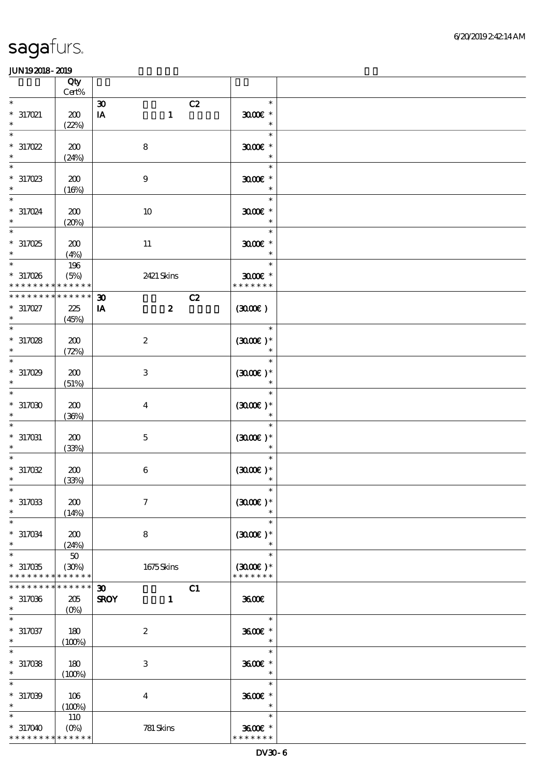|                     | Qty         |                                   |                      |  |
|---------------------|-------------|-----------------------------------|----------------------|--|
|                     | Cert%       |                                   |                      |  |
| $\ast$              |             | C2<br>$\boldsymbol{\mathfrak{D}}$ | $\ast$               |  |
| $*317021$           | 200         | $\mathbf{1}$<br>IA                | $3000$ $*$           |  |
| $\ast$              | (22%)       |                                   | $\ast$               |  |
| $\ast$              |             |                                   | $\ast$               |  |
|                     |             |                                   |                      |  |
| $*317022$           | 200         | $\bf 8$                           | $3000$ $*$           |  |
| $\ast$              | (24%)       |                                   | $\ast$               |  |
|                     |             |                                   | $\ast$               |  |
| $*317023$           | 200         | $\boldsymbol{9}$                  | $3000$ $*$           |  |
|                     | (16%)       |                                   | $\ast$               |  |
| $\overline{\ast}$   |             |                                   | $\ast$               |  |
|                     |             |                                   |                      |  |
| $*317024$<br>$\ast$ | 200         | $10\,$                            | $3000$ $*$           |  |
|                     | (20%)       |                                   | $\ast$               |  |
| $\ast$              |             |                                   | $\ast$               |  |
| $*317025$           | 200         | $11\,$                            | $3000$ $*$           |  |
|                     | (4%)        |                                   | $\ast$               |  |
| $\ast$              | 196         |                                   | $\ast$               |  |
| $*317026$           | (5%)        | 2421 Skins                        | $3000$ $*$           |  |
| * * * * *           | * * * * * * |                                   | * * * * * * *        |  |
|                     | * * * * * * |                                   |                      |  |
| * * * * * * *       |             | C2<br>$\boldsymbol{\mathfrak{D}}$ |                      |  |
| $*317027$           | 225         | $\boldsymbol{z}$<br>IA            | (300)                |  |
| $\ast$              | (45%)       |                                   |                      |  |
| $\ast$              |             |                                   | $\ast$               |  |
| * 317028            | 200         | $\boldsymbol{2}$                  | $(300E)*$            |  |
|                     | (72%)       |                                   |                      |  |
| $\overline{\ast}$   |             |                                   | $\ast$               |  |
|                     |             |                                   |                      |  |
| $*317029$           | 200         | $\,3$                             | $(300)$ *            |  |
|                     | (51%)       |                                   |                      |  |
| $\overline{\ast}$   |             |                                   | $\ast$               |  |
| $*317000$           | 200         | $\boldsymbol{4}$                  | $(3000)$ *           |  |
| $\ast$              | (36%)       |                                   | $\ast$               |  |
| $\ast$              |             |                                   | $\ast$               |  |
|                     |             |                                   |                      |  |
| $* 317031$          | 200         | $\mathbf 5$                       | $(3000\varepsilon)*$ |  |
| $\ast$              | (33%)       |                                   | $\ast$               |  |
| $\ast$              |             |                                   | $\ast$               |  |
| $*317032$           | 200         | $\,6\,$                           | $(300E)*$            |  |
| $\ast$              | (33%)       |                                   |                      |  |
| $\ast$              |             |                                   | $\ast$               |  |
| $*317033$           | 200         | $\tau$                            | $(300E)*$            |  |
| $\ast$              |             |                                   |                      |  |
| $\ast$              | (14%)       |                                   | $\ast$               |  |
|                     |             |                                   |                      |  |
| $*317034$           | 200         | $\bf 8$                           | $(3000\varepsilon)*$ |  |
| $\ast$              | (24%)       |                                   |                      |  |
| $\overline{\ast}$   | $50\,$      |                                   | $\ast$               |  |
| $*317035$           | (30%)       | 1675Skins                         | $(3000)$ *           |  |
| * * * * * * * *     | * * * * * * |                                   | * * * * * * *        |  |
| * * * * * * * *     | * * * * * * | C1<br>$\boldsymbol{\mathfrak{D}}$ |                      |  |
|                     |             | $\mathbf{1}$                      | 3600                 |  |
| $*317036$           | 205         | <b>SROY</b>                       |                      |  |
| $\ast$              | $(0\%)$     |                                   |                      |  |
| $\ast$              |             |                                   | $\ast$               |  |
| $*317037$           | 180         | $\boldsymbol{2}$                  | 3600€ *              |  |
| $\ast$              | (100%)      |                                   | $\ast$               |  |
| $\ast$              |             |                                   | $\ast$               |  |
| $*317038$           | 180         | 3                                 | 3600E *              |  |
| $\ast$              | (100%)      |                                   | $\ast$               |  |
| $\ast$              |             |                                   | $\ast$               |  |
|                     |             |                                   |                      |  |
| $*317009$           | 106         | $\boldsymbol{4}$                  | 3600€ *              |  |
| $\ast$              | (100%)      |                                   | $\ast$               |  |
| $\ast$              | <b>110</b>  |                                   | $\ast$               |  |
| $*317040$           | $(O\%)$     | 781 Skins                         | 3600€ *              |  |
| * * * * * * * *     | * * * * * * |                                   | * * * * * * *        |  |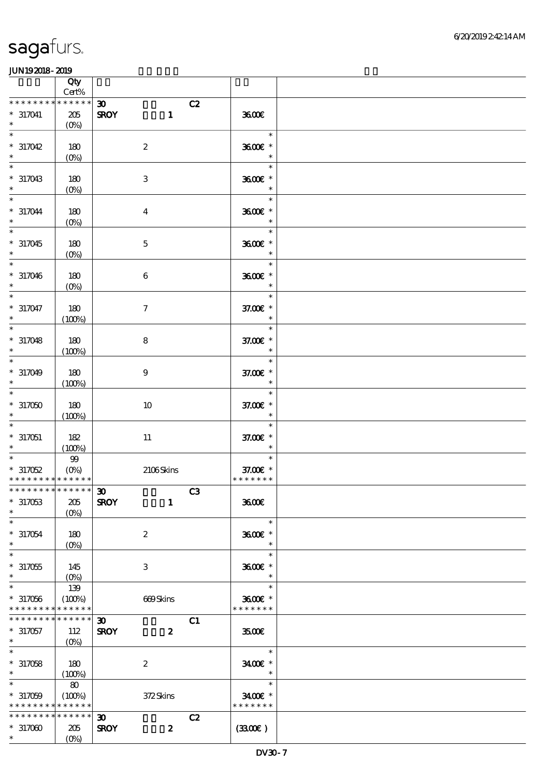|                                                                              | Qty                                          |                                                                                                                                                                                                                                                                                                                                                                                                                                                                                                                |                                     |  |
|------------------------------------------------------------------------------|----------------------------------------------|----------------------------------------------------------------------------------------------------------------------------------------------------------------------------------------------------------------------------------------------------------------------------------------------------------------------------------------------------------------------------------------------------------------------------------------------------------------------------------------------------------------|-------------------------------------|--|
| * * * * * * * *                                                              | $Cert\%$<br>* * * * * *                      |                                                                                                                                                                                                                                                                                                                                                                                                                                                                                                                |                                     |  |
| $*317041$<br>$\ast$                                                          | 205<br>$(0\%)$                               | $\boldsymbol{\mathfrak{D}}$<br>C2<br>$\mathbf{1}$<br><b>SROY</b>                                                                                                                                                                                                                                                                                                                                                                                                                                               | 3600                                |  |
| $\ast$<br>$*317042$                                                          | 180<br>$(0\%)$                               | $\boldsymbol{2}$                                                                                                                                                                                                                                                                                                                                                                                                                                                                                               | $\ast$<br>$3600$ $*$<br>$\ast$      |  |
| $\ast$<br>$*317043$<br>$\ast$                                                | 180<br>$(0\%)$                               | $\,3$                                                                                                                                                                                                                                                                                                                                                                                                                                                                                                          | $\ast$<br>3600€ *<br>$\ast$         |  |
| $\overline{\ast}$<br>$*317044$<br>$\ast$                                     | 180<br>$(0\%)$                               | $\boldsymbol{4}$                                                                                                                                                                                                                                                                                                                                                                                                                                                                                               | $\ast$<br>3600€ *<br>$\ast$         |  |
| $\ast$<br>$*317045$                                                          | $180$<br>$(0\%)$                             | $\mathbf 5$                                                                                                                                                                                                                                                                                                                                                                                                                                                                                                    | $\ast$<br>3600€ *<br>$\ast$         |  |
| $*317046$<br>$\ast$                                                          | $180$<br>$(0\%)$                             | $\,6\,$                                                                                                                                                                                                                                                                                                                                                                                                                                                                                                        | $\ast$<br>3600€ *<br>$\ast$         |  |
| $\overline{\phantom{0}}$<br>$*317047$<br>$*$                                 | 180<br>(100%)                                | $\boldsymbol{7}$                                                                                                                                                                                                                                                                                                                                                                                                                                                                                               | $\ast$<br>37.00 £*<br>$\ast$        |  |
| $\ast$<br>$*317048$<br>$\ast$                                                | 180<br>(100%)                                | $\bf 8$                                                                                                                                                                                                                                                                                                                                                                                                                                                                                                        | $\ast$<br>37.00 £*<br>$\ast$        |  |
| $\ast$<br>$*317049$<br>$\ast$                                                | 180<br>(100%)                                | $\boldsymbol{9}$                                                                                                                                                                                                                                                                                                                                                                                                                                                                                               | $\ast$<br>37.00 £*<br>$\ast$        |  |
| $\overline{\ast}$<br>$*317050$<br>$\ast$                                     | 180<br>(100%)                                | $10\,$                                                                                                                                                                                                                                                                                                                                                                                                                                                                                                         | $\ast$<br>37.00 £*<br>$\ast$        |  |
| $\ast$<br>$*317051$<br>$\ast$                                                | 182<br>(100%)                                | $11\,$                                                                                                                                                                                                                                                                                                                                                                                                                                                                                                         | $\ast$<br>37.00 £*<br>$\ast$        |  |
| $\ast$<br>$*317052$<br>* * * * * * * * <mark>* * * * * * *</mark>            | $9\hskip-2pt9$<br>$(0\%)$                    | 2106Skins                                                                                                                                                                                                                                                                                                                                                                                                                                                                                                      | $\ast$<br>37.00€ *<br>* * * * * * * |  |
| ************** 30<br>$*317053$<br>$\ast$                                     | 205<br>$(0\%)$                               | $\overline{\phantom{a}}$ $\overline{\phantom{a}}$ $\overline{\phantom{a}}$ $\overline{\phantom{a}}$ $\overline{\phantom{a}}$ $\overline{\phantom{a}}$ $\overline{\phantom{a}}$ $\overline{\phantom{a}}$ $\overline{\phantom{a}}$ $\overline{\phantom{a}}$ $\overline{\phantom{a}}$ $\overline{\phantom{a}}$ $\overline{\phantom{a}}$ $\overline{\phantom{a}}$ $\overline{\phantom{a}}$ $\overline{\phantom{a}}$ $\overline{\phantom{a}}$ $\overline{\phantom{a}}$ $\overline{\$<br><b>SROY</b><br>$\mathbf{1}$ | 3600E                               |  |
| $\ast$<br>$*317054$<br>$\ast$                                                | 180<br>$(0\%)$                               | $\boldsymbol{2}$                                                                                                                                                                                                                                                                                                                                                                                                                                                                                               | $\ast$<br>3600€ *<br>$\ast$         |  |
| $\ast$<br>$^\ast$ 317055<br>$\ast$                                           | 145<br>$(O\!\!\!\!\!\!\backslash\rho)$       | 3                                                                                                                                                                                                                                                                                                                                                                                                                                                                                                              | $\ast$<br>3600€ *<br>$\ast$         |  |
| $\ast$<br>$*317056$<br>* * * * * * * *                                       | 139<br>(100%)<br>* * * * * *                 | 669Skins                                                                                                                                                                                                                                                                                                                                                                                                                                                                                                       | $\ast$<br>3600€ *<br>* * * * * * *  |  |
| * * * * * * * *<br>$* 317057$<br>$\ast$                                      | $\ast\ast\ast\ast\ast\ast$<br>112<br>$(0\%)$ | C1<br>$\boldsymbol{\mathfrak{D}}$<br><b>SROY</b><br>$\boldsymbol{z}$                                                                                                                                                                                                                                                                                                                                                                                                                                           | 3500                                |  |
| $\overline{\phantom{0}}$<br>$*317058$<br>$*$                                 | 180<br>(100%)                                | $\boldsymbol{2}$                                                                                                                                                                                                                                                                                                                                                                                                                                                                                               | $\ast$<br>3400€ *<br>$\ast$         |  |
| $\overline{\ast}$<br>$*317059$<br>* * * * * * * * <mark>* * * * * * *</mark> | $\pmb{8}$<br>(100%)                          | 372Skins                                                                                                                                                                                                                                                                                                                                                                                                                                                                                                       | $\ast$<br>3400€ *<br>* * * * * * *  |  |
| * * * * * * * *<br>$*317000$<br>$*$                                          | * * * * * *<br>205<br>$(O\%)$                | $\boldsymbol{\mathfrak{D}}$<br>C2<br>$\boldsymbol{z}$<br><b>SROY</b>                                                                                                                                                                                                                                                                                                                                                                                                                                           | (3300)                              |  |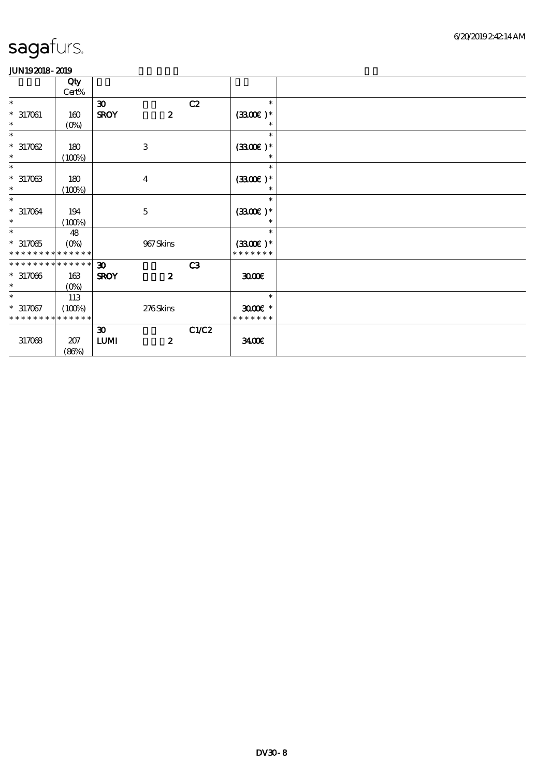|                             | Qty                       |                                  |                  |       |               |  |
|-----------------------------|---------------------------|----------------------------------|------------------|-------|---------------|--|
|                             | Cert%                     |                                  |                  |       |               |  |
| $\ast$                      |                           | $\boldsymbol{\mathfrak{D}}$      |                  | C2    | $\ast$        |  |
| $* 317061$                  | 160                       | <b>SROY</b>                      | $\boldsymbol{z}$ |       | $(3300)$ *    |  |
| $\ast$                      | $(O\%)$                   |                                  |                  |       | $\ast$        |  |
| $\ast$                      |                           |                                  |                  |       | $\ast$        |  |
| $*317062$                   | 180                       |                                  | $\,3$            |       | $(3300)$ *    |  |
| $\ast$                      | (100%)                    |                                  |                  |       | $\ast$        |  |
| $\ast$                      |                           |                                  |                  |       | $\ast$        |  |
| $*317063$                   | 180                       |                                  | $\overline{4}$   |       | $(3300)$ *    |  |
| $\ast$                      | (100%)                    |                                  |                  |       | $\ast$        |  |
| $\ast$                      |                           |                                  |                  |       | $\ast$        |  |
| $*317064$                   | 194                       |                                  | $\mathbf 5$      |       | $(3300)$ *    |  |
| $*$                         | (100%)                    |                                  |                  |       |               |  |
| $\ast$                      | 48                        |                                  |                  |       | $\ast$        |  |
| $*317065$                   | $(O\!\!\!\!\!\!\!/\,\!o)$ |                                  | 967Skins         |       | $(3300)$ *    |  |
| * * * * * * * * * * * * * * |                           |                                  |                  |       | * * * * * * * |  |
| * * * * * * * * * * * * * * |                           | 30 <sub>o</sub>                  |                  | C3    |               |  |
| $*317066$                   | 163                       | <b>SROY</b>                      | $\boldsymbol{z}$ |       | 3000          |  |
| $*$ $*$                     | $(O\%)$                   |                                  |                  |       |               |  |
| $\ast$                      | 113                       |                                  |                  |       | $\ast$        |  |
| $*317067$                   | (100%)                    |                                  | 276Skins         |       | $3000$ $*$    |  |
| * * * * * * * *             | * * * * * *               |                                  |                  |       | * * * * * * * |  |
|                             |                           | $\boldsymbol{\mathfrak{D}}$      |                  | C1/C2 |               |  |
| 317068                      | 207                       | $\textbf{L}\textbf{U}\textbf{M}$ | $\boldsymbol{2}$ |       | 3400          |  |
|                             | (86%)                     |                                  |                  |       |               |  |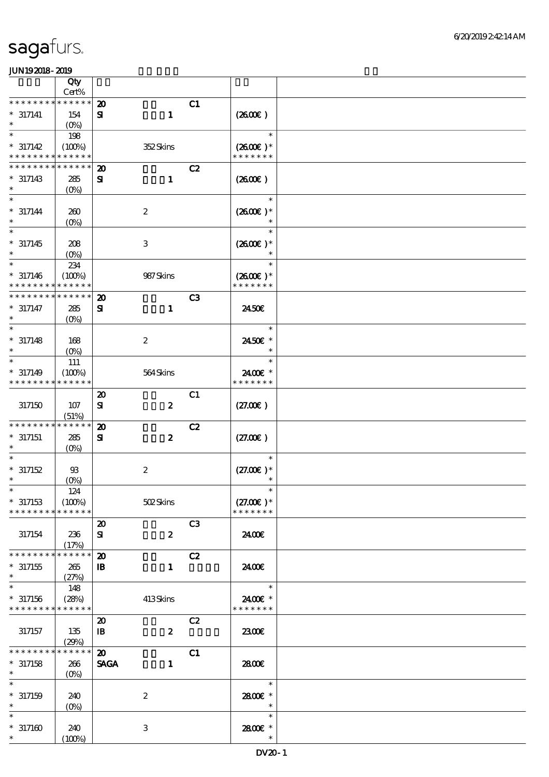|                      | Qty                     |                                  |                |                          |  |
|----------------------|-------------------------|----------------------------------|----------------|--------------------------|--|
| $* * *$              | $Cert\%$<br>* * * * * * |                                  |                |                          |  |
|                      |                         | $\boldsymbol{\mathfrak{D}}$      | C1             |                          |  |
| $* 317141$<br>$\ast$ | 154                     | $\mathbf{1}$<br>$\mathbf{S}$     |                | (260E)                   |  |
| $\ast$               | $(O_0)$<br>198          |                                  |                | $\ast$                   |  |
| $* 317142$           | (100%)                  | 352Skins                         |                | $(2600E)*$               |  |
| * * * * * * * *      | * * * * * *             |                                  |                | * * * * * * *            |  |
| * * * * * * * *      | * * * * * *             | $\boldsymbol{\mathbf{z}}$        | C2             |                          |  |
| $* 317143$           | 285                     | ${\bf s}$<br>$\mathbf{1}$        |                | (260E)                   |  |
| $\ast$               | (O <sub>0</sub> )       |                                  |                |                          |  |
| $\ast$               |                         |                                  |                | $\ast$                   |  |
| $* 317144$           | 260                     | $\boldsymbol{2}$                 |                | $(2600)$ *               |  |
| $\ast$               | $(0\%)$                 |                                  |                |                          |  |
| $\ast$               |                         |                                  |                | $\ast$                   |  |
| $*317145$            | 208                     | $\ensuremath{\mathbf{3}}$        |                | $(2600E)*$               |  |
| $\ast$               | (O <sub>0</sub> )       |                                  |                |                          |  |
| $\ast$               | 234                     |                                  |                | $\ast$                   |  |
| $* 317146$           | (100%)                  | 987Skins                         |                | $(2600)$ *               |  |
| * * * * * * * *      | * * * * * *             |                                  |                | * * * * * * *            |  |
| * * * * * * *        | * * * * * *             | $\boldsymbol{\mathbf{z}}$        | C <sub>3</sub> |                          |  |
| $* 317147$           | 285                     | ${\bf s}$<br>$\mathbf{1}$        |                | 2450E                    |  |
| $\ast$               | $(O\%)$                 |                                  |                |                          |  |
| $\ast$               |                         |                                  |                | $\ast$                   |  |
| $* 317148$           | 168                     | $\boldsymbol{2}$                 |                | 2450€ *                  |  |
| $\ast$               | (O <sub>0</sub> )       |                                  |                | $\ast$                   |  |
| $\ast$               | 111                     |                                  |                | $\ast$                   |  |
| $* 317149$           | (100%)                  | 564Skins                         |                | 2400€ *<br>* * * * * * * |  |
| * * * * * * * *      | * * * * * *             |                                  |                |                          |  |
|                      |                         | $\boldsymbol{\mathfrak{D}}$      | C1             |                          |  |
| 317150               | 107                     | $\boldsymbol{z}$<br>${\bf s}$    |                | (27.00)                  |  |
| * * * * * * * *      | (51%)<br>* * * * * *    | $\boldsymbol{\mathbf{z}}$        | C2             |                          |  |
| $*317151$            | 285                     | $\boldsymbol{z}$<br>${\bf s}$    |                | (27.00)                  |  |
| $\ast$               | $(O\%)$                 |                                  |                |                          |  |
|                      |                         |                                  |                | $\ast$                   |  |
| $*317152$            | 93                      | $\boldsymbol{2}$                 |                | $(27.00)$ *              |  |
| $\ast$               | $(0\%)$                 |                                  |                | $\ast$                   |  |
|                      | 124                     |                                  |                | $\ast$                   |  |
| $*317153$            | (100%)                  | 502Skins                         |                | $(27.00)$ *              |  |
| * * * * * * * *      | * * * * * *             |                                  |                | * * * * * * *            |  |
|                      |                         | $\boldsymbol{\mathfrak{D}}$      | C <sub>3</sub> |                          |  |
| 317154               | 236                     | $\boldsymbol{z}$<br>${\bf s}$    |                | 2400€                    |  |
|                      | (17%)                   |                                  |                |                          |  |
| * * * * * * * *      | * * * * * *             | $\boldsymbol{\mathfrak{D}}$      | C2             |                          |  |
| $*317155$<br>$\ast$  | 265                     | $\mathbf{B}$<br>$\mathbf{1}$     |                | 24.00E                   |  |
| $\ast$               | (27%)                   |                                  |                | $\ast$                   |  |
| $*317156$            | 148<br>(28%)            |                                  |                | 2400€ *                  |  |
| * * * * * * * *      | * * * * * *             | 413Skins                         |                | * * * * * * *            |  |
|                      |                         | $\boldsymbol{\mathfrak{D}}$      | C2             |                          |  |
| 317157               | 135                     | $\boldsymbol{z}$<br>$\mathbf{B}$ |                | 2300E                    |  |
|                      | (29%)                   |                                  |                |                          |  |
| * * * * * * *        | * * * * * *             | $\boldsymbol{\mathfrak{D}}$      | C1             |                          |  |
| $*317158$            | 266                     | <b>SAGA</b><br>$\mathbf{1}$      |                | 2800€                    |  |
| $\ast$               | $(O\!/\!\delta)$        |                                  |                |                          |  |
| $\ast$               |                         |                                  |                | $\ast$                   |  |
| $* 317159$           | 240                     | $\boldsymbol{2}$                 |                | 2800 £*                  |  |
| $\ast$               | $(O\%)$                 |                                  |                | $\ast$                   |  |
| $\ast$               |                         |                                  |                | $\ast$                   |  |
| $*317160$            | 240                     | $\,3\,$                          |                | 2800 £*                  |  |
| $\ast$               | (100%)                  |                                  |                | $\ast$                   |  |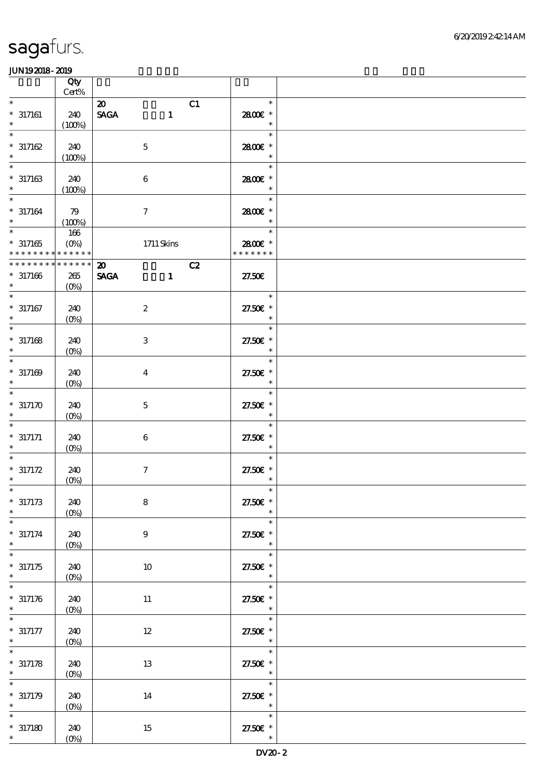|                                          | Qty<br>Cert%       |                             |    |                                      |  |
|------------------------------------------|--------------------|-----------------------------|----|--------------------------------------|--|
| $\ast$                                   |                    | $\boldsymbol{\mathfrak{D}}$ | C1 | $\ast$                               |  |
| $* 317161$<br>$\ast$                     | 240<br>(100%)      | <b>SAGA</b><br>$\mathbf{1}$ |    | 2800€ *<br>$\ast$                    |  |
| $\ast$                                   |                    |                             |    | $\ast$                               |  |
| $* 317162$<br>$\ast$                     | 240<br>(100%)      | $\mathbf 5$                 |    | 2800€ *<br>$\ast$                    |  |
| $\ast$                                   |                    |                             |    | $\ast$                               |  |
| $* 317163$<br>$\ast$                     | 240<br>(100%)      | $\boldsymbol{6}$            |    | 2800€ *<br>$\ast$                    |  |
| $\ast$                                   |                    |                             |    | $\ast$                               |  |
| $* 317164$<br>$\ast$                     | 79<br>(100%)       | $\tau$                      |    | 2800€ *<br>$\ast$                    |  |
| $\ast$                                   | 166                |                             |    | $\ast$                               |  |
| $*317165$<br>* * * * * * * * * * * * * * | $(O\%)$            | 1711 Skins                  |    | 2800€ *<br>* * * * * * *             |  |
| * * * * * * * *                          | * * * * * *        | $\boldsymbol{\mathsf{20}}$  | C2 |                                      |  |
| $* 317166$<br>$\ast$                     | $265\,$<br>$(O\%)$ | <b>SAGA</b><br>$\mathbf{1}$ |    | 27.50E                               |  |
| $\overline{\phantom{1}}$                 |                    |                             |    | e e se<br>$\ast$                     |  |
| $* 317167$<br>$\ast$                     | 240<br>$(O\!/\!o)$ | $\boldsymbol{2}$            |    | 27.50€ *<br>$\ast$                   |  |
| $\ast$                                   |                    |                             |    | $\ast$                               |  |
| $* 317168$<br>$\ast$                     | 240<br>$(0\%)$     | $\,3$                       |    | 27.50€ *<br>$\ast$                   |  |
| $\ast$                                   |                    |                             |    | $\ast$                               |  |
| $* 317169$<br>$\ast$                     | 240<br>$(O\%)$     | $\overline{\mathbf{4}}$     |    | 27.50€ *<br>$\ast$                   |  |
| $\ast$                                   |                    |                             |    | $\ast$                               |  |
| $*317170$<br>$\ast$                      | 240<br>$(0\%)$     | $\mathbf 5$                 |    | 27.50€ *<br>$\ast$                   |  |
| $\ast$                                   |                    |                             |    | $\ast$                               |  |
| $* 317171$                               | 240<br>$(O\%)$     | $\,6\,$                     |    | 27.50€ *<br>$\ast$                   |  |
|                                          |                    |                             |    | $\ast$                               |  |
| $* 317172$<br>$\ast$                     | 240<br>$(0\%)$     | $\boldsymbol{7}$            |    | 27.50€ *<br>$\ast$                   |  |
| $*$                                      |                    |                             |    | $\ast$                               |  |
| $* 317173$<br>$\ast$                     | 240<br>$(0\%)$     | ${\bf 8}$                   |    | 27.50€ *<br>$\ast$                   |  |
| $\ast$                                   |                    |                             |    | $\ast$                               |  |
| $* 317174$<br>$\ast$                     | 240<br>$(0\%)$     | $\boldsymbol{9}$            |    | 27.50€ *<br>$\ast$                   |  |
| $\ast$                                   |                    |                             |    | $\ast$                               |  |
| $*317175$<br>$\ast$                      | 240<br>$(O\%)$     | 10                          |    | 27.50£ *<br>$\ast$                   |  |
| $\ast$                                   |                    |                             |    | $\ast$                               |  |
| $* 317176$<br>$\ast$                     | 240<br>$(0\%)$     | 11                          |    | 27.50£ *<br>$\ast$                   |  |
| $\ast$                                   |                    |                             |    | $\ast$                               |  |
| $* 317177$<br>$\ast$                     | 240<br>$(O\!/\!o)$ | $12 \,$                     |    | 27.50€ *<br>$\ast$                   |  |
|                                          |                    |                             |    | $\ast$                               |  |
| $* 317178$<br>$\ast$                     | 240<br>$(0\%)$     | 13                          |    | $27.50E$ *<br>$\ast$                 |  |
| $\ast$                                   |                    |                             |    | $\ast$                               |  |
| $*317179$<br>$\ast$                      | 240<br>$(0\%)$     | 14                          |    | 27.50€ *<br>$\overline{\phantom{a}}$ |  |
| $\ast$                                   |                    |                             |    | $\ast$                               |  |
| $*317180$                                | 240                | $15\,$                      |    | 27.50€ *                             |  |
|                                          | $(0\%)$            |                             |    | $\ast$                               |  |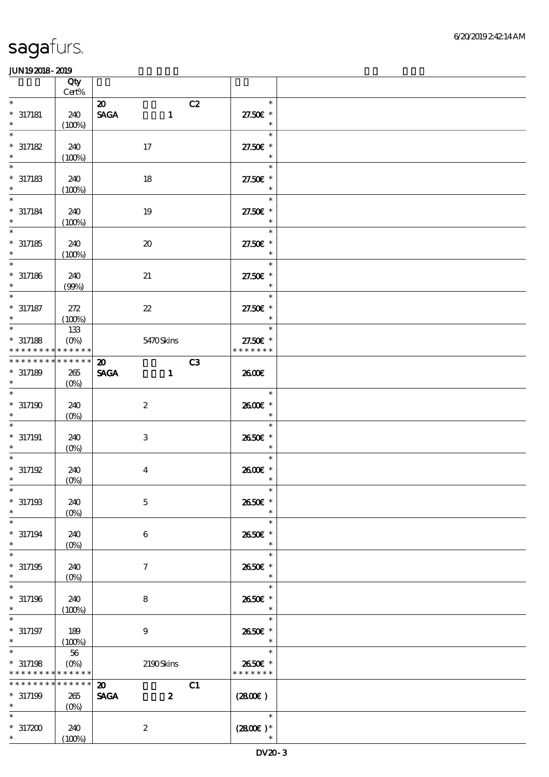|                                                                 | Qty<br>Cert%                      |                                                                |                                     |  |
|-----------------------------------------------------------------|-----------------------------------|----------------------------------------------------------------|-------------------------------------|--|
| $\ast$<br>$* 317181$<br>$\ast$                                  | 240<br>(100%)                     | $\boldsymbol{\mathfrak{D}}$<br><b>SAGA</b><br>$\mathbf{1}$     | C2<br>$\ast$<br>27.50€ *<br>$\ast$  |  |
| $\ast$<br>$* 317182$<br>$\ast$                                  | 240<br>(100%)                     | 17                                                             | $\ast$<br>27.50€ *<br>$\ast$        |  |
| $\ast$<br>$*317183$<br>$\ast$                                   | 240<br>(100%)                     | 18                                                             | $\ast$<br>27.50€ *<br>$\ast$        |  |
| $* 317184$<br>$\ast$                                            | 240<br>(100%)                     | 19                                                             | $\ast$<br>27.50€ *<br>$\ast$        |  |
| $\overline{\ast}$<br>$*317185$<br>$\ast$                        | 240<br>(100%)                     | $\boldsymbol{\mathfrak{D}}$                                    | $\ast$<br>27.50€ *<br>$\ast$        |  |
| $\ast$<br>$* 317186$<br>$\ast$                                  | 240<br>(90%)                      | 21                                                             | $\ast$<br>27.50€ *<br>$\ast$        |  |
| $\ast$<br>$* 317187$<br>$\ast$                                  | 272<br>(100%)                     | $\boldsymbol{\mathcal{Z}}$                                     | $\ast$<br>27.50€ *<br>$\ast$        |  |
| $\overline{\ast}$<br>$*317188$<br>* * * * * * * *               | 133<br>$(O\%)$<br>$* * * * * * *$ | 5470Skins                                                      | $\ast$<br>27.50€ *<br>* * * * * * * |  |
| ******** <mark>******</mark><br>$* 317189$<br>$\ast$            | 265<br>$(O\%)$                    | $\boldsymbol{\mathfrak{D}}$<br><b>SAGA</b><br>$\mathbf{1}$     | C3<br>2600E                         |  |
| $\ast$<br>$*317190$                                             | 240<br>$(O\%)$                    | $\boldsymbol{z}$                                               | $\ast$<br>2600€ *<br>$\ast$         |  |
| $* 317191$<br>$\ast$                                            | 240<br>$(0\%)$                    | $\,3$                                                          | $\ast$<br>2650€ *<br>$\ast$         |  |
| $\ast$<br>$* 317192$<br>$\ast$                                  | 240<br>$(0\%)$                    | $\overline{\mathbf{4}}$                                        | $\ast$<br>2600€ *<br>$\ast$         |  |
| $*$<br>$*317193$<br>$\ast$                                      | 240<br>$(0\%)$                    | $\mathbf 5$                                                    | $\ast$<br>2650€ *<br>$\ast$         |  |
| $\ast$<br>$* 317194$<br>$\ast$                                  | 240<br>$(0\%)$                    | 6                                                              | $\ast$<br>2650E *<br>$\ast$         |  |
| $\ast$<br>$*317195$<br>$\ast$                                   | 240<br>$(O\%)$                    | $\tau$                                                         | $\ast$<br>2650€ *<br>$\ast$         |  |
| $\ast$<br>$* 317196$<br>$\ast$                                  | 240<br>(100%)                     | 8                                                              | $\ast$<br>2650€ *<br>$\ast$         |  |
| $* 317197$<br>$\ast$                                            | 189<br>(100%)                     | $\boldsymbol{9}$                                               | $\ast$<br>2650€ *<br>$\ast$         |  |
| $\ast$<br>$*317198$<br>* * * * * * * * <mark>* * * * * *</mark> | 56<br>$(O\!\!\!\!\!\!\!/\,\!o)$   | 2190Skins                                                      | $\ast$<br>2650€ *<br>* * * * * * *  |  |
| * * * * * * * *<br>$*317199$<br>$\ast$                          | * * * * * *<br>265<br>$(0\%)$     | $\boldsymbol{\mathfrak{D}}$<br><b>SAGA</b><br>$\boldsymbol{z}$ | C1<br>$(2800\varepsilon)$           |  |
| $*317200$<br>$\ast$                                             | 240<br>(100%)                     | $\boldsymbol{2}$                                               | $\ast$<br>$(2800)$ *                |  |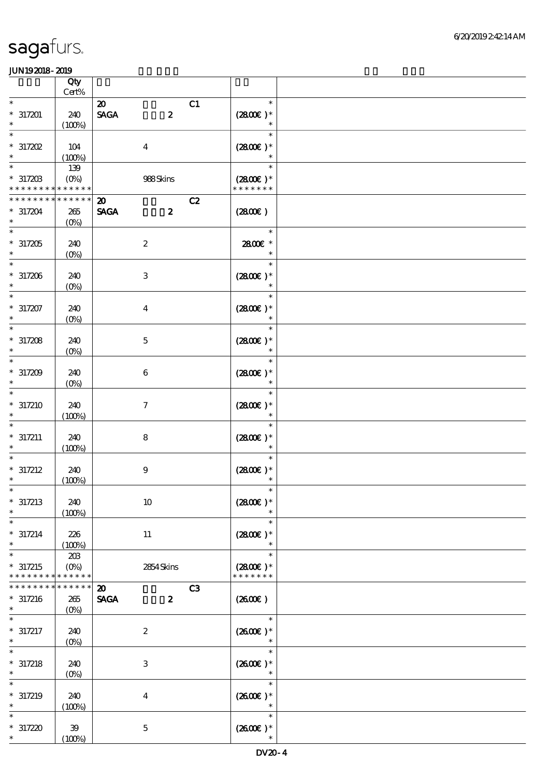|                                         | Qty                           |                                                                                 |                |                                       |  |
|-----------------------------------------|-------------------------------|---------------------------------------------------------------------------------|----------------|---------------------------------------|--|
| $\ast$                                  | $Cert\%$                      |                                                                                 |                | $\ast$                                |  |
| $*317201$<br>$\ast$                     | 240<br>(100%)                 | $\boldsymbol{\mathfrak{D}}$<br>$\ensuremath{\mathsf{SAGA}}$<br>$\boldsymbol{z}$ | C1             | $(2800)$ *<br>$\ast$                  |  |
| $\ast$<br>$*317202$<br>$\ast$           | 104<br>(100%)                 | $\overline{\mathbf{4}}$                                                         |                | $\ast$<br>$(2800)$ *<br>$\ast$        |  |
| $\ast$<br>$* 317203$<br>* * * * * * * * | 139<br>$(O\%)$<br>$******$    | 988Skins                                                                        |                | $\ast$<br>$(2800)$ *<br>* * * * * * * |  |
| * * * * * * * *<br>$* 317204$<br>$\ast$ | * * * * * *<br>265<br>$(O\%)$ | $\boldsymbol{\mathfrak{D}}$<br><b>SAGA</b><br>$\boldsymbol{z}$                  | C2             | (2800)                                |  |
| $\ast$<br>$*317205$<br>$\ast$           | 240<br>$(0\%)$                | $\boldsymbol{2}$                                                                |                | $\ast$<br>2800€ *<br>$\ast$           |  |
| $*317206$<br>$\ast$                     | 240<br>$(O\!/\!o)$            | $\ensuremath{\mathbf{3}}$                                                       |                | $\ast$<br>$(2800)$ *<br>$\ast$        |  |
| $\ast$<br>$* 317207$<br>$\ast$          | 240<br>$(0\%)$                | $\boldsymbol{4}$                                                                |                | $\ast$<br>$(2800)$ *<br>$\ast$        |  |
| $\ast$<br>$*317208$<br>$\ast$           | 240<br>$(0\%)$                | $\mathbf 5$                                                                     |                | $\ast$<br>$(2800)$ *<br>$\ast$        |  |
| $\ast$<br>$* 317209$<br>$\ast$          | 240<br>$(O\!/\!o)$            | $\boldsymbol{6}$                                                                |                | $\ast$<br>$(2800)$ *<br>$\ast$        |  |
| $\ast$<br>$*317210$<br>$\ast$           | 240<br>(100%)                 | $\tau$                                                                          |                | $\ast$<br>$(2800)$ *<br>$\ast$        |  |
| $\ast$<br>$* 317211$<br>$\ast$          | 240<br>(100%)                 | ${\bf 8}$                                                                       |                | $\ast$<br>$(2800)$ *                  |  |
| $* 317212$<br>$\ast$                    | 240<br>(100%)                 | $9$                                                                             |                | $(2800)$ *                            |  |
| $* 317213$<br>$\ast$                    | 240<br>(100%)                 | $10\,$                                                                          |                | $(2800)$ *                            |  |
| $\ast$<br>$* 317214$<br>$\ast$          | 226<br>(100%)                 | $11\,$                                                                          |                | $\ast$<br>$(2800)$ *<br>$\ast$        |  |
| $\ast$<br>$*317215$<br>* * * * * * * *  | 203<br>$(O\%)$<br>* * * * * * | 2854 Skins                                                                      |                | $\ast$<br>$(2800)$ *<br>* * * * * * * |  |
| * * * * * * *<br>$* 317216$<br>$\ast$   | * * * * * *<br>265<br>$(0\%)$ | $\boldsymbol{\mathfrak{D}}$<br><b>SAGA</b><br>$\boldsymbol{z}$                  | C <sub>3</sub> | (2600)                                |  |
| $* 317217$<br>$\ast$                    | 240<br>$(O\!/\!o)$            | $\boldsymbol{2}$                                                                |                | $\ast$<br>$(260E)*$                   |  |
| $*317218$<br>$\ast$                     | 240<br>$(O\!/\!o)$            | $\ensuremath{\mathbf{3}}$                                                       |                | $\ast$<br>$(2600)$ *<br>$\ast$        |  |
| $* 317219$                              | 240<br>(100%)                 | $\boldsymbol{4}$                                                                |                | $\ast$<br>$(2600E)*$<br>$\ast$        |  |
| $*317220$<br>$\ast$                     | 39<br>(100%)                  | $\mathbf 5$                                                                     |                | $\ast$<br>$(2600\text{E})*$<br>$\ast$ |  |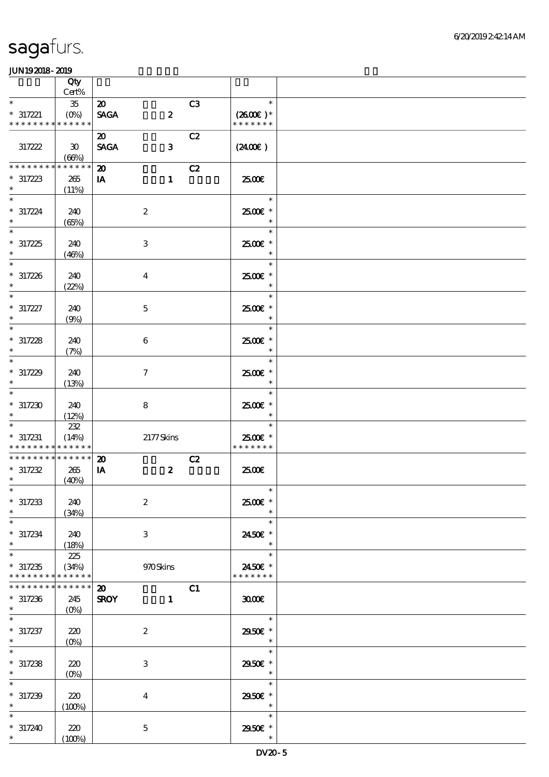|                                                      | Qty                                  |                                            |                           |                |                                       |  |
|------------------------------------------------------|--------------------------------------|--------------------------------------------|---------------------------|----------------|---------------------------------------|--|
|                                                      | Cert%                                |                                            |                           |                |                                       |  |
| $\ast$<br>$* 317221$<br>* * * * * * * * * * * * * *  | $35\,$<br>$(O_0)$                    | $\boldsymbol{\mathfrak{D}}$<br><b>SAGA</b> | $\boldsymbol{z}$          | C <sub>3</sub> | $\ast$<br>$(2600)$ *<br>* * * * * * * |  |
| 317222                                               | $\boldsymbol{\mathfrak{D}}$<br>(66%) | $\boldsymbol{\mathfrak{D}}$<br><b>SAGA</b> | $\mathbf{3}$              | C2             | $(2400\varepsilon)$                   |  |
| <b>********</b><br>$*317223$<br>$\ast$               | * * * * * *<br>265<br>(11%)          | $\boldsymbol{\mathfrak{D}}$<br>IA          | $\mathbf{1}$              | C2             | 2500€                                 |  |
| $\ast$<br>$* 317224$<br>$\ast$                       | 240<br>(65%)                         |                                            | $\boldsymbol{2}$          |                | $\ast$<br>2500€*                      |  |
| $\overline{\ast}$<br>$*317225$<br>$\ast$             | 240<br>(46%)                         |                                            | $\,3$                     |                | $\ast$<br>2500€ *<br>$\ast$           |  |
| $* 317226$<br>$\ast$                                 | 240<br>(22%)                         |                                            | $\boldsymbol{4}$          |                | $\ast$<br>2500€ *<br>$\ast$           |  |
| $\ast$<br>$* 317227$<br>$\ast$                       | 240<br>(9%)                          |                                            | $\mathbf 5$               |                | $\ast$<br>2500€ *<br>$\ast$           |  |
| $\ast$<br>$* 317228$<br>$\ast$                       | 240<br>(7%)                          |                                            | $\bf 6$                   |                | $\ast$<br>2500€ *<br>$\ast$           |  |
| $\ast$<br>$* 317229$<br>$\ast$                       | 240<br>(13%)                         |                                            | $\tau$                    |                | $\ast$<br>$2500$ $*$<br>$\ast$        |  |
| $\ast$<br>$*317230$<br>$\ast$                        | 240<br>(12%)                         |                                            | 8                         |                | $\ast$<br>2500€ *                     |  |
| $\ast$<br>$*317231$<br>* * * * * * * * * * * * * *   | $222\,$<br>(14%)                     |                                            | 2177Skins                 |                | $\ast$<br>2500€ *<br>* * * * * * *    |  |
| * * * * * * * * * * * * * * *<br>$*317232$<br>$\ast$ | 265<br>(40%)                         | $\boldsymbol{\mathfrak{D}}$<br>IA          | $\boldsymbol{z}$          | C2             | 2500€                                 |  |
| $*317233$<br>$\ast$                                  | 240<br>(34%)                         |                                            | $\boldsymbol{2}$          |                | $\overline{\phantom{a}}$<br>2500€ *   |  |
| $\ast$<br>$* 317234$<br>$\ast$                       | 240<br>(18%)                         |                                            | $\ensuremath{\mathsf{3}}$ |                | $\ast$<br>2450€ *<br>$\ast$           |  |
| $\ast$<br>$*317235$<br>* * * * * * * *               | 225<br>(34%)<br>* * * * * *          |                                            | 970Skins                  |                | $\ast$<br>2450€ *<br>* * * * * * *    |  |
| * * * * * * * *<br>$* 317236$<br>$\ast$              | * * * * * *<br>245<br>$(0\%)$        | $\boldsymbol{\mathfrak{D}}$<br><b>SROY</b> | $\mathbf{1}$              | C1             | 3000                                  |  |
| $\ast$<br>$* 317237$<br>$\ast$                       | 220<br>$(O\!/\!\delta)$              |                                            | $\boldsymbol{z}$          |                | $\ast$<br>2950E *<br>$\ast$           |  |
| $*317238$<br>$\ast$                                  | 220<br>$(O\%)$                       |                                            | $\,3\,$                   |                | $\ast$<br>2950E *<br>$\ast$           |  |
| $\ast$<br>$* 317239$                                 | 220<br>(100%)                        |                                            | $\boldsymbol{4}$          |                | $\ast$<br>2950E *<br>$\ast$           |  |
| $\ast$<br>$* 317240$<br>$\ast$                       | 220<br>(100%)                        |                                            | $\mathbf 5$               |                | $\ast$<br>2950€ *<br>$\ast$           |  |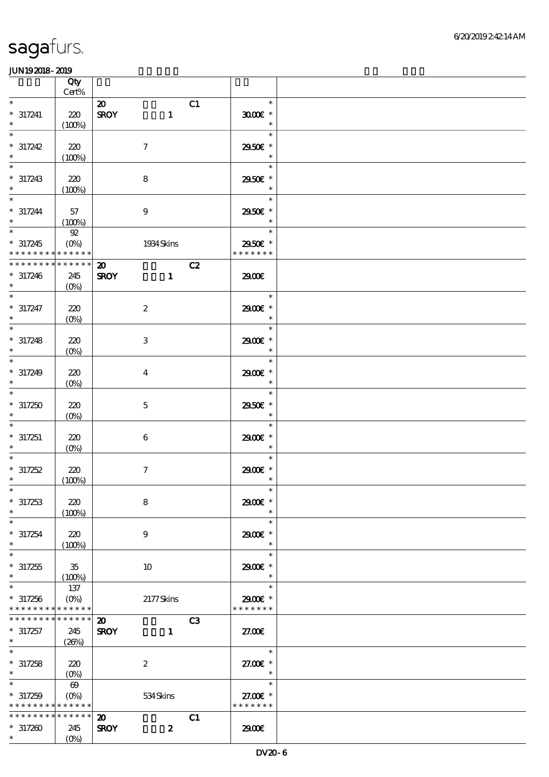|                                                                             | Qty                                        |                                                                              |                                              |  |
|-----------------------------------------------------------------------------|--------------------------------------------|------------------------------------------------------------------------------|----------------------------------------------|--|
| $\ast$                                                                      | $\mbox{Cert}\%$                            | C1<br>$\boldsymbol{\mathfrak{D}}$                                            | $\ast$                                       |  |
| $* 317241$<br>$\ast$                                                        | 220<br>(100%)                              | <b>SROY</b><br>$\mathbf{1}$                                                  | $3000$ $*$<br>$\ast$                         |  |
| $\ast$<br>$* 317242$<br>$\ast$                                              | 220<br>(100%)                              | $\boldsymbol{\tau}$                                                          | $\ast$<br>2950€ *<br>$\ast$                  |  |
| $\ast$<br>$^\ast$ 317243 $^\ast$                                            | 220<br>(100%)                              | $\bf 8$                                                                      | $\ast$<br>2950€ *<br>$\ast$                  |  |
| $\overline{\phantom{0}}$<br>$* 317244$<br>$\ast$                            | 57<br>(100%)                               | $\boldsymbol{9}$                                                             | $\ast$<br>2950€ *<br>$\ast$                  |  |
| $*$<br>$* 317245$<br>* * * * * * * * <mark>* * * * * * *</mark>             | $92\,$<br>$(0\%)$                          | 1934 Skins                                                                   | Tarihi<br>$\ast$<br>2950€ *<br>* * * * * * * |  |
| * * * * * * * * * * * * * *<br>$* 317246$<br>$*$                            | 245<br>$(O\%)$                             | C2<br>$\boldsymbol{\mathfrak{D}}$<br><b>SROY</b><br>$\mathbf{1}$             | 2900€                                        |  |
| $\overline{\ast}$<br>$* 317247$<br>$\ast$                                   | 220<br>$(0\%)$                             | $\boldsymbol{2}$                                                             | $\ast$<br>2900E *<br>$\ast$                  |  |
| $\ast$<br>$* 317248$<br>$\ast$                                              | 220<br>$(0\%)$                             | $\,3\,$                                                                      | $\ast$<br>2900€ *<br>$\ast$                  |  |
| $\ast$<br>$* 317249$<br>$\ast$                                              | 220<br>$(0\%)$                             | $\overline{\mathbf{4}}$                                                      | $\ast$<br>2900€ *<br>$\ast$                  |  |
| $\overline{\ast}$<br>$*317250$<br>$\ast$                                    | 220<br>$(0\%)$                             | $\mathbf 5$                                                                  | $\ast$<br>2950€ *<br>$\ast$                  |  |
| $\ast$<br>$* 317251$<br>$\ast$                                              | 220<br>$(O\%)$                             | $\,6\,$                                                                      | $\ast$<br>2900E *<br>$\ast$                  |  |
| $\ast$<br>$* 317252$<br>$\ast$                                              | 220<br>(100%)                              | $\boldsymbol{7}$                                                             | $\ast$<br>2900€ *<br>$\ast$                  |  |
| $*$<br>$* 317253$<br>$\ast$                                                 | 220<br>(100%)                              | $\bf 8$                                                                      | $\ast$<br>2900€ *<br>$\ast$                  |  |
| $\ast$<br>$*317254$<br>$\ast$                                               | 220<br>(100%)                              | $\boldsymbol{9}$                                                             | $\ast$<br>2900€ *<br>$\ast$                  |  |
| $\ast$<br>$*317255$<br>$\ast$                                               | $35\,$<br>(100%)                           | 10                                                                           | $\ast$<br>2900 £*<br>$\ast$                  |  |
| $\ast$<br>$*317256$<br>* * * * * * * * <mark>* * * * * *</mark>             | 137<br>$(O\%)$                             | 2177Skins                                                                    | $\ast$<br>2900€ *<br>* * * * * * *           |  |
| * * * * * * * *<br>$* 317257$<br>$\ast$                                     | $\ast\ast\ast\ast\ast\ast$<br>245<br>(20%) | C <sub>3</sub><br>$\boldsymbol{\mathfrak{D}}$<br><b>SROY</b><br>$\mathbf{1}$ | 27.00E                                       |  |
| $\ast$<br>$* 317258$<br>$\ast$                                              | 220<br>$(0\%)$                             | $\boldsymbol{2}$                                                             | $\ast$<br>27.00 £*<br>$\ast$                 |  |
| $\overline{\ast}$<br>$* 317259$<br>* * * * * * * * <mark>* * * * * *</mark> | $\boldsymbol{\omega}$<br>$(O\%)$           | 534Skins                                                                     | $\ast$<br>27.00€ *<br>* * * * * * *          |  |
| * * * * * * * *<br>$*317200$<br>$\ast$                                      | * * * * * *<br>245<br>$(O\!/\!o)$          | C1<br>$\boldsymbol{\mathfrak{D}}$<br>$\boldsymbol{z}$<br><b>SROY</b>         | 2900€                                        |  |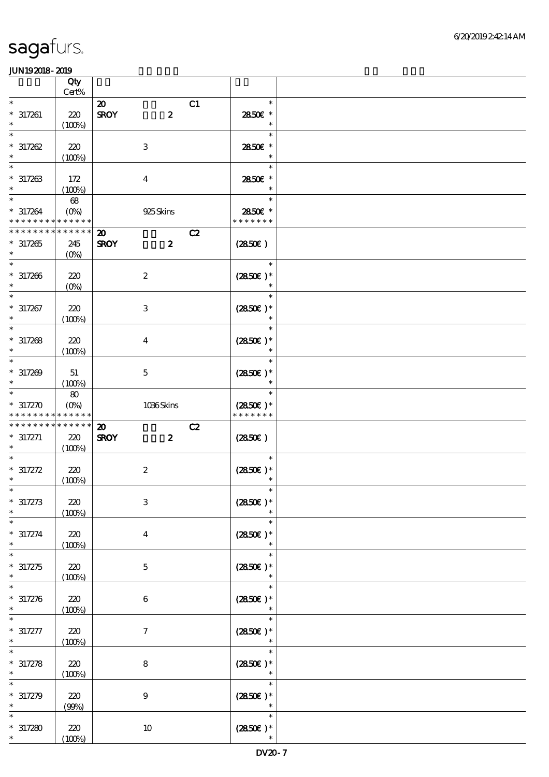|                                                                    | Qty<br>$Cert\%$               |                                                                |                                       |  |
|--------------------------------------------------------------------|-------------------------------|----------------------------------------------------------------|---------------------------------------|--|
| $\ast$<br>$* 317261$<br>$\ast$                                     | $220$<br>(100%)               | $\boldsymbol{\mathfrak{D}}$<br>$\boldsymbol{2}$<br><b>SROY</b> | C1<br>$\ast$<br>2850€ *<br>$\ast$     |  |
| $\ast$<br>$* 317262$<br>$\ast$                                     | 220<br>(100%)                 | $\,3$                                                          | $\ast$<br>2850E *<br>$\ast$           |  |
| $\ast$<br>$* 317263$<br>$\ast$                                     | 172<br>(100%)                 | $\boldsymbol{4}$                                               | $\ast$<br>2850€ *<br>$\ast$           |  |
| $\ast$<br>$* 317264$<br>* * * * * * * * <mark>* * * * * *</mark> * | 68<br>$(O\% )$                | 925Skins                                                       | $\ast$<br>2850€ *<br>* * * * * * *    |  |
| * * * * * * * *<br>$*317265$<br>$\ast$                             | * * * * * *<br>245<br>$(O\%)$ | $\boldsymbol{\mathfrak{D}}$<br><b>SROY</b><br>$\boldsymbol{z}$ | C2<br>(2850)                          |  |
| $* 317266$<br>$\ast$                                               | 220<br>$(O\%)$                | $\boldsymbol{2}$                                               | $\ast$<br>$(2850)$ *                  |  |
| $\ast$<br>$* 317267$<br>$\ast$                                     | 220<br>(100%)                 | $\,3\,$                                                        | $\ast$<br>$(2850)$ *<br>$\ast$        |  |
| $\ast$<br>$* 317268$<br>$\ast$                                     | 220<br>(100%)                 | $\bf{4}$                                                       | $\ast$<br>$(2850)$ *                  |  |
| $\ast$<br>$* 317209$<br>$\ast$                                     | 51<br>(100%)                  | $\mathbf 5$                                                    | $\ast$<br>$(2850)$ *                  |  |
| $\ast$<br>$* 317270$<br>* * * * * * * *                            | 80<br>$(O_0)$<br>* * * * * *  | 1036Skins                                                      | $\ast$<br>$(2850)$ *<br>* * * * * * * |  |
|                                                                    |                               |                                                                |                                       |  |
| * * * * * * * * * * * * * * *<br>$* 317271$                        | 220<br>(100%)                 | $\boldsymbol{\mathbf{z}}$<br><b>SROY</b><br>$\boldsymbol{z}$   | C2<br>(2850)                          |  |
| $* 317272$<br>$\ast$                                               | 220<br>(100%)                 | $\boldsymbol{2}$                                               | $\ast$<br>$(2850)$ *                  |  |
| $* 317273$                                                         | 220<br>(100%)                 | $\,3$                                                          | $\ast$<br>$(2850)$ *                  |  |
| $\ast$<br>$* 317274$<br>$\ast$                                     | 220<br>(100%)                 | $\bf{4}$                                                       | $\ast$<br>$(2850)$ *<br>$\ast$        |  |
| $* 317275$<br>$\ast$                                               | 220<br>(100%)                 | $\mathbf 5$                                                    | $\ast$<br>$(2850)$ *<br>$\ast$        |  |
| $\ast$<br>$* 317276$<br>$\ast$                                     | 220<br>(100%)                 | 6                                                              | $\ast$<br>$(2850)$ *                  |  |
| $* 317277$                                                         | 220<br>(100%)                 | 7                                                              | $\ast$<br>$(2850)$ *                  |  |
| $* 317278$<br>$\ast$                                               | 220<br>(100%)                 | $\bf 8$                                                        | $\ast$<br>$(2850)$ *<br>$\ast$        |  |
| $* 317279$<br>$\ast$<br>$\ast$                                     | 220<br>(90%)                  | $9\,$                                                          | $\ast$<br>$(2850)$ *<br>$\ast$        |  |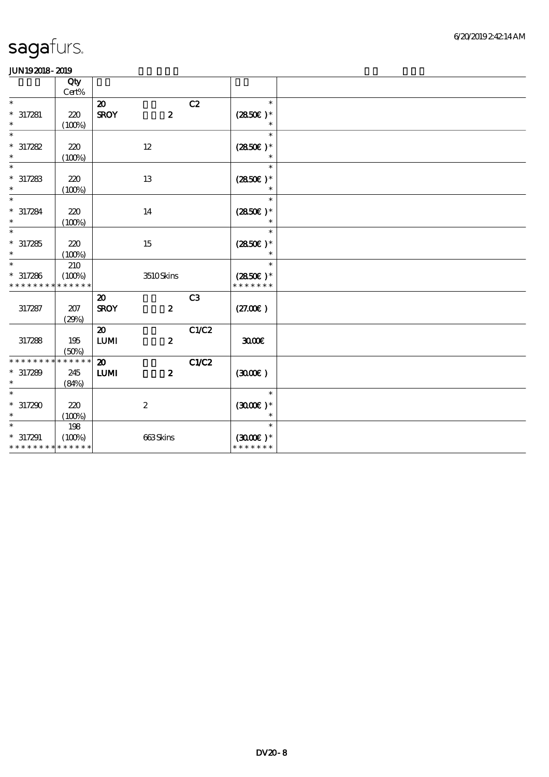|                             | Qty<br>Cert% |                             |                  |                |                   |  |
|-----------------------------|--------------|-----------------------------|------------------|----------------|-------------------|--|
| $\ast$                      |              | $\boldsymbol{\mathfrak{D}}$ |                  | C2             | $\ast$            |  |
| $* 317281$                  | 220          | <b>SROY</b>                 | $\boldsymbol{z}$ |                | $(2850)$ *        |  |
| $\ast$                      |              |                             |                  |                |                   |  |
|                             | (100%)       |                             |                  |                |                   |  |
| $\ast$                      |              |                             |                  |                | $\ast$            |  |
| $* 317282$                  | 220          |                             | 12               |                | $(2850)$ *        |  |
| $\ast$                      | (100%)       |                             |                  |                | $\ast$            |  |
| $\ast$                      |              |                             |                  |                | $\ast$            |  |
| $* 317283$                  | 220          |                             | 13               |                | $(2850)$ *        |  |
| $\ast$                      |              |                             |                  |                | $\ast$            |  |
| $\ast$                      | (100%)       |                             |                  |                | $\ast$            |  |
|                             |              |                             |                  |                |                   |  |
| $* 317284$                  | 220          |                             | 14               |                | $(2850)$ *        |  |
| $\ast$                      | (100%)       |                             |                  |                |                   |  |
| $\ast$                      |              |                             |                  |                | $\ast$            |  |
| $* 317285$                  | 220          |                             | 15               |                | $(2850\epsilon)*$ |  |
| $\ast$                      | (100%)       |                             |                  |                | $\ast$            |  |
| $\ast$                      | 210          |                             |                  |                | $\ast$            |  |
|                             |              |                             |                  |                |                   |  |
| $* 317286$                  | (100%)       |                             | 3510Skins        |                | $(2850\epsilon)*$ |  |
| * * * * * * * *             | * * * * * *  |                             |                  |                | * * * * * * *     |  |
|                             |              | $\boldsymbol{\mathfrak{D}}$ |                  | C <sub>3</sub> |                   |  |
| 317287                      | 207          | <b>SROY</b>                 | $\boldsymbol{z}$ |                | (27.00)           |  |
|                             | (29%)        |                             |                  |                |                   |  |
|                             |              | $\boldsymbol{\mathfrak{D}}$ |                  | C1/C2          |                   |  |
|                             |              |                             |                  |                |                   |  |
| 317288                      | 195          | ${\bf LUM}$                 | $\pmb{2}$        |                | 3000              |  |
|                             | (50%)        |                             |                  |                |                   |  |
| * * * * * * * *             | ******       | $\boldsymbol{\mathfrak{D}}$ |                  | <b>C1/C2</b>   |                   |  |
| $* 317289$                  | 245          | ${\bf LUM}$                 | $\boldsymbol{z}$ |                | (300)             |  |
| $\ast$                      | (84%)        |                             |                  |                |                   |  |
| $\ast$                      |              |                             |                  |                | $\ast$            |  |
| $*317290$                   | 220          |                             | $\boldsymbol{2}$ |                | $(300E)*$         |  |
|                             |              |                             |                  |                | $\ast$            |  |
| $\ast$                      | (100%)       |                             |                  |                | $\ast$            |  |
|                             | 198          |                             |                  |                |                   |  |
| $* 317291$                  | (100%)       |                             | 663Skins         |                | $(300E)*$         |  |
| * * * * * * * * * * * * * * |              |                             |                  |                | * * * * * * *     |  |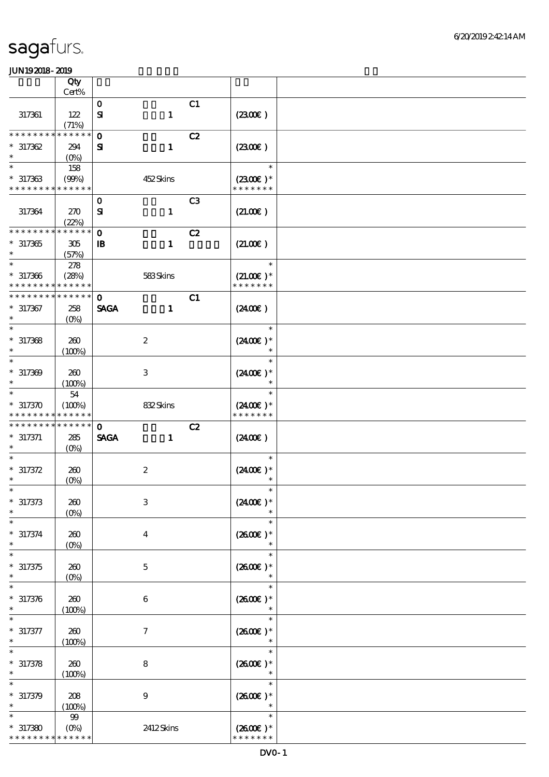|                               | Qty                               |                              |    |                              |  |
|-------------------------------|-----------------------------------|------------------------------|----|------------------------------|--|
|                               | Cert%                             | $\mathbf{o}$                 | C1 |                              |  |
| 317361                        | 122<br>(71%)                      | $\mathbf 1$<br>${\bf s}$     |    | (230E)                       |  |
| * * * * * * *                 | * * * * * *                       | $\mathbf 0$                  | C2 |                              |  |
| $*317362$<br>$\ast$           | 294<br>$(O\%)$                    | $\mathbf{1}$<br>${\bf s}$    |    | (230E)                       |  |
| $\ast$                        | 158                               |                              |    | $\ast$                       |  |
| $* 317363$<br>* * * * * * * * | (90%)<br>* * * * * *              | 452Skins                     |    | $(2300E)*$<br>* * * * * * *  |  |
|                               |                                   | $\mathbf 0$                  | C3 |                              |  |
| 317364                        | 270<br>(22%)                      | ${\bf s}$<br>$\mathbf{1}$    |    | (21.00)                      |  |
| * * * * * * *                 | * * * * * *                       | $\mathbf 0$                  | C2 |                              |  |
| $*317365$<br>$\ast$           | 305<br>(57%)                      | $\mathbf{1}$<br>$\mathbf{B}$ |    | (21.00)                      |  |
| $\ast$                        | 278                               |                              |    | $\ast$                       |  |
| $* 317366$<br>* * * * * * * * | (28%)<br>* * * * * *              | 583Skins                     |    | $(21.00)$ *<br>* * * * * * * |  |
| * * * * * * * *               | * * * * * *                       | $\mathbf{O}$                 | C1 |                              |  |
| $* 317367$<br>$\ast$          | 258<br>$(O\%)$                    | <b>SAGA</b><br>$\mathbf{1}$  |    | (240E)                       |  |
| $\ast$                        |                                   |                              |    | $\ast$                       |  |
| $*317368$<br>$\ast$           | 260<br>(100%)                     | $\boldsymbol{2}$             |    | $(2400E)*$<br>$\ast$         |  |
| $\ast$                        |                                   |                              |    | $\ast$                       |  |
| $* 317309$<br>$\ast$          | 260<br>(100%)                     | 3                            |    | $(2400)$ *<br>$\ast$         |  |
| $\ast$                        | 54                                |                              |    | $\ast$                       |  |
| $*317370$<br>* * * * * * *    | (100%)<br>* * * * * *             | 832Skins                     |    | $(2400)$ *<br>* * * * * * *  |  |
| * * * * * * * *               | * * * * * *                       | $\mathbf 0$                  | C2 |                              |  |
| $* 317371$<br>$\ast$          | 285<br>$(O\%)$                    | <b>SAGA</b><br>$\mathbf{1}$  |    | (240E)                       |  |
|                               |                                   |                              |    | $\ast$                       |  |
| $* 317372$                    | 260                               | $\boldsymbol{2}$             |    | $(2400)$ *                   |  |
| $\ast$<br>$*$                 | (0%)                              |                              |    | $\ast$<br>$\ast$             |  |
| $* 317373$                    | 260                               | $\,3$                        |    | $(2400)$ *                   |  |
| $\ast$                        | $(0\%)$                           |                              |    | $\ast$                       |  |
| $* 317374$<br>$\ast$          | 260<br>$(0\%)$                    | $\bf{4}$                     |    | $(2600E)*$<br>$\ast$         |  |
| $\ast$                        |                                   |                              |    | $\ast$                       |  |
| $* 317375$<br>$\ast$          |                                   |                              |    |                              |  |
|                               | 260                               | $\mathbf 5$                  |    | $(2600)$ *<br>$\ast$         |  |
| $\ast$                        | $(0\%)$                           |                              |    | $\ast$                       |  |
| $* 317376$<br>$\ast$          | 260                               | $\boldsymbol{6}$             |    | $(2600E)*$<br>$\ast$         |  |
| $\ast$                        | (100%)                            |                              |    | $\ast$                       |  |
| $* 317377$<br>$\ast$          | 260<br>(100%)                     | $\boldsymbol{7}$             |    | $(2600)$ *<br>$\ast$         |  |
|                               |                                   |                              |    | $\ast$                       |  |
| $* 317378$<br>$\ast$          | 260<br>(100%)                     | $\bf 8$                      |    | $(2600)$ *<br>$\ast$         |  |
|                               |                                   |                              |    | $\ast$                       |  |
| $* 317379$<br>$\ast$          | 208<br>(100%)                     | $\boldsymbol{9}$             |    | $(2600)$ *<br>$\ast$         |  |
| $\ast$                        | $9\hskip-2pt9$                    |                              |    | $\ast$                       |  |
| $*317380$<br>* * * * * * * *  | $(O\!/\!\!\delta)$<br>* * * * * * | 2412Skins                    |    | $(2600E)*$<br>* * * * * * *  |  |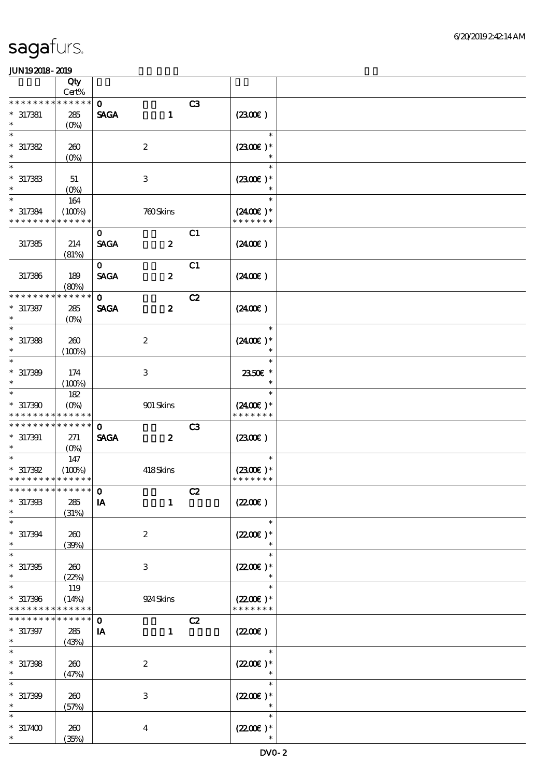|                                                     | Qty<br>Cert%                  |                             |                  |                |                                                 |  |
|-----------------------------------------------------|-------------------------------|-----------------------------|------------------|----------------|-------------------------------------------------|--|
| * * * * * * * *                                     | * * * * * *                   | $\mathbf{o}$                |                  |                |                                                 |  |
| $* 317381$<br>$\ast$                                | 285<br>$(O\!/\!\!\delta)$     | <b>SAGA</b>                 | $\mathbf{1}$     | C3             | (230E)                                          |  |
| $\ast$<br>$*317382$<br>$\ast$                       | 260<br>$(0\%)$                | $\boldsymbol{2}$            |                  |                | $\ast$<br>$(2300)$ *<br>$\ast$                  |  |
| $\ast$<br>$*317383$<br>$\ast$                       | 51<br>$(O\%)$                 | $\,3$                       |                  |                | $\ast$<br>$(2300E)*$<br>$\ast$                  |  |
| $\ast$<br>$* 317384$<br>* * * * * * * *             | 164<br>(100%)<br>* * * * * *  |                             | 760Skins         |                | $\ast$<br>$(2400)$ *<br>* * * * * * *           |  |
| 317385                                              | 214<br>(81%)                  | $\mathbf{O}$<br><b>SAGA</b> | $\boldsymbol{z}$ | C1             | (240E)                                          |  |
| 317386                                              | 189<br>(80%)                  | $\mathbf{O}$<br><b>SAGA</b> | $\boldsymbol{z}$ | C1             | (240E)                                          |  |
| * * * * * * * *<br>$* 317387$<br>$\ast$             | * * * * * *<br>285<br>$(O\%)$ | $\mathbf{O}$<br><b>SAGA</b> | $\boldsymbol{z}$ | C2             | (240E)                                          |  |
| $\ast$<br>$*317388$<br>$\ast$                       | 260<br>(100%)                 | $\boldsymbol{2}$            |                  |                | $\ast$<br>$(2400E)*$<br>$\ast$                  |  |
| $\ast$<br>$* 317389$<br>$\ast$                      | 174<br>(100%)                 | 3                           |                  |                | $\ast$<br>2350E *<br>$\ast$                     |  |
| $\ast$<br>$*317300$<br>* * * * * * * *              | 182<br>$(O\%)$<br>* * * * * * |                             | 901 Skins        |                | $\ast$<br>$(2400)$ *<br>* * * * * * *           |  |
| * * * * * * * * * * * * * *<br>$* 317391$<br>$\ast$ | 271<br>$(O_0)$                | $\mathbf 0$<br><b>SAGA</b>  | $\boldsymbol{z}$ | C <sub>3</sub> | (230)                                           |  |
| $* 317392$<br>* * * * * * * * * * * * * *           | 147<br>(100%)                 |                             | 418Skins         |                | $\ast$<br>$(2300)$ *<br>* * * * * * *           |  |
| ******************* 0<br>$* 317393$<br>$\ast$       | 285<br>(31%)                  | IA                          | $\mathbf{1}$     | C2             | $(2200\varepsilon)$                             |  |
| $\ast$<br>$* 317394$<br>$\ast$                      | 260<br>(30%)                  | $\boldsymbol{2}$            |                  |                | $\ast$<br>$(2200\varepsilon)*$<br>$\ast$        |  |
| $\ast$<br>$*317395$<br>$\ast$                       | 260<br>(22%)                  | 3                           |                  |                | $\ast$<br>$(2200\varepsilon)*$<br>$\ast$        |  |
| $\ast$<br>$*317396$<br>* * * * * * * *              | 119<br>(14%)<br>* * * * * *   |                             | 924 Skins        |                | $\ast$<br>$(2200\varepsilon)*$<br>* * * * * * * |  |
| * * * * * * *<br>$* 317397$                         | * * * * * *<br>285<br>(43%)   | $\mathbf{o}$<br>IA          | $\mathbf{1}$     | C2             | (220E)                                          |  |
| $* 317398$<br>$\ast$                                | 260<br>(47%)                  | $\boldsymbol{2}$            |                  |                | $\ast$<br>$(220E)^*$                            |  |
| $\ast$<br>$* 317399$<br>$\ast$                      | 260<br>(57%)                  | $\ensuremath{\mathbf{3}}$   |                  |                | $\ast$<br>$(2200\varepsilon)*$                  |  |
| $\ast$<br>$*317400$                                 | 260<br>(35%)                  | $\boldsymbol{4}$            |                  |                | $\ast$<br>$(2200)$ *<br>$\ast$                  |  |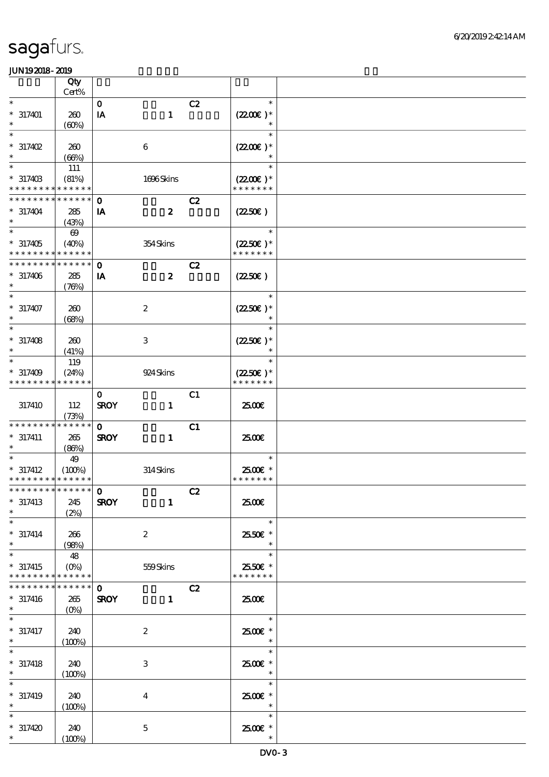|                             | Qty                             |                         |                  |    |                      |  |
|-----------------------------|---------------------------------|-------------------------|------------------|----|----------------------|--|
|                             | Cert%                           |                         |                  |    |                      |  |
| $\ast$                      |                                 | $\mathbf{o}$            |                  | C2 | $\ast$               |  |
| $* 317401$                  | 260                             | $\mathbf{I} \mathbf{A}$ | $\mathbf{1}$     |    | $(2200)$ *           |  |
| $\ast$                      | (60%)                           |                         |                  |    | $\ast$               |  |
| $\ast$                      |                                 |                         |                  |    | $\ast$               |  |
| $*317402$                   | 260                             |                         | $\boldsymbol{6}$ |    | $(2200)$ *           |  |
| $\ast$                      |                                 |                         |                  |    | $\ast$               |  |
| $\ast$                      | (66%)                           |                         |                  |    | $\ast$               |  |
|                             | 111                             |                         |                  |    |                      |  |
| $* 31740B$                  | (81%)                           |                         | 1696Skins        |    | $(2200\varepsilon)*$ |  |
| * * * * * * * *             | * * * * * *                     |                         |                  |    | * * * * * * *        |  |
| * * * * * * *               | * * * * * *                     | $\mathbf{o}$            |                  | C2 |                      |  |
| $* 317404$                  | 285                             | IA                      | $\boldsymbol{z}$ |    | (2250)               |  |
| $\ast$                      | (43%)                           |                         |                  |    |                      |  |
| $\ast$                      | $\boldsymbol{\omega}$           |                         |                  |    | $\ast$               |  |
| $*317405$                   | (40%)                           |                         | 354Skins         |    | $(2250\epsilon)*$    |  |
| * * * * * * * * * * * * * * |                                 |                         |                  |    | * * * * * * *        |  |
| * * * * * * * *             | * * * * * *                     |                         |                  |    |                      |  |
|                             |                                 | $\mathbf 0$             |                  | C2 |                      |  |
| $* 317406$                  | 285                             | IA                      | $\boldsymbol{z}$ |    | (2250)               |  |
| $\ast$                      | (76%)                           |                         |                  |    |                      |  |
| $\ast$                      |                                 |                         |                  |    | $\ast$               |  |
| $* 317407$                  | 260                             |                         | $\boldsymbol{2}$ |    | $(2250)$ *           |  |
|                             | (68%)                           |                         |                  |    |                      |  |
| $\ast$                      |                                 |                         |                  |    | $\ast$               |  |
| $* 317408$                  | 260                             |                         | $\,3\,$          |    | $(2250)$ *           |  |
| $\ast$                      | (41%)                           |                         |                  |    | $\ast$               |  |
| $\ast$                      | 119                             |                         |                  |    | $\ast$               |  |
|                             |                                 |                         |                  |    |                      |  |
| $* 317409$                  | (24%)                           |                         | 924 Skins        |    | $(2250\varepsilon)*$ |  |
| * * * * * * * *             | * * * * * *                     |                         |                  |    | * * * * * * *        |  |
|                             |                                 | $\mathbf 0$             |                  | C1 |                      |  |
| 317410                      | 112                             | <b>SROY</b>             | $\mathbf{1}$     |    | 2500€                |  |
|                             | (73%)                           |                         |                  |    |                      |  |
| * * * * * * * *             | * * * * * *                     | $\mathbf 0$             |                  | C1 |                      |  |
| $* 317411$                  | 265                             | <b>SROY</b>             | $\mathbf{1}$     |    | 2500€                |  |
| $\ast$                      | (86%)                           |                         |                  |    |                      |  |
|                             | 49                              |                         |                  |    | $\ast$               |  |
| $*317412$                   | (100%)                          |                         | 314Skins         |    | 2500€ *              |  |
| * * * * * * * * * * * * * * |                                 |                         |                  |    | * * * * * * *        |  |
|                             |                                 |                         |                  | C2 |                      |  |
| $*317413$                   | 245                             | <b>SROY</b>             |                  |    | 2500€                |  |
| $\ast$                      |                                 |                         | $\mathbf{1}$     |    |                      |  |
| $\ast$                      | (2%)                            |                         |                  |    | $\ast$               |  |
|                             |                                 |                         |                  |    |                      |  |
| $* 317414$                  | 266                             |                         | $\boldsymbol{2}$ |    | 2550€ *              |  |
| $\ast$                      | (98%)                           |                         |                  |    | $\ast$               |  |
| $\ast$                      | 48                              |                         |                  |    | $\ast$               |  |
| $*317415$                   | $(0\%)$                         |                         | 559Skins         |    | 2550€ *              |  |
| * * * * * * * *             | * * * * * *                     |                         |                  |    | * * * * * * *        |  |
| * * * * * * *               | $* * * * * * *$                 | $\mathbf 0$             |                  | C2 |                      |  |
| $* 317416$                  | 265                             | <b>SROY</b>             | $\mathbf{1}$     |    | 2500E                |  |
| $\ast$                      | $(O\!\!\!\!\!\!\backslash\rho)$ |                         |                  |    |                      |  |
| $\ast$                      |                                 |                         |                  |    | $\ast$               |  |
| $* 317417$                  | 240                             |                         | $\boldsymbol{2}$ |    | 2500€*               |  |
| $\ast$                      |                                 |                         |                  |    | $\ast$               |  |
|                             | (100%)                          |                         |                  |    | $\ast$               |  |
|                             |                                 |                         |                  |    |                      |  |
| $*317418$                   | 240                             |                         | 3                |    | 2500€ *              |  |
| $\ast$                      | (100%)                          |                         |                  |    | $\ast$               |  |
|                             |                                 |                         |                  |    | $\ast$               |  |
| $* 317419$                  | 240                             |                         | $\bf{4}$         |    | 2500€*               |  |
| $\ast$                      | (100%)                          |                         |                  |    | $\ast$               |  |
| $\ast$                      |                                 |                         |                  |    | $\ast$               |  |
| $*317420$                   | 240                             |                         | $\bf 5$          |    | 2500€ *              |  |
| $*$                         | (100%)                          |                         |                  |    | $\ast$               |  |
|                             |                                 |                         |                  |    |                      |  |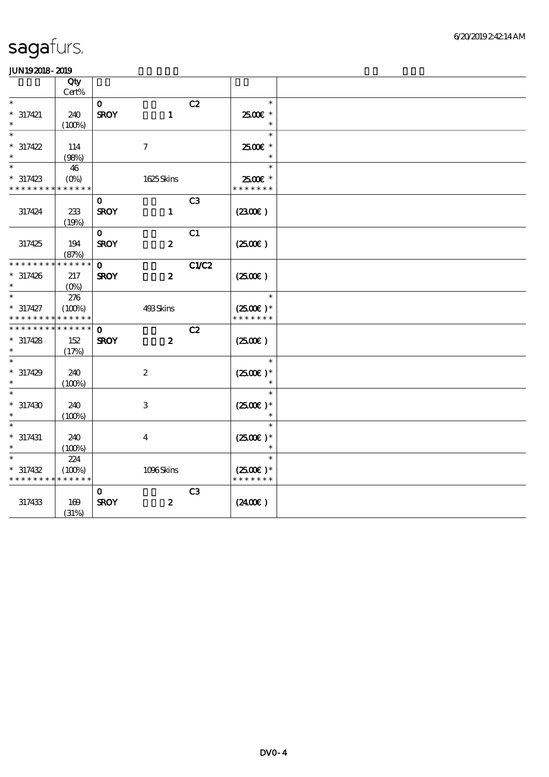|                      | Qty<br>Cert%  |              |                     |                |                                |  |
|----------------------|---------------|--------------|---------------------|----------------|--------------------------------|--|
| $\ast$               |               | $\mathbf{o}$ |                     | C2             | $\ast$                         |  |
| $* 317421$<br>$\ast$ | 240<br>(100%) | <b>SROY</b>  | $\mathbf{1}$        |                | 2500€ *<br>$\ast$              |  |
| $\overline{\ast}$    |               |              |                     |                | $\ast$                         |  |
| $* 317422$           | 114           |              | $\boldsymbol{\tau}$ |                | 2500€ *                        |  |
| $\ast$               | (98%)         |              |                     |                | $\ast$                         |  |
| $\ast$               | 46            |              |                     |                | $\ast$                         |  |
| $* 317423$           | $(O\%)$       |              | 1625Skins           |                | 2500€ *                        |  |
| * * * * * * * *      | * * * * * *   |              |                     |                | * * * * * * *                  |  |
|                      |               | $\mathbf 0$  |                     | C <sub>3</sub> |                                |  |
| 317424               | 233           | <b>SROY</b>  | $\mathbf{1}$        |                | (2300)                         |  |
|                      | (19%)         |              |                     |                |                                |  |
|                      |               | $\mathbf 0$  |                     | C1             |                                |  |
| 317425               | 194           | <b>SROY</b>  | $\boldsymbol{z}$    |                | (250E)                         |  |
|                      | (87%)         |              |                     |                |                                |  |
| * * * * * * *        | * * * * * *   | $\mathbf{o}$ |                     | <b>C1/C2</b>   |                                |  |
| $* 317426$           | 217           | <b>SROY</b>  | $\boldsymbol{z}$    |                | (2500)                         |  |
| $\ast$               | $(O\%)$       |              |                     |                |                                |  |
| $\ast$               | 276           |              |                     |                | $\ast$                         |  |
| $* 317427$           | (100%)        |              | 493Skins            |                | $(2500)$ *                     |  |
| * * * * * * * *      | * * * * * *   |              |                     |                | * * * * * * *                  |  |
| * * * * * * *        | * * * * * *   | $\mathbf 0$  |                     | C2             |                                |  |
| $* 317428$           | 152           | <b>SROY</b>  | $\boldsymbol{z}$    |                | (250)                          |  |
| $\ast$               | (17%)         |              |                     |                | $\ast$                         |  |
|                      |               |              |                     |                |                                |  |
| $* 317429$<br>$\ast$ | 240           |              | $\boldsymbol{2}$    |                | $(2500)$ *                     |  |
|                      | (100%)        |              |                     |                | $\ast$                         |  |
|                      |               |              |                     |                |                                |  |
| $* 317430$<br>$\ast$ | 240           |              | $\,3$               |                | $(2500)$ *<br>$\ast$           |  |
| $\ast$               | (100%)        |              |                     |                | $\ast$                         |  |
|                      |               |              |                     |                |                                |  |
| $* 317431$<br>$\ast$ | 240           |              | $\boldsymbol{4}$    |                | $(2500\varepsilon)*$<br>$\ast$ |  |
|                      | (100%)<br>224 |              |                     |                | $\ast$                         |  |
| $* 317432$           | (100%)        |              | 1096Skins           |                | $(2500)$ *                     |  |
| * * * * * * * *      | * * * * * *   |              |                     |                | * * * * * * *                  |  |
|                      |               | 0            |                     | C3             |                                |  |
| 317433               | 169           | <b>SROY</b>  | $\boldsymbol{z}$    |                | (240E)                         |  |
|                      | (31%)         |              |                     |                |                                |  |
|                      |               |              |                     |                |                                |  |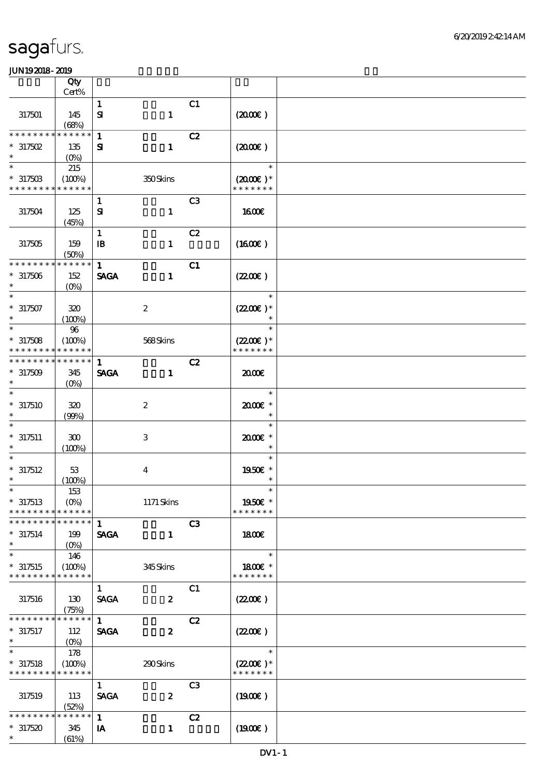|                               | Qty                    |                           |                           |    |                                       |  |
|-------------------------------|------------------------|---------------------------|---------------------------|----|---------------------------------------|--|
|                               | Cert%                  |                           |                           |    |                                       |  |
| 317501                        | 145<br>(68%)           | $\mathbf{1}$<br>${\bf s}$ | $\mathbf{1}$              | C1 | (200E)                                |  |
| * * * * * * *                 | * * * * * *            | $\mathbf{1}$              |                           | C2 |                                       |  |
| $*317502$<br>$\ast$           | 135<br>$(O\%)$         | ${\bf s}$                 | $\mathbf{1}$              |    | (200E)                                |  |
| $\ast$                        | 215                    |                           |                           |    | $\ast$                                |  |
| $*31750B$<br>* * * * * * * *  | (100%)<br>* * * * * *  |                           | 350Skins                  |    | $(2000\varepsilon)*$<br>* * * * * * * |  |
|                               |                        | $\mathbf{1}$              |                           | C3 |                                       |  |
| 317504                        | 125<br>(45%)           | ${\bf s}$                 | $\mathbf{1}$              |    | <b>1600€</b>                          |  |
|                               |                        | $\mathbf{1}$              |                           | C2 |                                       |  |
| 317505                        | 159<br>(50%)           | $\mathbf{B}$              | $\mathbf{1}$              |    | (1600)                                |  |
| * * * * * * * *               | * * * * * *            | $\mathbf{1}$              |                           | C1 |                                       |  |
| $*317506$                     | 152<br>$(O\%)$         | <b>SAGA</b>               | $\mathbf{1}$              |    | (220E)                                |  |
| $\ast$                        |                        |                           |                           |    | $\ast$                                |  |
| $* 317507$<br>$\ast$          | 320<br>(100%)          |                           | $\boldsymbol{2}$          |    | $(2200)$ *<br>$\ast$                  |  |
| $\ast$                        | 96                     |                           |                           |    | $\ast$                                |  |
| $*317508$<br>* * * * * * * *  | (100%)<br>* * * * * *  |                           | 568Skins                  |    | $(2200)$ *<br>* * * * * * *           |  |
| * * * * * * * *               | * * * * * *            | $\mathbf{1}$              |                           | C2 |                                       |  |
| $*317509$<br>$\ast$           | 345<br>$(O\%)$         | <b>SAGA</b>               | $\mathbf{1}$              |    | 2000                                  |  |
| $\ast$<br>$*317510$<br>$\ast$ | 320<br>(99%)           |                           | $\boldsymbol{2}$          |    | $\ast$<br>2000€*<br>$\ast$            |  |
| $\ast$<br>$*317511$           | 300<br>(100%)          |                           | $\ensuremath{\mathsf{3}}$ |    | $\ast$<br>2000E*<br>$\ast$            |  |
|                               |                        |                           |                           |    | $\ast$                                |  |
| $*317512$<br>$\ast$           | 53<br>(100%)           |                           | $\boldsymbol{4}$          |    | 1950E *<br>$\ast$                     |  |
| $*$                           | 153                    |                           |                           |    | $\ast$                                |  |
| $*317513$<br>* * * * * * * *  | $(O\%)$<br>* * * * * * |                           | 1171 Skins                |    | 1950€ *<br>* * * * * * *              |  |
| * * * * * * * *               | * * * * * *            | $\mathbf{1}$              |                           | C3 |                                       |  |
| $*317514$<br>$\ast$           | 199<br>$(O\%)$         | <b>SAGA</b>               | $\mathbf{1}$              |    | 1800E                                 |  |
| $\ast$                        | 146                    |                           |                           |    | $\ast$                                |  |
| $*317515$<br>* * * * * * * *  | (100%)<br>* * * * * *  |                           | 345Skins                  |    | 1800€ *<br>* * * * * * *              |  |
|                               |                        | $\mathbf{1}$              |                           | C1 |                                       |  |
| 317516                        | 130<br>(75%)           | <b>SAGA</b>               | $\boldsymbol{z}$          |    | (220E)                                |  |
| * * * * * * * *               | * * * * * *            | $\mathbf{1}$              |                           | C2 |                                       |  |
| $*317517$<br>$\ast$           | 112<br>$(O_0)$         | <b>SAGA</b>               | $\boldsymbol{z}$          |    | (220E)                                |  |
|                               | 178                    |                           |                           |    | $\ast$                                |  |
| $*317518$<br>* * * * * * * *  | (100%)<br>* * * * * *  |                           | 290Skins                  |    | $(2200)$ *<br>* * * * * * *           |  |
|                               |                        | $\mathbf{1}$              |                           | C3 |                                       |  |
| 317519                        | 113<br>(52%)           | <b>SAGA</b>               | $\boldsymbol{z}$          |    | (1900E)                               |  |
| * * * * * * *                 | * * * * * *            | $\mathbf{1}$              |                           | C2 |                                       |  |
| $*317520$<br>$\ast$           | 345<br>(61%)           | IA                        | $\mathbf{1}$              |    | (1900)                                |  |
|                               |                        |                           |                           |    |                                       |  |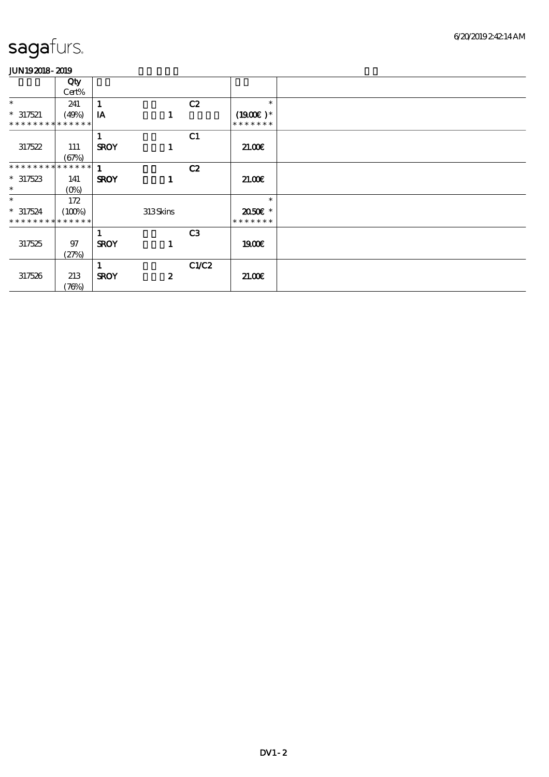|                              | Qty     |             |                  |                |               |  |
|------------------------------|---------|-------------|------------------|----------------|---------------|--|
|                              | Cert%   |             |                  |                |               |  |
| $\ast$                       | 241     |             |                  | C2             | $\ast$        |  |
| $* 317521$                   | (49%)   | IA          | 1                |                | $(1900E)*$    |  |
| **************               |         |             |                  |                | * * * * * * * |  |
|                              |         |             |                  | C1             |               |  |
| 317522                       | 111     | <b>SROY</b> | 1                |                | 21.00E        |  |
|                              | (67%)   |             |                  |                |               |  |
| ******** <mark>******</mark> |         | 1           |                  | C2             |               |  |
| $*317523$                    | 141     | <b>SROY</b> |                  |                | 2100          |  |
| $\ast$                       | $(0\%)$ |             |                  |                |               |  |
| $\ast$                       | 172     |             |                  |                | $\ast$        |  |
| $*317524$                    | (100%)  |             | 313Skins         |                | 2050E *       |  |
| * * * * * * * * * * * * * *  |         |             |                  |                | * * * * * * * |  |
|                              |         |             |                  | C <sub>3</sub> |               |  |
| 317525                       | 97      | <b>SROY</b> | 1                |                | 1900E         |  |
|                              | (27%)   |             |                  |                |               |  |
|                              |         |             |                  | C1/C2          |               |  |
| 317526                       | 213     | <b>SROY</b> | $\boldsymbol{z}$ |                | 21.00         |  |
|                              | (76%)   |             |                  |                |               |  |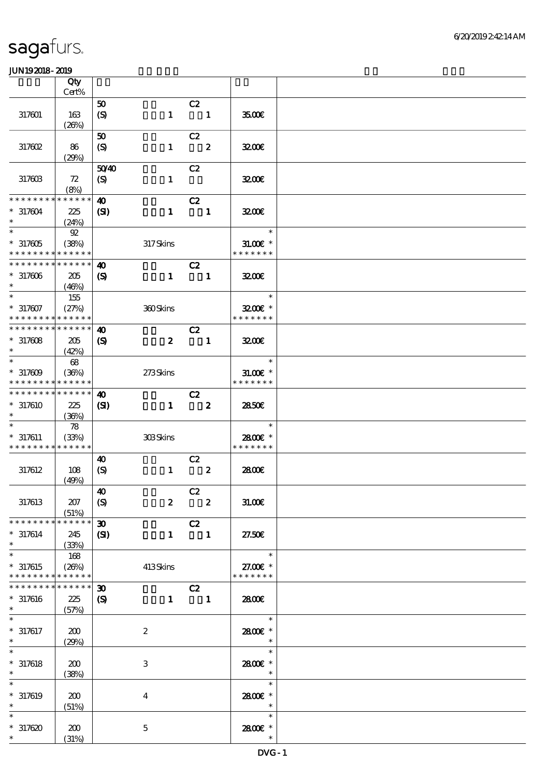|                                                                    | Qty<br>Cert%                |                                                 |                  |                                            |                         |                                       |  |
|--------------------------------------------------------------------|-----------------------------|-------------------------------------------------|------------------|--------------------------------------------|-------------------------|---------------------------------------|--|
|                                                                    |                             | 50                                              |                  | C2                                         |                         |                                       |  |
| 317601                                                             | 163<br>(20%)                | $\boldsymbol{S}$                                | $\mathbf{1}$     | $\overline{\phantom{a}}$                   |                         | 3500                                  |  |
| 317602                                                             | 86                          | ${\bf 50}$<br>$\boldsymbol{S}$                  | $\mathbf{1}$     | C2                                         | $\overline{\mathbf{2}}$ | 3200E                                 |  |
| 317603                                                             | (29%)<br>72<br>(8%)         | 5040<br>$\boldsymbol{S}$                        | $\mathbf{1}$     | C2                                         |                         | 3200                                  |  |
| * * * * * * * *<br>$*317604$<br>$\ast$                             | * * * * * *<br>225<br>(24%) | 40<br>$\mathbf{C}$                              | $\mathbf{1}$     | C2<br>$\overline{\phantom{a}}$             |                         | 3200                                  |  |
| $\ast$<br>$*317605$<br>* * * * * * * * <mark>* * * * * *</mark>    | $92$<br>(38%)               |                                                 | 317Skins         |                                            |                         | $\ast$<br>$31.00E$ *<br>* * * * * * * |  |
| * * * * * * * * * * * * * *<br>$*317606$<br>$\ast$                 | 205<br>(46%)                | 40<br>$\boldsymbol{\mathcal{S}}$                | $\mathbf{1}$     | C2<br>$\blacksquare$                       |                         | 3200                                  |  |
| $\ast$<br>$* 317607$<br>* * * * * * * * <mark>* * * * * *</mark> * | 155<br>(27%)                |                                                 | 360Skins         |                                            |                         | $\ast$<br>3200E *<br>* * * * * * *    |  |
| * * * * * * * *<br>$*317608$<br>$\ast$                             | * * * * * *<br>205<br>(42%) | $\boldsymbol{\omega}$<br>$\boldsymbol{S}$       | $\boldsymbol{z}$ | C2<br>$\blacksquare$                       |                         | 3200                                  |  |
| $\ast$<br>$*317609$<br>* * * * * * * *                             | 68<br>(36%)<br>* * * * * *  |                                                 | 273Skins         |                                            |                         | $\ast$<br>$31.005*$<br>* * * * * * *  |  |
| * * * * * * * * * * * * * *<br>$*317610$<br>$\ast$                 | 225<br>(36%)                | $\boldsymbol{\omega}$<br>(S)                    | $\mathbf{1}$     | C2<br>$\overline{\phantom{a}}$ 2           |                         | 2850E                                 |  |
| $\ast$<br>$* 317611$<br>* * * * * * * * * * * * * *                | 78<br>(33%)                 |                                                 | 308Skins         |                                            |                         | $\ast$<br>2800€ *<br>* * * * * * *    |  |
| 317612                                                             | 108<br>(49%)                | 40<br>$\boldsymbol{S}$                          | $\mathbf{1}$     | C2                                         | $\boldsymbol{z}$        | 2800E                                 |  |
| 317613                                                             | 207<br>(51%)                | $\boldsymbol{\omega}$<br>$\boldsymbol{S}$       | $\boldsymbol{z}$ | $\overline{C}2$<br>$\overline{\mathbf{2}}$ |                         | 31.00E                                |  |
| * * * * * * * *<br>$* 317614$<br>$\ast$                            | * * * * * *<br>245<br>(33%) | $\boldsymbol{\mathfrak{D}}$<br>$\mathbf{C}$     | $\mathbf{1}$     | C2<br>$\blacksquare$                       |                         | 27.50E                                |  |
| $\ast$<br>$* 317615$<br>* * * * * * * *                            | 168<br>(20%)<br>* * * * * * |                                                 | 413Skins         |                                            |                         | $\ast$<br>27.00 £*<br>* * * * * * *   |  |
| * * * * * * * *<br>$*317616$<br>$\ast$                             | * * * * * *<br>225<br>(57%) | $\boldsymbol{\mathfrak{D}}$<br>$\boldsymbol{S}$ | $\mathbf{1}$     | C2<br>$\blacksquare$                       |                         | 2800€                                 |  |
| $\ast$<br>$* 317617$<br>$\ast$                                     | 200<br>(29%)                |                                                 | $\boldsymbol{2}$ |                                            |                         | $\ast$<br>2800€ *<br>$\ast$           |  |
| $\ast$<br>$* 317618$<br>$\ast$                                     | 200<br>(38%)                |                                                 | $\,3\,$          |                                            |                         | $\ast$<br>2800E *<br>$\ast$           |  |
| $\ast$<br>$* 317619$<br>$\ast$                                     | 200<br>(51%)                |                                                 | $\boldsymbol{4}$ |                                            |                         | $\ast$<br>2800E *<br>$\ast$           |  |
| $\ast$<br>$*317620$<br>$\ast$                                      | 200<br>(31%)                |                                                 | $\mathbf 5$      |                                            |                         | $\ast$<br>2800 £*<br>$\ast$           |  |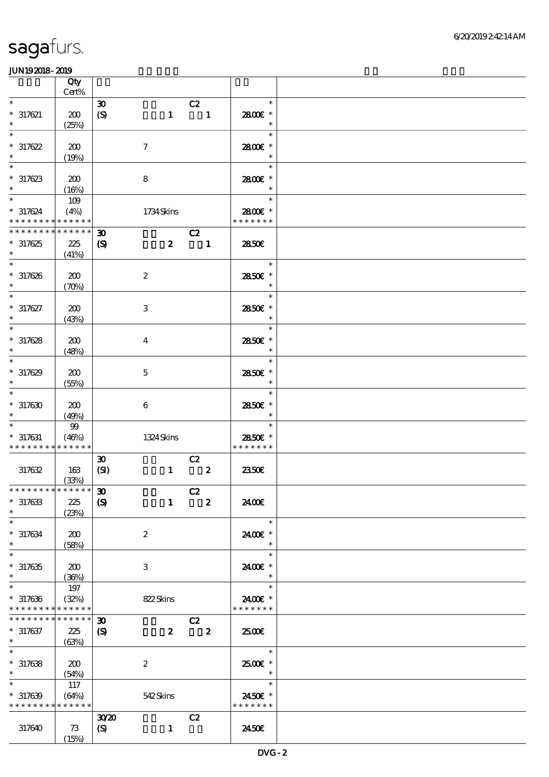|                                                                   | Qty             |                                     |                           |                               |                         |                                    |  |
|-------------------------------------------------------------------|-----------------|-------------------------------------|---------------------------|-------------------------------|-------------------------|------------------------------------|--|
| $\ast$                                                            | $Cert\%$        | $\boldsymbol{\mathfrak{D}}$         |                           |                               |                         | $\ast$                             |  |
| $*317621$<br>$\ast$                                               | 200<br>(25%)    | $\boldsymbol{\mathrm{(S)}}$         | $\mathbf{1}$              | C2<br>$\overline{\mathbf{1}}$ |                         | 2800€ *<br>$\ast$                  |  |
| $*317622$<br>$\ast$                                               | 200             |                                     | $\boldsymbol{\tau}$       |                               |                         | $\ast$<br>2800€ *<br>$\ast$        |  |
| $\ast$                                                            | (19%)           |                                     |                           |                               |                         | $\ast$                             |  |
| $*317623$<br>$\ast$                                               | 200<br>(16%)    |                                     | $\bf8$                    |                               |                         | 2800€ *                            |  |
| $\ast$<br>$*317624$<br>* * * * * * * * * * * * * *                | 109<br>(4%)     |                                     | 1734Skins                 |                               |                         | $\ast$<br>2800€ *<br>* * * * * * * |  |
| * * * * * * * *                                                   | * * * * * *     | $\boldsymbol{\mathfrak{D}}$         |                           | C2                            |                         |                                    |  |
| $*317625$<br>$\ast$                                               | 225<br>(41%)    | $\boldsymbol{\mathcal{S}}$          | $\boldsymbol{2}$          | $\overline{\phantom{a}}$      |                         | 2850E                              |  |
| $\ast$<br>$* 317626$<br>$\ast$                                    | 200<br>(70%)    |                                     | $\boldsymbol{2}$          |                               |                         | $\ast$<br>2850E *<br>$\ast$        |  |
| $\ast$<br>$* 317627$<br>$\ast$                                    | 200<br>(43%)    |                                     | $\ensuremath{\mathbf{3}}$ |                               |                         | $\ast$<br>2850€ *<br>$\ast$        |  |
| $\ast$<br>$*317628$<br>$\ast$                                     | 200<br>(48%)    |                                     | $\overline{\mathbf{4}}$   |                               |                         | $\ast$<br>2850E *<br>$\ast$        |  |
| $\ast$<br>$*317629$<br>$\ast$                                     | 200<br>(55%)    |                                     | $\mathbf 5$               |                               |                         | $\ast$<br>2850E *<br>$\ast$        |  |
| $\ast$<br>$*317630$<br>$\ast$                                     | 200<br>(49%)    |                                     | $\boldsymbol{6}$          |                               |                         | $\ast$<br>2850€ *<br>$\ast$        |  |
| $* 317631$<br>* * * * * * * * * * * * * *                         | $99\,$<br>(46%) |                                     | 1324 Skins                |                               |                         | $\ast$<br>2850€ *<br>* * * * * * * |  |
| 317632                                                            | 163<br>(33%)    | $\boldsymbol{\mathfrak{D}}$<br>(SI) | $\mathbf{1}$              | C2<br>$\overline{\mathbf{z}}$ |                         | 2350E                              |  |
| *************** 30                                                |                 |                                     |                           | C2                            |                         |                                    |  |
| $*317633$<br>$\ast$                                               | 225<br>(23%)    | $\boldsymbol{S}$                    | $\mathbf{1}$              | $\overline{\mathbf{z}}$       |                         | 2400€                              |  |
| $\ast$<br>$* 317634$<br>$\ast$                                    | 200<br>(58%)    |                                     | $\boldsymbol{2}$          |                               |                         | $\ast$<br>2400 £*<br>$\ast$        |  |
| $\ast$<br>$*317635$<br>$\ast$                                     | 200<br>(36%)    |                                     | 3                         |                               |                         | $\ast$<br>2400E *                  |  |
| $\ast$<br>$*317636$<br>* * * * * * * * <mark>* * * * * *</mark> * | 197<br>(32%)    |                                     | 822Skins                  |                               |                         | $\ast$<br>2400€ *<br>* * * * * * * |  |
| * * * * * * * *                                                   | * * * * * *     | $\boldsymbol{\mathfrak{D}}$         |                           | C2                            |                         |                                    |  |
| $* 317637$<br>$*$ $*$                                             | 225<br>(63%)    | $\boldsymbol{\mathcal{S}}$          | $\boldsymbol{z}$          |                               | $\overline{\mathbf{2}}$ | 2500                               |  |
| $\ast$<br>$*317638$<br>$\ast$                                     | 200<br>(54%)    |                                     | $\boldsymbol{2}$          |                               |                         | $\ast$<br>2500€*<br>$\ast$         |  |
| $\ast$<br>$*317639$<br>* * * * * * * * * * * * * *                | 117<br>(64%)    |                                     | 542Skins                  |                               |                         | $\ast$<br>2450€ *<br>* * * * * * * |  |
| 317640                                                            | 73<br>(15%)     | 3020<br>$\boldsymbol{S}$            | $\mathbf{1}$              | C2                            |                         | 2450E                              |  |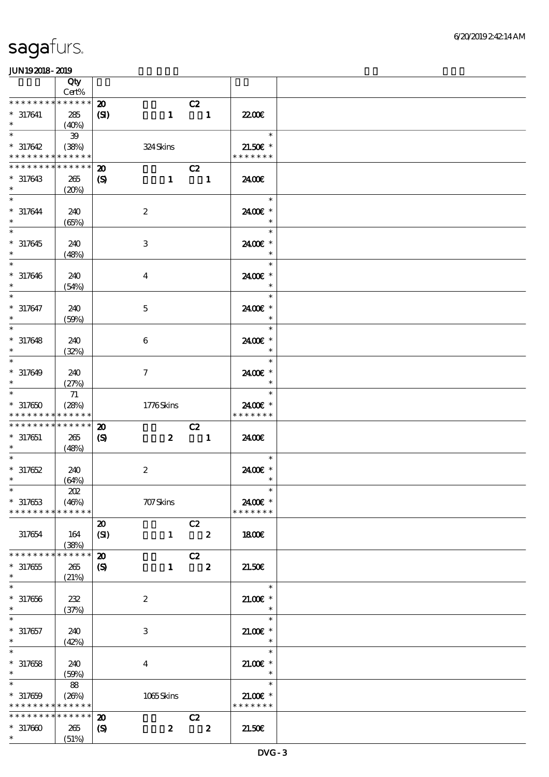|                                                          | Qty<br>Cert%         |                                  |                         |                            |                         |                             |  |
|----------------------------------------------------------|----------------------|----------------------------------|-------------------------|----------------------------|-------------------------|-----------------------------|--|
| * * * * * * * *                                          | $******$             |                                  |                         |                            |                         |                             |  |
| $* 317641$<br>$\ast$                                     | 285<br>(40%)         | $\boldsymbol{\mathbf{z}}$<br>(S) | $\mathbf{1}$            | C2<br>$\blacksquare$       |                         | 22.00 <del>€</del>          |  |
| $\ast$                                                   | 39                   |                                  |                         |                            |                         | $\ast$                      |  |
| $* 317642$<br>* * * * * * * * <mark>* * * * * * *</mark> | (38%)                |                                  | 324Skins                |                            |                         | 21.50€ *<br>* * * * * * *   |  |
| * * * * * * * *                                          | * * * * * *          | $\boldsymbol{\mathbf{z}}$        |                         | C2                         |                         |                             |  |
| $*317643$<br>$\ast$                                      | 265<br>(20%)         | $\boldsymbol{\mathcal{S}}$       |                         | $1 \quad 1$                |                         | 2400E                       |  |
| $\ast$<br>$* 317644$                                     | 240<br>(65%)         |                                  | $\boldsymbol{2}$        |                            |                         | $\ast$<br>2400€ *<br>$\ast$ |  |
| $\overline{\ast}$<br>$* 317645$<br>$\ast$                | 240<br>(48%)         |                                  | 3                       |                            |                         | $\ast$<br>2400€ *<br>$\ast$ |  |
| $\ast$<br>$* 317646$<br>$\ast$                           | 240<br>(54%)         |                                  | $\overline{\mathbf{4}}$ |                            |                         | $\ast$<br>2400€ *<br>$\ast$ |  |
| $\ast$                                                   |                      |                                  |                         |                            |                         | $\ast$                      |  |
| $* 317647$<br>$\ast$                                     | 240<br>(50%)         |                                  | $\mathbf{5}$            |                            |                         | 2400€ *<br>$\ast$           |  |
| $\ast$                                                   |                      |                                  |                         |                            |                         | $\ast$                      |  |
| $* 317648$<br>$\ast$<br>$\ast$                           | 240<br>(32%)         |                                  | 6                       |                            |                         | 2400€ *<br>$\ast$           |  |
| $* 317649$                                               | 240                  |                                  | $\tau$                  |                            |                         | $\ast$<br>2400€ *           |  |
| $\ast$                                                   | (27%)                |                                  |                         |                            |                         | $\ast$                      |  |
| $\ast$                                                   | 71                   |                                  |                         |                            |                         | $\ast$                      |  |
| $*317650$<br>* * * * * * * * <mark>* * * * * *</mark>    | (28%)                |                                  | 1776Skins               |                            |                         | 2400€ *<br>* * * * * * *    |  |
| * * * * * * * *                                          | $******$             | $\boldsymbol{\mathbf{z}}$        |                         | C2                         |                         |                             |  |
| $*317651$<br>$\ast$                                      | 265<br>(48%)         | $\boldsymbol{\mathcal{S}}$       | $\boldsymbol{z}$        | $\overline{\phantom{a}}$   |                         | 2400E                       |  |
| $\ast$                                                   |                      |                                  |                         |                            |                         | $\ast$                      |  |
| $* 317652$                                               | 240                  |                                  | $\boldsymbol{2}$        |                            |                         | 2400€ *                     |  |
| $\ast$                                                   | (64%)                |                                  |                         |                            |                         | $\ast$                      |  |
| $\ast$                                                   | $202\,$              |                                  |                         |                            |                         | $\ast$                      |  |
| $*317653$<br>* * * * * * * *                             | (46%)<br>* * * * * * |                                  | 707Skins                |                            |                         | 2400€ *<br>* * * * * * *    |  |
|                                                          |                      | $\boldsymbol{\mathfrak{D}}$      |                         | C2                         |                         |                             |  |
| 317654                                                   | 164<br>(38%)         | (SI)                             | $\mathbf{1}$            | $\overline{\mathbf{2}}$    |                         | 1800E                       |  |
| * * * * * * * *                                          | * * * * * *          | $\boldsymbol{\mathfrak{D}}$      |                         | C2                         |                         |                             |  |
| $*317655$<br>$\ast$                                      | 265<br>(21%)         | $\boldsymbol{\mathsf{S}}$        | $\mathbf{1}$            | $\overline{\phantom{a}}$ 2 |                         | 21.50E                      |  |
| $\ast$                                                   |                      |                                  |                         |                            |                         | $\ast$                      |  |
| $*317656$<br>$\ast$                                      | 232<br>(37%)         |                                  | $\boldsymbol{2}$        |                            |                         | $21.00E$ *<br>$\ast$        |  |
|                                                          |                      |                                  |                         |                            |                         | $\ast$                      |  |
| $* 317657$<br>$\ast$                                     | 240<br>(42%)         |                                  | 3                       |                            |                         | $21.005*$<br>$\ast$         |  |
| $\ast$                                                   |                      |                                  |                         |                            |                         | $\ast$                      |  |
| $* 317658$<br>$\ast$                                     | 240<br>(50%)         |                                  | $\boldsymbol{4}$        |                            |                         | $21.005*$<br>$\ast$         |  |
| $\ast$                                                   | 88                   |                                  |                         |                            |                         | $\ast$                      |  |
| $* 317659$<br>* * * * * * * * * * * * * *                | (20%)                |                                  | 1065Skins               |                            |                         | $21.00E$ *<br>* * * * * * * |  |
| * * * * * * * *                                          | * * * * * *          | $\boldsymbol{\mathbf{z}}$        |                         | C2                         |                         |                             |  |
| $*317600$                                                | 265                  | $\boldsymbol{\mathcal{S}}$       | $\boldsymbol{z}$        |                            | $\overline{\mathbf{2}}$ | 21.50E                      |  |
| $*$                                                      | (51%)                |                                  |                         |                            |                         |                             |  |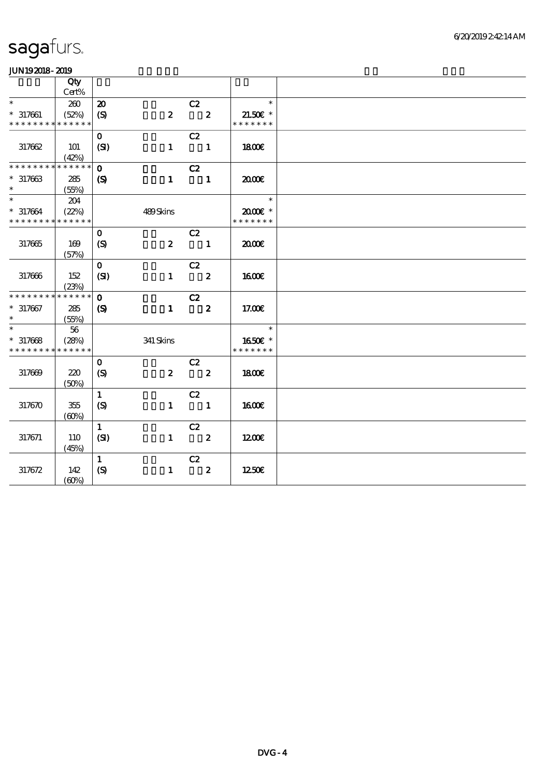|                                           | Qty                  |                             |                  |                               |                         |                           |  |
|-------------------------------------------|----------------------|-----------------------------|------------------|-------------------------------|-------------------------|---------------------------|--|
| $\ast$                                    | Cert%                |                             |                  |                               |                         | $\ast$                    |  |
|                                           | 200                  | $\boldsymbol{\mathbf{z}}$   |                  | C2<br>$\overline{\mathbf{c}}$ |                         |                           |  |
| $* 317661$<br>* * * * * * * * * * * * * * | (52%)                | (S)                         | $\boldsymbol{z}$ |                               |                         | 21.50€ *<br>* * * * * * * |  |
|                                           |                      |                             |                  |                               |                         |                           |  |
|                                           |                      | $\mathbf{O}$                |                  | C2                            |                         |                           |  |
| 317662                                    | <b>101</b>           | (SI)                        | $\mathbf{1}$     | $\blacksquare$                |                         | 1800E                     |  |
| * * * * * * * *                           | (42%)<br>* * * * * * | $\mathbf{o}$                |                  | C2                            |                         |                           |  |
| $*317663$                                 | 285                  | $\boldsymbol{\mathcal{S}}$  | $\mathbf{1}$     | $\blacksquare$                |                         | 2000                      |  |
| $\ast$                                    | (55%)                |                             |                  |                               |                         |                           |  |
| $\ast$                                    | 204                  |                             |                  |                               |                         | $\ast$                    |  |
| $* 317664$                                | (22%)                |                             | 489Skins         |                               |                         | $2000$ $*$                |  |
| * * * * * * * * * * * * * *               |                      |                             |                  |                               |                         | * * * * * * *             |  |
|                                           |                      | $\mathbf 0$                 |                  | C2                            |                         |                           |  |
| 317665                                    | 169                  | (S)                         | $\boldsymbol{2}$ |                               | $\blacksquare$          | 2000€                     |  |
|                                           | (57%)                |                             |                  |                               |                         |                           |  |
|                                           |                      | $\mathbf{O}$                |                  | C2                            |                         |                           |  |
| 317666                                    | 152                  | (SI)                        | $\mathbf{1}$     |                               | $\overline{\mathbf{2}}$ | <b>1600€</b>              |  |
|                                           | (23%)                |                             |                  |                               |                         |                           |  |
| * * * * * * * *                           | * * * * * *          | $\mathbf{o}$                |                  | C2                            |                         |                           |  |
| $* 317667$                                | 285                  | $\boldsymbol{\mathrm{(S)}}$ | $\mathbf{1}$     |                               | $\overline{\mathbf{2}}$ | 17.00E                    |  |
| $\ast$                                    | (55%)                |                             |                  |                               |                         |                           |  |
| $\ast$                                    | 56                   |                             |                  |                               |                         | $\ast$                    |  |
| $* 317668$                                | (28%)                |                             | 341 Skins        |                               |                         | 1650E *                   |  |
| * * * * * * * * * * * * * *               |                      |                             |                  |                               |                         | * * * * * * *             |  |
|                                           |                      | $\mathbf{o}$                |                  | C2                            |                         |                           |  |
| 317669                                    | 220                  | (S)                         | $\boldsymbol{z}$ | $\overline{\mathbf{2}}$       |                         | 1800                      |  |
|                                           | (50%)                |                             |                  |                               |                         |                           |  |
|                                           |                      | $\mathbf{1}$                |                  | C2                            |                         |                           |  |
| 317670                                    | 355                  | (S)                         | $\mathbf{1}$     | $\blacksquare$                |                         | <b>1600€</b>              |  |
|                                           | (60%)                |                             |                  |                               |                         |                           |  |
|                                           |                      | $\mathbf{1}$                |                  | C2                            |                         |                           |  |
| 317671                                    | 110                  | (SI)                        | $\mathbf{1}$     | $\overline{\mathbf{2}}$       |                         | 1200E                     |  |
|                                           | (45%)                |                             |                  |                               |                         |                           |  |
|                                           |                      | $\mathbf{1}$                |                  | C2                            |                         |                           |  |
| 317672                                    | 142                  | (S)                         | $\mathbf{1}$     |                               | $\boldsymbol{z}$        | 1250E                     |  |
|                                           | (60%)                |                             |                  |                               |                         |                           |  |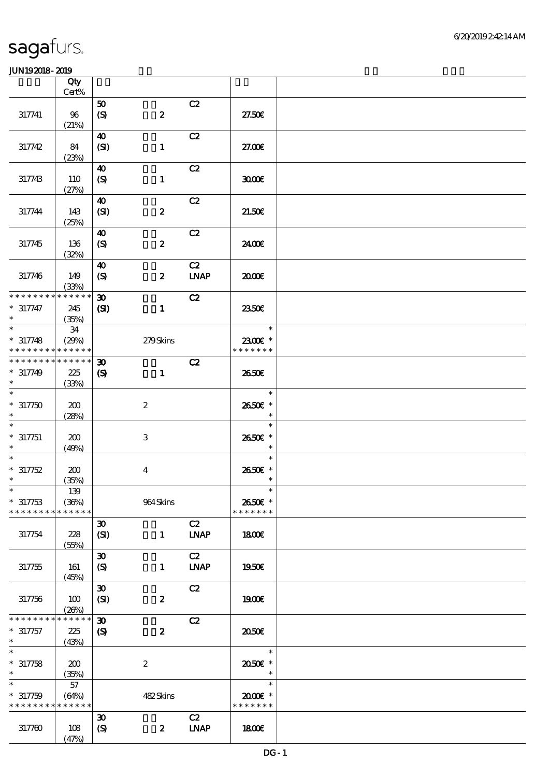|                                          | Qty<br>Cert%         |                             |                           |                   |                          |  |
|------------------------------------------|----------------------|-----------------------------|---------------------------|-------------------|--------------------------|--|
|                                          |                      | 50                          |                           | C2                |                          |  |
| 317741                                   | 96<br>(21%)          | $\boldsymbol{S}$            | $\pmb{2}$                 |                   | 27.50E                   |  |
|                                          |                      | $\boldsymbol{\omega}$       |                           | C2                |                          |  |
| 317742                                   | 84<br>(23%)          | (SI)                        | $\mathbf{1}$              |                   | 27.00E                   |  |
|                                          |                      | 40                          |                           | C2                |                          |  |
| 317743                                   | 110<br>(27%)         | $\boldsymbol{\mathrm{(S)}}$ | $\mathbf{1}$              |                   | 3000                     |  |
|                                          |                      | 40                          |                           | C2                |                          |  |
| 317744                                   | 143<br>(25%)         | (SI)                        | $\pmb{2}$                 |                   | 21.50E                   |  |
|                                          |                      | $\boldsymbol{\omega}$       |                           | C2                |                          |  |
| 317745                                   | 136<br>(32%)         | $\boldsymbol{\mathcal{S}}$  | $\pmb{2}$                 |                   | 2400E                    |  |
|                                          |                      | $\boldsymbol{\omega}$       |                           | C2                |                          |  |
| 317746                                   | 149<br>(33%)         | $\boldsymbol{S}$            | $\boldsymbol{z}$          | <b>LNAP</b>       | 2000E                    |  |
| * * * * * * * *                          | * * * * * *          | $\boldsymbol{\mathfrak{D}}$ |                           | C2                |                          |  |
| $* 317747$<br>$\ast$                     | 245<br>(35%)         | (S)                         | $\mathbf{1}$              |                   | 2350E                    |  |
| $\ast$                                   | 34                   |                             |                           |                   | $\ast$                   |  |
| $* 317748$<br>* * * * * * * *            | (29%)<br>* * * * * * |                             | 279Skins                  |                   | 2300€ *<br>* * * * * * * |  |
| * * * * * * * *                          | * * * * * *          | 30                          |                           | C2                |                          |  |
| $* 317749$                               | 225                  | $\boldsymbol{\mathcal{S}}$  | $\mathbf{1}$              |                   | 2650E                    |  |
| $\ast$                                   | (33%)                |                             |                           |                   |                          |  |
| $\ast$                                   |                      |                             |                           |                   | $\ast$                   |  |
| $*317750$<br>$\ast$                      | 200                  |                             | $\boldsymbol{z}$          |                   | 2650€ *<br>$\ast$        |  |
|                                          | (28%)                |                             |                           |                   | $\ast$                   |  |
| $* 317751$                               | 200                  |                             | $\ensuremath{\mathbf{3}}$ |                   | 2650€ *                  |  |
| $\ast$                                   | (49%)                |                             |                           |                   | $\ast$                   |  |
| $\ast$                                   |                      |                             |                           |                   | $\ast$                   |  |
| $* 317752$<br>$\ast$                     | 200                  |                             | $\boldsymbol{4}$          |                   | 2650€ *<br>$\ast$        |  |
| $\ast$                                   | (35%)<br>$139\,$     |                             |                           |                   | $\ast$                   |  |
| $* 317753$                               | (36%)                |                             | $964\,$ Skins             |                   | 2650€ *                  |  |
| * * * * * * * *                          | * * * * * *          |                             |                           |                   | * * * * * * *            |  |
|                                          |                      | $\boldsymbol{\mathfrak{D}}$ |                           | C2                |                          |  |
| 317754                                   | 228<br>(55%)         | (SI)                        | $\mathbf{1}$              | <b>LNAP</b>       | 1800E                    |  |
|                                          |                      | $\boldsymbol{\mathfrak{D}}$ |                           | C2                |                          |  |
| 317755                                   | 161                  | (S)                         | $\mathbf{1}$              | <b>LNAP</b>       | 1950E                    |  |
|                                          | (45%)                | $\boldsymbol{\mathfrak{D}}$ |                           | C2                |                          |  |
| 317756                                   | 100                  | (SI)                        | $\boldsymbol{2}$          |                   | 1900E                    |  |
|                                          | (20%)                |                             |                           |                   |                          |  |
| * * * * * * *                            | * * * * * *          | $\boldsymbol{\mathfrak{D}}$ |                           | C2                |                          |  |
| $* 317757$                               | 225                  | $\boldsymbol{\mathcal{S}}$  | $\pmb{2}$                 |                   | 2050E                    |  |
| $\ast$<br>$\ast$                         | (43%)                |                             |                           |                   | $\ast$                   |  |
| $* 317758$                               | 200                  |                             | $\boldsymbol{2}$          |                   | 2050E *                  |  |
| $\ast$                                   | (35%)                |                             |                           |                   | $\ast$                   |  |
| $\ast$                                   | 57                   |                             |                           |                   | $\ast$                   |  |
| $* 317759$                               | (64%)                |                             | 482Skins                  |                   | 2000E*                   |  |
| * * * * * * * * <mark>* * * * * *</mark> |                      |                             |                           |                   | * * * * * * *            |  |
| 317760                                   | 108                  | $\boldsymbol{\mathfrak{D}}$ | $\boldsymbol{2}$          | C2<br><b>LNAP</b> | 1800E                    |  |
|                                          | (47%)                | $\boldsymbol{S}$            |                           |                   |                          |  |
|                                          |                      |                             |                           |                   |                          |  |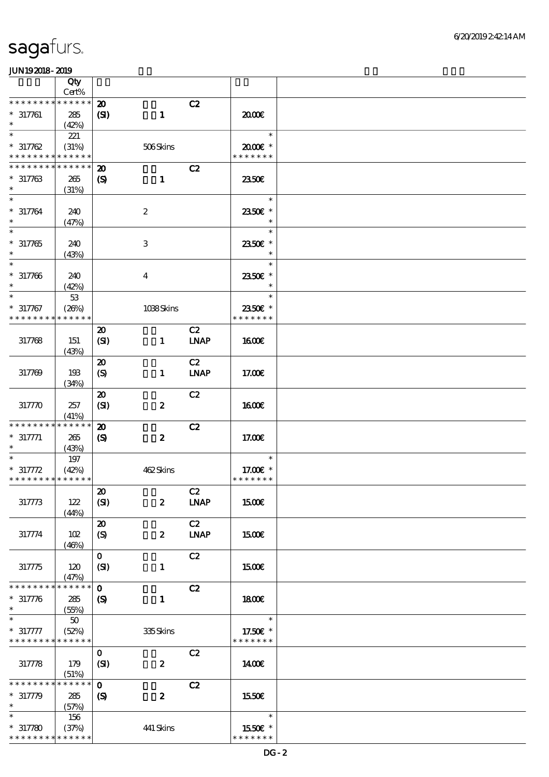|                                                     | Qty                            |                                                            |                         |                   |                                     |  |
|-----------------------------------------------------|--------------------------------|------------------------------------------------------------|-------------------------|-------------------|-------------------------------------|--|
|                                                     | Cert%                          |                                                            |                         |                   |                                     |  |
| * * * * * * * *<br>$* 317761$<br>$\ast$             | * * * * * *<br>285<br>(42%)    | $\boldsymbol{\mathfrak{D}}$<br>(S)                         | $\mathbf{1}$            | C2                | 2000                                |  |
| $\ast$<br>$* 317762$<br>* * * * * * * *             | 221<br>(31%)<br>* * * * * *    |                                                            | 506Skins                |                   | $\ast$<br>2000E *<br>* * * * * * *  |  |
| * * * * * * * *                                     | * * * * * *                    | $\boldsymbol{\mathbf{z}}$                                  |                         | C2                |                                     |  |
| $* 317763$<br>$\ast$                                | 265<br>(31%)                   | $\boldsymbol{\mathrm{(S)}}$                                | $\mathbf{1}$            |                   | 2350E                               |  |
| $\ast$<br>$* 317764$<br>$\ast$                      | 240<br>(47%)                   |                                                            | $\boldsymbol{2}$        |                   | $\ast$<br>2350€ *<br>$\ast$         |  |
| $\ast$<br>$* 317765$<br>$\ast$                      | 240<br>(43%)                   |                                                            | $\,3$                   |                   | $\ast$<br>2350E *<br>$\ast$         |  |
| $\ast$<br>$* 317766$<br>$\ast$                      | 240<br>(42%)                   |                                                            | $\overline{\mathbf{4}}$ |                   | $\ast$<br>2350€ *<br>$\ast$         |  |
| $\ast$<br>$* 317767$<br>* * * * * * * *             | $5\!3$<br>(20%)<br>* * * * * * |                                                            | 1038Skins               |                   | $\ast$<br>2350€ *<br>* * * * * * *  |  |
| 317768                                              | 151<br>(43%)                   | $\boldsymbol{\mathfrak{D}}$<br>(SI)                        | $\mathbf{1}$            | C2<br><b>LNAP</b> | 1600E                               |  |
| 317769                                              | 193<br>(34%)                   | $\boldsymbol{\mathfrak{D}}$<br>$\boldsymbol{\mathrm{(S)}}$ | $\mathbf{1}$            | C2<br><b>LNAP</b> | 17.00E                              |  |
| 317770                                              | 257<br>(41%)                   | $\boldsymbol{\mathfrak{D}}$<br>(SI)                        | $\pmb{2}$               | C2                | <b>1600€</b>                        |  |
| * * * * * * * *<br>$* 317771$<br>$\ast$             | * * * * * *<br>265<br>(43%)    | $\boldsymbol{\mathbf{z}}$<br>$\boldsymbol{\mathrm{(S)}}$   | $\boldsymbol{z}$        | C2                | 17.00E                              |  |
| $\ast$<br>$* 317772$<br>* * * * * * * * * * * * * * | 197<br>(42%)                   |                                                            | 462Skins                |                   | $\ast$<br>17.00€ *<br>* * * * * * * |  |
| 317773                                              | 122<br>(44%)                   | $\boldsymbol{\mathsf{20}}$<br>(SI)                         | $\boldsymbol{z}$        | C2<br><b>LNAP</b> | 1500€                               |  |
| 317774                                              | 102<br>(46%)                   | $\boldsymbol{\mathsf{20}}$<br>$\boldsymbol{\mathrm{(S)}}$  | $\boldsymbol{z}$        | C2<br><b>LNAP</b> | 1500E                               |  |
| 317775                                              | 120<br>(47%)                   | $\mathbf{o}$<br>(SI)                                       | $\mathbf{1}$            | C2                | 1500€                               |  |
| * * * * * * * *<br>$* 317776$<br>$\ast$             | * * * * * *<br>285<br>(55%)    | $\mathbf 0$<br>$\boldsymbol{\mathcal{S}}$                  | $\mathbf{1}$            | C2                | 1800E                               |  |
| $* 317777$<br>* * * * * * * * * * * * * *           | ${\bf 50}$<br>(52%)            |                                                            | 335Skins                |                   | $\ast$<br>17.50€ *<br>* * * * * * * |  |
| 317778                                              | 179<br>(51%)                   | $\mathbf{O}$<br>(SI)                                       | $\pmb{2}$               | C2                | 1400E                               |  |
| * * * * * * * *<br>$* 317779$<br>$\ast$             | * * * * * *<br>285<br>(57%)    | $\mathbf{o}$<br>$\boldsymbol{\mathcal{S}}$                 | $\boldsymbol{2}$        | C2                | 1550€                               |  |
| $\ast$<br>$*317780$<br>* * * * * * * * * * * * * *  | 156<br>(37%)                   |                                                            | 441 Skins               |                   | $\ast$<br>1550E *<br>* * * * * * *  |  |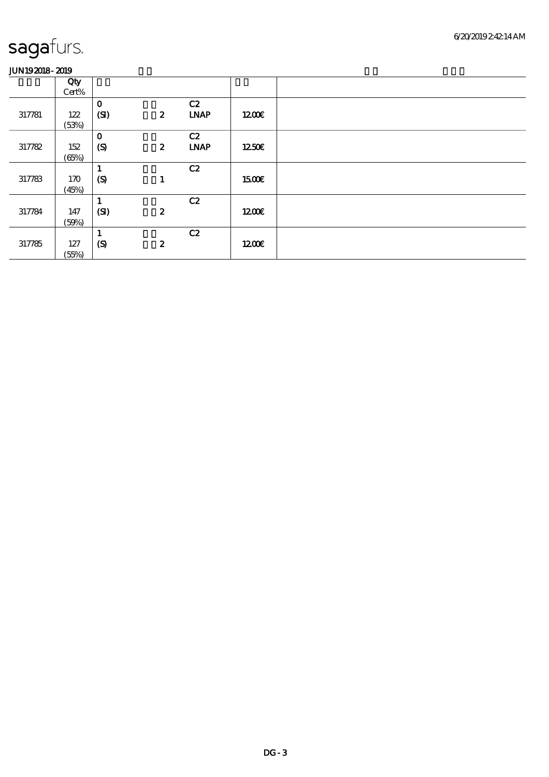|        | Qty   |                  |                  |             |              |  |
|--------|-------|------------------|------------------|-------------|--------------|--|
|        | Cert% |                  |                  |             |              |  |
|        |       | $\mathbf{o}$     |                  | C2          |              |  |
| 317781 | 122   | (SI)             | $\boldsymbol{z}$ | <b>LNAP</b> | 1200         |  |
|        | (53%) |                  |                  |             |              |  |
|        |       | $\mathbf 0$      |                  | C2          |              |  |
| 317782 | 152   | $\boldsymbol{S}$ | $\boldsymbol{z}$ | <b>LNAP</b> | 1250E        |  |
|        | (65%) |                  |                  |             |              |  |
|        |       | 1                |                  | C2          |              |  |
| 317783 | 170   | $\boldsymbol{S}$ |                  |             | <b>1500€</b> |  |
|        | (45%) |                  |                  |             |              |  |
|        |       |                  |                  | C2          |              |  |
| 317784 | 147   | (SI)             | $\boldsymbol{z}$ |             | 1200         |  |
|        | (50%) |                  |                  |             |              |  |
|        |       | л.               |                  | C2          |              |  |
| 317785 | 127   | $\boldsymbol{S}$ | $\boldsymbol{z}$ |             | 1200         |  |
|        | (55%) |                  |                  |             |              |  |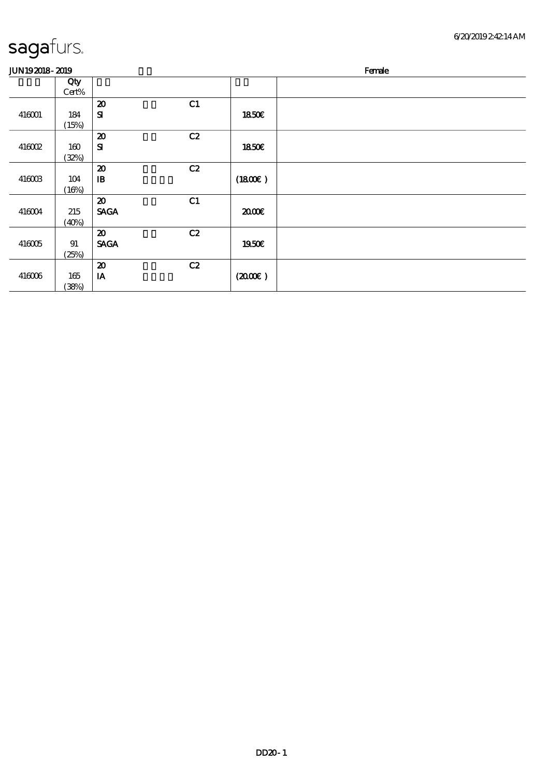| sagafurs. |
|-----------|
|           |

(38%)

| -                     |          |                             |                |              |        |  |  |  |  |
|-----------------------|----------|-----------------------------|----------------|--------------|--------|--|--|--|--|
| <b>JUN192018-2019</b> |          |                             |                |              | Female |  |  |  |  |
|                       | Qty      |                             |                |              |        |  |  |  |  |
|                       | Cert%    |                             |                |              |        |  |  |  |  |
|                       |          | $\boldsymbol{\mathbf{z}}$   | C <sub>1</sub> |              |        |  |  |  |  |
| 416001                | 184      | ${\bf s}$                   |                | 1850E        |        |  |  |  |  |
|                       | (15%)    |                             |                |              |        |  |  |  |  |
|                       |          | $\boldsymbol{\mathsf{20}}$  | C2             |              |        |  |  |  |  |
| 416002                | 160      | ${\bf S}$                   |                | <b>1850€</b> |        |  |  |  |  |
|                       | (32%)    |                             |                |              |        |  |  |  |  |
|                       |          | $\boldsymbol{\mathfrak{D}}$ | C2             |              |        |  |  |  |  |
| 416003                | 104      | $\mathbf{B}$                |                | (1800)       |        |  |  |  |  |
|                       | (16%)    |                             |                |              |        |  |  |  |  |
|                       |          | $\boldsymbol{\mathfrak{D}}$ | C1             |              |        |  |  |  |  |
| 416004                | 215      | <b>SACA</b>                 |                | 2000E        |        |  |  |  |  |
|                       | (40%)    |                             |                |              |        |  |  |  |  |
|                       |          | $\boldsymbol{\mathsf{20}}$  | C2             |              |        |  |  |  |  |
| 416005                | 91       | <b>SAGA</b>                 |                | 1950€        |        |  |  |  |  |
|                       | (25%)    |                             |                |              |        |  |  |  |  |
|                       |          | $\boldsymbol{\mathfrak{D}}$ | C2             |              |        |  |  |  |  |
| 416006                | $165$    | IA                          |                | (200E)       |        |  |  |  |  |
|                       | $(38\%)$ |                             |                |              |        |  |  |  |  |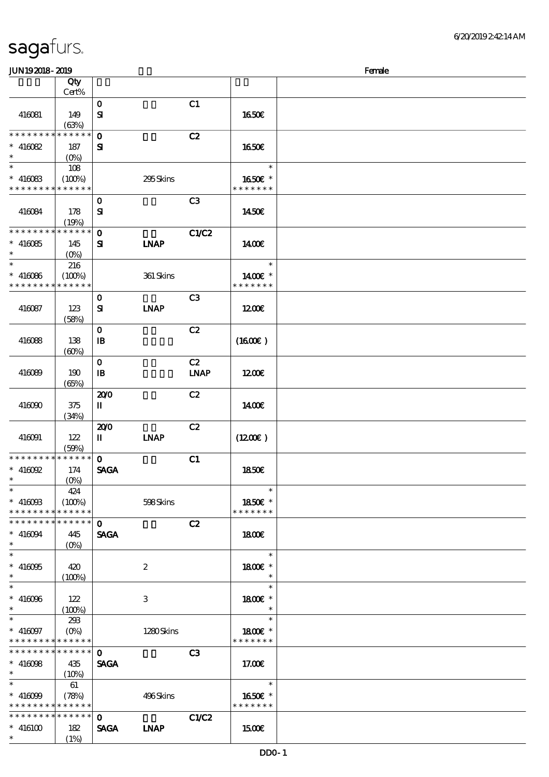| sagafurs. |  |
|-----------|--|
|           |  |

\*

(1%)

#### $J<sub>1</sub>$ JUN $192018$ - $2019$ 顺序号 Qty Cert% 说明 价格 416081 149  $(63%)$  $\mathbf{0}$  C1  $S$  1650 $\varepsilon$ 0 **C2** SI **\* \* \* \* \* \* \* \* \* \* \* \*** \* \* 416082 187  $(Q_0)$  16.50€ \*  $* 4160B3$ \* \* \* \* \* \* \* \* \* \* \* \* \* 108  $(100\%)$  295 Skins \* \* 16.50€ \* \* \* \* \* \* \* 416084 178 (19%) 0 **C3**  $S$  1450€ 0 **C1/C2** SI LNAP **\* \* \* \* \* \* \* \* \* \* \* \* \* \*** \* \* 416085 145 (0%) 14.00€ \* \* 416086 \* \* \* \* \* \* \* \* <mark>\* \* \* \* \* \*</mark> 216  $(100%)$  361 Skins \* 1400€ \* \* \* \* \* \* \* \* 416087 123  $(58%)$ 0 **C3**  $S$  INAP 12.00€ 416088 138  $(60%)$  $\overline{\text{C2}}$  $\Box$  IB  $(16.00\epsilon)$  $416089$  190 (65%)  $\overline{\text{C2}}$  $IB$  LNAP  $1200\epsilon$ 416090 375 (34%) 200 C2  $II$  1400 $\varepsilon$ 416091 122 (59%) 200 C2  $II$  LNAP (12.00 $\varepsilon$ )  $\overline{O}$  C1 SAGA **\* \* \* \* \* \* \* \* \* \* \* \* \* \*** \* \* 416092 174 (0%) 18.50€ \* \* 416093 \* \* \* \* \* \* \* \* \* \* \* \* \* 424  $(100\%)$  598 Skins \* \* 18.50€ \* \* \* \* \* \* \*  $\mathbf{C2}$ SAGA **\* \* \* \* \* \* \* \* \* \* \* \* \*** \* \* \*  $416094$  445 (0%) **1800€** \* \* 416095 420 \*  $(100%)$ 2 \* 1800€ \* \* \* \* \*  $416096$  122  $(100%)$ 3 \* 1800€ \* \* \* \* 416097 \* \* \* \* \* \* \* \* \* \* \* \* \* 293  $(0%)$  1280 Skins \* 1800€ \* \* \* \* \* \* \* \*  $\mathbf 0$  c3 **SAGA** \* \* \* \* \* \* \* \* \* \* \* \* \* \* \* \* 416098 435  $(10%)$  17.00€ \* \* 416099 \* \* \* \* \* \* \* \* \* \* \* \* \* 61 (78%) 496 Skins \* \* 16.50€ \* \* \* \* \* \* \* 0 **C1/C2** SAGA LNAP \* \* \* \* \* \* \* \* \* \* \* \* \* \* \* 416100 182 15.00€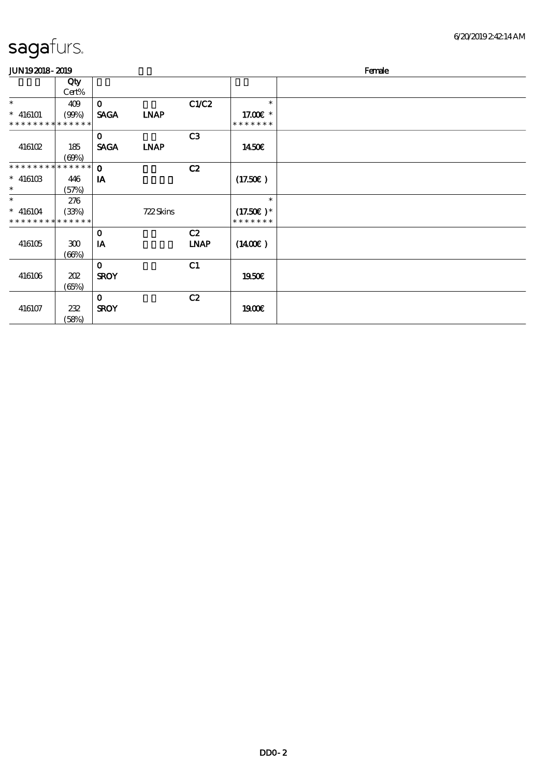| <b>JUN192018-2019</b>       |              |             |             |             | Female        |  |  |  |
|-----------------------------|--------------|-------------|-------------|-------------|---------------|--|--|--|
|                             | Qty<br>Cert% |             |             |             |               |  |  |  |
| $\ast$                      | 409          | $\mathbf 0$ |             | C1/C2       | $\ast$        |  |  |  |
| $* 416101$                  | (90%)        | <b>SAGA</b> | <b>INAP</b> |             | 17.00 £*      |  |  |  |
| * * * * * * * * * * * * *   |              |             |             |             | * * * * * * * |  |  |  |
|                             |              | $\mathbf 0$ |             | C3          |               |  |  |  |
| 416102                      | 185          | <b>SAGA</b> | <b>LNAP</b> |             | <b>1450€</b>  |  |  |  |
|                             | (60%)        |             |             |             |               |  |  |  |
| * * * * * * * * * * * * * * |              | $\mathbf 0$ |             | C2          |               |  |  |  |
| $*$ 416103                  | 446          | IA          |             |             | (17.50)       |  |  |  |
| $\ast$                      | (57%)        |             |             |             |               |  |  |  |
| $\ast$                      | 276          |             |             |             | $\ast$        |  |  |  |
| $* 416104$                  | (33%)        |             | 722Skins    |             | $(17.50)$ *   |  |  |  |
| * * * * * * * * * * * * * * |              |             |             |             | * * * * * * * |  |  |  |
|                             |              | $\mathbf 0$ |             | C2          |               |  |  |  |
| 416105                      | 300          | IA          |             | <b>LNAP</b> | (1400E)       |  |  |  |
|                             | (66%)        |             |             |             |               |  |  |  |
|                             |              | $\mathbf 0$ |             | C1          |               |  |  |  |
| 416106                      | 202          | <b>SROY</b> |             |             | 1950€         |  |  |  |
|                             | (65%)        |             |             |             |               |  |  |  |
|                             |              | $\mathbf 0$ |             | C2          |               |  |  |  |
| 416107                      | 232          | <b>SROY</b> |             |             | <b>1900€</b>  |  |  |  |
|                             | (58%)        |             |             |             |               |  |  |  |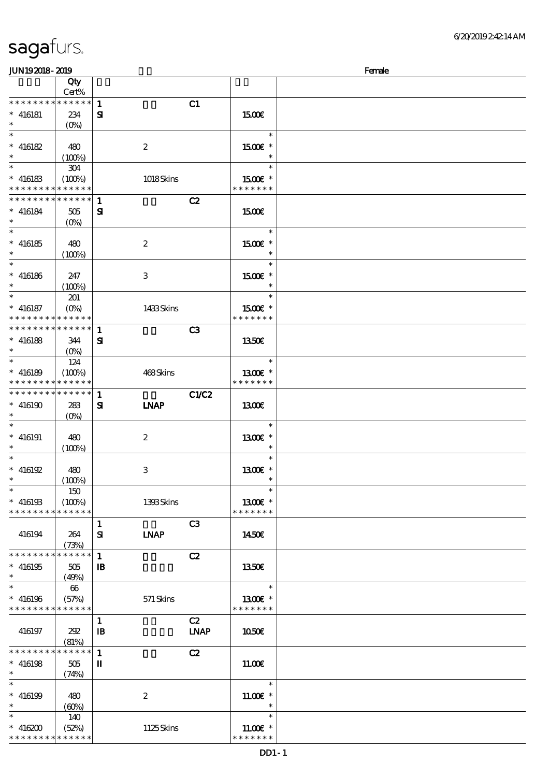| <b>JUN192018-2019</b>                     |                   |              |                           |                | Female                      |  |
|-------------------------------------------|-------------------|--------------|---------------------------|----------------|-----------------------------|--|
|                                           | Qty<br>Cert%      |              |                           |                |                             |  |
| * * * * * * * *                           | * * * * * *       | $\mathbf{1}$ |                           | C1             |                             |  |
| $* 416181$                                | 234               | ${\bf s}$    |                           |                | 1500€                       |  |
| $\ast$                                    | $(0\%)$           |              |                           |                |                             |  |
| $\ast$                                    |                   |              |                           |                | $\ast$                      |  |
| $* 416182$                                | 480               |              | $\boldsymbol{2}$          |                | 1500€ *                     |  |
| $\ast$                                    | $(100\%)$         |              |                           |                | $\ast$                      |  |
| $\ast$                                    | 304               |              |                           |                | $\ast$                      |  |
| $* 416183$                                | (100%)            |              | 1018Skins                 |                | 1500€ *                     |  |
| * * * * * * * *                           | * * * * * *       |              |                           |                | * * * * * * *               |  |
| * * * * * * * *                           | * * * * * *       | $\mathbf{1}$ |                           | C2             |                             |  |
| $* 416184$                                | $505\,$           | ${\bf s}$    |                           |                | 1500                        |  |
| $\ast$                                    | (O <sub>0</sub> ) |              |                           |                |                             |  |
| $\ast$                                    |                   |              |                           |                | $\ast$                      |  |
| $^\ast$ 416185                            | 480               |              | $\boldsymbol{2}$          |                | 1500€ *                     |  |
| $\ast$                                    | (100%)            |              |                           |                | $\ast$                      |  |
| $\ast$                                    |                   |              |                           |                | $\ast$                      |  |
| $^\ast$ 416186                            | 247               |              | $\,3$                     |                | 1500E *                     |  |
| $\ast$                                    | (100%)            |              |                           |                | $\ast$                      |  |
| $\ast$                                    | 201               |              |                           |                | $\ast$                      |  |
| $* 416187$                                | $(O\%)$           |              | 1433Skins                 |                | 1500€ *                     |  |
| * * * * * * * * * * * * * *               |                   |              |                           |                | * * * * * * *               |  |
| * * * * * * * *                           | * * * * * *       | $\mathbf{1}$ |                           | C <sub>3</sub> |                             |  |
| $* 416188$                                | 344               | ${\bf s}$    |                           |                | 1350E                       |  |
| $\ast$<br>$\ast$                          | $(O\%)$           |              |                           |                | $\ast$                      |  |
|                                           | 124               |              |                           |                |                             |  |
| $* 416189$<br>* * * * * * * * * * * * * * | (100%)            |              | 468Skins                  |                | 1300E *<br>* * * * * * *    |  |
| * * * * * * * *                           | * * * * * *       | $\mathbf{1}$ |                           | <b>C1/C2</b>   |                             |  |
| $* 416190$                                | 283               | ${\bf s}$    | <b>INAP</b>               |                | <b>1300€</b>                |  |
|                                           | $(O\%)$           |              |                           |                |                             |  |
| $\ast$                                    |                   |              |                           |                | $\ast$                      |  |
| $* 416191$                                | 480               |              | $\boldsymbol{2}$          |                | 1300€ *                     |  |
|                                           | (100%)            |              |                           |                | $\ast$                      |  |
| $\ast$                                    |                   |              |                           |                | $\ast$                      |  |
| $*$ 416192                                | 480               |              | $\ensuremath{\mathbf{3}}$ |                | 1300E *                     |  |
| $\ast$                                    | (100%)            |              |                           |                | $\ast$                      |  |
| $\ast$                                    | 150               |              |                           |                | $\ast$                      |  |
| $* 416193$                                | (100%)            |              | 1393Skins                 |                | 1300€ *                     |  |
| * * * * * * * *                           | * * * * * *       |              |                           |                | * * * * * * *               |  |
|                                           |                   | 1            |                           | C <sub>3</sub> |                             |  |
| 416194                                    | 264               | ${\bf S}$    | <b>INAP</b>               |                | 1450E                       |  |
|                                           | (73%)             |              |                           |                |                             |  |
| * * * * * * * *                           | * * * * * *       | $\mathbf{1}$ |                           | C2             |                             |  |
| $* 416195$<br>$\ast$                      | 505               | $\mathbf{B}$ |                           |                | <b>1350€</b>                |  |
| $\ast$                                    | (49%)<br>66       |              |                           |                | $\ast$                      |  |
| $* 416196$                                | (57%)             |              | 571 Skins                 |                | 1300€ *                     |  |
| * * * * * * * *                           | * * * * * *       |              |                           |                | * * * * * * *               |  |
|                                           |                   | $\mathbf{1}$ |                           | C2             |                             |  |
| 416197                                    | 202               | $\mathbf{I}$ |                           | <b>LNAP</b>    | 1050E                       |  |
|                                           | (81%)             |              |                           |                |                             |  |
| * * * * * * * *                           | * * * * * *       | $\mathbf{1}$ |                           | C2             |                             |  |
| $* 416198$                                | 505               | $\mathbf I$  |                           |                | 11.00E                      |  |
| $\ast$                                    | (74%)             |              |                           |                |                             |  |
| $\ast$                                    |                   |              |                           |                | $\ast$                      |  |
| $^*$ 416199                               | 480               |              | $\boldsymbol{2}$          |                | 11.00€ *                    |  |
| $\ast$                                    | (60%)             |              |                           |                | $\ast$                      |  |
| $\ast$                                    | 140               |              |                           |                | $\ast$                      |  |
| $* 416200$<br>* * * * * * * * * * * * * * | (52%)             |              | 1125Skins                 |                | $11.00E$ *<br>* * * * * * * |  |
|                                           |                   |              |                           |                |                             |  |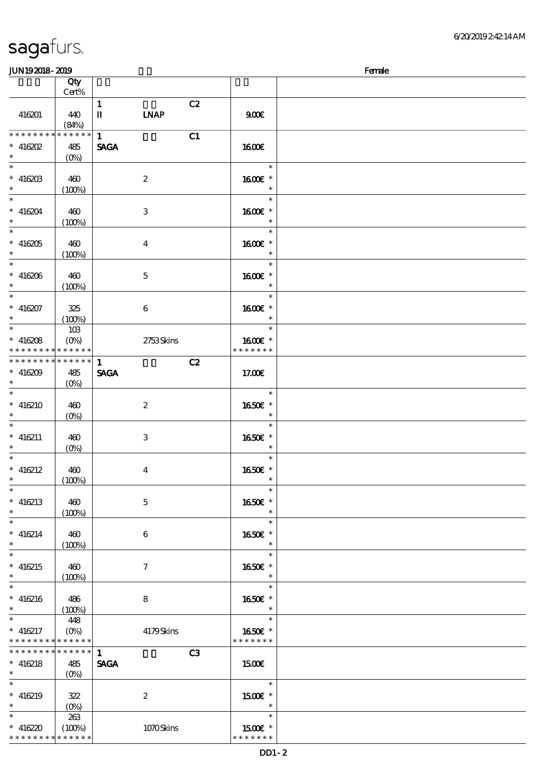6/20/2019 2:42:14 AM

| sagafurs.         |
|-------------------|
| <b>INTIO COMO</b> |

| <b>JUN192018-2019</b>                                         |                               |                             |                           |    | Female                                |  |
|---------------------------------------------------------------|-------------------------------|-----------------------------|---------------------------|----|---------------------------------------|--|
|                                                               | Qty<br>Cert%                  |                             |                           |    |                                       |  |
| 416201                                                        | 440<br>(84%)                  | $\mathbf{1}$<br>П           | <b>LNAP</b>               | C2 | 900E                                  |  |
| * * * * * * * *<br>$*$ 416202<br>$\ast$                       | * * * * * *<br>485<br>$(O\%)$ | $\mathbf{1}$<br><b>SAGA</b> |                           | C1 | <b>160€</b>                           |  |
| $\overline{\phantom{1}}$<br>$* 41620B$<br>$\ast$              | 460<br>(100%)                 |                             | $\boldsymbol{2}$          |    | $\ast$<br>1600€ *<br>$\ast$           |  |
| $\overline{\ast}$<br>$* 416204$<br>$\ast$                     | 460<br>(100%)                 |                             | $\ensuremath{\mathbf{3}}$ |    | $\ast$<br>1600€ *<br>$\ast$           |  |
| $\ast$<br>$* 416205$<br>$\ast$<br>$\overline{\phantom{0}}$    | 460<br>(100%)                 |                             | $\bf{4}$                  |    | $\ast$<br>1600€ *<br>$\ast$           |  |
| $* 416206$<br>$\ast$<br>$\overline{\phantom{a}}$              | 460<br>(100%)                 |                             | $\mathbf 5$               |    | $\ast$<br>1600€ *<br>$\ast$           |  |
| $* 416207$<br>$\ast$<br>$\overline{\phantom{a}^*}$            | 325<br>(100%)                 |                             | $\boldsymbol{6}$          |    | $\ast$<br>1600E *<br>$\ast$           |  |
| $* 416208$<br>* * * * * * * * <mark>* * * * * * *</mark>      | 10B<br>$(O\%)$                |                             | 2753Skins                 |    | $\ast$<br>1600E *<br>* * * * * * *    |  |
| * * * * * * * * * * * * * *<br>$* 416209$<br>$\ast$<br>$\ast$ | 485<br>$(O\%)$                | $\mathbf{1}$<br><b>SAGA</b> |                           | C2 | 17.00€                                |  |
| $* 416210$<br>$\ast$<br>$\ast$                                | 460<br>$(0\%)$                |                             | $\boldsymbol{2}$          |    | $\ast$<br>1650€ *<br>$\ast$           |  |
| $* 416211$<br>$\ast$<br>$\overline{\phantom{0}}$              | 460<br>$(0\%)$                |                             | 3                         |    | $\ast$<br>1650E *<br>$\ast$<br>$\ast$ |  |
| $* 416212$<br>$\ast$<br>$\overline{\phantom{a}^*}$            | 460<br>(100%)                 |                             | $\bf{4}$                  |    | 1650E *<br>$\ast$                     |  |
| $* 416213$<br>$\ast$<br>$\ast$                                | 460<br>(100%)                 |                             | $\mathbf 5$               |    | 1650€ *<br>$\ast$<br>$\ast$           |  |
| $* 416214$<br>$\ast$<br>$\overline{\ast}$                     | 460<br>(100%)                 |                             | $\boldsymbol{6}$          |    | 1650€ *<br>$\ast$<br>$\ast$           |  |
| $* 416215$<br>$\ast$<br>$\overline{\phantom{0}}$              | 460<br>(100%)                 |                             | $\tau$                    |    | 1650€ *<br>$\ast$<br>$\ast$           |  |
| $* 416216$<br>$\ast$<br>$\ast$                                | 486<br>(100%)                 |                             | 8                         |    | 1650€ *<br>$\ast$<br>$\ast$           |  |
| $* 416217$<br>* * * * * * * * * * * * * *<br>**************   | 448<br>$(O\%)$                |                             | 4179Skins                 |    | 1650E *<br>* * * * * * *              |  |
| $* 416218$<br>$\ast$<br>$\ast$                                | 485<br>$(O\% )$               | $\mathbf{1}$<br><b>SAGA</b> |                           | C3 | 1500<br>$\ast$                        |  |
| $* 416219$<br>$\ast$<br>$\ast$                                | 322                           |                             | $\boldsymbol{2}$          |    | 1500€ *<br>$\ast$                     |  |
| $* 416220$<br>* * * * * * * * * * * * * *                     | 263<br>(100%)                 |                             | 1070Skins                 |    | $\ast$<br>1500E *<br>* * * * * * *    |  |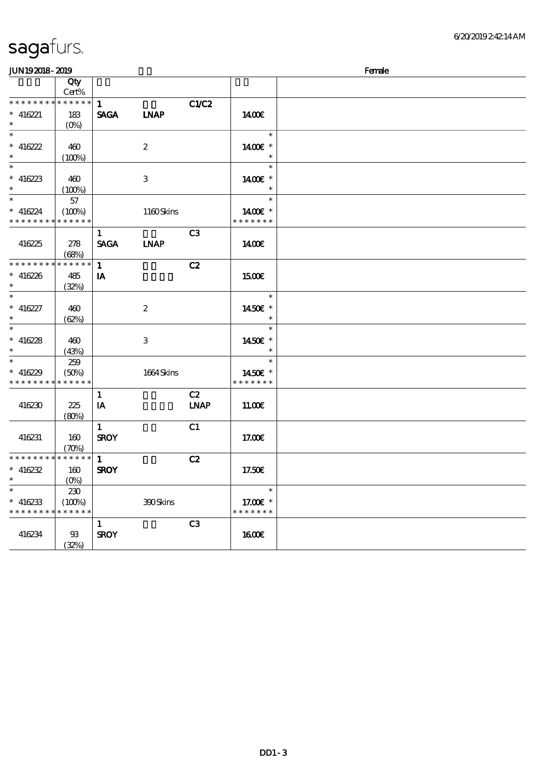| <b>JUN192018-2019</b>                    |                            |              |                           |                |                       | Female |
|------------------------------------------|----------------------------|--------------|---------------------------|----------------|-----------------------|--------|
|                                          | Qty<br>Cert%               |              |                           |                |                       |        |
| * * * * * * * * * * * * * *              |                            | $\mathbf{1}$ |                           | C1/C2          |                       |        |
| $* 416221$<br>$\ast$                     | 183<br>$(0\%)$             | <b>SAGA</b>  | <b>INAP</b>               |                | 1400E                 |        |
|                                          |                            |              |                           |                | $\ast$                |        |
| $* 416222$                               | 460                        |              | $\boldsymbol{2}$          |                | 1400€ *               |        |
| $\ast$                                   | (100%)                     |              |                           |                |                       |        |
| $\ast$                                   |                            |              |                           |                | $\ast$                |        |
| $* 416223$                               | 460                        |              | $\ensuremath{\mathsf{3}}$ |                | 1400€ *               |        |
| $\ast$                                   | (100%)                     |              |                           |                |                       |        |
| $*$                                      | 57                         |              |                           |                | $\ast$                |        |
| $* 416224$                               | (100%)                     |              | 1160Skins                 |                | 1400€ *               |        |
| * * * * * * * * <mark>* * * * * *</mark> |                            |              |                           |                | * * * * * * *         |        |
|                                          |                            | $\mathbf{1}$ |                           | C <sub>3</sub> |                       |        |
| 416225                                   | 278                        | <b>SAGA</b>  | <b>LNAP</b>               |                | 1400€                 |        |
|                                          | (68%)                      |              |                           |                |                       |        |
| * * * * * * * * *                        | * * * * * *                | $\mathbf{1}$ |                           | C2             |                       |        |
| $* 416226$                               | 485                        | IA           |                           |                | 1500E                 |        |
| $\ast$                                   | (32%)                      |              |                           |                |                       |        |
| $\ast$                                   |                            |              |                           |                | $\ast$                |        |
| $* 416227$                               | 460                        |              | $\boldsymbol{2}$          |                | 1450€ *               |        |
| $\ast$                                   | (62%)                      |              |                           |                |                       |        |
| $\overline{\ast}$                        |                            |              |                           |                | $\ast$                |        |
| $* 416228$                               | 460                        |              | $\,3$                     |                | 1450€ *               |        |
| $\ast$                                   | (43%)                      |              |                           |                |                       |        |
| $\ast$                                   | 259                        |              |                           |                | $\ast$                |        |
| $* 416229$                               | (50%)                      |              | 1664Skins                 |                | 1450€ *               |        |
| * * * * * * * *                          | * * * * * *                |              |                           |                | * * * * * * *         |        |
|                                          |                            | $\mathbf{1}$ |                           | C2             |                       |        |
| 416230                                   | 225                        | IA           |                           | <b>LNAP</b>    | 1100E                 |        |
|                                          | (80%)                      |              |                           |                |                       |        |
|                                          |                            | $\mathbf{1}$ |                           | C1             |                       |        |
| 416231                                   | 160                        | <b>SROY</b>  |                           |                | 17.00E                |        |
|                                          | $(\mathcal{X}\mathcal{Y})$ |              |                           |                |                       |        |
| * * * * * * * * * * * * * *              |                            | $\mathbf{1}$ |                           | C2             |                       |        |
| $* 416232$                               | 160                        | <b>SROY</b>  |                           |                | 17.50€                |        |
| $\ast$                                   | $(0\%)$                    |              |                           |                |                       |        |
| $\overline{\ast}$                        | 230                        |              |                           |                | $\ast$                |        |
| $* 416233$                               | (100%)                     |              | 300Skins                  |                | 17.00 $\varepsilon$ * |        |
| * * * * * * * * * * * * * *              |                            |              |                           |                | * * * * * * *         |        |
|                                          |                            | 1            |                           | C3             |                       |        |
| 416234                                   | $93\,$                     | <b>SROY</b>  |                           |                | <b>160€</b>           |        |
|                                          | (32%)                      |              |                           |                |                       |        |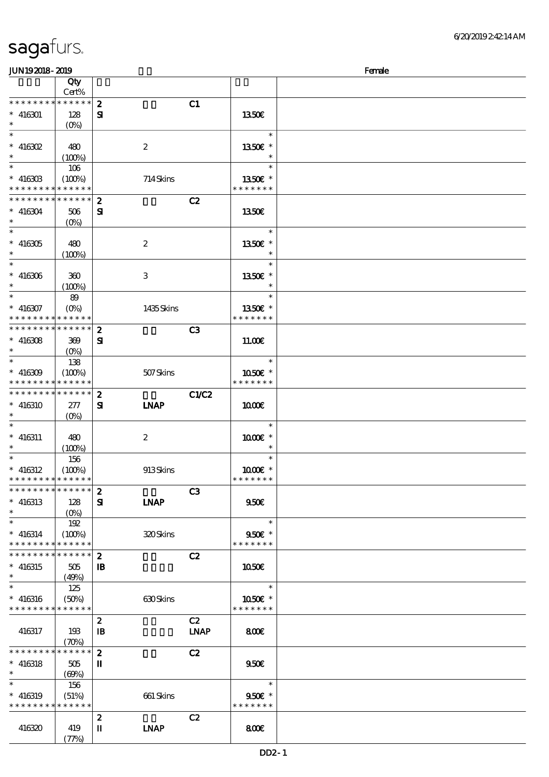| JUN192018-2019                           |                            |                  |                  |                |                      | Female |
|------------------------------------------|----------------------------|------------------|------------------|----------------|----------------------|--------|
|                                          | Qty                        |                  |                  |                |                      |        |
|                                          | Cert%                      |                  |                  |                |                      |        |
| * * * * * * * *                          | $*******$                  | $\boldsymbol{z}$ |                  | C1             |                      |        |
| $* 416301$                               | 128                        | ${\bf s}$        |                  |                | 1350E                |        |
| $*$                                      | $(O\!/\!o)$                |                  |                  |                |                      |        |
|                                          |                            |                  |                  |                | $\ast$               |        |
| $*$ 416302                               | 480                        |                  | $\boldsymbol{2}$ |                | 1350 $\varepsilon$ * |        |
| $\ast$                                   | (100%)                     |                  |                  |                | $\ast$               |        |
|                                          |                            |                  |                  |                | $\ast$               |        |
|                                          | 106                        |                  |                  |                |                      |        |
| $*$ 416303                               | (100%)                     |                  | 714Skins         |                | 1350E *              |        |
| * * * * * * * *                          | * * * * * *                |                  |                  |                | * * * * * * *        |        |
| * * * * * * * *                          | * * * * * *                | $\boldsymbol{z}$ |                  | C2             |                      |        |
| $* 416304$                               | $506$                      | ${\bf s}$        |                  |                | 1350E                |        |
| $*$                                      | $(O\%)$                    |                  |                  |                |                      |        |
|                                          |                            |                  |                  |                | $\ast$               |        |
| $* 416305$                               | 480                        |                  | $\boldsymbol{2}$ |                | 1350E *              |        |
| $*$                                      | (100%)                     |                  |                  |                | $\ast$               |        |
| $*$                                      |                            |                  |                  |                | $\ast$               |        |
| $* 416306$                               | 300                        |                  | 3                |                | 1350E *              |        |
| $\ast$                                   | (100%)                     |                  |                  |                | $\ast$               |        |
| $\ast$                                   | 89                         |                  |                  |                | $\ast$               |        |
| $* 416307$                               | $(O\%)$                    |                  | 1435Skins        |                | 1350€ *              |        |
| * * * * * * * *                          | * * * * * *                |                  |                  |                | * * * * * * *        |        |
| * * * * * * * * * * * * * * *            |                            |                  |                  |                |                      |        |
|                                          |                            | $\boldsymbol{z}$ |                  | C <sub>3</sub> |                      |        |
| $* 416308$                               | 369                        | Я                |                  |                | 11.00E               |        |
| $\ast$                                   | $(O\!/\!\!\delta)$         |                  |                  |                |                      |        |
|                                          | 138                        |                  |                  |                | $\ast$               |        |
| $* 416309$                               | (100%)                     |                  | 507Skins         |                | 1050E *              |        |
| * * * * * * * *                          | * * * * * *                |                  |                  |                | * * * * * * *        |        |
| * * * * * * * * * * * * * *              |                            | $\boldsymbol{z}$ |                  | <b>C1/C2</b>   |                      |        |
| $* 416310$                               | 277                        | ${\bf s}$        | <b>LNAP</b>      |                | 1000E                |        |
| $*$                                      | $(O\%)$                    |                  |                  |                |                      |        |
| $\ast$                                   |                            |                  |                  |                | $\ast$               |        |
| $* 416311$                               | 480                        |                  | $\boldsymbol{z}$ |                | 1000 *               |        |
| $*$                                      | (100%)                     |                  |                  |                | $\ast$               |        |
| $\ast$                                   | 156                        |                  |                  |                | $\ast$               |        |
| $* 416312$                               | (100%)                     |                  | 913Skins         |                | 1000 ±*              |        |
| * * * * * * * * * * * * * *              |                            |                  |                  |                | * * * * * * *        |        |
| * * * * * * * * <mark>* * * * * *</mark> |                            |                  |                  |                |                      |        |
|                                          |                            | $\boldsymbol{z}$ |                  | C <sub>3</sub> |                      |        |
| $* 416313$                               | 128                        | $\mathbf{S}$     | <b>INAP</b>      |                | 950E                 |        |
| $\ast$                                   | $(O\% )$                   |                  |                  |                |                      |        |
| $\ast$                                   | 192                        |                  |                  |                | $\ast$               |        |
| $* 416314$                               | (100%)                     |                  | 320Skins         |                | $950E$ *             |        |
| * * * * * * * *                          | * * * * * *                |                  |                  |                | * * * * * * *        |        |
| * * * * * * * *                          | ******                     | $\boldsymbol{z}$ |                  | C2             |                      |        |
| $* 416315$                               | 505                        | $\mathbf{B}$     |                  |                | 1050E                |        |
| $\ast$                                   | (49%)                      |                  |                  |                |                      |        |
| $\ast$                                   | 125                        |                  |                  |                | $\ast$               |        |
| $* 416316$                               | (50%)                      |                  | 630Skins         |                | 1050€ *              |        |
| * * * * * * * * * * * * * *              |                            |                  |                  |                | * * * * * * *        |        |
|                                          |                            | $\boldsymbol{z}$ |                  | C2             |                      |        |
| 416317                                   | 193                        | $\mathbf{B}$     |                  | <b>LNAP</b>    | 800                  |        |
|                                          | $(\mathcal{X}\mathcal{Y})$ |                  |                  |                |                      |        |
| * * * * * * * *                          | * * * * * *                | $\boldsymbol{z}$ |                  | C2             |                      |        |
|                                          |                            |                  |                  |                |                      |        |
| $* 416318$                               | 505                        | П                |                  |                | 950E                 |        |
| $\ast$                                   | $(\Theta\%)$               |                  |                  |                |                      |        |
| $\ast$                                   | 156                        |                  |                  |                | $\ast$               |        |
| $* 416319$                               | (51%)                      |                  | 661 Skins        |                | 950€ *               |        |
| * * * * * * * *                          | * * * * * *                |                  |                  |                | * * * * * * *        |        |
|                                          |                            | $\boldsymbol{z}$ |                  | C2             |                      |        |
| 416320                                   | 419                        | п                | <b>LNAP</b>      |                | 800                  |        |
|                                          | (77%)                      |                  |                  |                |                      |        |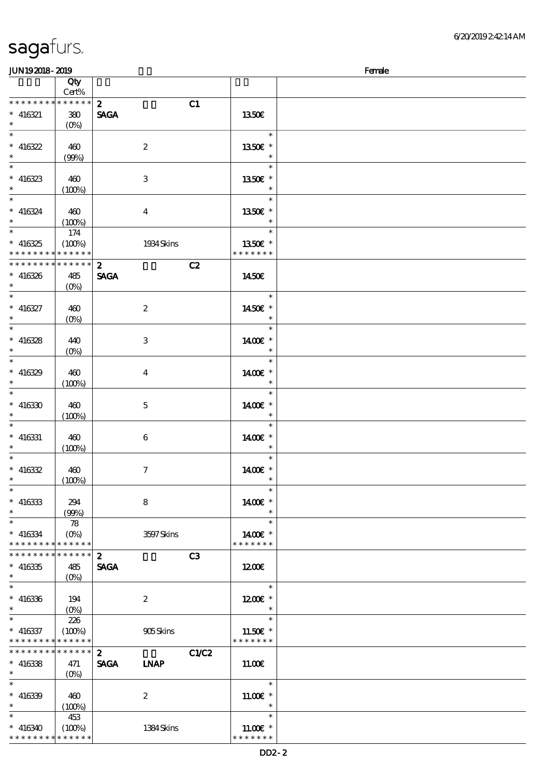#### JUN19 2018 - 2019 **Female**

|                          | Qty                |                                    |               |  |
|--------------------------|--------------------|------------------------------------|---------------|--|
|                          | Cert%              |                                    |               |  |
| * * * * * * * *          | * * * * * *        | $\boldsymbol{2}$<br>C1             |               |  |
| $* 416321$               | 380                | <b>SAGA</b>                        | 1350€         |  |
| $\ast$                   | $(O\%)$            |                                    |               |  |
| $\overline{\phantom{0}}$ |                    |                                    | $\ast$        |  |
| $* 416322$               | 460                | $\boldsymbol{2}$                   | 1350€ *       |  |
| $\ast$                   |                    |                                    |               |  |
|                          | (90%)              |                                    |               |  |
| $\overline{\ast}$        |                    |                                    | $\ast$        |  |
| $* 416323$               | 460                | $\,3$                              | 1350E *       |  |
| $*$                      | (100%)             |                                    |               |  |
| $\ast$                   |                    |                                    | $\ast$        |  |
| $* 416324$               | 460                | $\boldsymbol{4}$                   | 1350E *       |  |
| $\ast$                   |                    |                                    | $\ast$        |  |
| $\ast$                   | (100%)             |                                    | $\ast$        |  |
|                          | 174                |                                    |               |  |
| $* 416325$               | (100%)             | 1934 Skins                         | 1350E *       |  |
| * * * * * * * *          | * * * * * *        |                                    | * * * * * * * |  |
| * * * * * * * *          | * * * * * *        | $\boldsymbol{z}$<br>C2             |               |  |
| $* 416326$               | 485                | <b>SAGA</b>                        | 1450€         |  |
| $\ast$                   |                    |                                    |               |  |
| $\overline{\phantom{0}}$ | $(O\%)$            |                                    |               |  |
|                          |                    |                                    | $\ast$        |  |
| $* 416327$               | 460                | $\boldsymbol{2}$                   | 1450€ *       |  |
| $\ast$                   | $(O\%)$            |                                    |               |  |
| $\overline{\phantom{0}}$ |                    |                                    | $\ast$        |  |
| $* 416328$               | 440                | $\,3$                              | 1400€ *       |  |
| $\ast$                   | $(0\%)$            |                                    | $\ast$        |  |
| $\overline{\phantom{0}}$ |                    |                                    | $\ast$        |  |
|                          |                    |                                    |               |  |
| $* 416329$               | 460                | $\boldsymbol{4}$                   | 1400€ *       |  |
| $\ast$                   | (100%)             |                                    | $\ast$        |  |
| $\ast$                   |                    |                                    | $\ast$        |  |
| $* 416330$               | 460                | $\mathbf 5$                        | 1400€ *       |  |
| $\ast$                   | (100%)             |                                    | $\ast$        |  |
| $\ast$                   |                    |                                    | $\ast$        |  |
|                          |                    |                                    |               |  |
| $* 416331$               | 460                | 6                                  | 1400€ *       |  |
| $\ast$                   | (100%)             |                                    | $\ast$        |  |
| $\ast$                   |                    |                                    | $\ast$        |  |
| $* 416332$               | 460                | $\boldsymbol{\tau}$                | 1400€ *       |  |
| $\ast$                   | (100%)             |                                    | $\ast$        |  |
| $\ast$                   |                    |                                    | $\ast$        |  |
| $* 416333$               | 294                | 8                                  | 1400€ *       |  |
| $\ast$                   |                    |                                    |               |  |
| $\ast$                   | (90%)              |                                    |               |  |
|                          | 78                 |                                    | $\ast$        |  |
| $* 416334$               | $(O\%)$            | 3597Skins                          | 1400€ *       |  |
| * * * * * * * *          | * * * * * *        |                                    | * * * * * * * |  |
| * * * * * * * *          | * * * * * *        | $\boldsymbol{z}$<br>C <sub>3</sub> |               |  |
| $* 416335$               | 485                | <b>SAGA</b>                        | 1200E         |  |
| $\ast$                   | $(O\%)$            |                                    |               |  |
| $\ast$                   |                    |                                    | $\ast$        |  |
|                          |                    |                                    |               |  |
| $* 416336$               | 194                | $\boldsymbol{2}$                   | $1200E$ *     |  |
| $\ast$                   | $(0\%)$            |                                    | $\ast$        |  |
| $\ast$                   | 226                |                                    | $\ast$        |  |
| $* 416337$               | (100%)             | 905Skins                           | 11.50€ *      |  |
| * * * * * * * *          | * * * * * *        |                                    | * * * * * * * |  |
| * * * * * * * *          | * * * * * *        | C1/C2<br>$\boldsymbol{z}$          |               |  |
|                          |                    |                                    |               |  |
| $* 416338$               | 471                | <b>SAGA</b><br><b>INAP</b>         | 11.00E        |  |
| $\ast$                   | $(O\!/\!\!\delta)$ |                                    |               |  |
| $\ast$                   |                    |                                    | $\ast$        |  |
| $* 416339$               | 460                | $\boldsymbol{2}$                   | $11.00E$ *    |  |
| $\ast$                   | (100%)             |                                    | $\ast$        |  |
| $\ast$                   | 453                |                                    | $\ast$        |  |
| $* 416340$               | (100%)             | 1384Skins                          | $11.00E$ *    |  |
|                          |                    |                                    | * * * * * * * |  |
| * * * * * * * *          | * * * * * *        |                                    |               |  |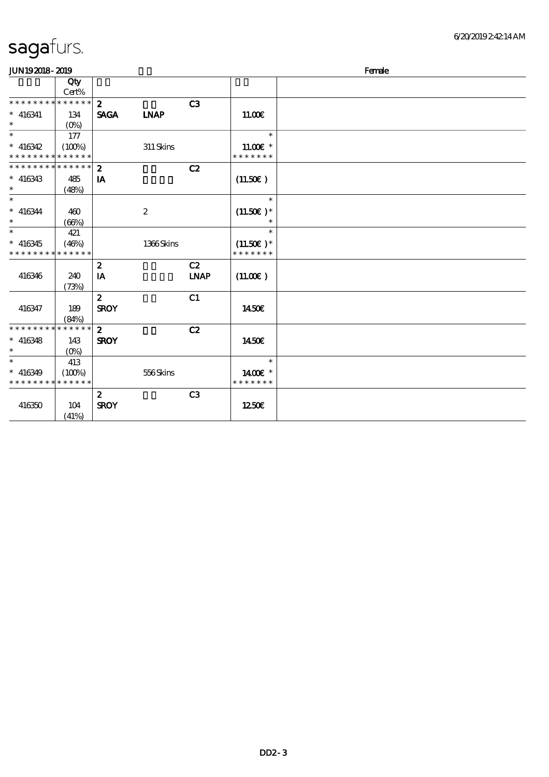| <b>JUN192018-2019</b>       |             |                  |                  |                |               | Female |
|-----------------------------|-------------|------------------|------------------|----------------|---------------|--------|
|                             | Qty         |                  |                  |                |               |        |
|                             | Cert%       |                  |                  |                |               |        |
| * * * * * * * *             | * * * * * * | $\mathbf{2}$     |                  | C3             |               |        |
| $* 416341$                  | 134         | <b>SAGA</b>      | <b>INAP</b>      |                | 11.00E        |        |
| $\ast$                      | $(O\%)$     |                  |                  |                |               |        |
| $\ast$                      | 177         |                  |                  |                | $\ast$        |        |
| $* 416342$                  | (100%)      |                  | 311 Skins        |                | $11.00E$ *    |        |
| * * * * * * * *             | * * * * * * |                  |                  |                | * * * * * * * |        |
| * * * * * * * * * * * * * * |             | $\mathbf{z}$     |                  | C2             |               |        |
| $* 416343$                  | 485         | IA               |                  |                | (11.50)       |        |
| $\ast$                      | (48%)       |                  |                  |                |               |        |
| $\ast$                      |             |                  |                  |                | $\ast$        |        |
| $* 416344$                  | 460         |                  | $\boldsymbol{2}$ |                | $(11.50)$ *   |        |
| $\ast$                      | (66%)       |                  |                  |                | $\ast$        |        |
| $\ast$                      | 421         |                  |                  |                | $\ast$        |        |
| $* 416345$                  | (46%)       |                  | 1366Skins        |                | $(11.50)$ *   |        |
| * * * * * * * *             | * * * * * * |                  |                  |                | * * * * * * * |        |
|                             |             | $\boldsymbol{z}$ |                  | C2             |               |        |
| 416346                      | 240         | IA               |                  | <b>LNAP</b>    | (11.00)       |        |
|                             | (73%)       |                  |                  |                |               |        |
|                             |             | $\boldsymbol{z}$ |                  | C1             |               |        |
| 416347                      | 189         | <b>SROY</b>      |                  |                | 1450€         |        |
|                             | (84%)       |                  |                  |                |               |        |
| * * * * * * * *             | * * * * * * | $\mathbf{z}$     |                  | C2             |               |        |
| $* 416348$                  | 143         | <b>SROY</b>      |                  |                | 1450€         |        |
| $\ast$                      | $(O\%)$     |                  |                  |                |               |        |
| $\ast$                      | 413         |                  |                  |                | $\ast$        |        |
| $* 416349$                  | (100%)      |                  | 556Skins         |                | 1400€ *       |        |
| * * * * * * * *             | * * * * * * |                  |                  |                | * * * * * * * |        |
|                             |             | $\boldsymbol{z}$ |                  | C <sub>3</sub> |               |        |
| 416350                      | 104         | <b>SROY</b>      |                  |                | 1250E         |        |
|                             | (41%)       |                  |                  |                |               |        |
|                             |             |                  |                  |                |               |        |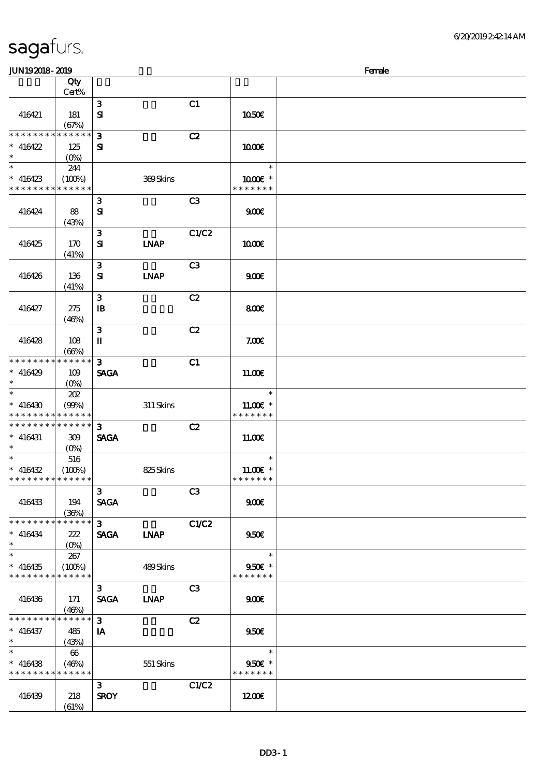# sagafurs.

| JUN192018-2019                             |                                 |                |             |                |                          | Female |
|--------------------------------------------|---------------------------------|----------------|-------------|----------------|--------------------------|--------|
|                                            | Qty                             |                |             |                |                          |        |
|                                            | Cert%                           |                |             |                |                          |        |
|                                            |                                 | $\mathbf{3}$   |             | C1             |                          |        |
| 416421                                     | 181                             | ${\bf s}$      |             |                | 1050E                    |        |
|                                            | (67%)                           |                |             |                |                          |        |
| * * * * * * * *                            | * * * * * *                     | 3              |             | C2             |                          |        |
|                                            |                                 |                |             |                |                          |        |
| $* 416422$                                 | 125                             | ${\bf s}$      |             |                | 1000E                    |        |
| $\ast$                                     | $(O\!\!\!\!\!\!\backslash\rho)$ |                |             |                | $\ast$                   |        |
|                                            | 244                             |                |             |                |                          |        |
| $* 416423$                                 | (100%)                          |                | 369Skins    |                | $1000E$ *                |        |
| * * * * * * * *                            | * * * * * *                     |                |             |                | * * * * * * *            |        |
|                                            |                                 | $\mathbf{3}$   |             | C3             |                          |        |
| 416424                                     | 88                              | ${\bf s}$      |             |                | 900E                     |        |
|                                            | (43%)                           |                |             |                |                          |        |
|                                            |                                 | 3              |             | C1/C2          |                          |        |
| 416425                                     | 170                             | ${\bf s}$      | <b>LNAP</b> |                | 1000                     |        |
|                                            | (41%)                           |                |             |                |                          |        |
|                                            |                                 | $\mathbf{3}$   |             | C <sub>3</sub> |                          |        |
| 416426                                     | 136                             | ${\bf s}$      | <b>LNAP</b> |                | 900E                     |        |
|                                            | (41%)                           |                |             |                |                          |        |
|                                            |                                 | $\mathbf{3}$   |             | C2             |                          |        |
| 416427                                     | 275                             | $\mathbf{B}$   |             |                | 800€                     |        |
|                                            | (46%)                           |                |             |                |                          |        |
|                                            |                                 | 3              |             | C2             |                          |        |
| 416428                                     | 108                             | П              |             |                | 7.00E                    |        |
|                                            | (66%)                           |                |             |                |                          |        |
| * * * * * * * *                            | * * * * * *                     | $\mathbf{3}$   |             | C1             |                          |        |
| $* 416429$                                 | 109                             | <b>SAGA</b>    |             |                | 11.00E                   |        |
| $\ast$                                     | $(O\%)$                         |                |             |                |                          |        |
| $\ast$                                     | 202                             |                |             |                | $\ast$                   |        |
| $* 416430$                                 | (90%)                           |                | $311$ Skins |                | 11.00 $\varepsilon$ *    |        |
| * * * * * * * *                            | * * * * * *                     |                |             |                | * * * * * * *            |        |
| * * * * * * * * <mark>* * * * * * *</mark> |                                 | $\mathbf{3}$   |             | C2             |                          |        |
| $* 416431$                                 | 309                             | <b>SAGA</b>    |             |                | 11.00E                   |        |
| $*$                                        | $(O\%)$                         |                |             |                |                          |        |
| $\ast$                                     | 516                             |                |             |                | $\ast$                   |        |
| $* 416432$                                 | (100%)                          |                | 825Skins    |                | $11.00E$ *               |        |
| * * * * * * * * * * * * * *                |                                 |                |             |                | * * * * * * *            |        |
|                                            |                                 | 3 <sup>1</sup> |             | C3             |                          |        |
|                                            |                                 |                |             |                |                          |        |
| 416433                                     | 194                             | <b>SAGA</b>    |             |                | 900E                     |        |
| * * * * * * * *                            | (36%)<br>******                 | $3^{\circ}$    |             |                |                          |        |
|                                            |                                 |                |             | C1/C2          |                          |        |
| $* 416434$                                 | 222                             | SAGA LNAP      |             |                | 950E                     |        |
| $*$ and $*$<br>$\ast$                      | $(O\!/\!\!\!\!\!\!\!o)$         |                |             |                |                          |        |
|                                            | 267                             |                |             |                | $\overline{\phantom{a}}$ |        |
| $* 416435$                                 | (100%)                          |                | 489Skins    |                | $950E$ *                 |        |
| * * * * * * * *                            | * * * * * *                     |                |             |                | * * * * * * *            |        |
|                                            |                                 | 3 <sup>1</sup> |             | C <sub>3</sub> |                          |        |
| 416436                                     | 171                             | SAGA LNAP      |             |                | 900 <sub>E</sub>         |        |
|                                            | (46%)                           |                |             |                |                          |        |
| * * * * * * * *                            | $* * * * * *$                   | 3 <sup>1</sup> |             | C2             |                          |        |
| $* 416437$                                 | 485                             | IA             |             |                | 950E                     |        |
| $\ast$ . The set of $\ast$                 | (43%)                           |                |             |                |                          |        |
| $\ast$                                     | 66                              |                |             |                | $\overline{\phantom{a}}$ |        |
| $* 416438$                                 | (46%)                           |                | 551 Skins   |                | $950E$ *                 |        |
| * * * * * * * *                            | * * * * * *                     |                |             |                | * * * * * * *            |        |
|                                            |                                 | 3 <sup>1</sup> |             | C1/C2          |                          |        |
| 416439                                     | 218                             | <b>SROY</b>    |             |                | 1200                     |        |
|                                            | (61%)                           |                |             |                |                          |        |
|                                            |                                 |                |             |                |                          |        |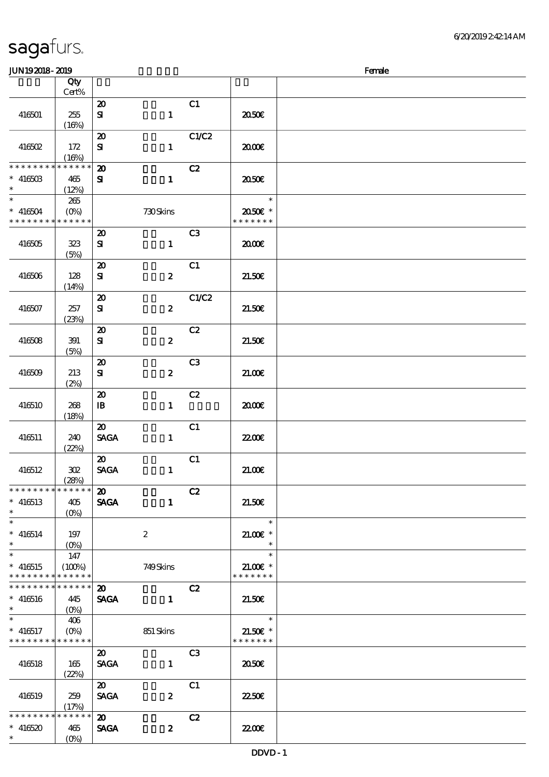|  | sagafurs. |
|--|-----------|
|  |           |

| ~~ <u>~~~~~~~~~</u>         |                      |                             |                  |                |               | ----- |
|-----------------------------|----------------------|-----------------------------|------------------|----------------|---------------|-------|
|                             | Qty<br>Cert%         |                             |                  |                |               |       |
|                             |                      |                             |                  |                |               |       |
|                             |                      | $\boldsymbol{\mathbf{z}}$   |                  | C1             |               |       |
| 416501                      | 255                  | ${\bf S}$                   | $\mathbf{1}$     |                | 2050€         |       |
|                             | (16%)                |                             |                  |                |               |       |
|                             |                      | $\boldsymbol{\mathfrak{D}}$ |                  | C1/C2          |               |       |
| 416502                      | 172                  | ${\bf s}$                   | $\mathbf{1}$     |                | æœ            |       |
|                             | (16%)                |                             |                  |                |               |       |
| * * * * * * * *             | * * * * * *          | $\boldsymbol{\mathbf{z}}$   |                  | C2             |               |       |
|                             |                      |                             |                  |                |               |       |
| $* 41650B$                  | 465                  | ${\bf s}$                   | $\mathbf{1}$     |                | 2050E         |       |
| $\ast$                      | (12%)                |                             |                  |                |               |       |
| $\overline{\phantom{0}}$    | $265\,$              |                             |                  |                | $\ast$        |       |
| $* 416504$                  | $(O\!/\!o)$          |                             | 730Skins         |                | 2050€ *       |       |
| * * * * * * * * * * * * * * |                      |                             |                  |                | * * * * * * * |       |
|                             |                      | $\boldsymbol{\mathfrak{D}}$ |                  | C <sub>3</sub> |               |       |
| 416505                      | 323                  | ${\bf s}$                   | $\mathbf{1}$     |                | 2000          |       |
|                             | (5%)                 |                             |                  |                |               |       |
|                             |                      |                             |                  | C1             |               |       |
|                             |                      | $\boldsymbol{\mathbf{z}}$   |                  |                |               |       |
| 416506                      | 128                  | ${\bf S\hspace{-.075ex}I}$  | $\boldsymbol{z}$ |                | 21.50E        |       |
|                             | (14%)                |                             |                  |                |               |       |
|                             |                      | $\boldsymbol{\mathfrak{D}}$ |                  | C1/C2          |               |       |
| 416507                      | 257                  | ${\bf s}$                   | $\boldsymbol{z}$ |                | 21.50E        |       |
|                             | (23%)                |                             |                  |                |               |       |
|                             |                      | $\boldsymbol{\mathfrak{D}}$ |                  | C2             |               |       |
| 416508                      | 391                  | ${\bf s}$                   | $\boldsymbol{z}$ |                | 21.50E        |       |
|                             |                      |                             |                  |                |               |       |
|                             | (5%)                 |                             |                  |                |               |       |
|                             |                      | $\boldsymbol{\mathfrak{D}}$ |                  | C3             |               |       |
| 416509                      | 213                  | ${\bf s}$                   | $\boldsymbol{z}$ |                | 21.00E        |       |
|                             | (2%)                 |                             |                  |                |               |       |
|                             |                      | $\boldsymbol{\mathsf{20}}$  |                  | C2             |               |       |
| 416510                      | 268                  | $\, {\bf B}$                | $\mathbf{1}$     |                | æœ            |       |
|                             | (18%)                |                             |                  |                |               |       |
|                             |                      | $\boldsymbol{\mathfrak{D}}$ |                  | C1             |               |       |
|                             |                      |                             |                  |                |               |       |
| 416511                      | 240                  | <b>SAGA</b>                 | $\mathbf{1}$     |                | <b>2200</b> € |       |
|                             | (22%)                |                             |                  |                |               |       |
|                             |                      | $\boldsymbol{\mathfrak{D}}$ |                  | C1             |               |       |
| 416512                      | $30\!\!\!2$          | <b>SAGA</b>                 | $\mathbf{1}$     |                | 21.006        |       |
|                             | (28%)                |                             |                  |                |               |       |
| * * * * * * * * * * * * * * |                      | $\boldsymbol{\mathfrak{D}}$ |                  | C2             |               |       |
| $* 416513$                  | 405                  | <b>SAGA</b>                 | $\mathbf{1}$     |                | 21.50E        |       |
| $\ast$                      | (O <sub>0</sub> )    |                             |                  |                |               |       |
| $\ast$                      |                      |                             |                  |                | $\ast$        |       |
|                             |                      |                             |                  |                |               |       |
| $* 416514$                  | 197                  |                             | $\boldsymbol{2}$ |                | $21.005*$     |       |
| $\ast$                      | $(O\%)$              |                             |                  |                | $\ast$        |       |
| $\overline{\ast}$           | 147                  |                             |                  |                | $\ast$        |       |
| $* 416515$                  | (100%)               |                             | 749Skins         |                | $21.005*$     |       |
| * * * * * * * *             | * * * * * *          |                             |                  |                | * * * * * * * |       |
| * * * * * * * *             | * * * * * *          | $\boldsymbol{\mathbf{z}}$   |                  | C2             |               |       |
| $* 416516$                  | 445                  | <b>SAGA</b>                 | $\mathbf{1}$     |                | 21.50E        |       |
| $\ast$                      | $(O\%)$              |                             |                  |                |               |       |
| $\ast$                      |                      |                             |                  |                | $\ast$        |       |
|                             | 406                  |                             |                  |                |               |       |
| $* 416517$                  | $(O\%)$              |                             | 851 Skins        |                | $21.50E$ *    |       |
| * * * * * * * *             | * * * * * *          |                             |                  |                | * * * * * * * |       |
|                             |                      | $\boldsymbol{\mathfrak{D}}$ |                  | C3             |               |       |
| 416518                      | 165                  | <b>SAGA</b>                 | $\mathbf{1}$     |                | ææ            |       |
|                             | (22%)                |                             |                  |                |               |       |
|                             |                      | $\boldsymbol{\mathfrak{D}}$ |                  | C1             |               |       |
| 416519                      | 259                  | <b>SAGA</b>                 | $\pmb{2}$        |                | 2250E         |       |
|                             |                      |                             |                  |                |               |       |
| * * * * * * * *             | (17%)<br>* * * * * * |                             |                  |                |               |       |
|                             |                      | $\boldsymbol{\mathsf{20}}$  |                  | C2             |               |       |
| $* 416520$                  | 465                  | <b>SAGA</b>                 | $\boldsymbol{z}$ |                | 2200          |       |
| $\ast$                      | $(O\!/\!o)$          |                             |                  |                |               |       |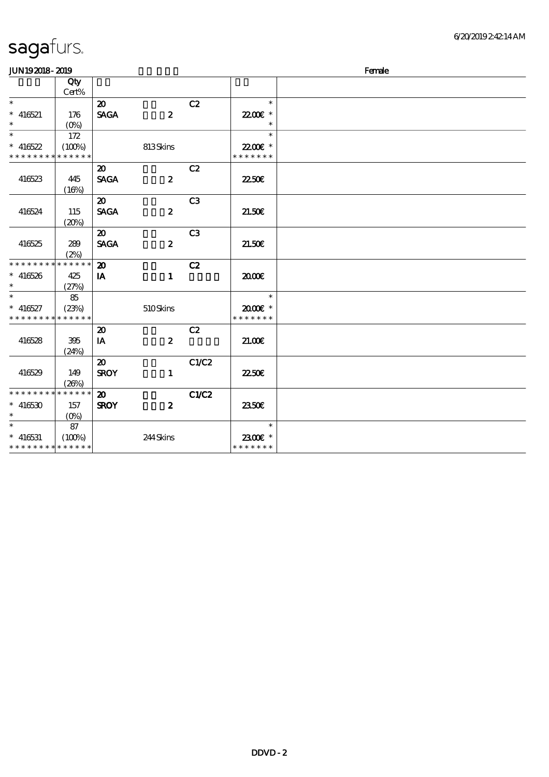| <b>JUN192018-2019</b>       |              |                             |                  |                |               | Female |
|-----------------------------|--------------|-----------------------------|------------------|----------------|---------------|--------|
|                             | Qty<br>Cert% |                             |                  |                |               |        |
| $\ast$                      |              | $\boldsymbol{\mathfrak{D}}$ |                  | C2             | $\ast$        |        |
| $* 416521$                  | 176          | <b>SAGA</b>                 | $\boldsymbol{z}$ |                | 22.00 *       |        |
| $\ast$                      | $(O\%)$      |                             |                  |                | $\ast$        |        |
| $\ast$                      | 172          |                             |                  |                | $\ast$        |        |
| $* 416522$                  | (100%)       |                             | 813Skins         |                | 22.00€ *      |        |
| * * * * * * * *             | * * * * * *  |                             |                  |                | * * * * * * * |        |
|                             |              | $\boldsymbol{\mathfrak{D}}$ |                  | C2             |               |        |
| 416523                      | 445          | <b>SAGA</b>                 | $\boldsymbol{z}$ |                | <b>2250E</b>  |        |
|                             | (16%)        |                             |                  |                |               |        |
|                             |              | $\boldsymbol{\mathsf{20}}$  |                  | C <sub>3</sub> |               |        |
| 416524                      | 115          | <b>SAGA</b>                 | $\boldsymbol{z}$ |                | 21.50E        |        |
|                             | (20%)        |                             |                  |                |               |        |
|                             |              | $\boldsymbol{\mathfrak{D}}$ |                  | C <sub>3</sub> |               |        |
| 416525                      | 289          | <b>SAGA</b>                 | $\boldsymbol{z}$ |                | 21.50E        |        |
|                             | (2%)         |                             |                  |                |               |        |
| * * * * * * * *             | * * * * * *  | $\boldsymbol{\mathfrak{D}}$ |                  | C2             |               |        |
| $* 416526$                  | 425          | IA                          | $\mathbf{1}$     |                | 2000          |        |
| $\ast$                      | (27%)        |                             |                  |                |               |        |
| $\ast$                      | 85           |                             |                  |                | $\ast$        |        |
| $* 416527$                  | (23%)        |                             | 510Skins         |                | $2000$ $*$    |        |
| * * * * * * * *             | * * * * * *  |                             |                  |                | * * * * * * * |        |
|                             |              | $\boldsymbol{\mathfrak{D}}$ |                  | C2             |               |        |
| 416528                      | 395          | IA                          | $\boldsymbol{z}$ |                | 21.00E        |        |
|                             | (24%)        |                             |                  |                |               |        |
|                             |              | $\boldsymbol{\mathfrak{D}}$ |                  | C1/C2          |               |        |
| 416529                      | 149          | <b>SROY</b>                 | $\mathbf{1}$     |                | 2250E         |        |
|                             | (26%)        |                             |                  |                |               |        |
| * * * * * * * *             | * * * * * *  | $\boldsymbol{\mathfrak{D}}$ |                  | C1/C2          |               |        |
| $* 416530$                  | 157          | <b>SROY</b>                 | $\boldsymbol{z}$ |                | 2350E         |        |
| $\ast$                      | $(O\%)$      |                             |                  |                |               |        |
| $\overline{\phantom{0}}$    | 87           |                             |                  |                | $\ast$        |        |
| $* 416531$                  | (100%)       |                             | 244Skins         |                | 2300€ *       |        |
| * * * * * * * * * * * * * * |              |                             |                  |                | * * * * * * * |        |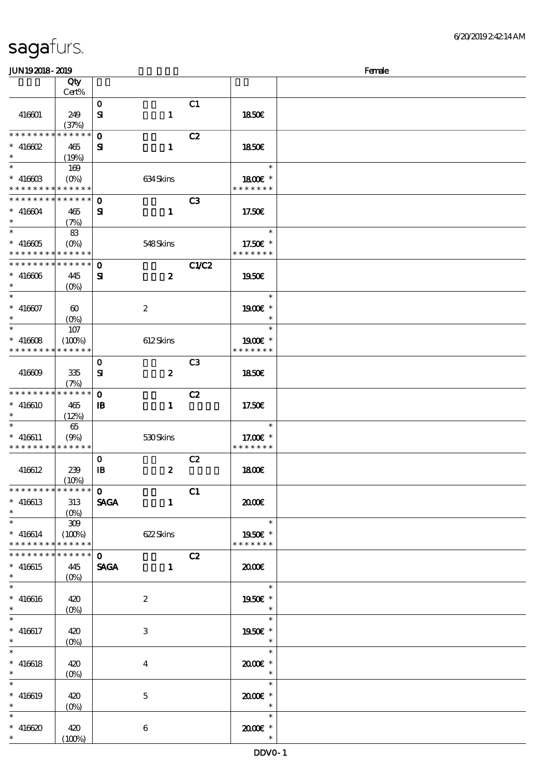| sagafurs. |
|-----------|
|           |

| <b>JUN192018-2019</b>                      |                                 |              |                  |                |                                                                                    | Female |
|--------------------------------------------|---------------------------------|--------------|------------------|----------------|------------------------------------------------------------------------------------|--------|
|                                            | Qty                             |              |                  |                |                                                                                    |        |
|                                            | Cert%                           |              |                  |                |                                                                                    |        |
|                                            |                                 | $\mathbf{o}$ |                  | C1             |                                                                                    |        |
| 416601                                     | 249                             | ${\bf s}$    | $\mathbf{1}$     |                | 1850E                                                                              |        |
|                                            | (37%)                           |              |                  |                |                                                                                    |        |
| * * * * * * * *                            | * * * * * *                     | $\mathbf{o}$ |                  | C2             |                                                                                    |        |
| $*$ 416602                                 | 465                             | ${\bf s}$    | $\mathbf{1}$     |                | 1850E                                                                              |        |
| $\ast$                                     | (19%)                           |              |                  |                |                                                                                    |        |
| $\ast$                                     | 169                             |              |                  |                | $\ast$                                                                             |        |
| $* 41660B$                                 | $(O\%)$                         |              | 634Skins         |                | 1800 £*                                                                            |        |
| * * * * * * * * * * * * * *                |                                 |              |                  |                | * * * * * * *                                                                      |        |
| * * * * * * * * * * * * * *                |                                 | $\mathbf 0$  |                  | C <sub>3</sub> |                                                                                    |        |
| $* 416604$                                 | 465                             | ${\bf s}$    | $\mathbf{1}$     |                | 17.50E                                                                             |        |
| $\ast$                                     |                                 |              |                  |                |                                                                                    |        |
| $\ast$                                     | (7%)                            |              |                  |                | $\ast$                                                                             |        |
|                                            | 83                              |              |                  |                |                                                                                    |        |
| $* 416605$<br>* * * * * * * * * * * * * *  | $(O\!/\!\!\delta)$              |              | 548Skins         |                | 17.50 $\varepsilon$ *<br>* * * * * * *                                             |        |
|                                            |                                 |              |                  |                |                                                                                    |        |
| * * * * * * * * <mark>* * * * * * *</mark> |                                 | $\mathbf 0$  |                  | <b>C1/C2</b>   |                                                                                    |        |
| $* 416006$                                 | 445                             | ${\bf s}$    | $\boldsymbol{z}$ |                | 1950E                                                                              |        |
| $\ast$                                     | $(O\%)$                         |              |                  |                |                                                                                    |        |
| $\ast$                                     |                                 |              |                  |                | $\ast$                                                                             |        |
| $* 416607$                                 | $\boldsymbol{\omega}$           |              | $\boldsymbol{2}$ |                | 1900E *                                                                            |        |
|                                            | $(O\%)$                         |              |                  |                | $\ast$                                                                             |        |
| $\ast$                                     | 107                             |              |                  |                | $\ast$                                                                             |        |
| $* 416608$                                 | (100%)                          |              | 612Skins         |                | $1900E$ *                                                                          |        |
| * * * * * * * *                            | * * * * * *                     |              |                  |                | * * * * * * *                                                                      |        |
|                                            |                                 | $\mathbf{o}$ |                  | C <sub>3</sub> |                                                                                    |        |
| 416609                                     | 335                             | ${\bf s}$    | $\boldsymbol{z}$ |                | 1850E                                                                              |        |
|                                            | (7%)                            |              |                  |                |                                                                                    |        |
| * * * * * * * * * * * * * *                |                                 | $\mathbf 0$  |                  | C2             |                                                                                    |        |
| $* 416610$                                 | 465                             | $\mathbf{B}$ | $\mathbf{1}$     |                | 17.50€                                                                             |        |
| $\ast$                                     | (12%)                           |              |                  |                |                                                                                    |        |
| $\ast$                                     | 65                              |              |                  |                | $\ast$                                                                             |        |
| $* 416611$                                 | (9%)                            |              | 530Skins         |                | 17.00 £*                                                                           |        |
| * * * * * * * * * * * * * *                |                                 |              |                  |                | * * * * * * *                                                                      |        |
|                                            |                                 | $\mathbf 0$  |                  | C2             |                                                                                    |        |
| 416612                                     | 239                             | $\mathbf{B}$ | $\boldsymbol{2}$ |                | 1800E                                                                              |        |
|                                            | $(10\%)$                        |              |                  |                |                                                                                    |        |
| **************                             |                                 | $\mathbf{0}$ |                  | C1             |                                                                                    |        |
| $* 416613$                                 | 313                             |              |                  |                | 2000                                                                               |        |
| $\ast$                                     |                                 | <b>SAGA</b>  | $\mathbf{1}$     |                |                                                                                    |        |
| $\ast$                                     |                                 |              |                  |                | $\begin{array}{c c} \hline \rule{0.2cm}{0.2cm} & \multicolumn{2}{c}{} \end{array}$ |        |
|                                            | 309                             |              |                  |                |                                                                                    |        |
| $* 416614$                                 | (100%)                          |              | 622 Skins        |                | 1950E *                                                                            |        |
| * * * * * * * * * * * * * *                |                                 |              |                  |                | * * * * * * *                                                                      |        |
| * * * * * * * * * * * * * *                |                                 | $\mathbf{o}$ |                  | C2             |                                                                                    |        |
| $* 416615$                                 | 445                             | <b>SAGA</b>  | $\mathbf{1}$     |                | 2000                                                                               |        |
| $\ast$                                     | $(O\%)$                         |              |                  |                |                                                                                    |        |
| $\ast$                                     |                                 |              |                  |                | $\overline{a}$<br>$\ast$                                                           |        |
| $* 416616$                                 | 420                             |              | $\boldsymbol{z}$ |                | 1950€ *                                                                            |        |
| $\ast$                                     |                                 |              |                  |                | $\ast$                                                                             |        |
| $\ast$                                     |                                 |              |                  |                | $\ast$                                                                             |        |
| $* 416617$                                 | 420                             |              | 3                |                | 1950E *                                                                            |        |
| $\ast$                                     | $(O\!\!\!\!\!\!\backslash\rho)$ |              |                  |                | $\ast$                                                                             |        |
| $\ast$                                     |                                 |              |                  |                | $\ast$                                                                             |        |
| $* 416618$                                 | 420                             |              | $\bf{4}$         |                | 2000E*                                                                             |        |
| $\ast$                                     | $(O\%)$                         |              |                  |                | $\ast$                                                                             |        |
| $\ast$                                     |                                 |              |                  |                | $\ast$                                                                             |        |
| $* 416619$                                 | 420                             |              | $\mathbf{5}$     |                | 2000E *                                                                            |        |
| $\ast$                                     | $(0\%)$                         |              |                  |                | $\overline{\phantom{a}}$                                                           |        |
| $\ast$                                     |                                 |              |                  |                | $\ast$                                                                             |        |
| $* 416620$                                 | 420                             |              | $\boldsymbol{6}$ |                | 2000E *                                                                            |        |
| $*$ $*$                                    | (100%)                          |              |                  |                | $\ast$                                                                             |        |
|                                            |                                 |              |                  |                |                                                                                    |        |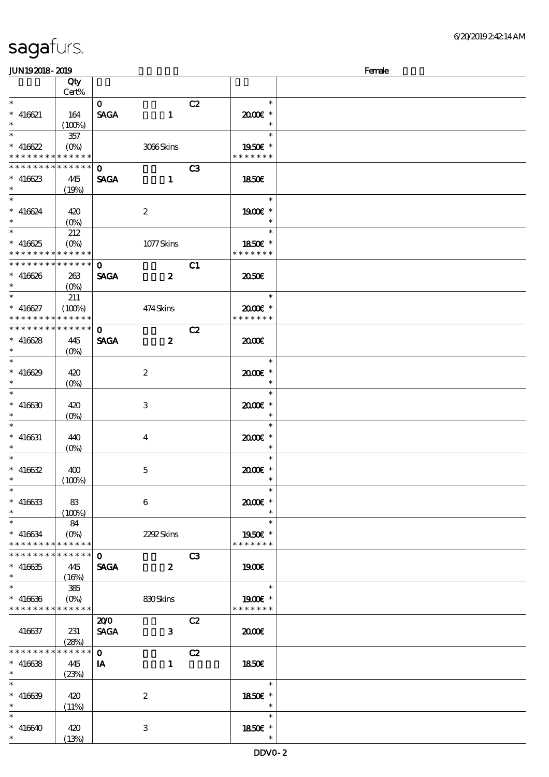| JUN192018-2019                             |                    |              |                         |                |                          | Female |
|--------------------------------------------|--------------------|--------------|-------------------------|----------------|--------------------------|--------|
|                                            | Qty                |              |                         |                |                          |        |
|                                            | Cert%              |              |                         |                |                          |        |
| $\ast$                                     |                    | $\mathbf{O}$ |                         | C2             | $\ast$                   |        |
| $* 416621$                                 | 164                | <b>SAGA</b>  | $\mathbf{1}$            |                | $2000$ $*$               |        |
| $\ast$                                     | (100%)             |              |                         |                | $\ast$                   |        |
|                                            | 357                |              |                         |                | $\ast$                   |        |
| $* 416622$                                 |                    |              | 3066Skins               |                | 1950€ *                  |        |
| * * * * * * * *                            | * * * * * *        |              |                         |                | * * * * * * *            |        |
| * * * * * * * *                            | * * * * * *        | $\mathbf{o}$ |                         | C <sub>3</sub> |                          |        |
| $* 416623$                                 | 445                | <b>SAGA</b>  | $\mathbf{1}$            |                | 1850E                    |        |
| $\ast$                                     | (19%)              |              |                         |                |                          |        |
| $\ast$                                     |                    |              |                         |                | $\ast$                   |        |
| $* 416624$                                 | 420                |              | $\boldsymbol{2}$        |                | 1900E *                  |        |
| $\ast$                                     | $(0\%)$            |              |                         |                | $\ast$                   |        |
|                                            | 212                |              |                         |                | $\ast$                   |        |
| $* 416625$                                 | $(0\%)$            |              | 1077Skins               |                | 1850€ *                  |        |
| * * * * * * * * <mark>* * * * * * *</mark> |                    |              |                         |                | * * * * * * *            |        |
| * * * * * * * * <mark>*</mark>             | ******             | $\mathbf{o}$ |                         | C1             |                          |        |
| $* 416626$                                 | 263                | <b>SAGA</b>  | $\boldsymbol{z}$        |                | 2050                     |        |
| $\ast$                                     | $(O\%)$            |              |                         |                |                          |        |
| $\ast$                                     | 211                |              |                         |                | $\ast$                   |        |
| $* 416627$                                 | (100%)             |              | 474Skins                |                | 2000E*                   |        |
| * * * * * * * *                            | * * * * * *        |              |                         |                | * * * * * * *            |        |
| * * * * * * * * * * * * * * *              |                    | $\mathbf{O}$ |                         | C2             |                          |        |
| $* 416628$                                 | 445                | <b>SAGA</b>  | $\boldsymbol{z}$        |                | 2000                     |        |
| $\ast$                                     | $(O\% )$           |              |                         |                |                          |        |
| $\overline{\phantom{0}}$                   |                    |              |                         |                | $\ast$                   |        |
| $* 416629$                                 | 420                |              | $\boldsymbol{2}$        |                | $2000$ $*$               |        |
| $\ast$                                     | $(O\!/\!\!\delta)$ |              |                         |                | $\ast$                   |        |
| $\ast$                                     |                    |              |                         |                | $\ast$                   |        |
| $* 416630$                                 | 420                |              | 3                       |                | 2000E*                   |        |
| $\ast$                                     |                    |              |                         |                | $\ast$                   |        |
| $\ast$                                     | $(O\%)$            |              |                         |                | $\ast$                   |        |
| $* 416631$                                 |                    |              |                         |                | $2000$ $*$               |        |
| $\ast$                                     | 440<br>$(O\%)$     |              | $\overline{\mathbf{4}}$ |                | $\ast$                   |        |
| $\ast$                                     |                    |              |                         |                | $\ast$                   |        |
| $* 416632$                                 | 400                |              | $\mathbf{5}$            |                | $2000$ $*$               |        |
| $\ast$                                     | (100%)             |              |                         |                | $\overline{\phantom{a}}$ |        |
| $\ast$                                     |                    |              |                         |                | $\ast$                   |        |
| $* 416633$                                 | 83                 |              | 6                       |                | 2000E *                  |        |
| $\ast$                                     |                    |              |                         |                | $\ast$                   |        |
| $\ast$                                     | $(100\%)$<br>84    |              |                         |                | $\ast$                   |        |
| $* 416634$                                 |                    |              | 2292Skins               |                | 1950E *                  |        |
| * * * * * * * *                            | ******             |              |                         |                | * * * * * * *            |        |
| * * * * * * * *                            | $* * * * * * *$    | $\mathbf{O}$ |                         | C3             |                          |        |
| $* 416635$                                 | 445                | <b>SAGA</b>  | $\overline{\mathbf{z}}$ |                | 1900                     |        |
| $\ast$                                     |                    |              |                         |                |                          |        |
| $\overline{\phantom{0}}$                   | (16%)<br>385       |              |                         |                | $*$                      |        |
| $* 416636$                                 |                    |              | 830Skins                |                | 1900E *                  |        |
| * * * * * * * * <mark>* * * * * * *</mark> |                    |              |                         |                | * * * * * * *            |        |
|                                            |                    | 200          |                         | C2             |                          |        |
|                                            |                    | <b>SAGA</b>  | $\mathbf{3}$            |                | 2000                     |        |
| 416637                                     | 231<br>(28%)       |              |                         |                |                          |        |
| * * * * * * * *                            | $* * * * * *$      | $\mathbf{o}$ |                         | C2             |                          |        |
| $* 416638$                                 | 445                | IA           | $\mathbf{1}$            |                | <b>1850€</b>             |        |
| $\ast$                                     | (23%)              |              |                         |                |                          |        |
| $\ast$                                     |                    |              |                         |                | $*$                      |        |
| $* 416639$                                 | 420                |              | $\boldsymbol{2}$        |                | 1850E *                  |        |
| $\ast$                                     | (11%)              |              |                         |                | $\ast$                   |        |
| $\ast$                                     |                    |              |                         |                | $\ast$                   |        |
| $* 416640$                                 | 420                |              |                         |                |                          |        |
| $\ast$                                     |                    |              | 3                       |                | $1850E$ *<br>$\ast$      |        |
|                                            | (13%)              |              |                         |                |                          |        |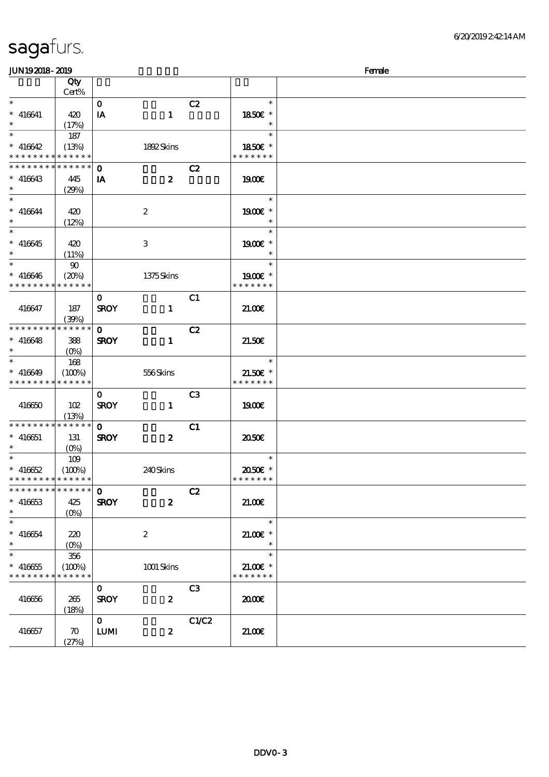| Qty<br>Cert%<br>$\ast$<br>C2<br>$\ast$<br>$\mathbf{o}$<br>$* 416641$<br>1850€ *<br>420<br>$\mathbf{1}$<br>IA<br>$\ast$<br>(17%)<br>$\ast$<br>$\overline{\ast}$<br>$\ast$<br>187<br>$* 416642$<br>1850E *<br>(13%)<br>1892Skins<br>* * * * * * * * <mark>* * * * * * *</mark><br>* * * * * * *<br>* * * * * * * * * * * * * *<br>$\mathbf 0$<br>C2<br>$\boldsymbol{z}$<br>$* 416643$<br>1900E<br>445<br>IA<br>$\ast$<br>(29%)<br>$\ast$<br>$\ast$<br>$* 416644$<br>1900E *<br>420<br>$\boldsymbol{2}$<br>$\ast$<br>(12%)<br>$\overline{\phantom{0}}$<br>$\ast$<br>1900€ *<br>$* 416645$<br>3<br>420<br>$\ast$<br>(11%)<br>$\ast$<br>$\ast$<br>$90\,$<br>$* 416646$<br>(20%)<br>1375Skins<br>1900 *<br>* * * * * * *<br>* * * * * * * * * * * * * *<br>C1<br>$\mathbf 0$<br><b>SROY</b><br>416647<br>187<br>$\mathbf{1}$<br>21.006<br>(30%)<br>* * * * * * * * * * * * * *<br>C2<br>$\mathbf 0$<br>$* 416648$<br><b>SROY</b><br>$\mathbf{1}$<br>21.50E<br>388<br>$\ast$<br>$\ast$<br>168<br>$\ast$<br>$* 416649$<br>$556$ Skins<br>$21.50E$ *<br>(100%)<br>* * * * * * *<br>* * * * * * * * * * * * * *<br>C <sub>3</sub><br>$\mathbf{o}$<br>416650<br>102<br><b>SROY</b><br>$\mathbf{1}$<br>1900E<br>(13%)<br>* * * * * * * * * * * * * *<br>C1<br>$\mathbf{O}$<br>$* 416651$<br><b>SROY</b><br>$\boldsymbol{z}$<br>2050E<br>131<br>(0%)<br>$\ast$<br>$\ast$<br>109<br>$* 416652$<br>2050E *<br>(100%)<br>240Skins<br>* * * * * * *<br>* * * * * * * * * * * * * *<br>* * * * * * * * * * * * * *<br>$\mathbf{o}$<br>C2<br>$\boldsymbol{z}$<br>$* 416653$<br>425<br><b>SROY</b><br>21.00<br>$\ast$<br>$(O\%)$<br>$\overline{\phantom{0}}$<br>$\ast$<br>$* 416654$<br>$21.00$ $*$<br>220<br>$\boldsymbol{2}$<br>$\ast$<br>$\overline{\phantom{0}}$<br>$\ast$<br>356<br>$1001$ Skins<br>$* 416655$<br>$21.00$ $*$<br>(100%)<br>* * * * * * *<br>* * * * * * * * * * * * * * | <b>JUN192018-2019</b> |  |  |  |  |  | Female |
|--------------------------------------------------------------------------------------------------------------------------------------------------------------------------------------------------------------------------------------------------------------------------------------------------------------------------------------------------------------------------------------------------------------------------------------------------------------------------------------------------------------------------------------------------------------------------------------------------------------------------------------------------------------------------------------------------------------------------------------------------------------------------------------------------------------------------------------------------------------------------------------------------------------------------------------------------------------------------------------------------------------------------------------------------------------------------------------------------------------------------------------------------------------------------------------------------------------------------------------------------------------------------------------------------------------------------------------------------------------------------------------------------------------------------------------------------------------------------------------------------------------------------------------------------------------------------------------------------------------------------------------------------------------------------------------------------------------------------------------------------------------------------------------------------------------------------------------------------------------------------|-----------------------|--|--|--|--|--|--------|
|                                                                                                                                                                                                                                                                                                                                                                                                                                                                                                                                                                                                                                                                                                                                                                                                                                                                                                                                                                                                                                                                                                                                                                                                                                                                                                                                                                                                                                                                                                                                                                                                                                                                                                                                                                                                                                                                          |                       |  |  |  |  |  |        |
|                                                                                                                                                                                                                                                                                                                                                                                                                                                                                                                                                                                                                                                                                                                                                                                                                                                                                                                                                                                                                                                                                                                                                                                                                                                                                                                                                                                                                                                                                                                                                                                                                                                                                                                                                                                                                                                                          |                       |  |  |  |  |  |        |
|                                                                                                                                                                                                                                                                                                                                                                                                                                                                                                                                                                                                                                                                                                                                                                                                                                                                                                                                                                                                                                                                                                                                                                                                                                                                                                                                                                                                                                                                                                                                                                                                                                                                                                                                                                                                                                                                          |                       |  |  |  |  |  |        |
|                                                                                                                                                                                                                                                                                                                                                                                                                                                                                                                                                                                                                                                                                                                                                                                                                                                                                                                                                                                                                                                                                                                                                                                                                                                                                                                                                                                                                                                                                                                                                                                                                                                                                                                                                                                                                                                                          |                       |  |  |  |  |  |        |
|                                                                                                                                                                                                                                                                                                                                                                                                                                                                                                                                                                                                                                                                                                                                                                                                                                                                                                                                                                                                                                                                                                                                                                                                                                                                                                                                                                                                                                                                                                                                                                                                                                                                                                                                                                                                                                                                          |                       |  |  |  |  |  |        |
|                                                                                                                                                                                                                                                                                                                                                                                                                                                                                                                                                                                                                                                                                                                                                                                                                                                                                                                                                                                                                                                                                                                                                                                                                                                                                                                                                                                                                                                                                                                                                                                                                                                                                                                                                                                                                                                                          |                       |  |  |  |  |  |        |
|                                                                                                                                                                                                                                                                                                                                                                                                                                                                                                                                                                                                                                                                                                                                                                                                                                                                                                                                                                                                                                                                                                                                                                                                                                                                                                                                                                                                                                                                                                                                                                                                                                                                                                                                                                                                                                                                          |                       |  |  |  |  |  |        |
|                                                                                                                                                                                                                                                                                                                                                                                                                                                                                                                                                                                                                                                                                                                                                                                                                                                                                                                                                                                                                                                                                                                                                                                                                                                                                                                                                                                                                                                                                                                                                                                                                                                                                                                                                                                                                                                                          |                       |  |  |  |  |  |        |
|                                                                                                                                                                                                                                                                                                                                                                                                                                                                                                                                                                                                                                                                                                                                                                                                                                                                                                                                                                                                                                                                                                                                                                                                                                                                                                                                                                                                                                                                                                                                                                                                                                                                                                                                                                                                                                                                          |                       |  |  |  |  |  |        |
|                                                                                                                                                                                                                                                                                                                                                                                                                                                                                                                                                                                                                                                                                                                                                                                                                                                                                                                                                                                                                                                                                                                                                                                                                                                                                                                                                                                                                                                                                                                                                                                                                                                                                                                                                                                                                                                                          |                       |  |  |  |  |  |        |
|                                                                                                                                                                                                                                                                                                                                                                                                                                                                                                                                                                                                                                                                                                                                                                                                                                                                                                                                                                                                                                                                                                                                                                                                                                                                                                                                                                                                                                                                                                                                                                                                                                                                                                                                                                                                                                                                          |                       |  |  |  |  |  |        |
|                                                                                                                                                                                                                                                                                                                                                                                                                                                                                                                                                                                                                                                                                                                                                                                                                                                                                                                                                                                                                                                                                                                                                                                                                                                                                                                                                                                                                                                                                                                                                                                                                                                                                                                                                                                                                                                                          |                       |  |  |  |  |  |        |
|                                                                                                                                                                                                                                                                                                                                                                                                                                                                                                                                                                                                                                                                                                                                                                                                                                                                                                                                                                                                                                                                                                                                                                                                                                                                                                                                                                                                                                                                                                                                                                                                                                                                                                                                                                                                                                                                          |                       |  |  |  |  |  |        |
|                                                                                                                                                                                                                                                                                                                                                                                                                                                                                                                                                                                                                                                                                                                                                                                                                                                                                                                                                                                                                                                                                                                                                                                                                                                                                                                                                                                                                                                                                                                                                                                                                                                                                                                                                                                                                                                                          |                       |  |  |  |  |  |        |
|                                                                                                                                                                                                                                                                                                                                                                                                                                                                                                                                                                                                                                                                                                                                                                                                                                                                                                                                                                                                                                                                                                                                                                                                                                                                                                                                                                                                                                                                                                                                                                                                                                                                                                                                                                                                                                                                          |                       |  |  |  |  |  |        |
|                                                                                                                                                                                                                                                                                                                                                                                                                                                                                                                                                                                                                                                                                                                                                                                                                                                                                                                                                                                                                                                                                                                                                                                                                                                                                                                                                                                                                                                                                                                                                                                                                                                                                                                                                                                                                                                                          |                       |  |  |  |  |  |        |
|                                                                                                                                                                                                                                                                                                                                                                                                                                                                                                                                                                                                                                                                                                                                                                                                                                                                                                                                                                                                                                                                                                                                                                                                                                                                                                                                                                                                                                                                                                                                                                                                                                                                                                                                                                                                                                                                          |                       |  |  |  |  |  |        |
|                                                                                                                                                                                                                                                                                                                                                                                                                                                                                                                                                                                                                                                                                                                                                                                                                                                                                                                                                                                                                                                                                                                                                                                                                                                                                                                                                                                                                                                                                                                                                                                                                                                                                                                                                                                                                                                                          |                       |  |  |  |  |  |        |
|                                                                                                                                                                                                                                                                                                                                                                                                                                                                                                                                                                                                                                                                                                                                                                                                                                                                                                                                                                                                                                                                                                                                                                                                                                                                                                                                                                                                                                                                                                                                                                                                                                                                                                                                                                                                                                                                          |                       |  |  |  |  |  |        |
|                                                                                                                                                                                                                                                                                                                                                                                                                                                                                                                                                                                                                                                                                                                                                                                                                                                                                                                                                                                                                                                                                                                                                                                                                                                                                                                                                                                                                                                                                                                                                                                                                                                                                                                                                                                                                                                                          |                       |  |  |  |  |  |        |
|                                                                                                                                                                                                                                                                                                                                                                                                                                                                                                                                                                                                                                                                                                                                                                                                                                                                                                                                                                                                                                                                                                                                                                                                                                                                                                                                                                                                                                                                                                                                                                                                                                                                                                                                                                                                                                                                          |                       |  |  |  |  |  |        |
|                                                                                                                                                                                                                                                                                                                                                                                                                                                                                                                                                                                                                                                                                                                                                                                                                                                                                                                                                                                                                                                                                                                                                                                                                                                                                                                                                                                                                                                                                                                                                                                                                                                                                                                                                                                                                                                                          |                       |  |  |  |  |  |        |
|                                                                                                                                                                                                                                                                                                                                                                                                                                                                                                                                                                                                                                                                                                                                                                                                                                                                                                                                                                                                                                                                                                                                                                                                                                                                                                                                                                                                                                                                                                                                                                                                                                                                                                                                                                                                                                                                          |                       |  |  |  |  |  |        |
|                                                                                                                                                                                                                                                                                                                                                                                                                                                                                                                                                                                                                                                                                                                                                                                                                                                                                                                                                                                                                                                                                                                                                                                                                                                                                                                                                                                                                                                                                                                                                                                                                                                                                                                                                                                                                                                                          |                       |  |  |  |  |  |        |
|                                                                                                                                                                                                                                                                                                                                                                                                                                                                                                                                                                                                                                                                                                                                                                                                                                                                                                                                                                                                                                                                                                                                                                                                                                                                                                                                                                                                                                                                                                                                                                                                                                                                                                                                                                                                                                                                          |                       |  |  |  |  |  |        |
|                                                                                                                                                                                                                                                                                                                                                                                                                                                                                                                                                                                                                                                                                                                                                                                                                                                                                                                                                                                                                                                                                                                                                                                                                                                                                                                                                                                                                                                                                                                                                                                                                                                                                                                                                                                                                                                                          |                       |  |  |  |  |  |        |
|                                                                                                                                                                                                                                                                                                                                                                                                                                                                                                                                                                                                                                                                                                                                                                                                                                                                                                                                                                                                                                                                                                                                                                                                                                                                                                                                                                                                                                                                                                                                                                                                                                                                                                                                                                                                                                                                          |                       |  |  |  |  |  |        |
|                                                                                                                                                                                                                                                                                                                                                                                                                                                                                                                                                                                                                                                                                                                                                                                                                                                                                                                                                                                                                                                                                                                                                                                                                                                                                                                                                                                                                                                                                                                                                                                                                                                                                                                                                                                                                                                                          |                       |  |  |  |  |  |        |
|                                                                                                                                                                                                                                                                                                                                                                                                                                                                                                                                                                                                                                                                                                                                                                                                                                                                                                                                                                                                                                                                                                                                                                                                                                                                                                                                                                                                                                                                                                                                                                                                                                                                                                                                                                                                                                                                          |                       |  |  |  |  |  |        |
|                                                                                                                                                                                                                                                                                                                                                                                                                                                                                                                                                                                                                                                                                                                                                                                                                                                                                                                                                                                                                                                                                                                                                                                                                                                                                                                                                                                                                                                                                                                                                                                                                                                                                                                                                                                                                                                                          |                       |  |  |  |  |  |        |
|                                                                                                                                                                                                                                                                                                                                                                                                                                                                                                                                                                                                                                                                                                                                                                                                                                                                                                                                                                                                                                                                                                                                                                                                                                                                                                                                                                                                                                                                                                                                                                                                                                                                                                                                                                                                                                                                          |                       |  |  |  |  |  |        |
|                                                                                                                                                                                                                                                                                                                                                                                                                                                                                                                                                                                                                                                                                                                                                                                                                                                                                                                                                                                                                                                                                                                                                                                                                                                                                                                                                                                                                                                                                                                                                                                                                                                                                                                                                                                                                                                                          |                       |  |  |  |  |  |        |
|                                                                                                                                                                                                                                                                                                                                                                                                                                                                                                                                                                                                                                                                                                                                                                                                                                                                                                                                                                                                                                                                                                                                                                                                                                                                                                                                                                                                                                                                                                                                                                                                                                                                                                                                                                                                                                                                          |                       |  |  |  |  |  |        |
|                                                                                                                                                                                                                                                                                                                                                                                                                                                                                                                                                                                                                                                                                                                                                                                                                                                                                                                                                                                                                                                                                                                                                                                                                                                                                                                                                                                                                                                                                                                                                                                                                                                                                                                                                                                                                                                                          |                       |  |  |  |  |  |        |
|                                                                                                                                                                                                                                                                                                                                                                                                                                                                                                                                                                                                                                                                                                                                                                                                                                                                                                                                                                                                                                                                                                                                                                                                                                                                                                                                                                                                                                                                                                                                                                                                                                                                                                                                                                                                                                                                          |                       |  |  |  |  |  |        |
|                                                                                                                                                                                                                                                                                                                                                                                                                                                                                                                                                                                                                                                                                                                                                                                                                                                                                                                                                                                                                                                                                                                                                                                                                                                                                                                                                                                                                                                                                                                                                                                                                                                                                                                                                                                                                                                                          |                       |  |  |  |  |  |        |
|                                                                                                                                                                                                                                                                                                                                                                                                                                                                                                                                                                                                                                                                                                                                                                                                                                                                                                                                                                                                                                                                                                                                                                                                                                                                                                                                                                                                                                                                                                                                                                                                                                                                                                                                                                                                                                                                          |                       |  |  |  |  |  |        |
|                                                                                                                                                                                                                                                                                                                                                                                                                                                                                                                                                                                                                                                                                                                                                                                                                                                                                                                                                                                                                                                                                                                                                                                                                                                                                                                                                                                                                                                                                                                                                                                                                                                                                                                                                                                                                                                                          |                       |  |  |  |  |  |        |
|                                                                                                                                                                                                                                                                                                                                                                                                                                                                                                                                                                                                                                                                                                                                                                                                                                                                                                                                                                                                                                                                                                                                                                                                                                                                                                                                                                                                                                                                                                                                                                                                                                                                                                                                                                                                                                                                          |                       |  |  |  |  |  |        |
|                                                                                                                                                                                                                                                                                                                                                                                                                                                                                                                                                                                                                                                                                                                                                                                                                                                                                                                                                                                                                                                                                                                                                                                                                                                                                                                                                                                                                                                                                                                                                                                                                                                                                                                                                                                                                                                                          |                       |  |  |  |  |  |        |
|                                                                                                                                                                                                                                                                                                                                                                                                                                                                                                                                                                                                                                                                                                                                                                                                                                                                                                                                                                                                                                                                                                                                                                                                                                                                                                                                                                                                                                                                                                                                                                                                                                                                                                                                                                                                                                                                          |                       |  |  |  |  |  |        |
|                                                                                                                                                                                                                                                                                                                                                                                                                                                                                                                                                                                                                                                                                                                                                                                                                                                                                                                                                                                                                                                                                                                                                                                                                                                                                                                                                                                                                                                                                                                                                                                                                                                                                                                                                                                                                                                                          |                       |  |  |  |  |  |        |
|                                                                                                                                                                                                                                                                                                                                                                                                                                                                                                                                                                                                                                                                                                                                                                                                                                                                                                                                                                                                                                                                                                                                                                                                                                                                                                                                                                                                                                                                                                                                                                                                                                                                                                                                                                                                                                                                          |                       |  |  |  |  |  |        |
|                                                                                                                                                                                                                                                                                                                                                                                                                                                                                                                                                                                                                                                                                                                                                                                                                                                                                                                                                                                                                                                                                                                                                                                                                                                                                                                                                                                                                                                                                                                                                                                                                                                                                                                                                                                                                                                                          |                       |  |  |  |  |  |        |
|                                                                                                                                                                                                                                                                                                                                                                                                                                                                                                                                                                                                                                                                                                                                                                                                                                                                                                                                                                                                                                                                                                                                                                                                                                                                                                                                                                                                                                                                                                                                                                                                                                                                                                                                                                                                                                                                          |                       |  |  |  |  |  |        |
|                                                                                                                                                                                                                                                                                                                                                                                                                                                                                                                                                                                                                                                                                                                                                                                                                                                                                                                                                                                                                                                                                                                                                                                                                                                                                                                                                                                                                                                                                                                                                                                                                                                                                                                                                                                                                                                                          |                       |  |  |  |  |  |        |
|                                                                                                                                                                                                                                                                                                                                                                                                                                                                                                                                                                                                                                                                                                                                                                                                                                                                                                                                                                                                                                                                                                                                                                                                                                                                                                                                                                                                                                                                                                                                                                                                                                                                                                                                                                                                                                                                          |                       |  |  |  |  |  |        |
| C <sub>3</sub><br>$\mathbf{O}$                                                                                                                                                                                                                                                                                                                                                                                                                                                                                                                                                                                                                                                                                                                                                                                                                                                                                                                                                                                                                                                                                                                                                                                                                                                                                                                                                                                                                                                                                                                                                                                                                                                                                                                                                                                                                                           |                       |  |  |  |  |  |        |
| 416656<br><b>SROY</b><br>$\boldsymbol{2}$<br>æœ<br>265                                                                                                                                                                                                                                                                                                                                                                                                                                                                                                                                                                                                                                                                                                                                                                                                                                                                                                                                                                                                                                                                                                                                                                                                                                                                                                                                                                                                                                                                                                                                                                                                                                                                                                                                                                                                                   |                       |  |  |  |  |  |        |
| (18%)                                                                                                                                                                                                                                                                                                                                                                                                                                                                                                                                                                                                                                                                                                                                                                                                                                                                                                                                                                                                                                                                                                                                                                                                                                                                                                                                                                                                                                                                                                                                                                                                                                                                                                                                                                                                                                                                    |                       |  |  |  |  |  |        |
| C1/C2<br>$\mathbf{O}$                                                                                                                                                                                                                                                                                                                                                                                                                                                                                                                                                                                                                                                                                                                                                                                                                                                                                                                                                                                                                                                                                                                                                                                                                                                                                                                                                                                                                                                                                                                                                                                                                                                                                                                                                                                                                                                    |                       |  |  |  |  |  |        |
| ${\bf LUM}$<br>416657<br>$\boldsymbol{z}$<br>21.00<br>$\boldsymbol{\pi}$                                                                                                                                                                                                                                                                                                                                                                                                                                                                                                                                                                                                                                                                                                                                                                                                                                                                                                                                                                                                                                                                                                                                                                                                                                                                                                                                                                                                                                                                                                                                                                                                                                                                                                                                                                                                 |                       |  |  |  |  |  |        |
| (27%)                                                                                                                                                                                                                                                                                                                                                                                                                                                                                                                                                                                                                                                                                                                                                                                                                                                                                                                                                                                                                                                                                                                                                                                                                                                                                                                                                                                                                                                                                                                                                                                                                                                                                                                                                                                                                                                                    |                       |  |  |  |  |  |        |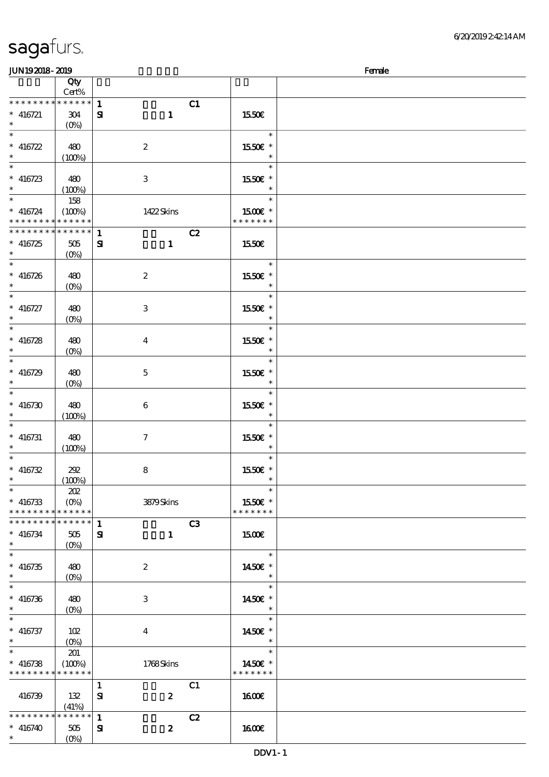### $J/N192018$ - 2019  $F$ emale

| ~~~~~~                                     | $\sim$                     |                               |                      | $\sim$ |
|--------------------------------------------|----------------------------|-------------------------------|----------------------|--------|
|                                            | Qty                        |                               |                      |        |
|                                            | Cert%                      |                               |                      |        |
| * * * * * * * *                            | ******                     | $\mathbf{1}$<br>C1            |                      |        |
| $* 416721$                                 | 304                        | $\mathbf{1}$<br>${\bf s}$     | 1550€                |        |
| $*$                                        |                            |                               |                      |        |
|                                            |                            |                               | $\ast$               |        |
|                                            |                            |                               |                      |        |
| $* 416722$                                 | 480                        | $\boldsymbol{2}$              | 1550€ *              |        |
| $*$                                        | (100%)                     |                               | $\ast$               |        |
|                                            |                            |                               | $\ast$               |        |
|                                            |                            |                               |                      |        |
| $* 416723$                                 | 480                        | $\ensuremath{\mathsf{3}}$     | 1550E *              |        |
| $*$                                        | (100%)                     |                               | $\ast$               |        |
|                                            | 158                        |                               | $\ast$               |        |
| $* 416724$                                 | (100%)                     | 1422Skins                     | 1500 $\varepsilon$ * |        |
| * * * * * * * * <mark>* * * * * * *</mark> |                            |                               | * * * * * * *        |        |
|                                            |                            |                               |                      |        |
| * * * * * * * * <mark>* * * * * *</mark> * |                            | C2<br>$\mathbf{1}$            |                      |        |
| $* 416725$                                 | $505\,$                    | ${\bf S}$<br>$\mathbf{1}$     | 1550€                |        |
| $*$ and $*$                                | $(0\%)$                    |                               |                      |        |
| $\ast$                                     |                            |                               | $\ast$               |        |
|                                            |                            |                               |                      |        |
| $* 416726$                                 | 480                        | $\boldsymbol{2}$              | 1550E *              |        |
| $\ast$                                     | $(O\%)$                    |                               | $\ast$               |        |
| $*$ $\overline{\phantom{a}}$               |                            |                               | $\ast$               |        |
| $* 416727$                                 | 480                        | 3                             | 1550E *              |        |
| $\ast$                                     |                            |                               | $\ast$               |        |
|                                            | $(0\%)$                    |                               |                      |        |
|                                            |                            |                               | $\ast$               |        |
| $* 416728$                                 | 480                        | $\boldsymbol{4}$              | 1550E *              |        |
| $\ast$                                     | $(0\%)$                    |                               | $\ast$               |        |
|                                            |                            |                               | $\ast$               |        |
|                                            |                            |                               |                      |        |
| $* 416729$                                 | 480                        | $\mathbf 5$                   | $1550E$ $^{\ast}$    |        |
| $*$                                        | $(0\%)$                    |                               | $\ast$               |        |
|                                            |                            |                               | $\ast$               |        |
| $* 416730$                                 | 480                        |                               | 1550 £*              |        |
|                                            |                            | $\boldsymbol{6}$              |                      |        |
| $\ast$                                     | (100%)                     |                               | $\ast$               |        |
| $\overline{\phantom{0}}$                   |                            |                               | $\ast$               |        |
| $* 416731$                                 | 480                        | $\boldsymbol{\tau}$           | 1550E *              |        |
| $*$                                        | (100%)                     |                               | $\ast$               |        |
| $*$                                        |                            |                               | $\ast$               |        |
|                                            |                            |                               |                      |        |
| $* 416732$                                 | 292                        | ${\bf 8}$                     | 1550E *              |        |
| $\ast$                                     | (100%)                     |                               | $\ast$               |        |
| $\ast$                                     | 202                        |                               | $\ast$               |        |
| $* 416733$                                 | $(O\%)$                    | 3879Skins                     | 1550E *              |        |
|                                            |                            |                               |                      |        |
| * * * * * * * * * * * * * *                |                            |                               | * * * * * * *        |        |
| * * * * * * * *                            | $\ast\ast\ast\ast\ast\ast$ | C <sub>3</sub><br>1           |                      |        |
| $* 416734$                                 | 505                        | ${\bf s}$<br>$\mathbf{1}$     | 1500E                |        |
| $\ast$                                     | $(0\%)$                    |                               |                      |        |
| $\ast$                                     |                            |                               | $\ast$               |        |
|                                            |                            |                               |                      |        |
| $* 416735$                                 | 480                        | $\boldsymbol{z}$              | 1450E *              |        |
| $\ast$                                     | $(0\%)$                    |                               | $\ast$               |        |
| $\overline{\phantom{0}}$                   |                            |                               | $\ast$               |        |
|                                            |                            | $\,3$                         | 1450€ *              |        |
| $* 416736$                                 | 480                        |                               |                      |        |
| $\ast$                                     | $(O\%)$                    |                               | $\ast$               |        |
| $\ast$                                     |                            |                               | $\ast$               |        |
| $* 416737$                                 | 102                        | $\boldsymbol{4}$              | 1450€ *              |        |
| $\ast$                                     | $(O\%)$                    |                               | $\ast$               |        |
| $\ast$                                     |                            |                               | $\ast$               |        |
|                                            | 201                        |                               |                      |        |
| $* 416738$                                 | (100%)                     | 1768Skins                     | 1450€ *              |        |
| * * * * * * * *                            | * * * * * *                |                               | * * * * * * *        |        |
|                                            |                            | C1<br>$\mathbf{1}$            |                      |        |
|                                            |                            |                               |                      |        |
| 416739                                     | 132                        | ${\bf s}$<br>$\boldsymbol{z}$ | <b>160€</b>          |        |
|                                            | (41%)                      |                               |                      |        |
| * * * * * * * *                            | * * * * * *                | 1<br>C2                       |                      |        |
| $* 416740$                                 | 505                        | $\boldsymbol{z}$<br>${\bf s}$ | <b>1600€</b>         |        |
| $\ast$                                     | $(O\!/\!o)$                |                               |                      |        |
|                                            |                            |                               |                      |        |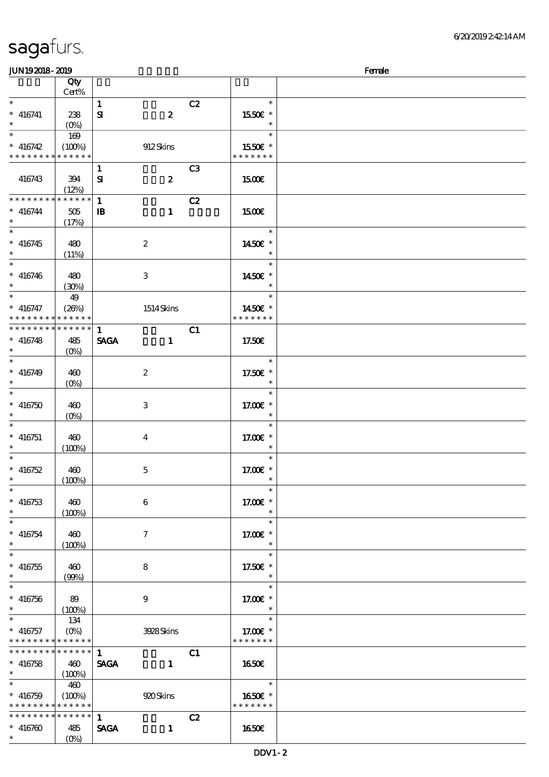| sagafurs. |
|-----------|
|-----------|

| <b>JUN192018-2019</b>                                  |                                 |              |                  |                | Female                   |  |
|--------------------------------------------------------|---------------------------------|--------------|------------------|----------------|--------------------------|--|
|                                                        | Qty                             |              |                  |                |                          |  |
|                                                        | $Cert\%$                        |              |                  |                |                          |  |
| $\ast$                                                 |                                 | $\mathbf{1}$ |                  | C2             | $\ast$                   |  |
| $*$ 416741                                             | 238                             | ${\bf s}$    | $\boldsymbol{z}$ |                | 1550E *                  |  |
| $\ast$<br>$\ast$                                       |                                 |              |                  |                | $\ast$                   |  |
|                                                        | 169                             |              |                  |                |                          |  |
| $* 416742$                                             | (100%)                          |              | 912Skins         |                | 1550€ *                  |  |
| * * * * * * * * * * * * * *                            |                                 |              |                  |                | * * * * * * *            |  |
|                                                        |                                 | $\mathbf{1}$ |                  | C <sub>3</sub> |                          |  |
| 416743                                                 | 394                             | ${\bf s}$    | $\boldsymbol{z}$ |                | 1500E                    |  |
| * * * * * * * *                                        | (12%)                           |              |                  |                |                          |  |
|                                                        | * * * * * *                     | $\mathbf{1}$ |                  | C2             |                          |  |
| $* 416744$                                             | $505\,$                         | $\mathbf{B}$ | $\mathbf{1}$     |                | <b>1500€</b>             |  |
| $\ast$<br>$\ast$                                       | (17%)                           |              |                  |                |                          |  |
|                                                        |                                 |              |                  |                | $\ast$                   |  |
| $* 416745$<br>$\ast$                                   | 480                             |              | $\boldsymbol{2}$ |                | 1450€ *                  |  |
| $\ast$                                                 | (11%)                           |              |                  |                | $\ast$<br>$\ast$         |  |
|                                                        |                                 |              |                  |                |                          |  |
| $* 416746$<br>$\ast$                                   | 480                             |              | $\,3$            |                | 1450€ *<br>$\ast$        |  |
| $\overline{\ast}$                                      | (30%)                           |              |                  |                | $\ast$                   |  |
|                                                        | 49                              |              |                  |                |                          |  |
| $* 416747$<br>* * * * * * * * <mark>* * * * * *</mark> | (26%)                           |              | 1514Skins        |                | 1450€ *<br>* * * * * * * |  |
| * * * * * * * *                                        | * * * * * *                     | $\mathbf{1}$ |                  | C1             |                          |  |
| $* 416748$                                             |                                 | <b>SAGA</b>  | $\mathbf{1}$     |                | 17.50E                   |  |
| $\ast$                                                 | 485<br>(O <sub>0</sub> )        |              |                  |                |                          |  |
| $\overline{\ast}$                                      |                                 |              |                  |                | $\ast$                   |  |
| $* 416749$                                             | 460                             |              | $\boldsymbol{2}$ |                | 17.50€ *                 |  |
| $\ast$                                                 | $(0\%)$                         |              |                  |                | $\ast$                   |  |
| $\ast$                                                 |                                 |              |                  |                | $\ast$                   |  |
| $* 416750$                                             | 460                             |              | $\,3$            |                | 17.00€ *                 |  |
| $\ast$                                                 | $(0\%)$                         |              |                  |                | $\ast$                   |  |
| $\ast$                                                 |                                 |              |                  |                | $\ast$                   |  |
| $*$ 416751                                             | 460                             |              | $\bf{4}$         |                | 17.00 $E^*$              |  |
| $\ast$                                                 | (100%)                          |              |                  |                | $\ast$                   |  |
| $\frac{1}{*}$                                          |                                 |              |                  |                | $\ast$                   |  |
| $* 416752$                                             | 460                             |              | 5                |                | 17.00 £*                 |  |
| $\ast$                                                 | (100%)                          |              |                  |                |                          |  |
| $\overline{\phantom{0}}$                               |                                 |              |                  |                | $\ast$                   |  |
| $* 416753$                                             | 460                             |              | 6                |                | 17.00 £*                 |  |
| $\ast$                                                 | (100%)                          |              |                  |                | $\ast$                   |  |
| $\ast$                                                 |                                 |              |                  |                | $\ast$                   |  |
| $* 416754$                                             | 460                             |              | $\tau$           |                | 17.00 £*                 |  |
| $\ast$                                                 | (100%)                          |              |                  |                | $\ast$                   |  |
| $\overline{\ast}$                                      |                                 |              |                  |                | $\ast$                   |  |
| $* 416755$                                             | 460                             |              | 8                |                | 17.50€ *                 |  |
| $\ast$                                                 | (90%)                           |              |                  |                | $\ast$                   |  |
| $\overline{\ast}$                                      |                                 |              |                  |                | $\ast$                   |  |
| $* 416756$                                             | 89                              |              | $\boldsymbol{9}$ |                | 17.00 $\varepsilon$ *    |  |
| $\ast$                                                 | (100%)                          |              |                  |                | $\ast$                   |  |
| $\ast$                                                 | 134                             |              |                  |                | $\ast$                   |  |
| $* 416757$                                             | $(O\!\!\!\!\!\!\backslash\rho)$ |              | 3928Skins        |                | 17.00 £*                 |  |
| * * * * * * * * * * * * * *                            |                                 |              |                  |                | * * * * * * *            |  |
| * * * * * * * * * * * * * * *                          |                                 | $\mathbf{1}$ |                  | C1             |                          |  |
| $* 416758$                                             | 460                             | <b>SAGA</b>  | $\mathbf{1}$     |                | 1650E                    |  |
| $\ast$<br>$\overline{\phantom{0}}$                     | (100%)                          |              |                  |                |                          |  |
|                                                        | 460                             |              |                  |                | $\ast$                   |  |
| $* 416759$                                             | (100%)                          |              | 920 Skins        |                | 1650E *                  |  |
| * * * * * * * * * * * * * *                            |                                 |              |                  |                | * * * * * * *            |  |
| * * * * * * * * * * * * * *                            |                                 | $\mathbf{1}$ |                  | C2             |                          |  |
| $* 416760$                                             | 485                             | <b>SAGA</b>  | $\mathbf{1}$     |                | <b>1650€</b>             |  |
| $*$                                                    | $(0\%)$                         |              |                  |                |                          |  |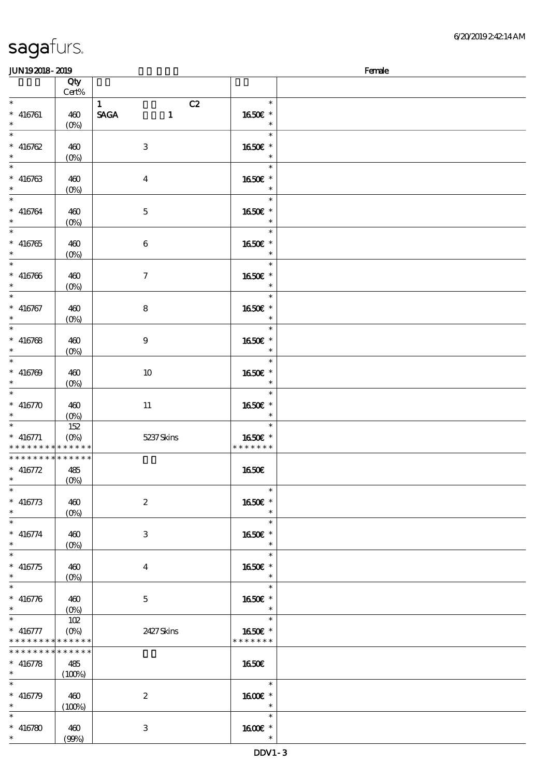| <b>JUN192018-2019</b>                    |                                 |                             |               | Female |
|------------------------------------------|---------------------------------|-----------------------------|---------------|--------|
|                                          | Qty                             |                             |               |        |
|                                          | Cert%                           |                             |               |        |
| $\ast$                                   |                                 | $\mathbf{1}$<br>C2          | $\ast$        |        |
| $* 416761$                               | 460                             | <b>SAGA</b><br>$\mathbf{1}$ | 1650€ *       |        |
| $\ast$                                   |                                 |                             | $\ast$        |        |
| $\overline{\phantom{0}}$                 | $(0\%)$                         |                             | $\ast$        |        |
|                                          |                                 |                             |               |        |
| $* 416762$                               | 460                             | $\,3$                       | 1650€ *       |        |
| $\ast$                                   | $(0\%)$                         |                             | $\ast$        |        |
| $\overline{\phantom{a}^*}$               |                                 |                             | $\ast$        |        |
| $* 416763$                               | 460                             | $\bf{4}$                    | 1650E *       |        |
| $\ast$                                   | $(0\%)$                         |                             | $\ast$        |        |
| $\overline{\ast}$                        |                                 |                             | $\ast$        |        |
|                                          |                                 |                             |               |        |
| $* 416764$                               | 460                             | $\mathbf{5}$                | 1650E *       |        |
| $\ast$                                   | $(0\%)$                         |                             | $\ast$        |        |
| $\overline{\phantom{0}}$                 |                                 |                             | $\ast$        |        |
| $* 416765$                               | 460                             | $\boldsymbol{6}$            | 1650E *       |        |
| $\ast$                                   | $(0\%)$                         |                             | $\ast$        |        |
| $\overline{\ast}$                        |                                 |                             | $\ast$        |        |
|                                          |                                 |                             |               |        |
| $* 416766$                               | 460                             | $\tau$                      | 1650E *       |        |
| $\ast$                                   | $(0\%)$                         |                             | $\ast$        |        |
| $\ast$                                   |                                 |                             | $\ast$        |        |
| $* 416767$                               | 460                             | 8                           | 1650€ *       |        |
| $\ast$                                   | $(0\%)$                         |                             | $\ast$        |        |
| $\overline{\ast}$                        |                                 |                             | $\ast$        |        |
|                                          |                                 |                             |               |        |
| $* 416768$                               | 460                             | $\boldsymbol{9}$            | 1650E *       |        |
| $\ast$                                   | $(0\%)$                         |                             | $\ast$        |        |
| $\overline{\phantom{0}}$                 |                                 |                             | $\ast$        |        |
| $* 416769$                               | 460                             | 10                          | 1650E *       |        |
| $\ast$                                   | $(O\!\!\!\!\!\!\backslash\rho)$ |                             | $\ast$        |        |
| $\ast$                                   |                                 |                             | $\ast$        |        |
|                                          |                                 |                             |               |        |
| $* 416770$                               | 460                             | 11                          | 1650€ *       |        |
| $\ast$                                   | $(O\!\!\!\!\!\!\backslash\rho)$ |                             | $\ast$        |        |
| $\ast$                                   | 152                             |                             | $\ast$        |        |
| $* 416771$                               | $(O\%)$                         | 5237Skins                   | 1650€ *       |        |
| * * * * * * * * * * * * * *              |                                 |                             | * * * * * * * |        |
| * * * * * * * * * * * * * *              |                                 |                             |               |        |
| $* 416772$                               | 485                             |                             | 1650€         |        |
| $*$ $*$                                  |                                 |                             |               |        |
|                                          | (0%)                            |                             |               |        |
| $\ast$                                   |                                 |                             | $\ast$        |        |
| $* 416773$                               | 460                             | $\boldsymbol{2}$            | 1650€ *       |        |
| $\ast$                                   | $(0\%)$                         |                             | $\ast$        |        |
| $\ast$                                   |                                 |                             | $\ast$        |        |
| $* 416774$                               | 460                             | 3                           | 1650E *       |        |
| $\ast$                                   |                                 |                             | $\ast$        |        |
| $\ast$                                   | $(O\!\!\!\!\!\!\backslash\rho)$ |                             |               |        |
|                                          |                                 |                             | $\ast$        |        |
| $* 416775$                               | 460                             | $\bf{4}$                    | 1650E *       |        |
| $\ast$                                   | $(O\!\!\!\!\!\!\backslash\rho)$ |                             | $\ast$        |        |
| $\ast$                                   |                                 |                             | $\ast$        |        |
| $* 416776$                               | 460                             | $\mathbf{5}$                | 1650€ *       |        |
| $\ast$                                   |                                 |                             |               |        |
| $\ast$                                   |                                 |                             | $\ast$        |        |
|                                          | 102                             |                             |               |        |
| $* 416777$                               |                                 | 2427Skins                   | 1650€ *       |        |
| * * * * * * * * <mark>* * * * * *</mark> |                                 |                             | * * * * * * * |        |
| * * * * * * * * * * * * * *              |                                 |                             |               |        |
| $* 416778$                               | 485                             |                             | 1650E         |        |
| $\ast$                                   | (100%)                          |                             |               |        |
| $\ast$                                   |                                 |                             | $\ast$        |        |
|                                          |                                 |                             |               |        |
| $* 416779$                               | 460                             | $\boldsymbol{2}$            | 1600E *       |        |
| $\ast$                                   | (100%)                          |                             | $\ast$        |        |
| $\ast$                                   |                                 |                             | $\ast$        |        |
| $* 416780$                               | 460                             | 3                           | 1600 *        |        |
| $*$                                      | (90%)                           |                             |               |        |
|                                          |                                 |                             |               |        |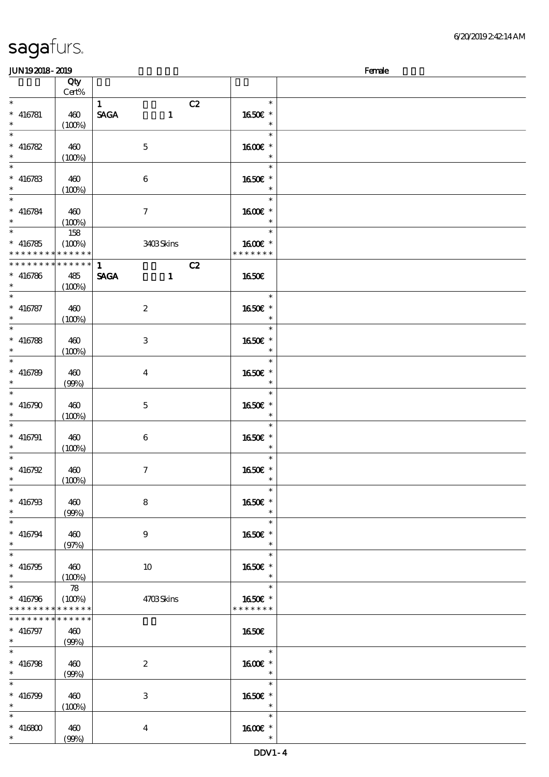$\overline{\phantom{a}}$ 

| JUN192018-2019           |             |                             |               | Female |
|--------------------------|-------------|-----------------------------|---------------|--------|
|                          | Qty         |                             |               |        |
|                          | Cert%       |                             |               |        |
| $\ast$                   |             | $\mathbf{1}$                | C2<br>$\ast$  |        |
| $* 416781$               | 460         | <b>SAGA</b><br>$\mathbf{1}$ | 1650E *       |        |
| $\ast$                   |             |                             | $\ast$        |        |
| $\overline{\phantom{0}}$ | (100%)      |                             | $\ast$        |        |
|                          |             |                             |               |        |
| $* 416782$               | 460         | $\mathbf 5$                 | 1600 *        |        |
| $*$                      | (100%)      |                             | $\ast$        |        |
|                          |             |                             | $\ast$        |        |
| $* 416783$               | 460         | $\boldsymbol{6}$            | 1650E *       |        |
| $\ast$                   | (100%)      |                             | $\ast$        |        |
|                          |             |                             | $\ast$        |        |
|                          |             |                             |               |        |
| $* 416784$               | 460         | $\boldsymbol{\tau}$         | 1600€ *       |        |
| $\ast$                   | (100%)      |                             | $\ast$        |        |
| $*$                      | 158         |                             | $\ast$        |        |
| $* 416785$               | (100%)      | 3403Skins                   | 1600€ *       |        |
| * * * * * * * *          | * * * * * * |                             | * * * * * * * |        |
| * * * * * * * *          | $******$    | $\mathbf{1}$                | C2            |        |
| $* 416786$               | 485         | <b>SAGA</b><br>$\mathbf{1}$ | 1650E         |        |
| $\ast$                   | (100%)      |                             |               |        |
| $\overline{\ast}$        |             |                             | $\ast$        |        |
|                          |             |                             |               |        |
| $* 416787$               | 460         | $\boldsymbol{2}$            | 1650E *       |        |
| $*$                      | (100%)      |                             | $\ast$        |        |
| $\overline{\phantom{0}}$ |             |                             | $\ast$        |        |
| $* 416788$               | 460         | 3                           | 1650E *       |        |
| $\ast$                   | (100%)      |                             | $\ast$        |        |
|                          |             |                             | $\ast$        |        |
| $* 416789$               | 460         | $\overline{\mathbf{4}}$     | 1650E *       |        |
| $\ast$                   |             |                             | $\ast$        |        |
| $\ast$                   | (90%)       |                             |               |        |
|                          |             |                             | $\ast$        |        |
| $* 416790$               | 460         | $\mathbf{5}$                | 1650€ *       |        |
| $\ast$                   | (100%)      |                             | $\ast$        |        |
| $\ast$                   |             |                             | $\ast$        |        |
| $* 416791$               | 460         | 6                           | 1650E *       |        |
| $*$                      | (100%)      |                             | $\ast$        |        |
| $\ast$                   |             |                             | $\ast$        |        |
| * $416792$               | 460         | $\boldsymbol{\tau}$         | 1650E *       |        |
| $*$ $*$                  |             |                             | $\ast$        |        |
| $\ast$                   | (100%)      |                             |               |        |
|                          |             |                             | $\ast$        |        |
| $* 416793$               | 460         | 8                           | 1650€ *       |        |
| $*$                      | (90%)       |                             | $\ast$        |        |
| $\ast$                   |             |                             | $\ast$        |        |
| $* 416794$               | 460         | $\boldsymbol{9}$            | 1650E *       |        |
| $\ast$                   | (97%)       |                             | $\ast$        |        |
| $\overline{\ast}$        |             |                             | $\ast$        |        |
| $* 416795$               | 460         | 10                          | 1650E *       |        |
| $\ast$                   |             |                             | $\ast$        |        |
| $\ast$                   | (100%)      |                             | $\ast$        |        |
|                          | 78          |                             |               |        |
| $* 416796$               | (100%)      | 4703Skins                   | 1650€ *       |        |
| * * * * * * * *          | * * * * * * |                             | * * * * * * * |        |
| * * * * * * * *          | * * * * * * |                             |               |        |
| $* 416797$               | 460         |                             | <b>1650€</b>  |        |
| $*$ and $*$              | (90%)       |                             |               |        |
| $\ast$                   |             |                             | $\ast$        |        |
| $* 416798$               | 460         | $\boldsymbol{2}$            | 1600€ *       |        |
| $\ast$                   |             |                             | $\ast$        |        |
|                          | (90%)       |                             |               |        |
| $\ast$                   |             |                             | $\ast$        |        |
| $* 416799$               | 460         | $\,3\,$                     | 1650€ *       |        |
| $\ast$                   | (100%)      |                             | $\ast$        |        |
| $\ast$                   |             |                             | $\ast$        |        |
| $* 416800$               | 460         | $\boldsymbol{4}$            | 1600E *       |        |
| $\ast$                   | (90%)       |                             | $\ast$        |        |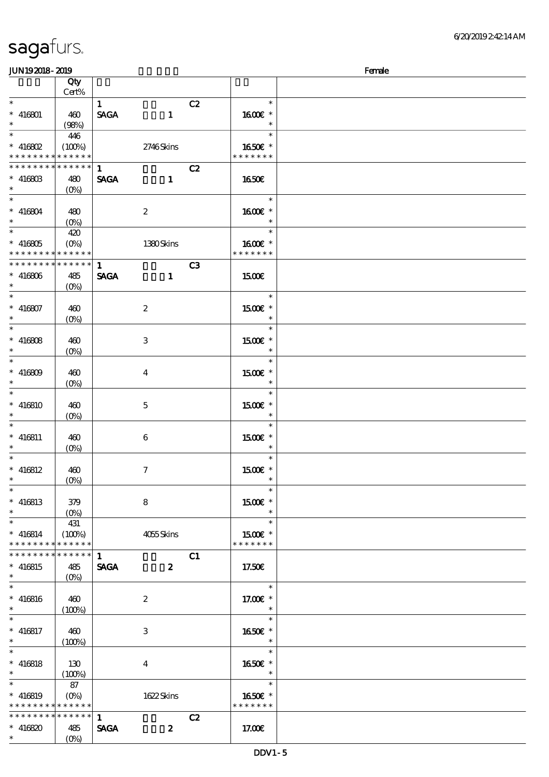| <b>saga</b> furs. |  |
|-------------------|--|
|                   |  |

| JUN192018-2019         |                                                |              |                     |    |                          | Female |
|------------------------|------------------------------------------------|--------------|---------------------|----|--------------------------|--------|
|                        | Qty                                            |              |                     |    |                          |        |
|                        | Cert%                                          |              |                     |    |                          |        |
| $\ast$                 |                                                | $\mathbf{1}$ |                     | C2 | $\ast$                   |        |
| $* 416801$             | 460                                            | <b>SAGA</b>  | $\mathbf{1}$        |    | 1600E *                  |        |
| $*$                    | (98%)                                          |              |                     |    | $\ast$                   |        |
|                        | 446                                            |              |                     |    | $\ast$                   |        |
| $*$ 416802             | (100%)                                         |              | 2746Skins           |    | 1650€ *                  |        |
| * * * * * * * *        | $\ast\ast\ast\ast\ast\ast$                     |              |                     |    | * * * * * * *            |        |
| * * * * * * * *        | * * * * * *                                    | $\mathbf{1}$ |                     | C2 |                          |        |
|                        |                                                |              |                     |    | <b>1650€</b>             |        |
| $* 41680B$<br>$\ast$   | 480                                            | <b>SAGA</b>  | $\mathbf{1}$        |    |                          |        |
| $*$                    | $(O\%)$                                        |              |                     |    | $\ast$                   |        |
|                        |                                                |              |                     |    |                          |        |
| $* 416804$             | 480                                            |              | $\boldsymbol{2}$    |    | 1600€ *                  |        |
| $*$                    | $(O\!/\!o)$                                    |              |                     |    | $\ast$                   |        |
| $*$ $-$                | 420                                            |              |                     |    | $\ast$                   |        |
| $* 416805$             | $(O\%)$                                        |              | 1380Skins           |    | $1600E$ *                |        |
| * * * * * * * *        | $* * * * * * *$                                |              |                     |    | * * * * * * *            |        |
| ___<br>* * * * * * * * | $* * * * * * *$                                | $\mathbf{1}$ |                     | C3 |                          |        |
| $* 416806$             | 485                                            | <b>SAGA</b>  | $\mathbf{1}$        |    | <b>1500€</b>             |        |
| $*$                    | $(O\%)$                                        |              |                     |    |                          |        |
| $\overline{\ast}$      |                                                |              |                     |    | $\ast$                   |        |
| $* 416807$             | 460                                            |              | $\boldsymbol{z}$    |    | $1500E$ *                |        |
| $*$                    | $(O\!/\!o)$                                    |              |                     |    | $\ast$                   |        |
|                        |                                                |              |                     |    | $\ast$                   |        |
| $* 416808$             | 460                                            |              | 3                   |    | 1500E *                  |        |
| $\ast$                 | $(O\!\!\!\!\!\!\backslash\rho)$                |              |                     |    | $\ast$                   |        |
|                        |                                                |              |                     |    | $\ast$                   |        |
| $* 416809$             | 460                                            |              |                     |    | $1500E$ *                |        |
| $\ast$                 |                                                |              | $\bf{4}$            |    | $\ast$                   |        |
| $\ast$                 | $(O\%)$                                        |              |                     |    | $\ast$                   |        |
|                        |                                                |              |                     |    |                          |        |
| $* 416810$             | 460                                            |              | 5                   |    | $1500E$ *                |        |
| $\ast$                 | $(O\%)$                                        |              |                     |    | $\ast$                   |        |
| $\ast$                 |                                                |              |                     |    | $\ast$                   |        |
| $* 416811$             | 460                                            |              | 6                   |    | 1500E *                  |        |
| $*$                    | $(O\%)$                                        |              |                     |    | $\ast$                   |        |
| $\ast$                 |                                                |              |                     |    | $\ast$                   |        |
| $* 416812$             | 460                                            |              | $\boldsymbol{\tau}$ |    | 1500 £*                  |        |
| $*$ $*$                | (0%)                                           |              |                     |    | $\overline{\phantom{a}}$ |        |
| $\ast$                 |                                                |              |                     |    | $\ast$                   |        |
| $* 416813$             | 379                                            |              | 8                   |    | $1500E$ *                |        |
| $*$                    | $(O\!\!\!\!\!\!\backslash \!\!\!\!\backslash)$ |              |                     |    | $\ast$                   |        |
| $\ast$                 | 431                                            |              |                     |    | $\ast$                   |        |
| $* 416814$             | (100%)                                         |              | 4055Skins           |    | 1500E *                  |        |
| * * * * * * * *        | ******                                         |              |                     |    | * * * * * * *            |        |
| * * * * * * * *        | * * * * * *                                    | $\mathbf{1}$ |                     | C1 |                          |        |
| $* 416815$             | 485                                            | <b>SAGA</b>  | $\boldsymbol{z}$    |    | 17.50 <sub>E</sub>       |        |
| $\ast$                 | $(O\!/\!\!\delta)$                             |              |                     |    |                          |        |
| $\ast$                 |                                                |              |                     |    | $\ast$                   |        |
| $* 416816$             | 460                                            |              | $\boldsymbol{2}$    |    | 17.00 $\varepsilon$ *    |        |
| $*$                    | (100%)                                         |              |                     |    | $\ast$                   |        |
| $\ast$                 |                                                |              |                     |    | $\ast$                   |        |
| $* 416817$             | 460                                            |              | 3                   |    | 1650E *                  |        |
| $*$                    |                                                |              |                     |    | $\ast$                   |        |
| $\overline{\ast}$      | (100%)                                         |              |                     |    | $\ast$                   |        |
|                        |                                                |              |                     |    |                          |        |
| $* 416818$             | 130                                            |              | 4                   |    | 1650€ *                  |        |
| $*$ and $*$            | (100%)                                         |              |                     |    | $\rightarrow$            |        |
| $\ast$                 | 87                                             |              |                     |    | $\ast$                   |        |
| $* 416819$             | $(O\% )$                                       |              | 1622Skins           |    | 1650€ *                  |        |
| * * * * * * * *        | * * * * * *                                    |              |                     |    | * * * * * * *            |        |
| * * * * * * * *        | $* * * * * * *$                                | $\mathbf{1}$ |                     | C2 |                          |        |
| $* 416820$             | 485                                            | <b>SAGA</b>  | $\boldsymbol{z}$    |    | 17.00E                   |        |
| $*$                    | $(O\% )$                                       |              |                     |    |                          |        |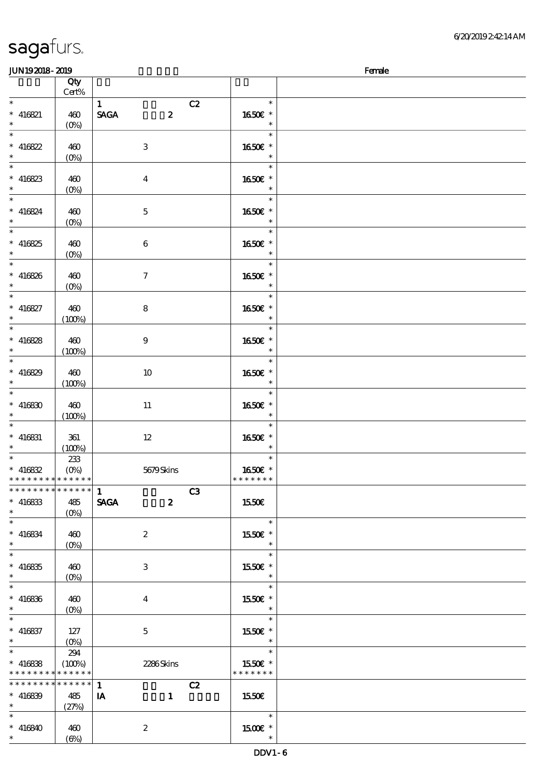| <b>JUN192018-2019</b>         |                           |                                 |                   | Female |
|-------------------------------|---------------------------|---------------------------------|-------------------|--------|
|                               | Qty                       |                                 |                   |        |
|                               | $Cert\%$                  |                                 |                   |        |
| $\ast$                        |                           | C2<br>$\mathbf{1}$              | $\ast$            |        |
| $* 416821$<br>$\ast$          | 460                       | <b>SAGA</b><br>$\boldsymbol{z}$ | 1650E *<br>$\ast$ |        |
| $\ast$                        | $(O\% )$                  |                                 | $\ast$            |        |
| $* 416822$                    |                           |                                 |                   |        |
| $\ast$                        | 460<br>$(0\%)$            | $\ensuremath{\mathbf{3}}$       | 1650€ *<br>$\ast$ |        |
| $\ast$                        |                           |                                 | $\ast$            |        |
| $* 416823$                    | 460                       | $\boldsymbol{4}$                | 1650E *           |        |
| $\ast$                        | $(0\%)$                   |                                 | $\ast$            |        |
| $\ast$                        |                           |                                 | $\ast$            |        |
| $* 416824$                    | 460                       | $\mathbf 5$                     | 1650E *           |        |
| $\ast$                        | (0%)                      |                                 | $\ast$            |        |
| $\ast$                        |                           |                                 | $\ast$            |        |
| $* 416825$                    | 460                       | $\boldsymbol{6}$                | 1650€ *           |        |
| $\ast$                        | (0%)                      |                                 | $\ast$            |        |
| $\ast$                        |                           |                                 | $\ast$            |        |
| $* 416826$                    | 460                       | $\tau$                          | 1650E *           |        |
| $\ast$                        | $(0\%)$                   |                                 |                   |        |
| $\overline{\ast}$             |                           |                                 | $\ast$            |        |
| $* 416827$                    | 460                       | $\bf8$                          | 1650€ *           |        |
| $\ast$                        | (100%)                    |                                 | $\ast$            |        |
| $\overline{\ast}$             |                           |                                 | $\ast$            |        |
| $* 416828$                    | 460                       | $\boldsymbol{9}$                | 1650E *           |        |
| $\ast$<br>$\overline{\ast}$   | (100%)                    |                                 | $\ast$<br>$\ast$  |        |
|                               |                           |                                 |                   |        |
| $* 416829$<br>$\ast$          | 460                       | $10\,$                          | 1650E *<br>$\ast$ |        |
| $\ast$                        | (100%)                    |                                 | $\ast$            |        |
| $* 416830$                    | 460                       | $11\,$                          | 1650€ *           |        |
| $\ast$                        | (100%)                    |                                 | $\ast$            |        |
| $\ast$                        |                           |                                 | $\ast$            |        |
| $* 416831$                    | 361                       | $12 \,$                         | 1650E *           |        |
| $\ast$                        | (100%)                    |                                 | $\ast$            |        |
| $\ast$                        | 233                       |                                 | $\ast$            |        |
| $* 416832$                    | (0%)                      | 5679Skins                       | 1650E *           |        |
| * * * * * * * * * * * * * * * |                           |                                 | * * * * * * *     |        |
| *************** 1             |                           | C3                              |                   |        |
| $* 416833$                    | 485                       | <b>SAGA</b><br>$\boldsymbol{z}$ | 1550€             |        |
| $\ast$<br>$\ast$              | $(O\%)$                   |                                 |                   |        |
|                               |                           |                                 | $\ast$            |        |
| $* 416834$<br>$\ast$          | 460                       | $\boldsymbol{2}$                | 1550E *<br>$\ast$ |        |
| $\overline{\ast}$             | $(O\%)$                   |                                 | $\ast$            |        |
| $* 416835$                    | 460                       | 3                               | 1550E *           |        |
| $\ast$                        | $(O\!\!\!\!\!\!\!/\,\!o)$ |                                 | $\ast$            |        |
| $\ast$                        |                           |                                 | $\ast$            |        |
| $* 416836$                    | 460                       | $\overline{\mathbf{4}}$         | 1550€ *           |        |
| $\ast$                        | $(0\%)$                   |                                 | $\ast$            |        |
| $\ast$                        |                           |                                 | $\ast$            |        |
| $* 416837$                    | 127                       | $\mathbf{5}$                    | 1550E *           |        |
| $\ast$                        |                           |                                 | $\ast$            |        |
| $\ast$                        | 294                       |                                 | $\ast$            |        |
| $* 416838$                    | (100%)                    | 2286Skins                       | 1550€ *           |        |
| * * * * * * * * * * * * * *   |                           |                                 | * * * * * * *     |        |
| ******** <mark>******</mark>  |                           | C2<br>$\mathbf{1}$              |                   |        |
| $* 416839$                    | 485                       | IA<br>$\mathbf{1}$              | 1550E             |        |
| $\ast$<br>$\ast$              | (27%)                     |                                 |                   |        |
|                               |                           |                                 | $\ast$            |        |
| $* 416840$<br>$*$             | 460                       | $\boldsymbol{2}$                | 1500 £*<br>$\ast$ |        |
|                               | $(\Theta)$                |                                 |                   |        |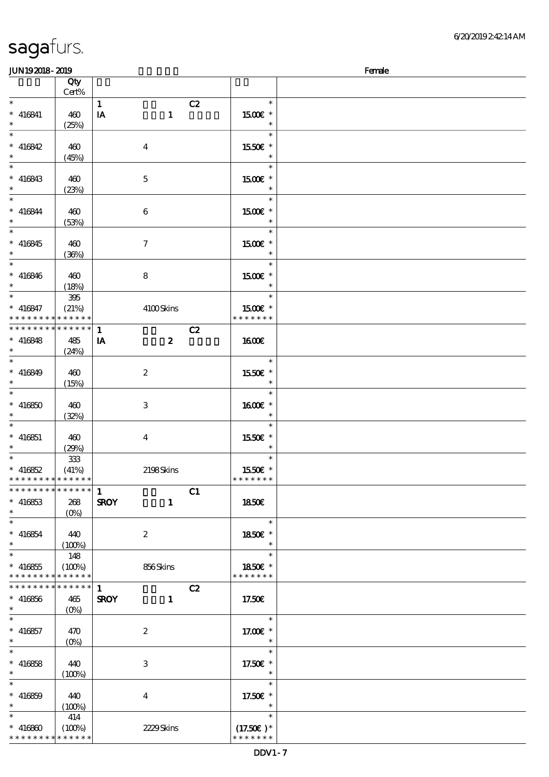| <b>JUN192018-2019</b>         |           |                             |               | Female |
|-------------------------------|-----------|-----------------------------|---------------|--------|
|                               | Qty       |                             |               |        |
|                               | Cert%     |                             |               |        |
| $\ast$                        |           | $\mathbf{1}$                | C2<br>$\ast$  |        |
|                               |           |                             |               |        |
| $* 416841$                    | 460       | $\mathbf{1}$<br>IA          | 1500E *       |        |
| $\ast$                        | (25%)     |                             | $\ast$        |        |
| $\ast$                        |           |                             | $\ast$        |        |
| $* 416842$                    | 460       | $\boldsymbol{4}$            | 1550€ *       |        |
| $\ast$                        | (45%)     |                             | $\ast$        |        |
| $\overline{\ast}$             |           |                             | $\ast$        |        |
|                               |           |                             |               |        |
| $* 416843$                    | 460       | $\mathbf 5$                 | 1500 £*       |        |
| $\ast$                        | (23%)     |                             | $\ast$        |        |
| $\overline{\ast}$             |           |                             | $\ast$        |        |
| $* 416844$                    | 460       | $\boldsymbol{6}$            | 1500E *       |        |
| $\ast$                        | (53%)     |                             | $\ast$        |        |
| $\overline{\ast}$             |           |                             | $\ast$        |        |
| $* 416845$                    | 460       | $\tau$                      | 1500€ *       |        |
|                               |           |                             | $\ast$        |        |
| $\overline{\ast}$             | (36%)     |                             |               |        |
|                               |           |                             | $\ast$        |        |
| $* 416846$                    | 460       | 8                           | 1500E *       |        |
| $\ast$                        | (18%)     |                             | $\ast$        |        |
| $\ast$                        | 395       |                             | $\ast$        |        |
| $* 416847$                    | (21%)     | 4100Skins                   | 1500€ *       |        |
| * * * * * * * * * * * * * *   |           |                             | * * * * * * * |        |
| * * * * * * * * * * * * * *   |           |                             |               |        |
|                               |           | $\mathbf{1}$                | C2            |        |
| $* 416848$                    | 485       | $\boldsymbol{z}$<br>IA      | 1600          |        |
| $\ast$                        | (24%)     |                             |               |        |
| $\ast$                        |           |                             | $\ast$        |        |
| $* 416849$                    | 460       | $\boldsymbol{2}$            | 1550E *       |        |
| $\ast$                        | (15%)     |                             | $\ast$        |        |
| $\ast$                        |           |                             | $\ast$        |        |
|                               |           |                             |               |        |
| $* 416850$                    | 460       | 3                           | 1600€ *       |        |
| $\ast$                        | (32%)     |                             | $\ast$        |        |
| $\ast$                        |           |                             | $\ast$        |        |
| $* 416851$                    | 460       | $\bf{4}$                    | 1550E *       |        |
| $\ast$                        | (29%)     |                             | $\ast$        |        |
| $\ast$                        | 333       |                             | $\ast$        |        |
| $* 416852$                    | (41%)     | 2198Skins                   | 1550E *       |        |
| * * * * * * * * * * * * * *   |           |                             | * * * * * * * |        |
|                               |           |                             |               |        |
| * * * * * * * * * * * * * * * |           | $\mathbf{1}$                | C1            |        |
| $* 416853$                    | 268       | <b>SROY</b><br>$\mathbf{1}$ | 1850E         |        |
| $\ast$                        | $(O\%)$   |                             |               |        |
| $\overline{\phantom{0}}$      |           |                             | $\ast$        |        |
| $* 416854$                    | 440       | $\boldsymbol{2}$            | 1850€ *       |        |
| $\ast$                        |           |                             | $\ast$        |        |
| $\ast$                        | $(100\%)$ |                             | $\ast$        |        |
|                               | 148       |                             |               |        |
| $* 416855$                    | (100%)    | 856Skins                    | 1850E *       |        |
| * * * * * * * * * * * * * *   |           |                             | * * * * * * * |        |
| * * * * * * * * * * * * * * * |           | $\mathbf{1}$                | C2            |        |
| $* 416856$                    | 465       | <b>SROY</b><br>$\mathbf{1}$ | 17.50E        |        |
| $\ast$                        | $(O\% )$  |                             |               |        |
| $\ast$                        |           |                             | $\ast$        |        |
|                               |           |                             |               |        |
| $* 416857$                    | 470       | $\boldsymbol{2}$            | 17.00 £*      |        |
| $\ast$                        |           |                             | $\ast$        |        |
| $\ast$                        |           |                             | $\ast$        |        |
| $* 416858$                    | 440       | 3                           | 17.50€ *      |        |
| $\ast$                        | (100%)    |                             | $\ast$        |        |
| $\ast$                        |           |                             | $\ast$        |        |
|                               |           |                             |               |        |
| $* 416859$                    | 440       | 4                           | 17.50€ *      |        |
| $\ast$                        | (100%)    |                             | $\ast$        |        |
| $\ast$                        | 414       |                             | $\ast$        |        |
| $* 416800$                    | (100%)    | 2229Skins                   | $(17.50)$ *   |        |
| * * * * * * * * * * * * * *   |           |                             | * * * * * * * |        |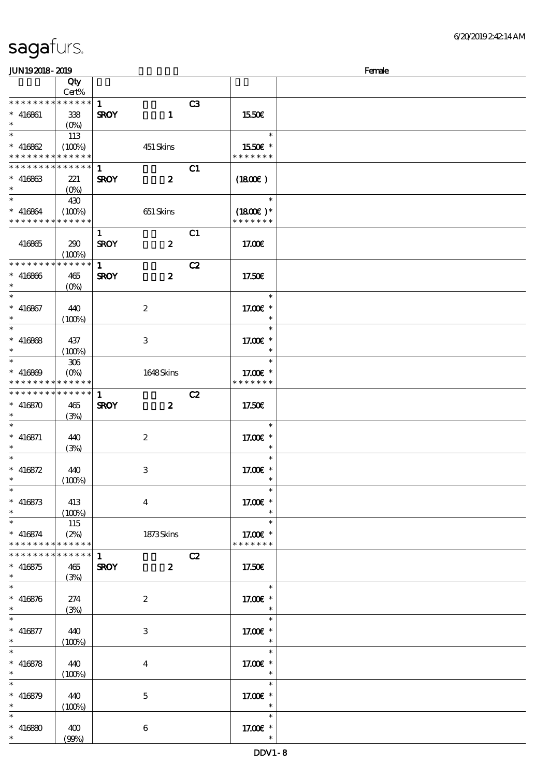| JUN192018-2019                             |                 |              |                         |    |                          | Female |
|--------------------------------------------|-----------------|--------------|-------------------------|----|--------------------------|--------|
|                                            | Qty             |              |                         |    |                          |        |
|                                            | Cert%           |              |                         |    |                          |        |
| * * * * * * * *                            | $* * * * * *$   | $\mathbf{1}$ |                         | C3 |                          |        |
| $* 416861$                                 | 338             | <b>SROY</b>  | $\mathbf{1}$            |    | 1550E                    |        |
| $\ast$                                     | $(0\%)$         |              |                         |    |                          |        |
|                                            | 113             |              |                         |    | $\ast$                   |        |
| $* 416862$                                 | (100%)          |              | 451 Skins               |    | 1550€ *                  |        |
| * * * * * * * *                            | $***$ * * * *   |              |                         |    | * * * * * * *            |        |
| * * * * * * * *                            | * * * * * *     | $\mathbf{1}$ |                         | C1 |                          |        |
|                                            |                 |              |                         |    |                          |        |
| $* 416863$<br>$\ast$                       | 221             | <b>SROY</b>  | $\boldsymbol{z}$        |    | $(1800\varepsilon)$      |        |
| $*$                                        | $(0\%)$         |              |                         |    |                          |        |
|                                            | 430             |              |                         |    | $\ast$                   |        |
| $* 416864$                                 | (100%)          |              | 651 Skins               |    | $(1800)$ *               |        |
| * * * * * * * * <mark>* * * * * * *</mark> |                 |              |                         |    | * * * * * * *            |        |
|                                            |                 | $\mathbf{1}$ |                         | C1 |                          |        |
| 416865                                     | 290             | <b>SROY</b>  | $\boldsymbol{z}$        |    | 17.00€                   |        |
|                                            | (100%)          |              |                         |    |                          |        |
| * * * * * * * *                            | * * * * * *     | $\mathbf{1}$ |                         | C2 |                          |        |
| $* 416866$                                 | 465             | <b>SROY</b>  | $\boldsymbol{z}$        |    | 17.50E                   |        |
| $\ast$                                     | $(O\%)$         |              |                         |    |                          |        |
| $\ast$                                     |                 |              |                         |    | $\ast$                   |        |
| $* 416867$                                 | 440             |              | $\boldsymbol{2}$        |    | 17.00€ *                 |        |
| $\ast$                                     |                 |              |                         |    | $\ast$                   |        |
|                                            | (100%)          |              |                         |    |                          |        |
|                                            |                 |              |                         |    | $\ast$                   |        |
| $* 416868$                                 | 437             |              | 3                       |    | 17.00 £*                 |        |
| $\ast$                                     | (100%)          |              |                         |    | $\ast$                   |        |
|                                            | 306             |              |                         |    | $\ast$                   |        |
| $* 416869$                                 | $(O\%)$         |              | 1648Skins               |    | 17.00 £*                 |        |
| * * * * * * * * <mark>* * * * * *</mark>   |                 |              |                         |    | * * * * * * *            |        |
| * * * * * * * * <mark>* * * * * * *</mark> |                 | $\mathbf{1}$ |                         | C2 |                          |        |
| $* 416870$                                 | 465             | <b>SROY</b>  | $\boldsymbol{z}$        |    | 17.50€                   |        |
| $\ast$                                     | (3%)            |              |                         |    |                          |        |
| $\ast$                                     |                 |              |                         |    | $\ast$                   |        |
| $* 416871$                                 | 440             |              | $\boldsymbol{z}$        |    | 17.00 £*                 |        |
| $\ast$                                     |                 |              |                         |    | $\ast$                   |        |
| $\ast$                                     | (3%)            |              |                         |    | $\ast$                   |        |
|                                            |                 |              |                         |    |                          |        |
| * $416872$                                 | 440             |              | 3                       |    | 17.00 £*                 |        |
| $\ast$                                     | (100%)          |              |                         |    | $\overline{\phantom{a}}$ |        |
| $\ast$                                     |                 |              |                         |    | $\ast$                   |        |
| $* 416873$                                 | 413             |              | $\overline{\mathbf{4}}$ |    | 17.00 $\varepsilon$ *    |        |
| $\ast$                                     | (100%)          |              |                         |    | $\ast$                   |        |
| $\ast$                                     | 115             |              |                         |    | $\ast$                   |        |
| $* 416874$                                 | (2%)            |              | 1873Skins               |    | 17.00 £*                 |        |
| * * * * * * * *                            | $* * * * * * *$ |              |                         |    | * * * * * * *            |        |
| * * * * * * * *                            | * * * * * *     | $\mathbf{1}$ |                         | C2 |                          |        |
| $* 416875$                                 | 465             | <b>SROY</b>  | $\overline{\mathbf{z}}$ |    | 17.50€                   |        |
| $\ast$                                     | (3%)            |              |                         |    |                          |        |
| $\ast$                                     |                 |              |                         |    | $\ast$                   |        |
|                                            |                 |              |                         |    |                          |        |
| $* 416876$                                 | 274             |              | $\boldsymbol{2}$        |    | 17.00€ *                 |        |
| $\ast$                                     | (3%)            |              |                         |    | $\ast$                   |        |
| $\ast$                                     |                 |              |                         |    | $\ast$                   |        |
| $* 416877$                                 | 440             |              | 3                       |    | 17.00 £*                 |        |
| $\ast$                                     | (100%)          |              |                         |    | $\ast$                   |        |
| $\overline{\ast}$                          |                 |              |                         |    | $\ast$                   |        |
| $* 416878$                                 | 440             |              | $\overline{4}$          |    | 17.00 $\varepsilon$ *    |        |
| $\ast$                                     | (100%)          |              |                         |    | $\overline{\phantom{a}}$ |        |
| $\ast$                                     |                 |              |                         |    | $\ast$                   |        |
| $* 416879$                                 | 440             |              | $\overline{5}$          |    | 17.00 £*                 |        |
| $\ast$                                     | (100%)          |              |                         |    | $\ast$                   |        |
| $\ast$                                     |                 |              |                         |    | $\ast$                   |        |
|                                            |                 |              |                         |    |                          |        |
| $* 416880$                                 | 400             |              | 6                       |    | 17.00 £*                 |        |
|                                            | (90%)           |              |                         |    |                          |        |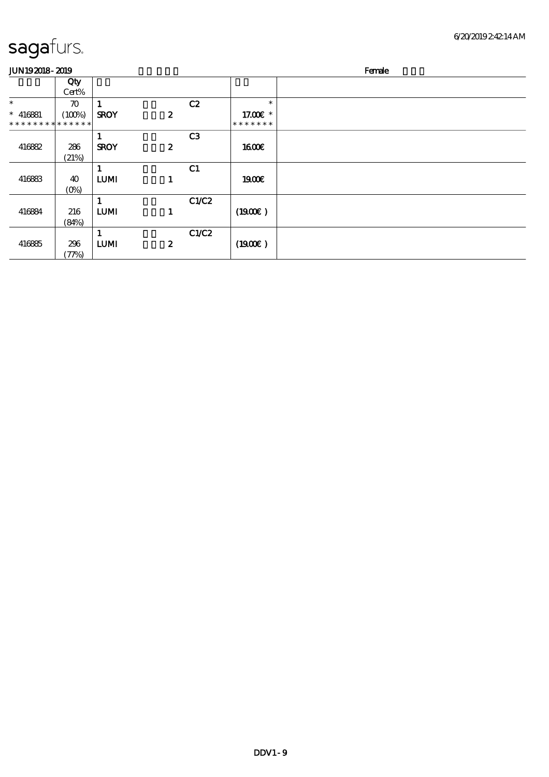| UN 192018-2019 |  |  |  |
|----------------|--|--|--|
|                |  |  |  |

| <b>JUN192018-2019</b> |                    |             |                  |                |               | Female |
|-----------------------|--------------------|-------------|------------------|----------------|---------------|--------|
|                       | Qty<br>Cert%       |             |                  |                |               |        |
| $\ast$                | $\boldsymbol{\pi}$ |             |                  | C2             | $\ast$        |        |
| $* 416881$            | (100%)             | <b>SROY</b> | $\boldsymbol{z}$ |                | 17.00 £*      |        |
| **************        |                    |             |                  |                | * * * * * * * |        |
|                       |                    |             |                  | C <sub>3</sub> |               |        |
| 416882                | 286                | <b>SROY</b> | $\boldsymbol{z}$ |                | 1600E         |        |
|                       | (21%)              |             |                  |                |               |        |
|                       |                    |             |                  | C1             |               |        |
| 416883                | 40                 | <b>LUMI</b> | 1                |                | 1900E         |        |
|                       | $(O\%)$            |             |                  |                |               |        |
|                       |                    |             |                  | C1/C2          |               |        |
| 416884                | 216                | <b>LUMI</b> | 1                |                | (1900)        |        |
|                       | (84%)              |             |                  |                |               |        |
|                       |                    |             |                  | C1/C2          |               |        |
| 416885                | 296                | <b>LUMI</b> | $\boldsymbol{z}$ |                | (1900)        |        |
|                       | (77%)              |             |                  |                |               |        |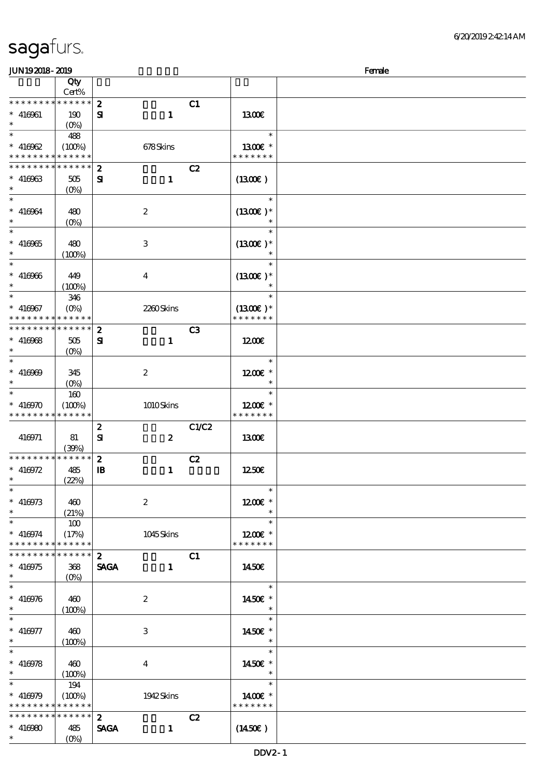| <b>saga</b> furs. |  |
|-------------------|--|
|                   |  |

| JUN192018-2019                 |                   |                  |                  |       |                      | Female |
|--------------------------------|-------------------|------------------|------------------|-------|----------------------|--------|
|                                | Qty               |                  |                  |       |                      |        |
|                                | Cert%             |                  |                  |       |                      |        |
| * * * * * * * *                | $******$          | $\boldsymbol{z}$ |                  | C1    |                      |        |
| $* 416961$                     | 190               | ${\bf s}$        | $\mathbf{1}$     |       | 1300E                |        |
| $\ast$                         | (O <sub>0</sub> ) |                  |                  |       |                      |        |
| $\overline{\ast}$              | 488               |                  |                  |       | $\ast$               |        |
| $* 416962$                     | (100%)            |                  | 678Skins         |       | 1300 $\varepsilon$ * |        |
| * * * * * * * *                | $******$          |                  |                  |       | * * * * * * *        |        |
| * * * * * * * *                | * * * * * *       | $\boldsymbol{z}$ |                  | C2    |                      |        |
| $* 416963$                     | 505               | ${\bf s}$        | $\mathbf{1}$     |       | $(1300\epsilon)$     |        |
| $\ast$                         | $(0\%)$           |                  |                  |       |                      |        |
| $\overline{\ast}$              |                   |                  |                  |       | $\ast$               |        |
| $* 416964$                     | 480               |                  | $\boldsymbol{2}$ |       | $(1300E)*$           |        |
| $\ast$                         | $(O\!/\!\delta)$  |                  |                  |       |                      |        |
|                                |                   |                  |                  |       | $\ast$               |        |
| $* 416965$                     | 480               |                  | 3                |       | $(1300E)*$           |        |
| $\ast$                         | (100%)            |                  |                  |       | $\ast$               |        |
| $\ast$                         |                   |                  |                  |       | $\ast$               |        |
| $* 416966$                     | 449               |                  | $\bf{4}$         |       | $(1300E)*$           |        |
| $\ast$                         | (100%)            |                  |                  |       | $\ast$               |        |
| $\ast$                         | 346               |                  |                  |       | $\ast$               |        |
| $* 416967$                     | $(O\%)$           |                  | 2260Skins        |       | $(1300E)*$           |        |
| * * * * * * * *                | * * * * * *       |                  |                  |       | * * * * * * *        |        |
| * * * * * * * *                | ******            | $\boldsymbol{z}$ |                  | C3    |                      |        |
| $* 416968$                     | 505               | ${\bf s}$        | $\mathbf{1}$     |       | 1200                 |        |
| $\ast$                         | $(0\%)$           |                  |                  |       |                      |        |
| $\ast$                         |                   |                  |                  |       | $\ast$               |        |
| $* 416969$                     | 345               |                  | $\boldsymbol{2}$ |       | $1200E$ *            |        |
| $\ast$                         | $(O\%)$           |                  |                  |       | $\ast$               |        |
| $\ast$                         | 160               |                  |                  |       | $\ast$               |        |
| $* 416970$                     | (100%)            |                  | 1010Skins        |       | $1200E$ *            |        |
| * * * * * * * *                | * * * * * *       |                  |                  |       | * * * * * * *        |        |
|                                |                   | $\boldsymbol{z}$ |                  | C1/C2 |                      |        |
| 416971                         | 81                | ${\bf s}$        | $\boldsymbol{2}$ |       | 1300E                |        |
|                                | (39%)             |                  |                  |       |                      |        |
| * * * * * * * * <mark>*</mark> | $* * * * * * *$   | $\boldsymbol{2}$ |                  | C2    |                      |        |
| * $416972$                     | 485               | $\mathbf{B}$     | $\mathbf{1}$     |       | 1250E                |        |
| $\ast$                         | (22%)             |                  |                  |       |                      |        |
| $\ast$                         |                   |                  |                  |       | $\ast$               |        |
| $* 416973$                     | 460               |                  | $\boldsymbol{2}$ |       | $1200E$ *            |        |
| $\ast$                         | (21%)             |                  |                  |       | $\ast$               |        |
| $\ast$                         | 100               |                  |                  |       | $\ast$               |        |
| $* 416974$                     | (17%)             |                  | 1045Skins        |       | $1200E$ *            |        |
| * * * * * * * *                | $* * * * * * *$   |                  |                  |       | * * * * * * *        |        |
| * * * * * * * *                | $******$          | $\mathbf{2}$     |                  |       |                      |        |
| $* 416975$                     | 368               | <b>SAGA</b>      |                  | C1    | 1450E                |        |
| $\ast$                         |                   |                  | $\mathbf{1}$     |       |                      |        |
| $\ast$                         |                   |                  |                  |       | $\ast$               |        |
| $* 416976$                     |                   |                  |                  |       |                      |        |
| $\ast$                         | 460               |                  | $\boldsymbol{2}$ |       | 1450€ *<br>$\ast$    |        |
| $\ast$                         | (100%)            |                  |                  |       | $\ast$               |        |
|                                |                   |                  |                  |       |                      |        |
| $* 416977$                     | 460               |                  | 3                |       | 1450€ *<br>$\ast$    |        |
| $\ast$<br>$\overline{\ast}$    | (100%)            |                  |                  |       | $\ast$               |        |
|                                |                   |                  |                  |       |                      |        |
| $* 416978$<br>$\ast$           | 460               |                  | $\overline{4}$   |       | 1450€ *<br>$\ast$    |        |
| $\ast$                         | (100%)            |                  |                  |       | $\ast$               |        |
|                                | 194               |                  |                  |       |                      |        |
| $* 416979$                     | (100%)            |                  | 1942 Skins       |       | 1400 $\varepsilon$ * |        |
| * * * * * * * *                | * * * * * *       |                  |                  |       | * * * * * * *        |        |
| * * * * * * * *                | * * * * * *       | $\mathbf{2}$     |                  | C2    |                      |        |
| $* 416980$                     | 485               | <b>SAGA</b>      | $\mathbf{1}$     |       | $(1450\varepsilon)$  |        |
| $\ast$                         | $(O\% )$          |                  |                  |       |                      |        |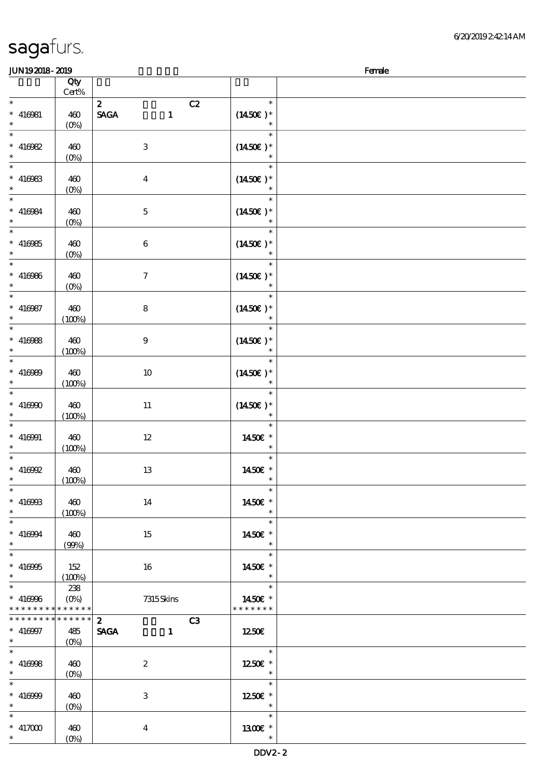| <b>JUN192018-2019</b>                                      |                                  |                                                   |                                           | Female |
|------------------------------------------------------------|----------------------------------|---------------------------------------------------|-------------------------------------------|--------|
|                                                            | Qty                              |                                                   |                                           |        |
|                                                            | $Cert\%$                         |                                                   |                                           |        |
| $\ast$<br>$* 416081$<br>$\ast$                             | 460<br>$(0\%)$                   | $\mathbf{2}$<br>C2<br><b>SAGA</b><br>$\mathbf{1}$ | $\ast$<br>$(1450E)^*$<br>$\ast$           |        |
| $\overline{\ast}$<br>$* 416982$<br>$\ast$                  | 460<br>$(0\%)$                   | $\ensuremath{\mathbf{3}}$                         | $\ast$<br>$(1450E)*$<br>$\ast$            |        |
| $\overline{\phantom{a}^*}$<br>$* 416983$<br>$\ast$         | 460<br>$(0\%)$                   | $\boldsymbol{4}$                                  | $\ast$<br>$(1450E)*$                      |        |
| $\overline{\phantom{0}}$<br>$* 416984$<br>$\ast$           | 460<br>$(0\%)$                   | $\mathbf{5}$                                      | $\ast$<br>$(1450E)*$                      |        |
| $\overline{\phantom{0}}$<br>$* 416985$<br>$\ast$           | 460<br>$(0\%)$                   | 6                                                 | $\ast$<br>$(1450E)*$<br>$\ast$            |        |
| $\overline{\ast}$<br>$* 416986$<br>$\ast$                  | 460<br>$(0\%)$                   | $\boldsymbol{7}$                                  | $\ast$<br>$(1450E)*$<br>$\ast$            |        |
| $\ast$<br>$* 416987$<br>$\ast$                             | 460<br>(100%)                    | 8                                                 | $\ast$<br>$(1450\varepsilon)^*$<br>$\ast$ |        |
| $\overline{\ast}$<br>$* 416988$<br>$\ast$                  | 460<br>(100%)                    | $9\phantom{.0}$                                   | $\ast$<br>$(1450E)*$<br>$\ast$            |        |
| $\ast$<br>$* 416989$<br>$\ast$                             | 460<br>(100%)                    | 10                                                | $\ast$<br>$(1450\varepsilon)^*$<br>$\ast$ |        |
| $\ast$<br>$* 416900$<br>$\ast$                             | 460<br>(100%)                    | $11\,$                                            | $\ast$<br>$(1450\varepsilon)^*$           |        |
| $\ast$<br>$* 416001$<br>$\ast$                             | 460<br>(100%)                    | $12\,$                                            | $\ast$<br>1450E *<br>$\ast$               |        |
| $\ast$<br>$*$ 416992<br>$*$                                | 460<br>(100%)                    | $13\,$                                            | $\ast$<br>1450€ *<br>$\ast$               |        |
| $\ast$<br>$* 416968$<br>$\ast$<br>$\overline{\phantom{a}}$ | 460<br>(100%)                    | 14                                                | $\ast$<br>1450€ *<br>$\ast$               |        |
| $* 416994$<br>$\ast$<br>$\overline{\phantom{0}}$           | 460<br>(90%)                     | 15                                                | $\ast$<br>1450E *<br>$\ast$               |        |
| $* 416905$<br>$*$<br>$\overline{\phantom{0}}$              | 152<br>(100%)                    | 16                                                | $\ast$<br>1450E *<br>$\ast$               |        |
| $* 416966$<br>* * * * * * * * * * * * * *                  | 238                              | 7315Skins                                         | $\ast$<br>1450€ *<br>* * * * * * *        |        |
| * * * * * * * * * * * * * * *                              |                                  | $\mathbf{2}$<br>C3                                |                                           |        |
| $* 416997$                                                 | 485                              | <b>SAGA</b><br>$\sim$ $\sim$ 1.                   | 1250€                                     |        |
| $\ast$                                                     |                                  |                                                   |                                           |        |
| $\ast$<br>$* 416988$<br>$\ast$                             | 460<br>$(O\!\!\!\!\!\!\!/\,\!o)$ | $\boldsymbol{z}$                                  | 1250E *<br>$\overline{\phantom{a}}$       |        |
| $\ast$<br>$* 416999$<br>$\ast$                             | 460<br>$(0\%)$                   | 3                                                 | $\ast$<br>1250E *<br>$\ast$               |        |
| $\ast$<br>$* 417000$<br>$\ast$                             | 460<br>$(O\%)$                   | $\overline{\mathbf{4}}$                           | $\ast$<br>1300E *<br>$\ast$               |        |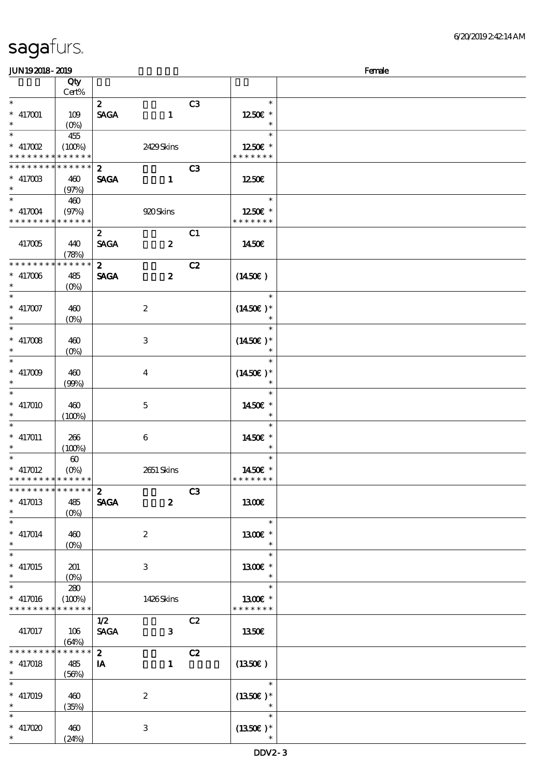| <b>JUN192018-2019</b>       |                       |                  |                         |                |                       | Female |
|-----------------------------|-----------------------|------------------|-------------------------|----------------|-----------------------|--------|
|                             | Qty                   |                  |                         |                |                       |        |
|                             | Cert%                 |                  |                         |                |                       |        |
| $\ast$                      |                       | $\boldsymbol{z}$ |                         | C3             | $\ast$                |        |
| $* 417001$                  | 109                   | <b>SAGA</b>      | $\mathbf{1}$            |                | 1250E *               |        |
| $\ast$                      | $(O_0)$               |                  |                         |                | $\ast$                |        |
| $\overline{\ast}$           | 455                   |                  |                         |                | $\ast$                |        |
| $*$ 417002                  | (100%)                |                  | 2429Skins               |                | 1250E *               |        |
| * * * * * * * *             | * * * * * *           |                  |                         |                | * * * * * * *         |        |
| * * * * * * * *             | * * * * * *           | $\boldsymbol{z}$ |                         | C <sub>3</sub> |                       |        |
| $* 417003$                  | 460                   | <b>SAGA</b>      | $\mathbf{1}$            |                | 1250E                 |        |
| $\ast$                      | (97%)                 |                  |                         |                |                       |        |
| $\overline{\phantom{0}}$    | 460                   |                  |                         |                | $\ast$                |        |
| $* 417004$                  | (97%)                 |                  | 920 Skins               |                | 1250E *               |        |
| * * * * * * * *             | * * * * * *           |                  |                         |                | * * * * * * *         |        |
|                             |                       | $\boldsymbol{z}$ |                         | C1             |                       |        |
| 417005                      | 440                   | <b>SAGA</b>      | $\boldsymbol{z}$        |                | 1450€                 |        |
|                             | (78%)                 |                  |                         |                |                       |        |
| * * * * * * * *             | * * * * * *           | $\mathbf{z}$     |                         | C2             |                       |        |
| $\hspace{0.1cm}^*$ 417006   | 485                   | <b>SAGA</b>      | $\boldsymbol{z}$        |                | (1450E)               |        |
| $\ast$                      | $(O\%)$               |                  |                         |                |                       |        |
| $\ast$                      |                       |                  |                         |                | $\ast$                |        |
| $* 417007$                  | 460                   |                  | $\boldsymbol{2}$        |                | $(1450E)*$            |        |
| $\ast$                      | $(O\!/\!\delta)$      |                  |                         |                | $\ast$                |        |
| $\ast$                      |                       |                  |                         |                | $\ast$                |        |
| $\hspace{0.1cm}^*$ 417008   | 460                   |                  | $\,3$                   |                | $(1450E)*$            |        |
| $\ast$                      | $(0\%)$               |                  |                         |                | $\ast$                |        |
| $\ast$                      |                       |                  |                         |                | $\ast$                |        |
| $* 417009$                  | 460                   |                  | $\overline{\mathbf{4}}$ |                | $(1450\varepsilon)^*$ |        |
| $\ast$                      | (90%)                 |                  |                         |                | $\ast$                |        |
| $\ast$                      |                       |                  |                         |                | $\ast$                |        |
| $* 417010$                  | 460                   |                  | $\mathbf 5$             |                | 1450€ *               |        |
| $\ast$                      | (100%)                |                  |                         |                | $\ast$                |        |
| $\ast$                      |                       |                  |                         |                | $\ast$                |        |
| $* 417011$                  | 266                   |                  | $\boldsymbol{6}$        |                | 1450€ *               |        |
| $*$                         | (100%)                |                  |                         |                | $\ast$                |        |
|                             | $\boldsymbol{\omega}$ |                  |                         |                | $\ast$                |        |
| $* 417012$                  |                       |                  | 2651 Skins              |                | 1450€ *               |        |
| * * * * * * * * * * * * * * |                       |                  |                         |                | * * * * * * *         |        |
| * * * * * * * *             | ******                | $\mathbf{2}$     |                         | C <sub>3</sub> |                       |        |
| $* 417013$                  | 485                   | <b>SAGA</b>      | $\boldsymbol{z}$        |                | <b>1300€</b>          |        |
| $\ast$                      | $(O\%)$               |                  |                         |                |                       |        |
| $\ast$                      |                       |                  |                         |                | $\ast$                |        |
| $* 417014$                  | 460                   |                  | $\boldsymbol{z}$        |                | 1300€ *               |        |
| $\ast$                      |                       |                  |                         |                | $\ast$                |        |
| $\overline{\phantom{0}}$    | $(O\!/\!\!\delta)$    |                  |                         |                | $\ast$                |        |
| $* 417015$                  | 201                   |                  | 3                       |                | 1300E *               |        |
| $\ast$                      |                       |                  |                         |                | $\ast$                |        |
| $\overline{\ast}$           | 280                   |                  |                         |                | $\ast$                |        |
| $* 417016$                  | (100%)                |                  | 1426Skins               |                | 1300 $\varepsilon$ *  |        |
| * * * * * * * *             | * * * * * *           |                  |                         |                | * * * * * * *         |        |
|                             |                       | 1/2              |                         | C2             |                       |        |
| 417017                      |                       | <b>SAGA</b>      | $\mathbf{3}$            |                | 1350E                 |        |
|                             | 106<br>(64%)          |                  |                         |                |                       |        |
| * * * * * * * *             | * * * * * *           | $\mathbf{2}$     |                         | C2             |                       |        |
|                             |                       |                  |                         |                |                       |        |
| $* 417018$<br>$\ast$        | 485<br>(56%)          | IA               | $\mathbf{1}$            |                | $(1350\epsilon)$      |        |
| $\ast$                      |                       |                  |                         |                | $\ast$                |        |
| $* 417019$                  |                       |                  |                         |                |                       |        |
| $\ast$                      | 460                   |                  | $\boldsymbol{2}$        |                | $(1350E)*$<br>$\ast$  |        |
| $\ast$                      | (35%)                 |                  |                         |                | $\ast$                |        |
|                             |                       |                  |                         |                |                       |        |
| $* 417020$<br>$*$           | 460                   |                  | $\,3$                   |                | $(1350)$ *            |        |
|                             | (24%)                 |                  |                         |                |                       |        |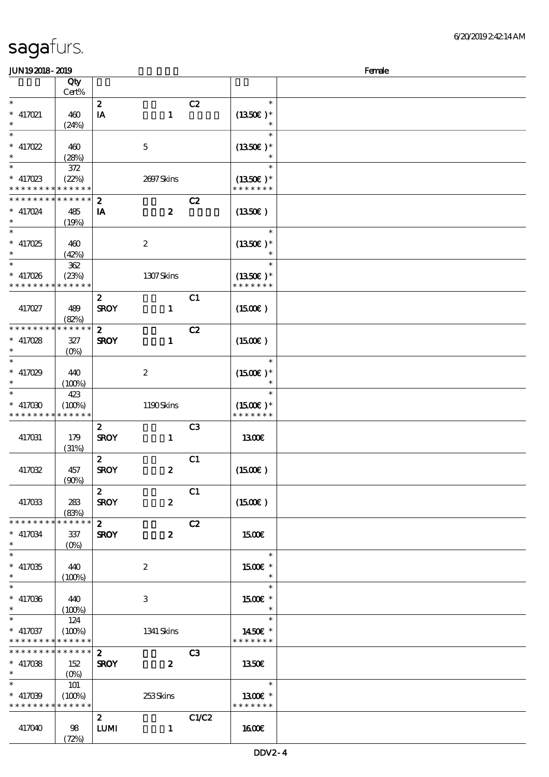| <b>saga</b> furs. |  |
|-------------------|--|
|                   |  |

| JUN192018-2019                             |                  |                  |                  |                |                            | Female |
|--------------------------------------------|------------------|------------------|------------------|----------------|----------------------------|--------|
|                                            | Qty              |                  |                  |                |                            |        |
|                                            | Cert%            |                  |                  |                |                            |        |
| $\ast$                                     |                  | $\boldsymbol{z}$ |                  | C2             | $\ast$                     |        |
| $*$ 417021                                 | 460              | IA               | $\mathbf{1}$     |                | $(1350E)*$                 |        |
| $\ast$                                     | (24%)            |                  |                  |                | $\ast$                     |        |
|                                            |                  |                  |                  |                | $\ast$                     |        |
| $*$ 417022                                 | 460              |                  | $\mathbf 5$      |                | $(1350E)^*$                |        |
| $\ast$                                     | (28%)            |                  |                  |                |                            |        |
| $\overline{\ast}$                          | $372$            |                  |                  |                | $\ast$                     |        |
| $*$ 417023                                 | (22%)            |                  | 2697Skins        |                | $(1350E)*$                 |        |
| * * * * * * * *                            | * * * * * *      |                  |                  |                | * * * * * * *              |        |
| * * * * * * * *                            | * * * * * *      |                  |                  | C2             |                            |        |
|                                            |                  | $\boldsymbol{z}$ |                  |                |                            |        |
| * 417024<br>$\ast$                         | 485              | IA               | $\boldsymbol{z}$ |                | (1350)                     |        |
| $\overline{\ast}$                          | (19%)            |                  |                  |                | $\ast$                     |        |
|                                            |                  |                  |                  |                |                            |        |
| $* 417025$                                 | 460              |                  | $\boldsymbol{2}$ |                | $(1350E)*$                 |        |
| $\ast$                                     | (42%)            |                  |                  |                |                            |        |
| $\ast$                                     | $362\,$          |                  |                  |                | $\ast$                     |        |
| $* 417026$                                 | (23%)            |                  | 1307Skins        |                | $(1350E)*$                 |        |
| * * * * * * * *                            | * * * * * *      |                  |                  |                | * * * * * * *              |        |
|                                            |                  | $\boldsymbol{z}$ |                  | C1             |                            |        |
| 417027                                     | 489              | <b>SROY</b>      | $\mathbf{1}$     |                | $(1500\varepsilon)$        |        |
|                                            | (82%)            |                  |                  |                |                            |        |
| * * * * * * * *                            | * * * * * *      | $\mathbf{z}$     |                  | C2             |                            |        |
| $*$ 417028                                 | 327              | <b>SROY</b>      | $\mathbf{1}$     |                | (1500E)                    |        |
| $\ast$                                     | $(0\%)$          |                  |                  |                |                            |        |
| $\ast$                                     |                  |                  |                  |                | $\ast$                     |        |
| $* 417029$                                 | 440              |                  | $\boldsymbol{2}$ |                | $(1500E)*$                 |        |
| $\ast$                                     | (100%)           |                  |                  |                | $\ast$                     |        |
| $\ast$                                     | 423              |                  |                  |                |                            |        |
| $* 417030$                                 | (100%)           |                  | 1190Skins        |                | $(1500E)*$                 |        |
| * * * * * * * *                            | * * * * * *      |                  |                  |                | * * * * * * *              |        |
|                                            |                  |                  |                  |                |                            |        |
|                                            |                  | $\boldsymbol{z}$ |                  | C <sub>3</sub> |                            |        |
| 417031                                     | 179              | <b>SROY</b>      | $\mathbf{1}$     |                | 1300E                      |        |
|                                            | (31%)            |                  |                  |                |                            |        |
|                                            |                  | $\mathbf{z}$     |                  | C1             |                            |        |
| 417032                                     | 457              | <b>SROY</b>      | $\boldsymbol{z}$ |                | $(1500\varepsilon)$        |        |
|                                            | (90%)            |                  |                  |                |                            |        |
|                                            |                  | $\mathbf{z}$     |                  | C1             |                            |        |
| 417033                                     | 283              | <b>SROY</b>      | $\boldsymbol{z}$ |                | (1500E)                    |        |
|                                            | (83%)            |                  |                  |                |                            |        |
| * * * * * * * *                            | ******           | $\mathbf{2}$     |                  | C2             |                            |        |
| $*$ 417034                                 | 337              | <b>SROY</b>      | $\boldsymbol{z}$ |                | <b>1500€</b>               |        |
| $\ast$                                     |                  |                  |                  |                |                            |        |
| $\overline{\phantom{0}}$                   |                  |                  |                  |                | $\ast$                     |        |
| $* 417035$                                 | 440              |                  | $\boldsymbol{2}$ |                | $1500E$ *                  |        |
| $\ast$                                     | $(100\%)$        |                  |                  |                | $\ast$                     |        |
| $\ast$                                     |                  |                  |                  |                | $\ast$                     |        |
| $* 417036$                                 | 440              |                  | 3                |                | $1500E$ *                  |        |
| $\ast$                                     | (100%)           |                  |                  |                | $\ast$                     |        |
| $\ast$                                     | 124              |                  |                  |                | $\ast$                     |        |
| $* 417037$                                 | (100%)           |                  | 1341 Skins       |                | 1450E *                    |        |
| * * * * * * * * <mark>* * * * * * *</mark> |                  |                  |                  |                | * * * * * * *              |        |
| * * * * * * * *                            | $* * * * * * *$  | $\mathbf{2}$     |                  | C3             |                            |        |
| $*$ 417038                                 | 152              | <b>SROY</b>      | $\boldsymbol{z}$ |                | 1350E                      |        |
| $\ast$                                     |                  |                  |                  |                |                            |        |
| $\ast$                                     | 101              |                  |                  |                | $\ast$                     |        |
|                                            |                  |                  |                  |                |                            |        |
| $* 417039$<br>* * * * * * * *              | (100%)<br>****** |                  | 253Skins         |                | $1300E$ *<br>* * * * * * * |        |
|                                            |                  |                  |                  |                |                            |        |
|                                            |                  | $\mathbf{2}$     |                  | C1/C2          |                            |        |
| 417040                                     | 98               | <b>LUMI</b>      | $\mathbf{1}$     |                | 1600E                      |        |
|                                            | (72%)            |                  |                  |                |                            |        |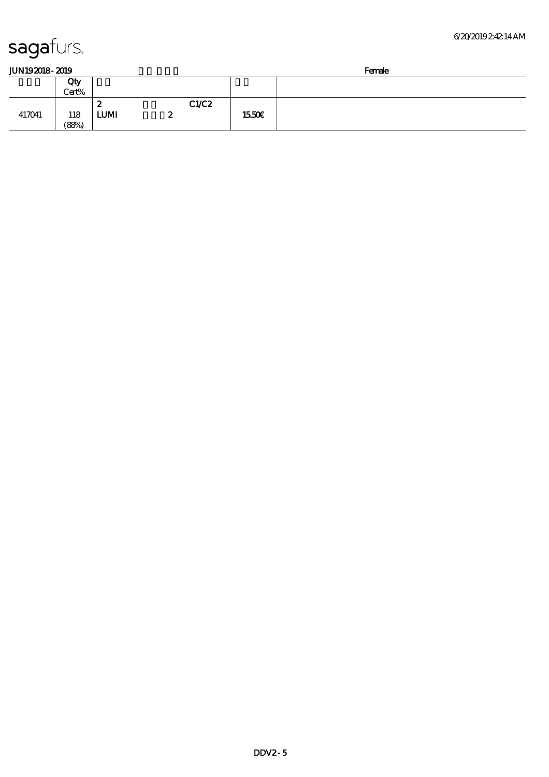| JUN192018-2019 |  |
|----------------|--|
|                |  |

| JUN192018-2019 |              |             |        |       | Female |  |  |
|----------------|--------------|-------------|--------|-------|--------|--|--|
|                | Qty<br>Cert% |             |        |       |        |  |  |
|                |              | 2           |        | C1/C2 |        |  |  |
| 417041         | 118<br>(88%) | <b>LUMI</b> | o<br>w |       | 1550E  |  |  |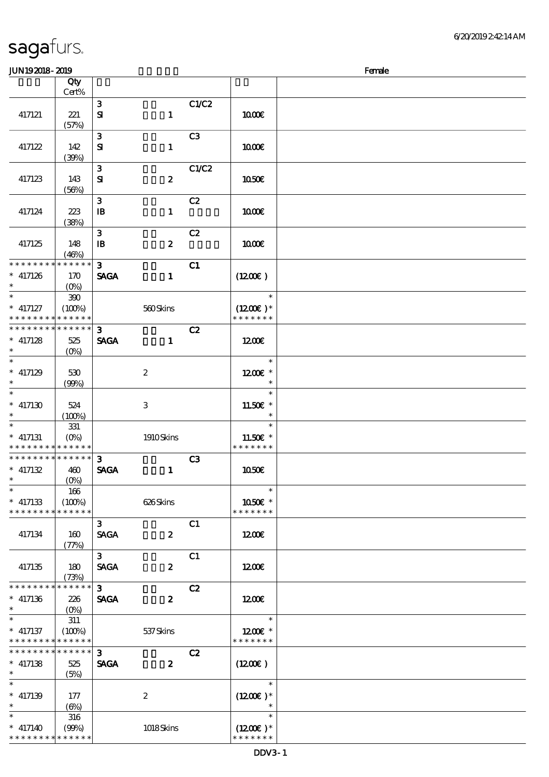| JUN192018-2019                |                       |                               |                  |                | Female                   |  |  |  |
|-------------------------------|-----------------------|-------------------------------|------------------|----------------|--------------------------|--|--|--|
|                               | Qty                   |                               |                  |                |                          |  |  |  |
|                               | Cert%                 |                               |                  |                |                          |  |  |  |
|                               |                       | $\mathbf{3}$                  |                  | C1/C2          |                          |  |  |  |
| 417121                        | 221<br>(57%)          | ${\bf s}$                     | $\mathbf{1}$     |                | 1000E                    |  |  |  |
|                               |                       | ${\bf 3}$                     |                  | C <sub>3</sub> |                          |  |  |  |
| 417122                        | 142                   | ${\bf S}$                     | $\mathbf{1}$     |                | 1000E                    |  |  |  |
|                               | (30%)                 |                               |                  |                |                          |  |  |  |
|                               |                       | $\mathbf{3}$                  |                  | C1/C2          |                          |  |  |  |
| 417123                        | 143                   | ${\bf s}$                     | $\boldsymbol{2}$ |                | 1050€                    |  |  |  |
|                               | (56%)                 |                               |                  |                |                          |  |  |  |
| 417124                        | 223                   | 3                             |                  | C2             | 1000E                    |  |  |  |
|                               | (38%)                 | $\mathbf{B}$                  | $\mathbf{I}$     |                |                          |  |  |  |
|                               |                       | 3                             |                  | C2             |                          |  |  |  |
| 417125                        | 148                   | $\mathbf{B}$                  | $\boldsymbol{z}$ |                | 1000E                    |  |  |  |
|                               | (46%)                 |                               |                  |                |                          |  |  |  |
| * * * * * * * *               | * * * * * *           | 3                             |                  | C1             |                          |  |  |  |
| $* 417126$<br>$\ast$          | 170                   | <b>SAGA</b>                   | $\mathbf{1}$     |                | $(1200\varepsilon)$      |  |  |  |
| $\overline{\ast}$             | $(O\%)$<br>$300\,$    |                               |                  |                | $\ast$                   |  |  |  |
| $*$ 417127                    | (100%)                |                               | 560Skins         |                | $(1200E)*$               |  |  |  |
| * * * * * * * *               | * * * * * *           |                               |                  |                | * * * * * * *            |  |  |  |
| * * * * * * * *               | * * * * * *           | $\mathbf{3}$                  |                  | C2             |                          |  |  |  |
| $*$ 417128                    | 525                   | <b>SAGA</b>                   | $\mathbf{1}$     |                | 1200E                    |  |  |  |
| $\ast$                        | (O <sub>0</sub> )     |                               |                  |                |                          |  |  |  |
| $\overline{\ast}$             |                       |                               |                  |                | $\ast$                   |  |  |  |
| $*$ 417129                    | 530                   |                               | $\boldsymbol{2}$ |                | 1200E *<br>$\ast$        |  |  |  |
| $\overline{\ast}$             | (90%)                 |                               |                  |                | $\ast$                   |  |  |  |
| $^*$ 417130 $\,$              | 524                   |                               | $\,3$            |                | 11.50€ *                 |  |  |  |
|                               | (100%)                |                               |                  |                | $\ast$                   |  |  |  |
| $\ast$                        | 331                   |                               |                  |                | $\ast$                   |  |  |  |
| $*$ 417131                    | $(O\%)$               |                               | 1910Skins        |                | 11.50€ *                 |  |  |  |
| * * * * * * * * * * * * * *   |                       |                               |                  |                | * * * * * * *            |  |  |  |
| * * * * * * * * * * * * * *   |                       | 3                             |                  | C3             |                          |  |  |  |
| $* 417132$<br>$\ast$          | 460<br>$(0\%)$        | <b>SAGA</b>                   | $\mathbf{1}$     |                | 1050€                    |  |  |  |
| $\overline{\ast}$             | 166                   |                               |                  |                | $\ast$                   |  |  |  |
| $*$ 417133                    | (100%)                |                               | 626Skins         |                | 1050€ *                  |  |  |  |
| * * * * * * * *               | * * * * * *           |                               |                  |                | * * * * * * *            |  |  |  |
|                               |                       | $\mathbf{3}$                  |                  | C1             |                          |  |  |  |
| 417134                        | 160                   | <b>SAGA</b>                   | $\boldsymbol{z}$ |                | 1200E                    |  |  |  |
|                               | (77%)                 |                               |                  |                |                          |  |  |  |
| 417135                        | 180                   | 3 <sup>1</sup><br><b>SAGA</b> | $\boldsymbol{z}$ | C1             | 1200                     |  |  |  |
|                               | (73%)                 |                               |                  |                |                          |  |  |  |
| * * * * * * * *               | * * * * * *           | 3 <sup>1</sup>                |                  | C2             |                          |  |  |  |
| $*$ 417136                    | 226                   | <b>SAGA</b>                   | $\boldsymbol{z}$ |                | 1200                     |  |  |  |
| $\ast$                        | $(O\%)$               |                               |                  |                |                          |  |  |  |
| $\ast$                        | $311\,$               |                               |                  |                | $\ast$                   |  |  |  |
| $*$ 417137<br>* * * * * * * * | (100%)<br>* * * * * * |                               | $537$ Skins      |                | 1200E *<br>* * * * * * * |  |  |  |
| * * * * * * * *               | * * * * * *           | $\overline{\mathbf{3}}$       |                  | C2             |                          |  |  |  |
| $*$ 417138                    | 525                   | <b>SAGA</b>                   | $\boldsymbol{z}$ |                | $(1200\varepsilon)$      |  |  |  |
| $\ast$                        | (5%)                  |                               |                  |                |                          |  |  |  |
| $\overline{\phantom{0}}$      |                       |                               |                  |                | $\ast$                   |  |  |  |
| $* 417139$                    | 177                   |                               | $\boldsymbol{2}$ |                | $(1200E)*$               |  |  |  |
| $\ast$<br>$\ast$              | (6%)                  |                               |                  |                | $\ast$                   |  |  |  |
| $* 417140$                    | 316<br>(90%)          |                               | $1018$ Skins     |                | $(1200E)*$               |  |  |  |
| $*********$                   | * * * * * *           |                               |                  |                | * * * * * * *            |  |  |  |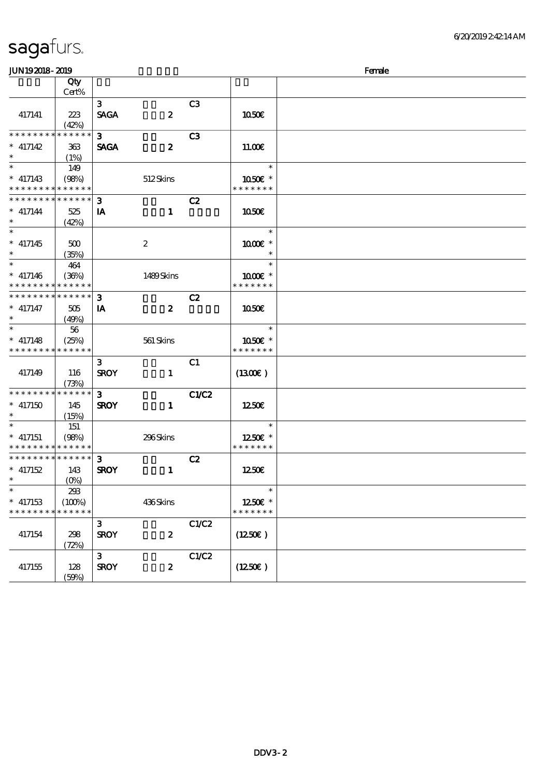| <b>JUN192018-2019</b>         |                           |                |                  |                |                        | Female |
|-------------------------------|---------------------------|----------------|------------------|----------------|------------------------|--------|
|                               | Qty                       |                |                  |                |                        |        |
|                               | Cert%                     |                |                  |                |                        |        |
|                               |                           | 3 <sup>1</sup> |                  | C <sub>3</sub> |                        |        |
| 417141                        | 223                       | <b>SAGA</b>    | $\boldsymbol{z}$ |                | 1050E                  |        |
|                               | (42%)                     |                |                  |                |                        |        |
| * * * * * * * *               | * * * * * *               | $\mathbf{3}$   |                  | C <sub>3</sub> |                        |        |
| $*$ 417142                    | 363                       | <b>SAGA</b>    | $\boldsymbol{z}$ |                | 1100E                  |        |
| $\ast$                        | (1%)                      |                |                  |                |                        |        |
| $\overline{\phantom{0}}$      | 149                       |                |                  |                | $\ast$                 |        |
| $*$ 417143                    | (98%)                     |                | 512Skins         |                | 1050E *                |        |
| * * * * * * * * * * * * * *   |                           |                |                  |                | * * * * * * *          |        |
| * * * * * * * *               | * * * * * *               | 3              |                  | C2             |                        |        |
| $* 417144$                    | 525                       | IA             | $\mathbf{1}$     |                | 1050E                  |        |
| $\ast$                        | (42%)                     |                |                  |                |                        |        |
| $\overline{\ast}$             |                           |                |                  |                | $\ast$                 |        |
| $*$ 417145                    | 500                       |                | $\boldsymbol{2}$ |                | $1000E$ *              |        |
|                               | (35%)                     |                |                  |                | $\ast$                 |        |
| $\ast$                        | 464                       |                |                  |                | $\ast$                 |        |
| $* 417146$                    | (36%)                     |                | 1489Skins        |                | 1000 *                 |        |
| * * * * * * * *               | * * * * * *               |                |                  |                | * * * * * * *          |        |
| * * * * * * * *               | * * * * * *               | $\mathbf{3}$   |                  | C2             |                        |        |
| $*$ 417147                    | 505                       | IA             | $\boldsymbol{z}$ |                | 1050E                  |        |
| $\ast$                        | (49%)                     |                |                  |                |                        |        |
| $\ast$                        | 56                        |                |                  |                | $\ast$                 |        |
| $*$ 417148                    | (25%)                     |                | 561 Skins        |                | $1050$ $\varepsilon$ * |        |
| * * * * * * * *               | * * * * * *               |                |                  |                | * * * * * * *          |        |
|                               |                           | $\mathbf{3}$   |                  | C1             |                        |        |
| 417149                        | 116                       | <b>SROY</b>    | $\mathbf{1}$     |                | $(1300\varepsilon)$    |        |
|                               | (73%)                     |                |                  |                |                        |        |
| * * * * * * * *               | * * * * * *               | $\mathbf{3}$   |                  | C1/C2          |                        |        |
| $*$ 417150                    | 145                       | <b>SROY</b>    | $\mathbf{1}$     |                | 1250E                  |        |
|                               | (15%)                     |                |                  |                |                        |        |
|                               | 151                       |                |                  |                | $\ast$                 |        |
| $*$ 417151                    | (98%)                     |                | 296Skins         |                | 1250E *                |        |
| * * * * * * * * * * * * * *   |                           |                |                  |                | * * * * * * *          |        |
| * * * * * * * * * * * * * * * |                           | $\mathbf{3}$   |                  | C2             |                        |        |
| $*$ 417152                    | 143                       | <b>SROY</b>    | $\mathbf{1}$     |                | 1250E                  |        |
| $*$ and $*$                   | $(O\!\!\!\!\!\!\!/\,\!o)$ |                |                  |                |                        |        |
| $\ast$                        | 293                       |                |                  |                | $\ast$                 |        |
| $*$ 417153                    | (100%)                    |                | 436Skins         |                | 1250E *                |        |
| * * * * * * * *               | * * * * * *               |                |                  |                | * * * * * * *          |        |
|                               |                           | $\mathbf{3}$   |                  | C1/C2          |                        |        |
| 417154                        | 298                       | <b>SROY</b>    | $\boldsymbol{z}$ |                | (1250E)                |        |
|                               | (72%)                     |                |                  |                |                        |        |
|                               |                           | $\mathbf{3}$   |                  | C1/C2          |                        |        |
| 417155                        | 128                       | <b>SROY</b>    | $\boldsymbol{z}$ |                | (1250E)                |        |
|                               | (50%)                     |                |                  |                |                        |        |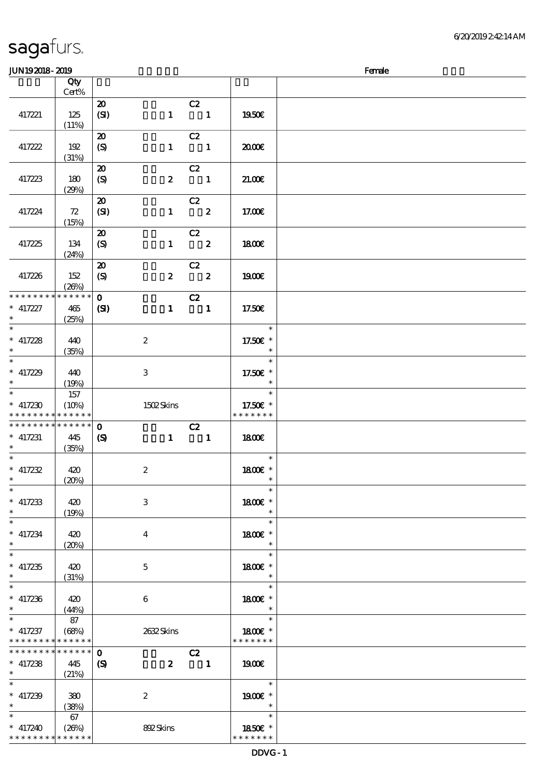### $J/N192018 - 2019$  Female

| ມມາ ເວລມດ- ລມວ                            |              |                                                 |                  |                                                                                                                                                                                                                                                                                                                                                                                                                                                                                 |                          | rance |
|-------------------------------------------|--------------|-------------------------------------------------|------------------|---------------------------------------------------------------------------------------------------------------------------------------------------------------------------------------------------------------------------------------------------------------------------------------------------------------------------------------------------------------------------------------------------------------------------------------------------------------------------------|--------------------------|-------|
|                                           | Qty<br>Cert% |                                                 |                  |                                                                                                                                                                                                                                                                                                                                                                                                                                                                                 |                          |       |
|                                           |              | $\boldsymbol{\mathbf{z}}$                       |                  | C2                                                                                                                                                                                                                                                                                                                                                                                                                                                                              |                          |       |
| 417221                                    | 125          | (SI)                                            |                  | $1 \quad 1$                                                                                                                                                                                                                                                                                                                                                                                                                                                                     | 1950€                    |       |
|                                           | (11%)        |                                                 |                  |                                                                                                                                                                                                                                                                                                                                                                                                                                                                                 |                          |       |
|                                           |              | $\boldsymbol{\mathfrak{D}}$                     |                  | C2                                                                                                                                                                                                                                                                                                                                                                                                                                                                              |                          |       |
| 417222                                    | 192          | $\boldsymbol{S}$                                | $\mathbf{1}$     | $\overline{\phantom{a}}$ $\overline{\phantom{a}}$ $\overline{\phantom{a}}$ $\overline{\phantom{a}}$ $\overline{\phantom{a}}$ $\overline{\phantom{a}}$ $\overline{\phantom{a}}$ $\overline{\phantom{a}}$ $\overline{\phantom{a}}$ $\overline{\phantom{a}}$ $\overline{\phantom{a}}$ $\overline{\phantom{a}}$ $\overline{\phantom{a}}$ $\overline{\phantom{a}}$ $\overline{\phantom{a}}$ $\overline{\phantom{a}}$ $\overline{\phantom{a}}$ $\overline{\phantom{a}}$ $\overline{\$ | 2000                     |       |
|                                           | (31%)        |                                                 |                  |                                                                                                                                                                                                                                                                                                                                                                                                                                                                                 |                          |       |
| 417223                                    | 180          | $\boldsymbol{\mathfrak{D}}$<br>$\boldsymbol{S}$ |                  | C2<br>$2 \t 1$                                                                                                                                                                                                                                                                                                                                                                                                                                                                  | 21.00                    |       |
|                                           | (29%)        |                                                 |                  |                                                                                                                                                                                                                                                                                                                                                                                                                                                                                 |                          |       |
|                                           |              | $\boldsymbol{\mathfrak{D}}$                     |                  | C2                                                                                                                                                                                                                                                                                                                                                                                                                                                                              |                          |       |
| 417224                                    | 72           | (SI)                                            |                  | $1 \t 2$                                                                                                                                                                                                                                                                                                                                                                                                                                                                        | 17.00E                   |       |
|                                           | (15%)        |                                                 |                  |                                                                                                                                                                                                                                                                                                                                                                                                                                                                                 |                          |       |
|                                           |              | $\boldsymbol{\mathfrak{D}}$                     |                  | C2                                                                                                                                                                                                                                                                                                                                                                                                                                                                              |                          |       |
| 417225                                    | 134          | (S)                                             |                  | $1 \t 2$                                                                                                                                                                                                                                                                                                                                                                                                                                                                        | 1800E                    |       |
|                                           | (24%)        | $\boldsymbol{\mathfrak{D}}$                     |                  |                                                                                                                                                                                                                                                                                                                                                                                                                                                                                 |                          |       |
| 417226                                    | 152          | $\boldsymbol{S}$                                | $\boldsymbol{z}$ | $\frac{C2}{2}$                                                                                                                                                                                                                                                                                                                                                                                                                                                                  | 1900E                    |       |
|                                           | (20%)        |                                                 |                  |                                                                                                                                                                                                                                                                                                                                                                                                                                                                                 |                          |       |
| * * * * * * * *                           | * * * * * *  | $\mathbf{O}$                                    |                  | C2                                                                                                                                                                                                                                                                                                                                                                                                                                                                              |                          |       |
| $*$ 417227<br>$\ast$                      | 465          | (S)                                             | $\mathbf{1}$     | $\overline{\phantom{a}}$                                                                                                                                                                                                                                                                                                                                                                                                                                                        | 17.50E                   |       |
| $\ast$                                    | (25%)        |                                                 |                  |                                                                                                                                                                                                                                                                                                                                                                                                                                                                                 | $\overline{\phantom{a}}$ |       |
| $^\ast$ 417228 $^\ast$                    | 440          |                                                 | $\boldsymbol{2}$ |                                                                                                                                                                                                                                                                                                                                                                                                                                                                                 | 17.50€ *                 |       |
|                                           | (35%)        |                                                 |                  |                                                                                                                                                                                                                                                                                                                                                                                                                                                                                 | $\ast$                   |       |
| $\overline{\ast}$                         |              |                                                 |                  |                                                                                                                                                                                                                                                                                                                                                                                                                                                                                 | $\ast$                   |       |
| $*$ 417229<br>$\ast$                      | 440          |                                                 | 3                |                                                                                                                                                                                                                                                                                                                                                                                                                                                                                 | 17.50€ *                 |       |
|                                           | (19%)<br>157 |                                                 |                  |                                                                                                                                                                                                                                                                                                                                                                                                                                                                                 | $\ast$                   |       |
| $* 417230$                                | (10%)        |                                                 | 1502Skins        |                                                                                                                                                                                                                                                                                                                                                                                                                                                                                 | 17.50€ *                 |       |
| * * * * * * * * <mark>* * * * * *</mark>  |              |                                                 |                  |                                                                                                                                                                                                                                                                                                                                                                                                                                                                                 | * * * * * * *            |       |
| * * * * * * * *                           | * * * * * *  | $\mathbf 0$                                     |                  | C2                                                                                                                                                                                                                                                                                                                                                                                                                                                                              |                          |       |
| $*$ 417231<br>$*$                         | 445          | $\boldsymbol{\mathcal{S}}$                      |                  | $1 \quad 1$                                                                                                                                                                                                                                                                                                                                                                                                                                                                     | 1800E                    |       |
| $*$                                       | (35%)        |                                                 |                  |                                                                                                                                                                                                                                                                                                                                                                                                                                                                                 | $\ast$                   |       |
| $* 417232$                                | 420          |                                                 | $\boldsymbol{2}$ |                                                                                                                                                                                                                                                                                                                                                                                                                                                                                 | 1800E *                  |       |
| $\ast$                                    | (20%)        |                                                 |                  |                                                                                                                                                                                                                                                                                                                                                                                                                                                                                 | $\ast$                   |       |
| $\ast$                                    |              |                                                 |                  |                                                                                                                                                                                                                                                                                                                                                                                                                                                                                 | $\ast$                   |       |
| $*$ 417233<br>$\ast$                      | 420          |                                                 | $\,3$            |                                                                                                                                                                                                                                                                                                                                                                                                                                                                                 | 1800€ *<br>$\ast$        |       |
| $\ast$                                    | (19%)        |                                                 |                  |                                                                                                                                                                                                                                                                                                                                                                                                                                                                                 | $\ast$                   |       |
| $*$ 417234                                | 420          |                                                 | $\boldsymbol{4}$ |                                                                                                                                                                                                                                                                                                                                                                                                                                                                                 | 1800 £*                  |       |
| $\ast$                                    | (20%)        |                                                 |                  |                                                                                                                                                                                                                                                                                                                                                                                                                                                                                 | $\ast$                   |       |
| $\ast$                                    |              |                                                 |                  |                                                                                                                                                                                                                                                                                                                                                                                                                                                                                 | $\ast$                   |       |
| $*$ 417235<br>$\ast$                      | 420<br>(31%) |                                                 | $\mathbf 5$      |                                                                                                                                                                                                                                                                                                                                                                                                                                                                                 | 1800E *<br>$\ast$        |       |
| $\ast$                                    |              |                                                 |                  |                                                                                                                                                                                                                                                                                                                                                                                                                                                                                 | $\ast$                   |       |
| $*$ 417236                                | 420          |                                                 | 6                |                                                                                                                                                                                                                                                                                                                                                                                                                                                                                 | 1800 £*                  |       |
| $\ast$                                    | (44%)        |                                                 |                  |                                                                                                                                                                                                                                                                                                                                                                                                                                                                                 | $\ast$                   |       |
| $\ast$                                    | 87           |                                                 |                  |                                                                                                                                                                                                                                                                                                                                                                                                                                                                                 | $\ast$                   |       |
| $*$ 417237<br>* * * * * * * * * * * * * * | (68%)        |                                                 | 2632Skins        |                                                                                                                                                                                                                                                                                                                                                                                                                                                                                 | 1800E *<br>* * * * * * * |       |
| * * * * * * * *                           | * * * * * *  | $\mathbf 0$                                     |                  | C2                                                                                                                                                                                                                                                                                                                                                                                                                                                                              |                          |       |
| $*$ 417238                                | 445          | $\boldsymbol{\mathrm{(S)}}$                     | $\mathbf{z}$     | $\overline{\phantom{a}}$                                                                                                                                                                                                                                                                                                                                                                                                                                                        | 1900E                    |       |
| $\ast$                                    | (21%)        |                                                 |                  |                                                                                                                                                                                                                                                                                                                                                                                                                                                                                 |                          |       |
| $\ast$                                    |              |                                                 |                  |                                                                                                                                                                                                                                                                                                                                                                                                                                                                                 | $\ast$                   |       |
| $* 417239$<br>$\ast$                      | 380<br>(38%) |                                                 | $\boldsymbol{2}$ |                                                                                                                                                                                                                                                                                                                                                                                                                                                                                 | 1900E *<br>$\ast$        |       |
| $\ast$                                    | 67           |                                                 |                  |                                                                                                                                                                                                                                                                                                                                                                                                                                                                                 | $\ast$                   |       |
| $* 417240$                                | (26%)        |                                                 | 892Skins         |                                                                                                                                                                                                                                                                                                                                                                                                                                                                                 | 1850E *                  |       |
| * * * * * * * *                           | * * * * * *  |                                                 |                  |                                                                                                                                                                                                                                                                                                                                                                                                                                                                                 | * * * * * * *            |       |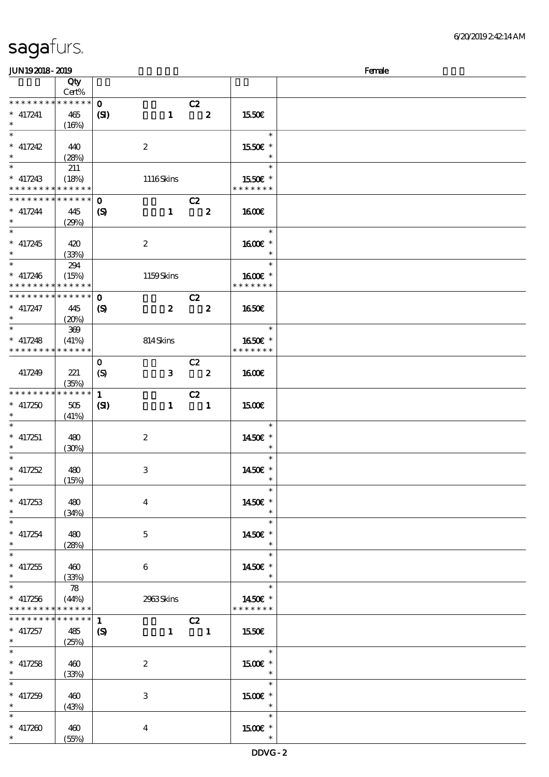| JUN192018-2019                             |             |                             |                         |                            |                          | Female |
|--------------------------------------------|-------------|-----------------------------|-------------------------|----------------------------|--------------------------|--------|
|                                            | Qty         |                             |                         |                            |                          |        |
|                                            | Cert%       |                             |                         |                            |                          |        |
| * * * * * * * *                            | * * * * * * | $\mathbf{o}$                |                         | C2                         |                          |        |
| $*$ 417241                                 | 465         | (S)                         | $\mathbf{1}$            | $\mathbf{2}$               | 1550E                    |        |
| $\ast$                                     | (16%)       |                             |                         |                            |                          |        |
| $\overline{\ast}$                          |             |                             |                         |                            | $\ast$                   |        |
| $* 417242$                                 | 440         |                             | $\boldsymbol{z}$        |                            | 1550€ *                  |        |
| $\ast$                                     | (28%)       |                             |                         |                            | $\ast$                   |        |
|                                            |             |                             |                         |                            | $\ast$                   |        |
|                                            | 211         |                             |                         |                            |                          |        |
| $*$ 417243                                 | (18%)       |                             | 1116Skins               |                            | 1550€ *                  |        |
| * * * * * * * * <mark>* * * * * * *</mark> |             |                             |                         |                            | * * * * * * *            |        |
| * * * * * * * *                            | ******      | $\mathbf{o}$                |                         | C2                         |                          |        |
| $* 417244$                                 | 445         | $\boldsymbol{\mathrm{(S)}}$ | $\mathbf{1}$            | $\overline{\mathbf{2}}$    | <b>1600€</b>             |        |
| $\ast$                                     | (29%)       |                             |                         |                            |                          |        |
| $\overline{\phantom{0}}$                   |             |                             |                         |                            | $\ast$                   |        |
| $* 417245$                                 | 420         |                             | $\boldsymbol{z}$        |                            | 1600€ *                  |        |
| $\ast$                                     | (33%)       |                             |                         |                            | $\ast$                   |        |
|                                            | 294         |                             |                         |                            | $\ast$                   |        |
| $* 417246$                                 | (15%)       |                             | 1159Skins               |                            | 1600E *                  |        |
| * * * * * * * *                            | * * * * * * |                             |                         |                            | * * * * * * *            |        |
| * * * * * * * *                            | * * * * * * | $\mathbf 0$                 |                         | C2                         |                          |        |
| $*$ 417247                                 |             |                             | $\boldsymbol{z}$        | $\overline{\mathbf{2}}$    |                          |        |
| $\ast$                                     | 445         | $\boldsymbol{\mathrm{(S)}}$ |                         |                            | 1650E                    |        |
| $\overline{\ast}$                          | (20%)       |                             |                         |                            | $\ast$                   |        |
|                                            | 369         |                             |                         |                            |                          |        |
| $*$ 417248                                 | (41%)       |                             | 814Skins                |                            | 1650E *                  |        |
| * * * * * * * *                            | ******      |                             |                         |                            | * * * * * * *            |        |
|                                            |             | $\mathbf{O}$                |                         | C2                         |                          |        |
| 417249                                     | 221         | $\boldsymbol{S}$            | $\mathbf{3}$            | $\overline{\mathbf{2}}$    | 1600E                    |        |
|                                            | (35%)       |                             |                         |                            |                          |        |
| * * * * * * * *                            | * * * * * * | $\mathbf{1}$                |                         | C2                         |                          |        |
| $*$ 417250                                 | 505         | (S)                         | $\mathbf{1}$            | $\blacksquare$             | 1500€                    |        |
| $\ast$                                     | (41%)       |                             |                         |                            |                          |        |
| $\ast$                                     |             |                             |                         |                            | $\ast$                   |        |
| $*$ 417251                                 |             |                             |                         |                            | 1450€ *                  |        |
| $\ast$                                     | 480         |                             | $\boldsymbol{z}$        |                            | $\ast$                   |        |
| $\ast$                                     | (30%)       |                             |                         |                            | $\ast$                   |        |
|                                            |             |                             |                         |                            |                          |        |
| $*$ 417252                                 | 480         |                             | 3                       |                            | 1450€ *                  |        |
| $\ast$                                     | (15%)       |                             |                         |                            | $\ast$                   |        |
| $\ast$                                     |             |                             |                         |                            | $\ast$                   |        |
| $*$ 417253                                 | 480         |                             | $\overline{\mathbf{4}}$ |                            | 1450€ *                  |        |
| $\ast$                                     | (34%)       |                             |                         |                            | $\ast$                   |        |
| $\ast$                                     |             |                             |                         |                            | $\ast$                   |        |
| $* 417254$                                 | 480         |                             | $\mathbf{5}$            |                            | 1450E *                  |        |
| $\ast$                                     | (28%)       |                             |                         |                            | $\ast$                   |        |
| $\ast$                                     |             |                             |                         |                            | $\ast$                   |        |
| $* 417255$                                 | 460         |                             | 6                       |                            | 1450€ *                  |        |
| $\ast$                                     |             |                             |                         |                            | $\ast$                   |        |
| $\ast$                                     | (33%)       |                             |                         |                            | $\ast$                   |        |
|                                            | 78          |                             |                         |                            |                          |        |
| $* 417256$                                 | (44%)       |                             | 2963Skins               |                            | 1450 $\varepsilon$ *     |        |
| * * * * * * * *                            | * * * * * * |                             |                         |                            | * * * * * * *            |        |
| * * * * * * * *                            | * * * * * * | 1                           |                         | C2                         |                          |        |
| $*$ 417257                                 | 485         | $\boldsymbol{\mathcal{S}}$  | $\mathbf{1}$            | $\overline{\phantom{a}}$ 1 | 1550E                    |        |
| $\ast$                                     | (25%)       |                             |                         |                            |                          |        |
| $\ast$                                     |             |                             |                         |                            | $\ast$                   |        |
| $*$ 417258                                 | 460         |                             | $\boldsymbol{z}$        |                            | $1500E$ *                |        |
| $\ast$                                     | (33%)       |                             |                         |                            | $\overline{\phantom{a}}$ |        |
| $\ast$                                     |             |                             |                         |                            | $\ast$                   |        |
| $* 417259$                                 | 460         |                             | 3                       |                            | 1500E *                  |        |
| $\ast$                                     | (43%)       |                             |                         |                            | $\ast$                   |        |
| $\ast$                                     |             |                             |                         |                            | $\ast$                   |        |
|                                            |             |                             |                         |                            |                          |        |
| $* 417200$                                 | 460         |                             | $\overline{4}$          |                            | 1500 £*                  |        |
|                                            | (55%)       |                             |                         |                            | $\ast$                   |        |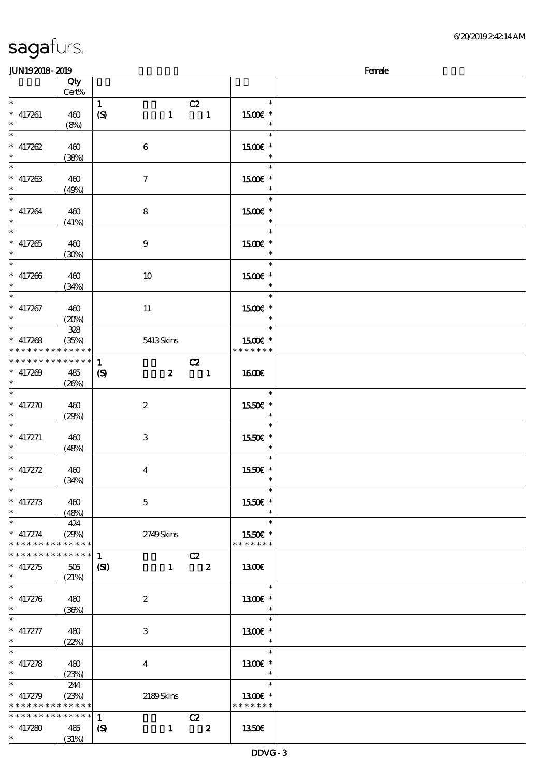| <b>JUN192018-2019</b>                                      |                                                                                    |                             |                  |                                |                                         | Female |
|------------------------------------------------------------|------------------------------------------------------------------------------------|-----------------------------|------------------|--------------------------------|-----------------------------------------|--------|
|                                                            | Qty<br>Cert%                                                                       |                             |                  |                                |                                         |        |
| $\ast$<br>$*$ 417261<br>$\ast$                             | 460<br>(8%)                                                                        | $\mathbf{1}$<br>(S)         |                  | C2<br>$1 \quad 1$              | $\ast$<br>1500€ *<br>$\ast$             |        |
| $\ast$<br>$* 417262$<br>$\ast$<br>$\overline{\phantom{1}}$ | 460<br>(38%)                                                                       | $\boldsymbol{6}$            |                  |                                | $\ast$<br>1500€ *<br>$\ast$             |        |
| $* 417263$<br>$\ast$<br>$\ast$                             | 460<br>(49%)                                                                       | $\tau$                      |                  |                                | $\ast$<br>1500€ *<br>$\ast$             |        |
| $* 417264$<br>$\ast$<br>$\ast$                             | 460<br>(41%)                                                                       | $\bf8$                      |                  |                                | $\ast$<br>$1500E$ *<br>$\ast$<br>$\ast$ |        |
| $* 417265$<br>$\ast$<br>$\ast$                             | 460<br>(30%)                                                                       | $\boldsymbol{9}$            |                  |                                | 1500€ *<br>$\ast$<br>$\ast$             |        |
| $* 417266$<br>$\ast$<br>$\overline{\phantom{a}}$           | 460<br>(34%)                                                                       | 10                          |                  |                                | 1500€ *<br>$\ast$                       |        |
| $*$ 417267<br>$\ast$<br>$_{*}^{-}$                         | 460<br>(20%)<br>328                                                                | 11                          |                  |                                | 1500€ *<br>an T<br>$\ast$               |        |
| $* 417268$                                                 | (35%)<br>* * * * * * * * <mark>* * * * * * *</mark><br>* * * * * * * * * * * * * * | $\mathbf{1}$                | 5413Skins        |                                | 1500E *<br>* * * * * * *                |        |
| $* 417209$<br>$\ast$<br>$\overline{\ast}$                  | 485<br>(20%)                                                                       | $\boldsymbol{\mathrm{(S)}}$ | $\boldsymbol{z}$ | C2<br>$\overline{\phantom{a}}$ | 1600E<br>$\ast$                         |        |
| $* 417270$<br>$\ast$<br>$\ast$                             | 460<br>(29%)                                                                       | $\boldsymbol{2}$            |                  |                                | 1550€ *<br>$\ast$<br>$\ast$             |        |
| $*$ 417271<br>$\ast$<br>$\overline{\phantom{0}}$           | 460<br>(48%)                                                                       | 3                           |                  |                                | 1550E *<br>$\ast$<br>$\ast$             |        |
| $* 417272$<br>$\ast$<br>$\overline{\phantom{a}^*}$         | 460<br>(34%)                                                                       | $\bf{4}$                    |                  |                                | 1550E *<br>$\ast$                       |        |
| $* 417273$<br>$\ast$<br>$\ast$                             | 460<br>(48%)<br>424                                                                | $\mathbf{5}$                |                  |                                | 1550E *<br>$\ast$<br>$\ast$             |        |
| $* 417274$                                                 | (29%)<br>* * * * * * * * * * * * * *<br>* * * * * * * * * * * * * *                | $\mathbf{1}$                | 2749Skins        | C2                             | 1550E *<br>* * * * * * *                |        |
| $* 417275$<br>$\ast$                                       | 505<br>(21%)                                                                       | (S)                         |                  | $1 \t 2$                       | 1300<br>$\ast$                          |        |
| $* 417276$<br>$\ast$<br>$\ast$                             | 480<br>(36%)                                                                       | $\boldsymbol{2}$            |                  |                                | 1300€ *<br>$\ast$<br>$\ast$             |        |
| $* 417277$<br>$\ast$<br>$\ast$                             | 480<br>(22%)                                                                       | 3                           |                  |                                | 1300 £*<br>$\ast$<br>$\ast$             |        |
| $* 417278$<br>$\ast$<br>$\ast$                             | 480<br>(23%)<br>244                                                                | $\bf{4}$                    |                  |                                | 1300€ *<br>$\ast$                       |        |
| $* 417279$                                                 | (23%)<br>* * * * * * * * * * * * * *<br>* * * * * * * * * * * * * *                | $\mathbf{1}$                | 2189Skins        | C2                             | 1300E *<br>* * * * * * *                |        |
| $* 417280$<br>$*$                                          | 485<br>(31%)                                                                       | $\boldsymbol{\mathcal{S}}$  | $\mathbf{1}$     | $\overline{\mathbf{2}}$        | 1350E                                   |        |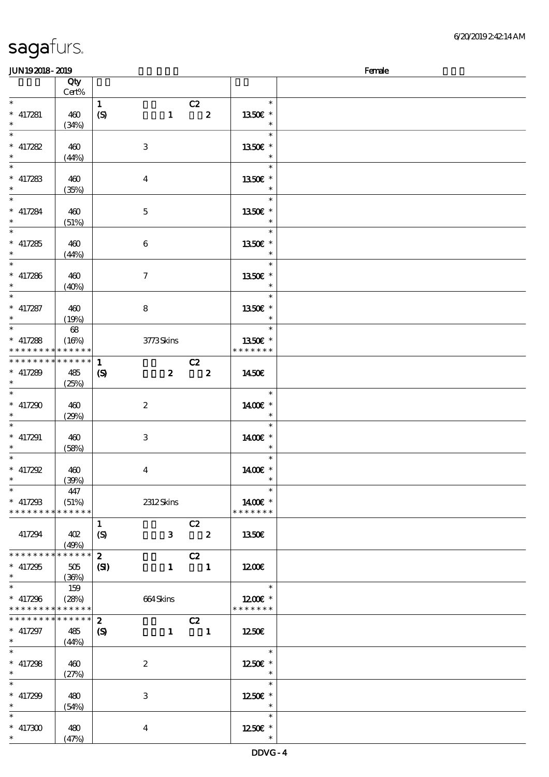| <b>JUN192018-2019</b><br>Female            |        |                            |                           |                         |                          |  |  |  |
|--------------------------------------------|--------|----------------------------|---------------------------|-------------------------|--------------------------|--|--|--|
|                                            | Qty    |                            |                           |                         |                          |  |  |  |
|                                            | Cert%  |                            |                           |                         |                          |  |  |  |
| $\ast$                                     |        | $\mathbf{1}$               |                           | C2                      | $\ast$                   |  |  |  |
| $*$ 417281                                 | 460    | (S)                        | $\mathbf{1}$              | $\overline{\mathbf{2}}$ | 1350E *                  |  |  |  |
| $\ast$                                     |        |                            |                           |                         | $\ast$                   |  |  |  |
| $\ast$                                     | (34%)  |                            |                           |                         | $\ast$                   |  |  |  |
|                                            |        |                            |                           |                         |                          |  |  |  |
| $*$ 417282                                 | 460    |                            | $\ensuremath{\mathbf{3}}$ |                         | 1350€ *                  |  |  |  |
| $\ast$                                     | (44%)  |                            |                           |                         | $\ast$                   |  |  |  |
| $\ast$                                     |        |                            |                           |                         | $\ast$                   |  |  |  |
| $*$ 417283                                 | 460    |                            | $\overline{4}$            |                         | 1350E *                  |  |  |  |
| $\ast$                                     | (35%)  |                            |                           |                         | $\ast$                   |  |  |  |
| $\overline{\phantom{a}^*}$                 |        |                            |                           |                         | $\ast$                   |  |  |  |
| $*$ 417284                                 | 460    |                            | $\mathbf{5}$              |                         | 1350E *                  |  |  |  |
| $\ast$                                     |        |                            |                           |                         | $\ast$                   |  |  |  |
| $\overline{\phantom{0}}$                   | (51%)  |                            |                           |                         |                          |  |  |  |
|                                            |        |                            |                           |                         | $\ast$                   |  |  |  |
| $* 417285$                                 | 460    |                            | 6                         |                         | 1350€ *                  |  |  |  |
|                                            | (44%)  |                            |                           |                         | $\ast$                   |  |  |  |
| $\ast$                                     |        |                            |                           |                         | $\ast$                   |  |  |  |
| $*$ 417286                                 | 460    |                            | $\tau$                    |                         | 1350E *                  |  |  |  |
| $\ast$                                     | (40%)  |                            |                           |                         | $\ast$                   |  |  |  |
| $\ast$                                     |        |                            |                           |                         | $\ast$                   |  |  |  |
| $*$ 417287                                 | 460    |                            | 8                         |                         | 1350E *                  |  |  |  |
| $\ast$                                     |        |                            |                           |                         | $\ast$                   |  |  |  |
| $\overline{\phantom{0}}$                   | (19%)  |                            |                           |                         |                          |  |  |  |
|                                            | $68\,$ |                            |                           |                         | $\ast$                   |  |  |  |
| $*$ 417288                                 | (16%)  |                            | 3773Skins                 |                         | 1350E *                  |  |  |  |
| * * * * * * * * <mark>* * * * * * *</mark> |        |                            |                           |                         | * * * * * * *            |  |  |  |
| * * * * * * * * * * * * * *                |        | $\mathbf{1}$               |                           | C2                      |                          |  |  |  |
| $* 417289$                                 | 485    | $\boldsymbol{\mathcal{S}}$ | $\mathbf{z}$              | $\overline{\mathbf{z}}$ | 1450E                    |  |  |  |
| $\ast$                                     | (25%)  |                            |                           |                         |                          |  |  |  |
| $\ast$                                     |        |                            |                           |                         | $\ast$                   |  |  |  |
| $* 417290$                                 | 460    |                            | $\boldsymbol{z}$          |                         | 1400€ *                  |  |  |  |
|                                            |        |                            |                           |                         | $\ast$                   |  |  |  |
|                                            | (29%)  |                            |                           |                         |                          |  |  |  |
| $\ast$                                     |        |                            |                           |                         | $\ast$                   |  |  |  |
| $*$ 417291                                 | 460    |                            | 3                         |                         | 1400€ *                  |  |  |  |
|                                            | (58%)  |                            |                           |                         | $\ast$                   |  |  |  |
| $\ast$                                     |        |                            |                           |                         | $\ast$                   |  |  |  |
| $* 417292$                                 | 460    |                            | $\bf{4}$                  |                         | 1400€ *                  |  |  |  |
| $*$ $*$                                    | (30%)  |                            |                           |                         | $\ast$                   |  |  |  |
| $\ast$                                     | 447    |                            |                           |                         | $\ast$                   |  |  |  |
| $*$ 417298                                 | (51%)  |                            | 2312Skins                 |                         | 1400€ *                  |  |  |  |
| * * * * * * * * <mark>* * * * * * *</mark> |        |                            |                           |                         | * * * * * * *            |  |  |  |
|                                            |        |                            |                           |                         |                          |  |  |  |
|                                            |        | $\mathbf{1}$               |                           | C2                      |                          |  |  |  |
| 417294                                     | 402    | (S)                        |                           | $3\qquad 2$             | 1350E                    |  |  |  |
|                                            | (49%)  |                            |                           |                         |                          |  |  |  |
| * * * * * * * * * * * * * *                |        | $\mathbf{2}$               |                           | C2                      |                          |  |  |  |
| $*$ 417295                                 | 505    | $\mathbf{C}$               |                           | $1 \quad 1$             | 1200                     |  |  |  |
| $\ast$                                     | (36%)  |                            |                           |                         |                          |  |  |  |
| $\ast$                                     | 159    |                            |                           |                         | $\overline{\phantom{a}}$ |  |  |  |
| $*$ 417296                                 | (28%)  |                            | 664Skins                  |                         | 12 $00E$ *               |  |  |  |
| * * * * * * * * * * * * * *                |        |                            |                           |                         | * * * * * * *            |  |  |  |
| * * * * * * * * * * * * * *                |        | $\mathbf{z}$               |                           |                         |                          |  |  |  |
|                                            |        |                            |                           | C2                      |                          |  |  |  |
| * $417297$                                 | 485    | $\boldsymbol{\mathcal{S}}$ |                           | $1 \qquad \qquad 1$     | 1250E                    |  |  |  |
| $\ast$                                     | (44%)  |                            |                           |                         |                          |  |  |  |
| $\ast$                                     |        |                            |                           |                         | The Co<br>$\ast$         |  |  |  |
| $*$ 417298                                 | 460    |                            | $\boldsymbol{2}$          |                         | 1250E *                  |  |  |  |
| $\ast$                                     | (27%)  |                            |                           |                         | $\ast$                   |  |  |  |
| $\ast$                                     |        |                            |                           |                         | $\ast$                   |  |  |  |
| $* 417299$                                 | 480    |                            | 3                         |                         | 1250E *                  |  |  |  |
| $\ast$                                     | (54%)  |                            |                           |                         | $\ast$                   |  |  |  |
| $\ast$                                     |        |                            |                           |                         | $\ast$                   |  |  |  |
|                                            |        |                            |                           |                         |                          |  |  |  |
| $* 417300$                                 | 480    |                            | $\bf{4}$                  |                         | 1250E *                  |  |  |  |
| $\ast$                                     | (47%)  |                            |                           |                         | $\ast$                   |  |  |  |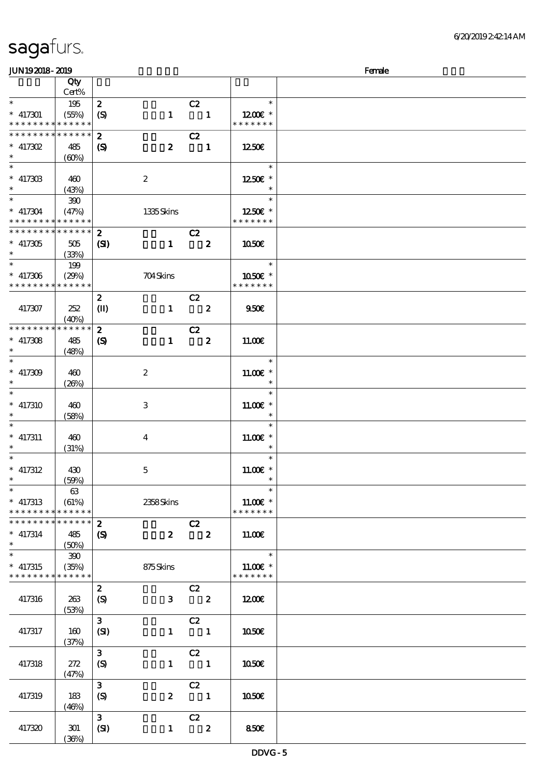| sagafurs. |  |
|-----------|--|
|           |  |

### $J\Box$  JUN192018-2019  $J\Box$

| www.ww                                     |             |                  |                  |                            |                        | $\sim$ |
|--------------------------------------------|-------------|------------------|------------------|----------------------------|------------------------|--------|
|                                            | Qty         |                  |                  |                            |                        |        |
|                                            | Cert%       |                  |                  |                            |                        |        |
| $\ast$                                     | 195         | $\boldsymbol{z}$ |                  | C2                         | $\ast$                 |        |
| $* 417301$                                 | (55%)       | (S)              | $\mathbf{1}$     | $\blacksquare$             | $1200$ $\varepsilon$ * |        |
| * * * * * * * * <mark>* * * * * * *</mark> |             |                  |                  |                            | * * * * * * *          |        |
| * * * * * * * * * * * * * *                |             | $\boldsymbol{z}$ |                  | C2                         |                        |        |
|                                            |             |                  |                  |                            |                        |        |
| $* 417302$                                 | 485         | $\boldsymbol{S}$ | $\boldsymbol{z}$ | $\blacksquare$             | 1250E                  |        |
| $\ast$                                     | (60%)       |                  |                  |                            |                        |        |
| $\ast$                                     |             |                  |                  |                            | $\ast$                 |        |
| $* 41730B$                                 | 460         |                  | $\boldsymbol{2}$ |                            | 1250E *                |        |
| $\ast$                                     |             |                  |                  |                            |                        |        |
|                                            | (43%)       |                  |                  |                            |                        |        |
|                                            | $300$       |                  |                  |                            | $\ast$                 |        |
| $* 417304$                                 | (47%)       |                  | 1335Skins        |                            | 1250 $\varepsilon$ *   |        |
| * * * * * * * * * * * * * *                |             |                  |                  |                            | * * * * * * *          |        |
| * * * * * * * * * * * * * * *              |             | $\boldsymbol{2}$ |                  | C2                         |                        |        |
|                                            |             |                  |                  |                            |                        |        |
| $* 417305$                                 | 505         | (S)              | $\mathbf{1}$     | $\overline{\mathbf{z}}$    | 1050                   |        |
|                                            | (33%)       |                  |                  |                            |                        |        |
| $*$                                        | 199         |                  |                  |                            | $\ast$                 |        |
| $*$ 417306                                 | (29%)       |                  | 704Skins         |                            | 1050E *                |        |
| * * * * * * * * <mark>* * * * * *</mark>   |             |                  |                  |                            | * * * * * * *          |        |
|                                            |             |                  |                  |                            |                        |        |
|                                            |             | $\boldsymbol{z}$ |                  | C2                         |                        |        |
| 417307                                     | 252         | $\mathbf{I}$     | $\mathbf{1}$     | $\overline{\phantom{a}}$ 2 | 950E                   |        |
|                                            | (40%)       |                  |                  |                            |                        |        |
| * * * * * * * *                            | * * * * * * | $\boldsymbol{z}$ |                  | C2                         |                        |        |
| $* 417308$                                 | 485         | $\boldsymbol{S}$ | $\mathbf{1}$     | $\overline{\mathbf{2}}$    | 11.00E                 |        |
| $\ast$                                     |             |                  |                  |                            |                        |        |
|                                            | (48%)       |                  |                  |                            |                        |        |
| $\ast$                                     |             |                  |                  |                            | $\ast$                 |        |
| $* 417309$                                 | 460         |                  | $\boldsymbol{2}$ |                            | $11.00E$ *             |        |
| $\ast$                                     | (20%)       |                  |                  |                            |                        |        |
|                                            |             |                  |                  |                            | $\ast$                 |        |
|                                            |             |                  |                  |                            |                        |        |
| $*$ 417310                                 | 460         |                  | 3                |                            | $1100E$ *              |        |
|                                            | (58%)       |                  |                  |                            |                        |        |
| $\ast$                                     |             |                  |                  |                            | $\ast$                 |        |
| $*$ 417311                                 | 460         |                  | $\bf{4}$         |                            | $11.00E$ *             |        |
|                                            | (31%)       |                  |                  |                            | $\ast$                 |        |
| $\ast$                                     |             |                  |                  |                            | $\ast$                 |        |
|                                            |             |                  |                  |                            |                        |        |
| $*$ 417312                                 | 430         |                  | $\mathbf 5$      |                            | $11.00E$ *             |        |
| $\ast$                                     | (50%)       |                  |                  |                            | $\ast$                 |        |
| $\ast$                                     | 63          |                  |                  |                            | $\ast$                 |        |
| $*$ 417313                                 | (61%)       |                  | 2358Skins        |                            | 11.00€ *               |        |
|                                            | * * * * * * |                  |                  |                            | * * * * * * *          |        |
| * * * * * * * *                            |             |                  |                  |                            |                        |        |
| * * * * * * * * * * * * * *                |             | $\boldsymbol{z}$ |                  | C2                         |                        |        |
| $*$ 417314                                 | 485         | $\boldsymbol{S}$ | $\boldsymbol{z}$ | $\overline{\mathbf{2}}$    | 11.00E                 |        |
| $\ast$                                     | (50%)       |                  |                  |                            |                        |        |
| $\ast$                                     | 390         |                  |                  |                            | $\ast$                 |        |
| $*$ 417315                                 |             |                  |                  |                            | $1100E$ *              |        |
|                                            | (35%)       |                  | 875Skins         |                            | * * * * * * *          |        |
| * * * * * * * * * * * * * *                |             |                  |                  |                            |                        |        |
|                                            |             | $\boldsymbol{z}$ |                  | C2                         |                        |        |
| 417316                                     | 263         | $\boldsymbol{S}$ | $\mathbf{3}$     | $\overline{\mathbf{2}}$    | 1200                   |        |
|                                            | (53%)       |                  |                  |                            |                        |        |
|                                            |             | $\mathbf{3}$     |                  | C2                         |                        |        |
|                                            |             |                  |                  |                            |                        |        |
| 417317                                     | 160         | (SI)             | $\mathbf{1}$     | $\overline{\mathbf{1}}$    | 1050€                  |        |
|                                            | (37%)       |                  |                  |                            |                        |        |
|                                            |             | $\mathbf{3}$     |                  | C2                         |                        |        |
| 417318                                     | 272         | (S)              | $\mathbf{1}$     | $\blacksquare$             | <b>1050€</b>           |        |
|                                            |             |                  |                  |                            |                        |        |
|                                            | (47%)       |                  |                  |                            |                        |        |
|                                            |             | 3                |                  | C2                         |                        |        |
| 417319                                     | 183         | $\boldsymbol{S}$ | $\boldsymbol{z}$ | $\overline{\phantom{a}}$   | 1050E                  |        |
|                                            | (46%)       |                  |                  |                            |                        |        |
|                                            |             | $\mathbf{3}$     |                  | C2                         |                        |        |
|                                            |             |                  |                  |                            |                        |        |
| 417320                                     | 301         | (SI)             | $\mathbf{1}$     | $\overline{\mathbf{2}}$    | 850E                   |        |
|                                            | (36%)       |                  |                  |                            |                        |        |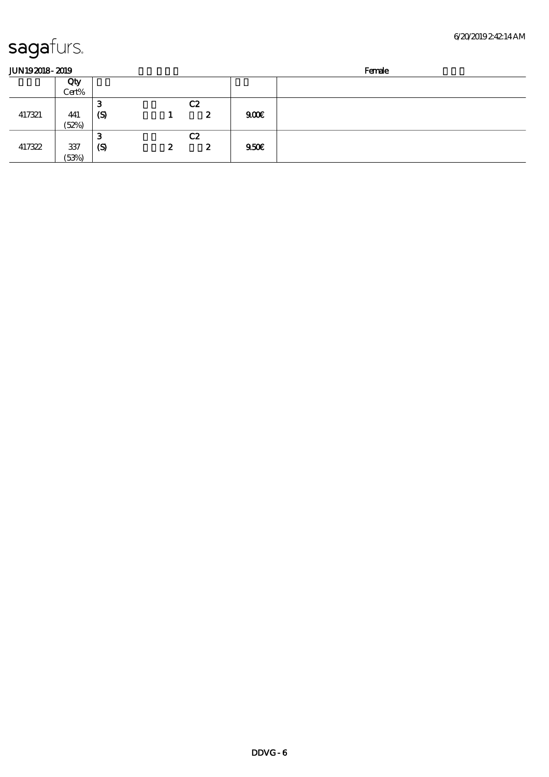| JUN192018-2019 |       |                             |   | Female           |      |  |
|----------------|-------|-----------------------------|---|------------------|------|--|
|                | Qty   |                             |   |                  |      |  |
|                | Cert% |                             |   |                  |      |  |
|                |       | З                           |   | C2               |      |  |
| 417321         | 441   | $\boldsymbol{\mathrm{(S)}}$ |   | 2                | 900  |  |
|                | (52%) |                             |   |                  |      |  |
|                |       | З                           |   | C2               |      |  |
| 417322         | 337   | $\boldsymbol{\mathrm{(S)}}$ | 2 | $\boldsymbol{z}$ | 950E |  |
|                | (53%) |                             |   |                  |      |  |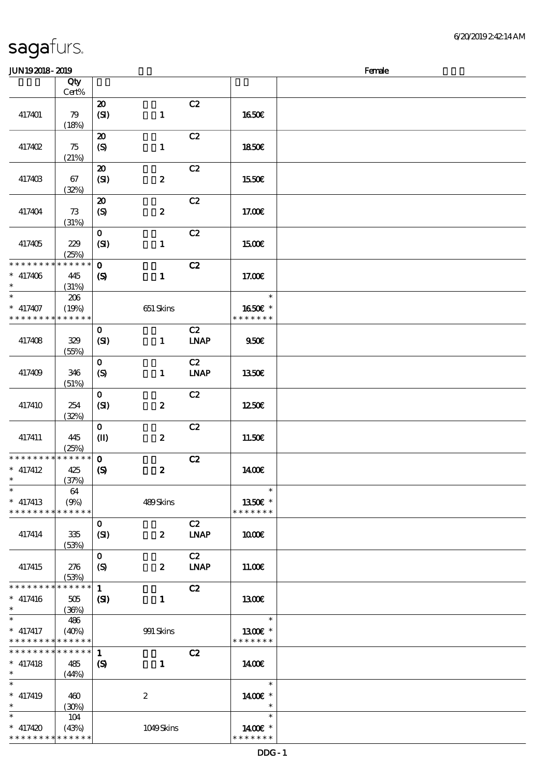| <b>saga</b> furs. |  |
|-------------------|--|
|                   |  |

| <b>JUN192018-2019</b>                         |                             |                                                |                  |                   |                                    | Female |
|-----------------------------------------------|-----------------------------|------------------------------------------------|------------------|-------------------|------------------------------------|--------|
|                                               | Qty                         |                                                |                  |                   |                                    |        |
|                                               | Cert%                       | $\boldsymbol{\mathfrak{D}}$                    |                  | C2                |                                    |        |
| 417401                                        | 79<br>(18%)                 | (SI)                                           | $\mathbf{1}$     | C2                | 1650€                              |        |
| 417402                                        | 75<br>(21%)                 | $\boldsymbol{\mathfrak{D}}$<br>(S)             | $\mathbf{1}$     |                   | <b>1850€</b>                       |        |
| 417403                                        | 67<br>(32%)                 | $\boldsymbol{\mathbf{z}}$<br>(SI)              | $\boldsymbol{2}$ | C2                | 1550€                              |        |
| 417404                                        | 73<br>(31%)                 | $\boldsymbol{\mathsf{20}}$<br>$\boldsymbol{S}$ | $\pmb{2}$        | C2                | 17.00E                             |        |
| 417405                                        | 229<br>(25%)                | $\mathbf{O}$<br>(SI)                           | $\mathbf{1}$     | C2                | <b>1500€</b>                       |        |
| * * * * * * * *<br>$*$ 417406<br>$\ast$       | * * * * * *<br>445<br>(31%) | $\mathbf{o}$<br>$\boldsymbol{\mathcal{S}}$     | $\mathbf{1}$     | C2                | 17.00E                             |        |
| $\ast$<br>$*$ 417407<br>* * * * * * * *       | 206<br>(19%)<br>* * * * * * |                                                | 651 Skins        |                   | $\ast$<br>1650E *<br>* * * * * * * |        |
| 417408                                        | 329<br>(55%)                | $\mathbf 0$<br>(SI)                            | $\mathbf{1}$     | C2<br><b>LNAP</b> | 950 <sub>E</sub>                   |        |
| 417409                                        | 346<br>(51%)                | $\mathbf{o}$<br>$\boldsymbol{S}$               | $\mathbf{1}$     | C2<br><b>LNAP</b> | 1350€                              |        |
| 417410                                        | 254<br>(32%)                | $\mathbf 0$<br>(SI)                            | $\pmb{2}$        | C2                | 1250E                              |        |
| 417411                                        | 445<br>(25%)                | $\mathbf{o}$<br>$\mathbf{I}$                   | $\pmb{2}$        | C2                | 11.50€                             |        |
| * * * * * * * *<br>$*$ 417412<br>$*$          | * * * * * *<br>425<br>(37%) | $\mathbf{o}$<br>$\boldsymbol{\mathcal{S}}$     | $\boldsymbol{z}$ | C2                | 1400E                              |        |
| $\ast$<br>$*$ 417413<br>* * * * * * * *       | 64<br>(9%)<br>* * * * * *   |                                                | 489Skins         |                   | $\ast$<br>1350€ *<br>* * * * * * * |        |
| 417414                                        | 335<br>(53%)                | $\mathbf 0$<br>(SI)                            | $\boldsymbol{z}$ | C2<br><b>LNAP</b> | 1000E                              |        |
| 417415                                        | 276<br>(53%)                | $\mathbf{o}$<br>$\boldsymbol{S}$               | $\boldsymbol{z}$ | C2<br><b>LNAP</b> | 11.00E                             |        |
| * * * * * * * *<br>$* 417416$<br>$\ast$       | * * * * * *<br>505<br>(36%) | $\mathbf{1}$<br>$\mathbf{S}$                   | $\mathbf{1}$     | C2                | <b>1300€</b>                       |        |
| $\ast$<br>$*$ 417417<br>* * * * * * * *       | 486<br>(40%)<br>* * * * * * |                                                | 991 Skins        |                   | $\ast$<br>1300E *<br>* * * * * * * |        |
| * * * * * * * *<br>$*$ 417418<br>$*$ $\qquad$ | * * * * * *<br>485<br>(44%) | $\mathbf{1}$<br>$\boldsymbol{S}$               | $\mathbf{1}$     | C2                | 1400€                              |        |
| $\ast$<br>$* 417419$<br>$\ast$                | 460<br>(30%)                |                                                | $\boldsymbol{2}$ |                   | $\ast$<br>1400€ *<br>$\ast$        |        |
| $\ast$<br>$* 417420$<br>* * * * * * * *       | 104<br>(43%)<br>* * * * * * |                                                | 1049Skins        |                   | $\ast$<br>1400€ *<br>* * * * * * * |        |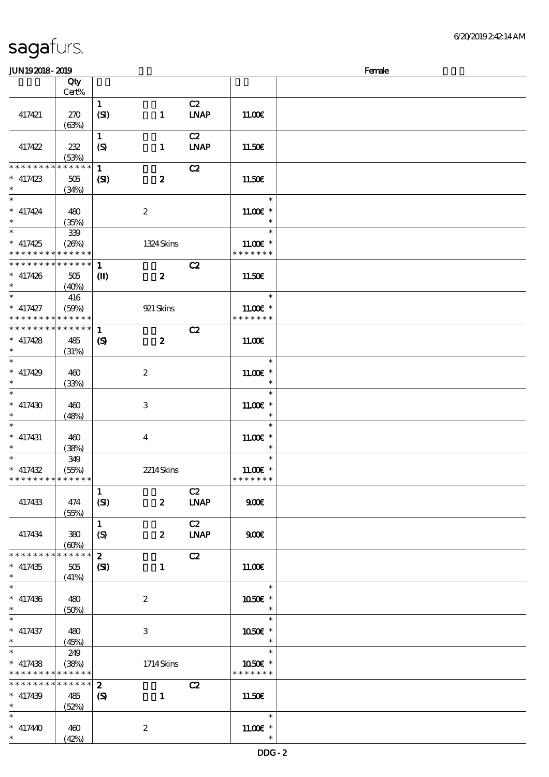| sagaturs. |  |
|-----------|--|
|           |  |

### $JUN192018-2019$  Female

|                               | Qty         |                            |                  |             |               |  |
|-------------------------------|-------------|----------------------------|------------------|-------------|---------------|--|
|                               | Cert%       |                            |                  |             |               |  |
|                               |             | $\mathbf{1}$               |                  | C2          |               |  |
| 417421                        | 270         | (SI)                       | $\mathbf{1}$     | <b>LNAP</b> | 11.00E        |  |
|                               | (63%)       |                            |                  |             |               |  |
|                               |             | $\mathbf{1}$               |                  | C2          |               |  |
|                               |             |                            |                  |             |               |  |
| 417422                        | 232         | (S)                        | $\mathbf{1}$     | <b>LNAP</b> | 11.50€        |  |
|                               | (53%)       |                            |                  |             |               |  |
| * * * * * * * *               | * * * * * * | $\mathbf{1}$               |                  | C2          |               |  |
| $*$ 417423                    | $505\,$     | $\mathbf{C}$               | $\boldsymbol{z}$ |             | 11.50€        |  |
| $*$ $*$                       | (34%)       |                            |                  |             |               |  |
| $\ast$                        |             |                            |                  |             |               |  |
|                               |             |                            |                  |             | $\ast$        |  |
| $* 417424$                    | 480         |                            | $\boldsymbol{2}$ |             | $11.00E$ *    |  |
| $\ast$                        | (35%)       |                            |                  |             | $\ast$        |  |
| $\overline{\phantom{0}}$      | 339         |                            |                  |             | $\ast$        |  |
| $* 417425$                    |             |                            |                  |             | 11.00 £*      |  |
|                               | (20%)       |                            | 1324 Skins       |             |               |  |
| * * * * * * * *               | * * * * * * |                            |                  |             | * * * * * * * |  |
| ******** <mark>*******</mark> |             | 1                          |                  | C2          |               |  |
| $* 417426$                    | 505         | $\mathbf{I}$               | $\boldsymbol{z}$ |             | 11.50E        |  |
| $\ast$                        | (40%)       |                            |                  |             |               |  |
| $\ast$                        |             |                            |                  |             | $\ast$        |  |
|                               | 416         |                            |                  |             |               |  |
| $*$ 417427                    | (50%)       |                            | 921 Skins        |             | $11.00E*$     |  |
| * * * * * * * * * * * * * *   |             |                            |                  |             | * * * * * * * |  |
| * * * * * * * *               | * * * * * * | $\mathbf{1}$               |                  | C2          |               |  |
| $*$ 417428                    | 485         | $\boldsymbol{\mathcal{S}}$ | $\boldsymbol{z}$ |             | 11.00E        |  |
| $*$                           |             |                            |                  |             |               |  |
|                               | (31%)       |                            |                  |             |               |  |
|                               |             |                            |                  |             | $\ast$        |  |
| $* 417429$                    | 460         |                            | $\boldsymbol{2}$ |             | $11.00E$ *    |  |
| $\ast$                        | (33%)       |                            |                  |             | $\ast$        |  |
| $\ast$                        |             |                            |                  |             | $\ast$        |  |
|                               |             |                            |                  |             |               |  |
| $* 417430$                    | 460         |                            | 3                |             | $11.00E$ *    |  |
| $\ast$                        | (48%)       |                            |                  |             | $\ast$        |  |
| $\ast$                        |             |                            |                  |             | $\ast$        |  |
| $*$ 417431                    | 460         |                            | $\overline{4}$   |             | 11.00 £*      |  |
| $\ast$                        | (38%)       |                            |                  |             | $\ast$        |  |
| $\overline{\ast}$             |             |                            |                  |             | $\ast$        |  |
|                               | 349         |                            |                  |             |               |  |
| $* 417432$                    | (55%)       |                            | 2214Skins        |             | $11.00E$ *    |  |
| * * * * * * * * * * * * * *   |             |                            |                  |             | * * * * * * * |  |
|                               |             | $\mathbf{1}$               |                  | C2          |               |  |
| 417433                        | 474         | (SI)                       | $\boldsymbol{z}$ | <b>LNAP</b> | 900E          |  |
|                               |             |                            |                  |             |               |  |
|                               | (55%)       |                            |                  |             |               |  |
|                               |             | $\mathbf{1}$               |                  | C2          |               |  |
| 417434                        | 380         | $\boldsymbol{S}$           | $\boldsymbol{z}$ | <b>LNAP</b> | 900E          |  |
|                               | (60%)       |                            |                  |             |               |  |
| * * * * * * * *               | * * * * * * | $\boldsymbol{z}$           |                  | C2          |               |  |
|                               |             |                            |                  |             |               |  |
| $*$ 417435                    | $505\,$     | (S)                        | $\mathbf{1}$     |             | 11.00E        |  |
| $\ast$                        | (41%)       |                            |                  |             |               |  |
| $\ast$                        |             |                            |                  |             | $\ast$        |  |
| $* 417436$                    | 480         |                            | $\boldsymbol{2}$ |             | 1050€ *       |  |
| $\ast$                        | (50%)       |                            |                  |             | $\ast$        |  |
| $\ast$                        |             |                            |                  |             | $\ast$        |  |
|                               |             |                            |                  |             |               |  |
| $*$ 417437                    | 480         |                            | 3                |             | 1050E *       |  |
| $\ast$                        | (45%)       |                            |                  |             | $\ast$        |  |
| $\ast$                        | 249         |                            |                  |             | $\ast$        |  |
| $*$ 417438                    | (38%)       |                            | 1714Skins        |             | 1050€ *       |  |
| * * * * * * * *               | * * * * * * |                            |                  |             | * * * * * * * |  |
|                               |             |                            |                  |             |               |  |
| * * * * * * *                 | ******      | $\boldsymbol{z}$           |                  | C2          |               |  |
| $* 417439$                    | 485         | $\boldsymbol{\mathcal{S}}$ | $\mathbf{1}$     |             | 11.50€        |  |
| $\ast$                        | (52%)       |                            |                  |             |               |  |
| $\ast$                        |             |                            |                  |             | $\ast$        |  |
|                               |             |                            |                  |             |               |  |
| $* 417440$                    | 460         |                            | $\boldsymbol{2}$ |             | $11.00E$ *    |  |
| $\ast$                        | (42%)       |                            |                  |             | $\ast$        |  |